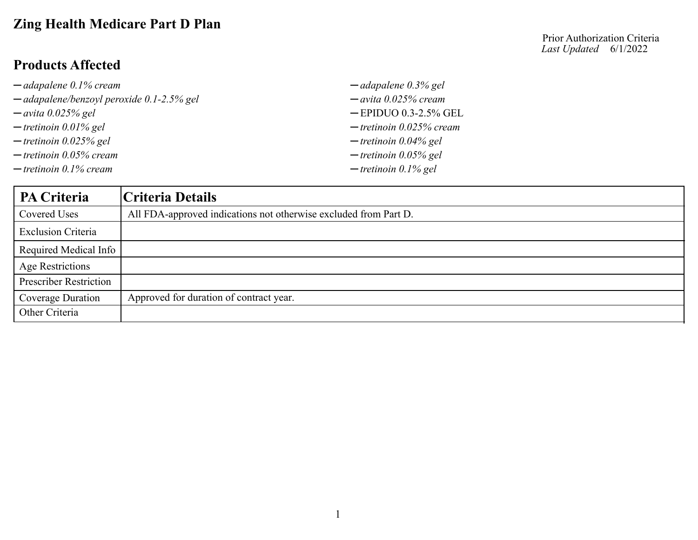# **Zing Health Medicare Part D Plan**

### **Products Affected**

| $\rightarrow$ adapalene 0.1% cream                    | $\rightarrow$ adapalene 0.3% gel |
|-------------------------------------------------------|----------------------------------|
| $\rightarrow$ adapalene/benzoyl peroxide 0.1-2.5% gel | $-$ avita 0.025% cream           |
| $\rightarrow$ avita 0.025% gel                        | $-$ EPIDUO 0.3-2.5% GEL          |
| $-$ tretinoin 0.01% gel                               | $-$ tretinoin 0.025% cream       |
| $-$ tretinoin 0.025% gel                              | $-$ tretinoin 0.04% gel          |
| $-$ tretinoin 0.05% cream                             | $-$ tretinoin 0.05% gel          |
| $-$ tretinoin 0.1% cream                              | $-$ tretinoin 0.1% gel           |

| <b>PA Criteria</b>            | Criteria Details                                                 |
|-------------------------------|------------------------------------------------------------------|
| Covered Uses                  | All FDA-approved indications not otherwise excluded from Part D. |
| <b>Exclusion Criteria</b>     |                                                                  |
| Required Medical Info         |                                                                  |
| <b>Age Restrictions</b>       |                                                                  |
| <b>Prescriber Restriction</b> |                                                                  |
| Coverage Duration             | Approved for duration of contract year.                          |
| Other Criteria                |                                                                  |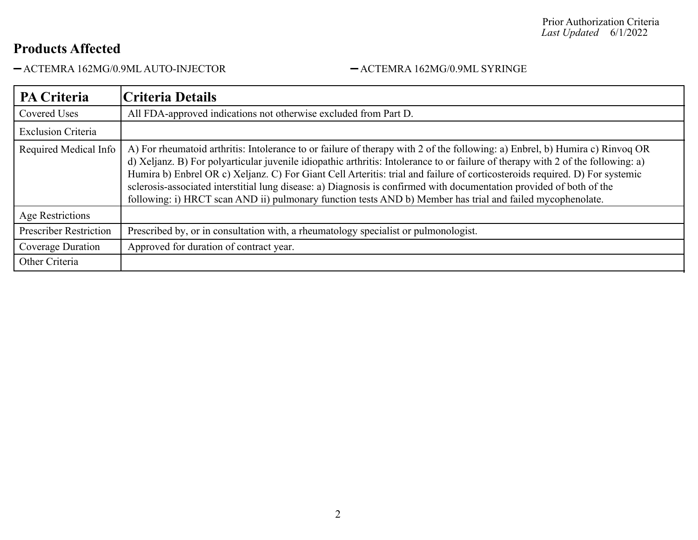ACTEMRA 162MG/0.9ML AUTO-INJECTOR ACTEMRA 162MG/0.9ML SYRINGE

| <b>PA Criteria</b>            | <b>Criteria Details</b>                                                                                                                                                                                                                                                                                                                                                                                                                                                                                                                                                                                                               |
|-------------------------------|---------------------------------------------------------------------------------------------------------------------------------------------------------------------------------------------------------------------------------------------------------------------------------------------------------------------------------------------------------------------------------------------------------------------------------------------------------------------------------------------------------------------------------------------------------------------------------------------------------------------------------------|
| <b>Covered Uses</b>           | All FDA-approved indications not otherwise excluded from Part D.                                                                                                                                                                                                                                                                                                                                                                                                                                                                                                                                                                      |
| <b>Exclusion Criteria</b>     |                                                                                                                                                                                                                                                                                                                                                                                                                                                                                                                                                                                                                                       |
| Required Medical Info         | A) For rheumatoid arthritis: Intolerance to or failure of therapy with 2 of the following: a) Enbrel, b) Humira c) Rinvoq OR<br>d) Xeljanz. B) For polyarticular juvenile idiopathic arthritis: Intolerance to or failure of therapy with 2 of the following: a)<br>Humira b) Enbrel OR c) Xeljanz. C) For Giant Cell Arteritis: trial and failure of corticosteroids required. D) For systemic<br>sclerosis-associated interstitial lung disease: a) Diagnosis is confirmed with documentation provided of both of the<br>following: i) HRCT scan AND ii) pulmonary function tests AND b) Member has trial and failed mycophenolate. |
| Age Restrictions              |                                                                                                                                                                                                                                                                                                                                                                                                                                                                                                                                                                                                                                       |
| <b>Prescriber Restriction</b> | Prescribed by, or in consultation with, a rheumatology specialist or pulmonologist.                                                                                                                                                                                                                                                                                                                                                                                                                                                                                                                                                   |
| Coverage Duration             | Approved for duration of contract year.                                                                                                                                                                                                                                                                                                                                                                                                                                                                                                                                                                                               |
| Other Criteria                |                                                                                                                                                                                                                                                                                                                                                                                                                                                                                                                                                                                                                                       |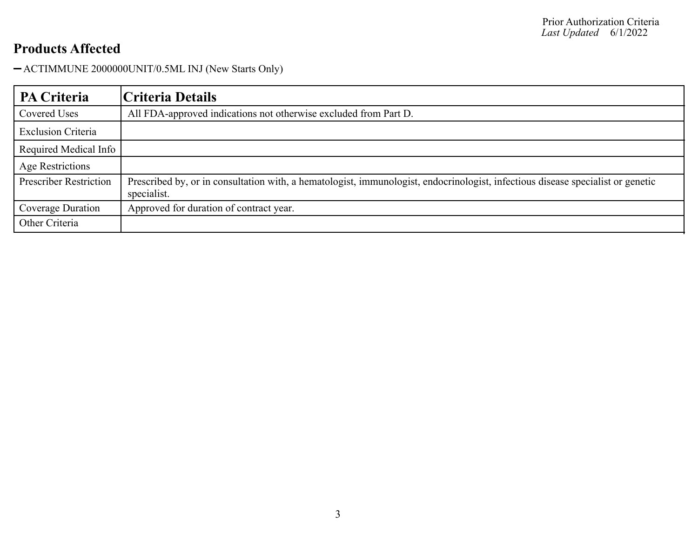ACTIMMUNE 2000000UNIT/0.5ML INJ (New Starts Only)

| <b>PA Criteria</b>            | Criteria Details                                                                                                                               |
|-------------------------------|------------------------------------------------------------------------------------------------------------------------------------------------|
| Covered Uses                  | All FDA-approved indications not otherwise excluded from Part D.                                                                               |
| <b>Exclusion Criteria</b>     |                                                                                                                                                |
| Required Medical Info         |                                                                                                                                                |
| Age Restrictions              |                                                                                                                                                |
| <b>Prescriber Restriction</b> | Prescribed by, or in consultation with, a hematologist, immunologist, endocrinologist, infectious disease specialist or genetic<br>specialist. |
| Coverage Duration             | Approved for duration of contract year.                                                                                                        |
| Other Criteria                |                                                                                                                                                |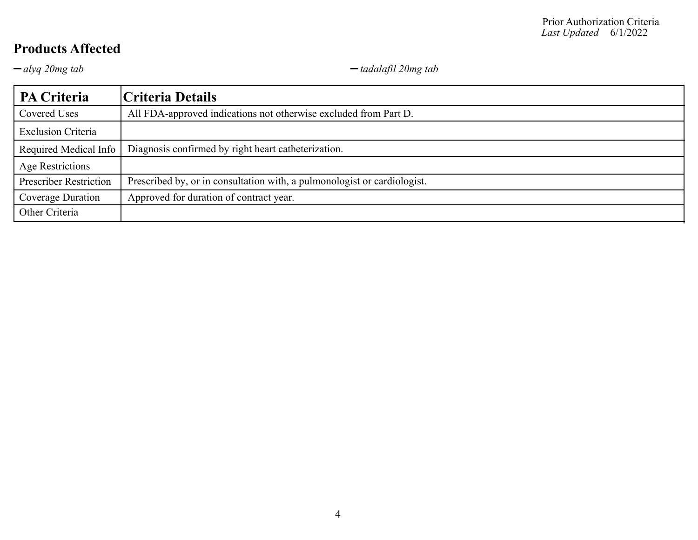*alyq 20mg tab tadalafil 20mg tab*

| <b>PA Criteria</b>            | Criteria Details                                                         |
|-------------------------------|--------------------------------------------------------------------------|
| Covered Uses                  | All FDA-approved indications not otherwise excluded from Part D.         |
| <b>Exclusion Criteria</b>     |                                                                          |
| Required Medical Info         | Diagnosis confirmed by right heart catheterization.                      |
| <b>Age Restrictions</b>       |                                                                          |
| <b>Prescriber Restriction</b> | Prescribed by, or in consultation with, a pulmonologist or cardiologist. |
| Coverage Duration             | Approved for duration of contract year.                                  |
| Other Criteria                |                                                                          |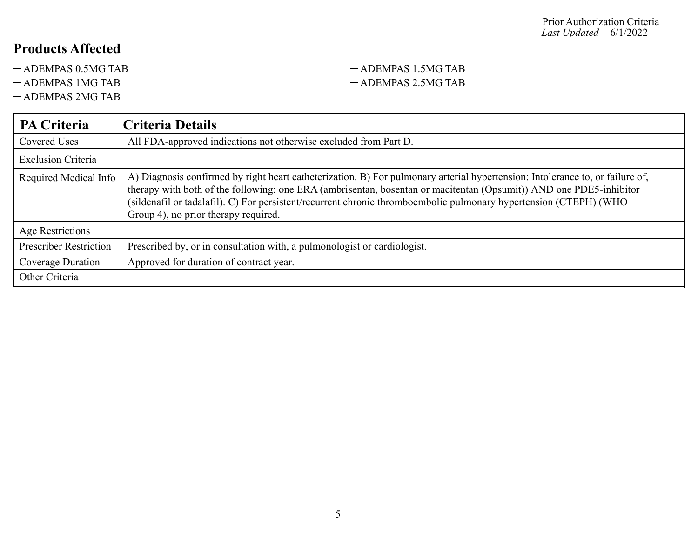- 
- 
- ADEMPAS 2MG TAB

#### -ADEMPAS 0.5MG TAB - ADEMPAS 1.5MG TAB -ADEMPAS 1MG TAB - ADEMPAS 2.5MG TAB

| PA Criteria                   | <b>Criteria Details</b>                                                                                                                                                                                                                                                                                                                                                                                          |
|-------------------------------|------------------------------------------------------------------------------------------------------------------------------------------------------------------------------------------------------------------------------------------------------------------------------------------------------------------------------------------------------------------------------------------------------------------|
| Covered Uses                  | All FDA-approved indications not otherwise excluded from Part D.                                                                                                                                                                                                                                                                                                                                                 |
| <b>Exclusion Criteria</b>     |                                                                                                                                                                                                                                                                                                                                                                                                                  |
| Required Medical Info         | A) Diagnosis confirmed by right heart catheterization. B) For pulmonary arterial hypertension: Intolerance to, or failure of,<br>therapy with both of the following: one ERA (ambrisentan, bosentan or macitentan (Opsumit)) AND one PDE5-inhibitor<br>(sildenafil or tadalafil). C) For persistent/recurrent chronic thromboembolic pulmonary hypertension (CTEPH) (WHO<br>Group 4), no prior therapy required. |
| Age Restrictions              |                                                                                                                                                                                                                                                                                                                                                                                                                  |
| <b>Prescriber Restriction</b> | Prescribed by, or in consultation with, a pulmonologist or cardiologist.                                                                                                                                                                                                                                                                                                                                         |
| Coverage Duration             | Approved for duration of contract year.                                                                                                                                                                                                                                                                                                                                                                          |
| Other Criteria                |                                                                                                                                                                                                                                                                                                                                                                                                                  |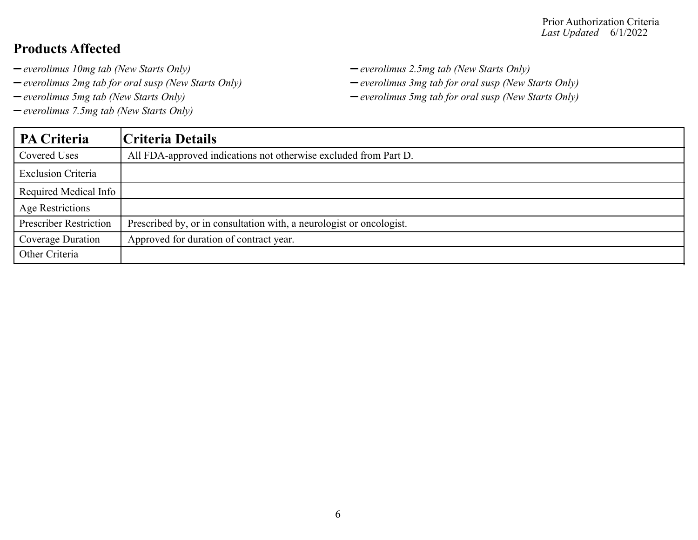- 
- *everolimus 2mg tab for oral susp (New Starts Only) everolimus 3mg tab for oral susp (New Starts Only)*
- 
- *everolimus 7.5mg tab (New Starts Only)*
- *everolimus 10mg tab (New Starts Only) everolimus 2.5mg tab (New Starts Only)*
	-
- *everolimus 5mg tab (New Starts Only) everolimus 5mg tab for oral susp (New Starts Only)*

| <b>PA Criteria</b>            | Criteria Details                                                     |
|-------------------------------|----------------------------------------------------------------------|
| Covered Uses                  | All FDA-approved indications not otherwise excluded from Part D.     |
| <b>Exclusion Criteria</b>     |                                                                      |
| Required Medical Info         |                                                                      |
| <b>Age Restrictions</b>       |                                                                      |
| <b>Prescriber Restriction</b> | Prescribed by, or in consultation with, a neurologist or oncologist. |
| Coverage Duration             | Approved for duration of contract year.                              |
| Other Criteria                |                                                                      |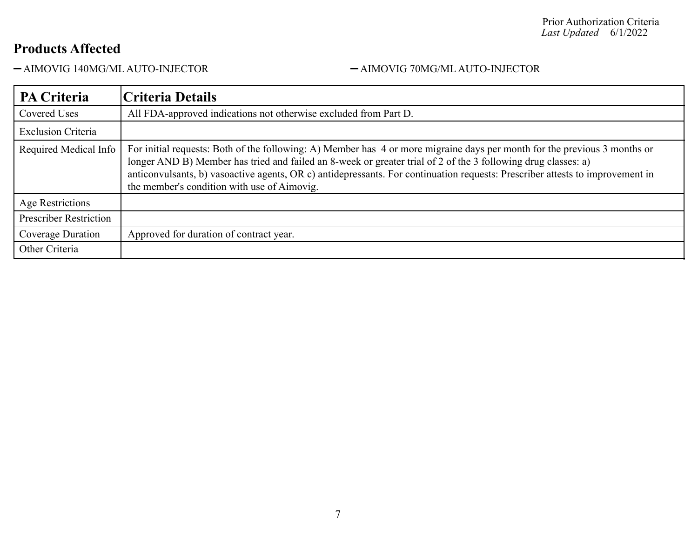AIMOVIG 140MG/ML AUTO-INJECTOR AIMOVIG 70MG/ML AUTO-INJECTOR

| <b>PA Criteria</b>            | Criteria Details                                                                                                                                                                                                                                                                                                                                                                                                           |
|-------------------------------|----------------------------------------------------------------------------------------------------------------------------------------------------------------------------------------------------------------------------------------------------------------------------------------------------------------------------------------------------------------------------------------------------------------------------|
| <b>Covered Uses</b>           | All FDA-approved indications not otherwise excluded from Part D.                                                                                                                                                                                                                                                                                                                                                           |
| <b>Exclusion Criteria</b>     |                                                                                                                                                                                                                                                                                                                                                                                                                            |
| Required Medical Info         | For initial requests: Both of the following: A) Member has 4 or more migraine days per month for the previous 3 months or<br>longer AND B) Member has tried and failed an 8-week or greater trial of 2 of the 3 following drug classes: a)<br>anticonvulsants, b) vasoactive agents, OR c) antidepressants. For continuation requests: Prescriber attests to improvement in<br>the member's condition with use of Aimovig. |
| Age Restrictions              |                                                                                                                                                                                                                                                                                                                                                                                                                            |
| <b>Prescriber Restriction</b> |                                                                                                                                                                                                                                                                                                                                                                                                                            |
| Coverage Duration             | Approved for duration of contract year.                                                                                                                                                                                                                                                                                                                                                                                    |
| Other Criteria                |                                                                                                                                                                                                                                                                                                                                                                                                                            |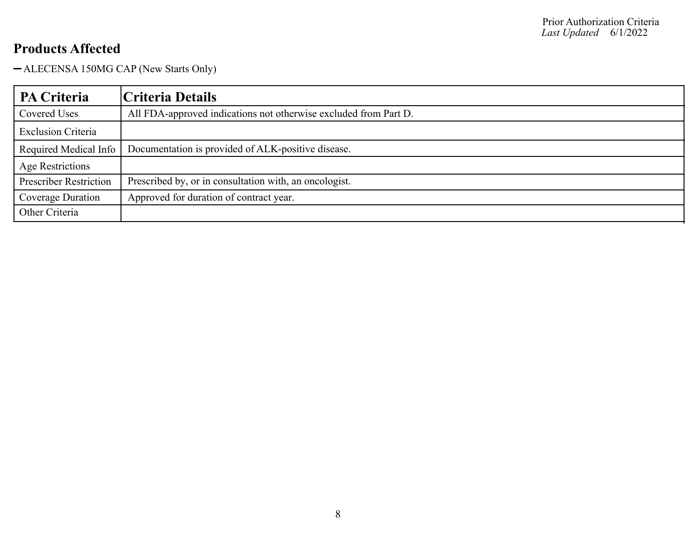ALECENSA 150MG CAP (New Starts Only)

| <b>PA Criteria</b>            | Criteria Details                                                 |
|-------------------------------|------------------------------------------------------------------|
| Covered Uses                  | All FDA-approved indications not otherwise excluded from Part D. |
| <b>Exclusion Criteria</b>     |                                                                  |
| Required Medical Info         | Documentation is provided of ALK-positive disease.               |
| <b>Age Restrictions</b>       |                                                                  |
| <b>Prescriber Restriction</b> | Prescribed by, or in consultation with, an oncologist.           |
| Coverage Duration             | Approved for duration of contract year.                          |
| Other Criteria                |                                                                  |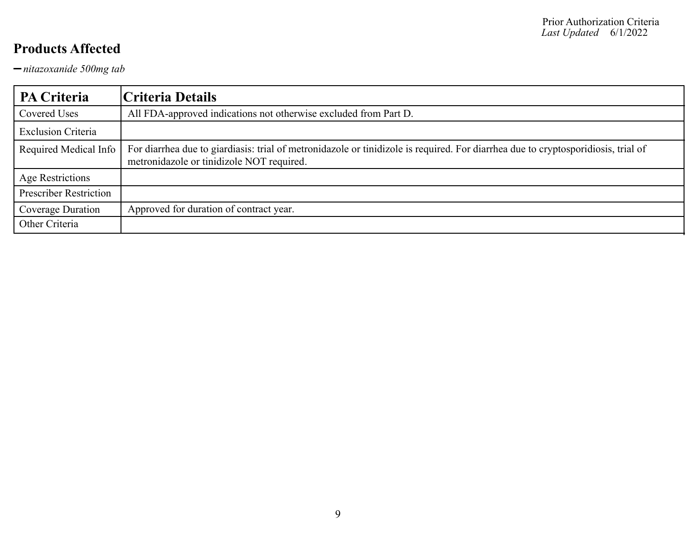*nitazoxanide 500mg tab*

| <b>PA Criteria</b>            | Criteria Details                                                                                                                                                               |
|-------------------------------|--------------------------------------------------------------------------------------------------------------------------------------------------------------------------------|
| Covered Uses                  | All FDA-approved indications not otherwise excluded from Part D.                                                                                                               |
| <b>Exclusion Criteria</b>     |                                                                                                                                                                                |
| Required Medical Info         | For diarrhea due to giardiasis: trial of metronidazole or tinidizole is required. For diarrhea due to cryptosporidiosis, trial of<br>metronidazole or tinidizole NOT required. |
| Age Restrictions              |                                                                                                                                                                                |
| <b>Prescriber Restriction</b> |                                                                                                                                                                                |
| Coverage Duration             | Approved for duration of contract year.                                                                                                                                        |
| Other Criteria                |                                                                                                                                                                                |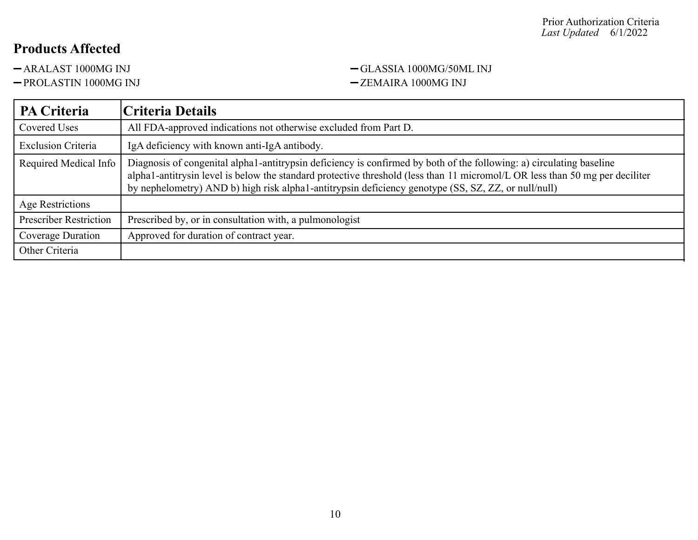#### -ARALAST 1000MG INJ <br/>-GLASSIA 1000MG/50ML INJ -PROLASTIN 1000MG INJ 2EMAIRA 1000MG INJ

| PA Criteria                   | Criteria Details                                                                                                                                                                                                                                                                                                                                            |
|-------------------------------|-------------------------------------------------------------------------------------------------------------------------------------------------------------------------------------------------------------------------------------------------------------------------------------------------------------------------------------------------------------|
| Covered Uses                  | All FDA-approved indications not otherwise excluded from Part D.                                                                                                                                                                                                                                                                                            |
| <b>Exclusion Criteria</b>     | IgA deficiency with known anti-IgA antibody.                                                                                                                                                                                                                                                                                                                |
| Required Medical Info         | Diagnosis of congenital alpha1-antitrypsin deficiency is confirmed by both of the following: a) circulating baseline<br>alpha1-antitrysin level is below the standard protective threshold (less than 11 micromol/L OR less than 50 mg per deciliter<br>by nephelometry) AND b) high risk alpha1-antitrypsin deficiency genotype (SS, SZ, ZZ, or null/null) |
| Age Restrictions              |                                                                                                                                                                                                                                                                                                                                                             |
| <b>Prescriber Restriction</b> | Prescribed by, or in consultation with, a pulmonologist                                                                                                                                                                                                                                                                                                     |
| Coverage Duration             | Approved for duration of contract year.                                                                                                                                                                                                                                                                                                                     |
| Other Criteria                |                                                                                                                                                                                                                                                                                                                                                             |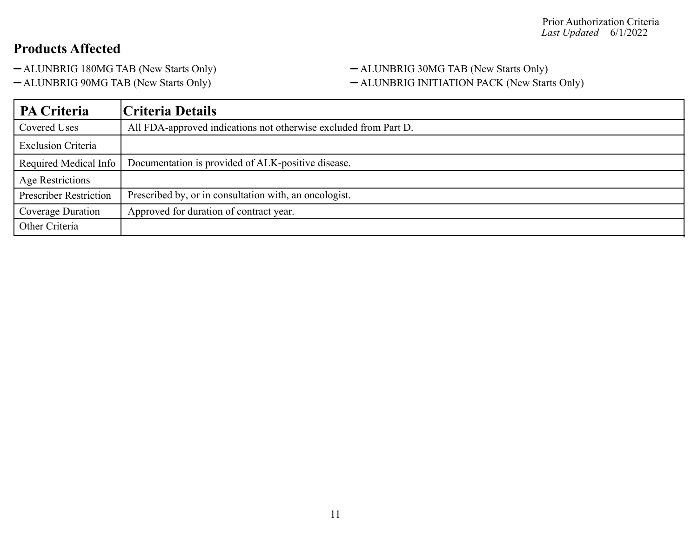- 
- 

#### -ALUNBRIG 180MG TAB (New Starts Only) - ALUNBRIG 30MG TAB (New Starts Only) -ALUNBRIG 90MG TAB (New Starts Only) - ALUNBRIG INITIATION PACK (New Starts Only)

| <b>PA Criteria</b>            | <b>Criteria Details</b>                                          |
|-------------------------------|------------------------------------------------------------------|
| Covered Uses                  | All FDA-approved indications not otherwise excluded from Part D. |
| <b>Exclusion Criteria</b>     |                                                                  |
| Required Medical Info         | Documentation is provided of ALK-positive disease.               |
| Age Restrictions              |                                                                  |
| <b>Prescriber Restriction</b> | Prescribed by, or in consultation with, an oncologist.           |
| Coverage Duration             | Approved for duration of contract year.                          |
| Other Criteria                |                                                                  |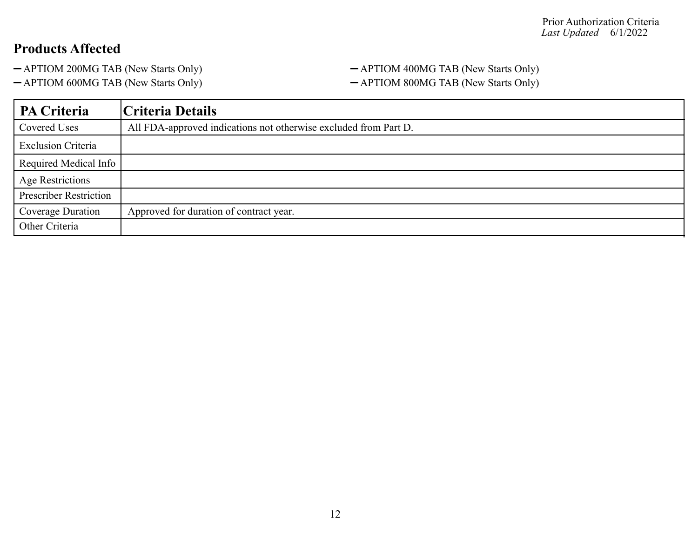#### - APTIOM 200MG TAB (New Starts Only) - APTIOM 400MG TAB (New Starts Only) - APTIOM 600MG TAB (New Starts Only) - APTIOM 800MG TAB (New Starts Only)

| PA Criteria                   | Criteria Details                                                 |
|-------------------------------|------------------------------------------------------------------|
| Covered Uses                  | All FDA-approved indications not otherwise excluded from Part D. |
| <b>Exclusion Criteria</b>     |                                                                  |
| Required Medical Info         |                                                                  |
| <b>Age Restrictions</b>       |                                                                  |
| <b>Prescriber Restriction</b> |                                                                  |
| Coverage Duration             | Approved for duration of contract year.                          |
| Other Criteria                |                                                                  |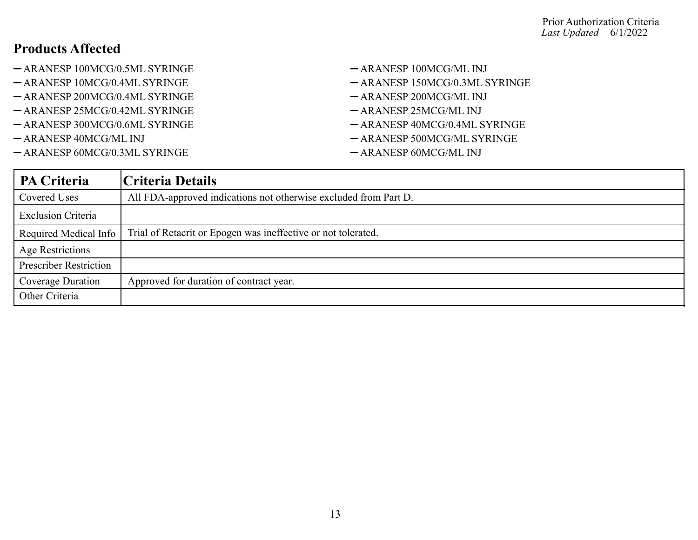- -ARANESP 100MCG/0.5ML SYRINGE ARANESP 100MCG/ML INJ
- -ARANESP 10MCG/0.4ML SYRINGE ARANESP 150MCG/0.3ML SYRINGE
- $-$ ARANESP 200MCG/0.4ML SYRINGE  $-$ ARANESP 200MCG/ML INJ
- -ARANESP 25MCG/0.42ML SYRINGE ARANESP 25MCG/ML INJ
- -ARANESP 300MCG/0.6ML SYRINGE ARANESP 40MCG/0.4ML SYRINGE
- 
- ARANESP 60MCG/0.3ML SYRINGE ARANESP 60MCG/ML INJ
- 
- 
- 
- 
- 
- -ARANESP 40MCG/ML INJ ARANESP 500MCG/ML SYRINGE
	-

| PA Criteria                   | Criteria Details                                                 |
|-------------------------------|------------------------------------------------------------------|
| Covered Uses                  | All FDA-approved indications not otherwise excluded from Part D. |
| <b>Exclusion Criteria</b>     |                                                                  |
| Required Medical Info         | Trial of Retacrit or Epogen was ineffective or not tolerated.    |
| <b>Age Restrictions</b>       |                                                                  |
| <b>Prescriber Restriction</b> |                                                                  |
| Coverage Duration             | Approved for duration of contract year.                          |
| Other Criteria                |                                                                  |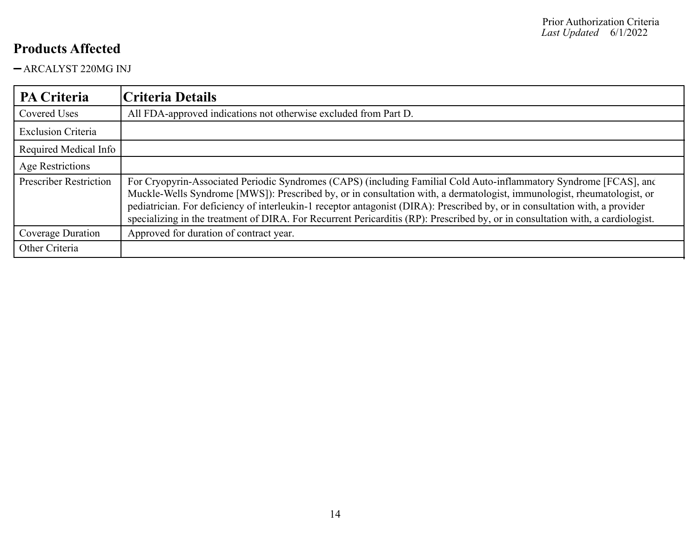ARCALYST 220MG INJ

| <b>PA Criteria</b>            | Criteria Details                                                                                                                                                                                                                                                                                                                                                                                                                                                                                                 |
|-------------------------------|------------------------------------------------------------------------------------------------------------------------------------------------------------------------------------------------------------------------------------------------------------------------------------------------------------------------------------------------------------------------------------------------------------------------------------------------------------------------------------------------------------------|
| <b>Covered Uses</b>           | All FDA-approved indications not otherwise excluded from Part D.                                                                                                                                                                                                                                                                                                                                                                                                                                                 |
| <b>Exclusion Criteria</b>     |                                                                                                                                                                                                                                                                                                                                                                                                                                                                                                                  |
| Required Medical Info         |                                                                                                                                                                                                                                                                                                                                                                                                                                                                                                                  |
| <b>Age Restrictions</b>       |                                                                                                                                                                                                                                                                                                                                                                                                                                                                                                                  |
| <b>Prescriber Restriction</b> | For Cryopyrin-Associated Periodic Syndromes (CAPS) (including Familial Cold Auto-inflammatory Syndrome [FCAS], and<br>Muckle-Wells Syndrome [MWS]): Prescribed by, or in consultation with, a dermatologist, immunologist, rheumatologist, or<br>pediatrician. For deficiency of interleukin-1 receptor antagonist (DIRA): Prescribed by, or in consultation with, a provider<br>specializing in the treatment of DIRA. For Recurrent Pericarditis (RP): Prescribed by, or in consultation with, a cardiologist. |
| Coverage Duration             | Approved for duration of contract year.                                                                                                                                                                                                                                                                                                                                                                                                                                                                          |
| Other Criteria                |                                                                                                                                                                                                                                                                                                                                                                                                                                                                                                                  |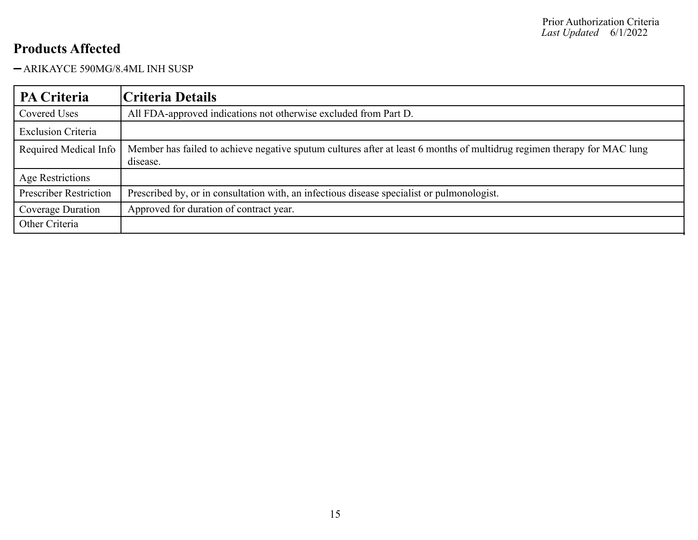ARIKAYCE 590MG/8.4ML INH SUSP

| PA Criteria                   | Criteria Details                                                                                                                    |
|-------------------------------|-------------------------------------------------------------------------------------------------------------------------------------|
| Covered Uses                  | All FDA-approved indications not otherwise excluded from Part D.                                                                    |
| <b>Exclusion Criteria</b>     |                                                                                                                                     |
| Required Medical Info         | Member has failed to achieve negative sputum cultures after at least 6 months of multidrug regimen therapy for MAC lung<br>disease. |
| Age Restrictions              |                                                                                                                                     |
| <b>Prescriber Restriction</b> | Prescribed by, or in consultation with, an infectious disease specialist or pulmonologist.                                          |
| Coverage Duration             | Approved for duration of contract year.                                                                                             |
| Other Criteria                |                                                                                                                                     |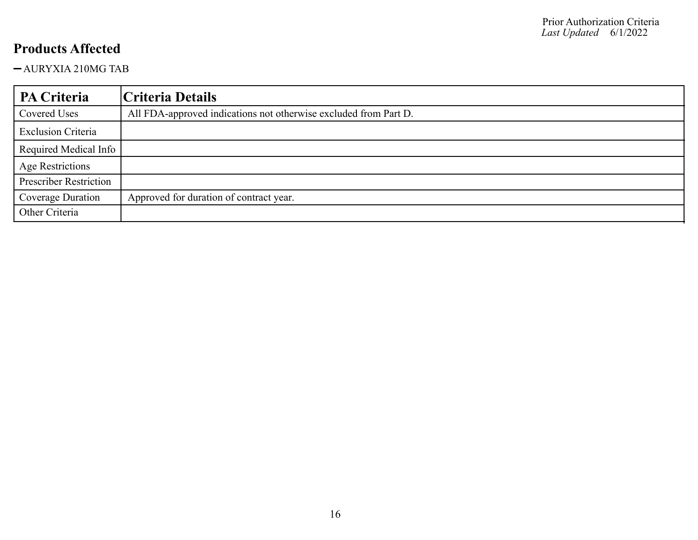AURYXIA 210MG TAB

| PA Criteria                   | Criteria Details                                                 |
|-------------------------------|------------------------------------------------------------------|
| Covered Uses                  | All FDA-approved indications not otherwise excluded from Part D. |
| <b>Exclusion Criteria</b>     |                                                                  |
| Required Medical Info         |                                                                  |
| <b>Age Restrictions</b>       |                                                                  |
| <b>Prescriber Restriction</b> |                                                                  |
| Coverage Duration             | Approved for duration of contract year.                          |
| Other Criteria                |                                                                  |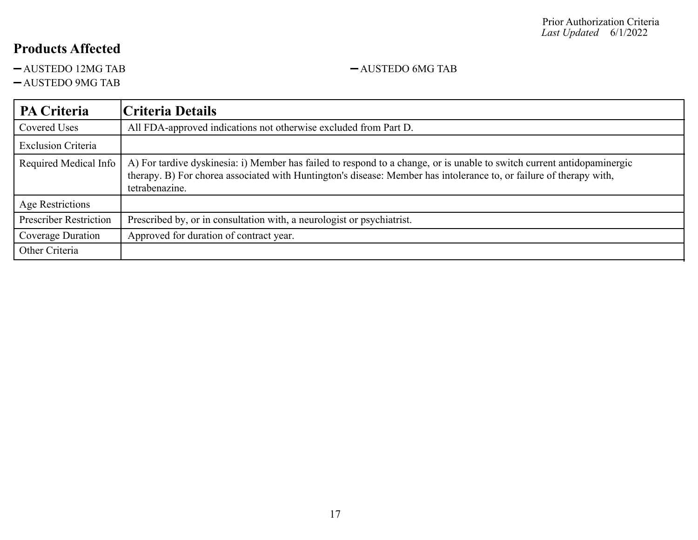$-AUSTEDO 12MG TAB$   $-AUSTEDO 6MG TAB$ 

AUSTEDO 9MG TAB

#### **PA Criteria Criteria Details** Covered Uses All FDA-approved indications not otherwise excluded from Part D. Exclusion Criteria Required Medical Info  $|A|$  For tardive dyskinesia: i) Member has failed to respond to a change, or is unable to switch current antidopaminergic therapy. B) For chorea associated with Huntington's disease: Member has intolerance to, or failure of therapy with, tetrabenazine. Age Restrictions Prescriber Restriction | Prescribed by, or in consultation with, a neurologist or psychiatrist. Coverage Duration | Approved for duration of contract year. Other Criteria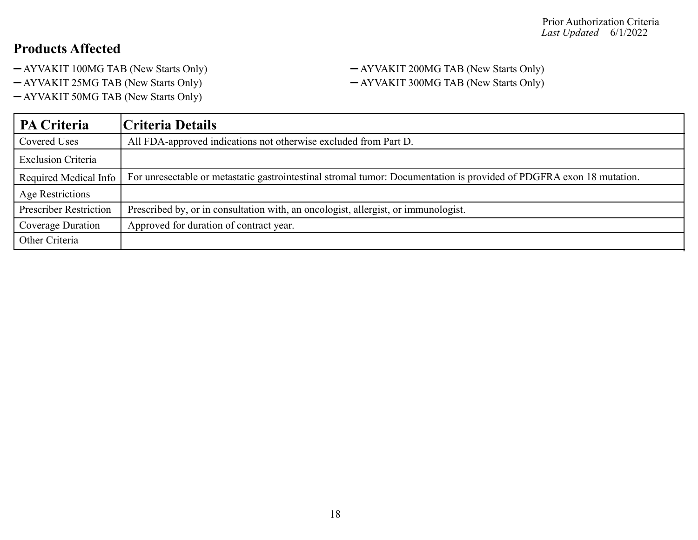- AYVAKIT 100MG TAB (New Starts Only) AYVAKIT 200MG TAB (New Starts Only)
- 
- AYVAKIT 50MG TAB (New Starts Only)

# -AYVAKIT 25MG TAB (New Starts Only) - AYVAKIT 300MG TAB (New Starts Only)

| <b>PA Criteria</b>            | Criteria Details                                                                                                     |
|-------------------------------|----------------------------------------------------------------------------------------------------------------------|
| Covered Uses                  | All FDA-approved indications not otherwise excluded from Part D.                                                     |
| <b>Exclusion Criteria</b>     |                                                                                                                      |
| Required Medical Info         | For unresectable or metastatic gastrointestinal stromal tumor: Documentation is provided of PDGFRA exon 18 mutation. |
| Age Restrictions              |                                                                                                                      |
| <b>Prescriber Restriction</b> | Prescribed by, or in consultation with, an oncologist, allergist, or immunologist.                                   |
| Coverage Duration             | Approved for duration of contract year.                                                                              |
| Other Criteria                |                                                                                                                      |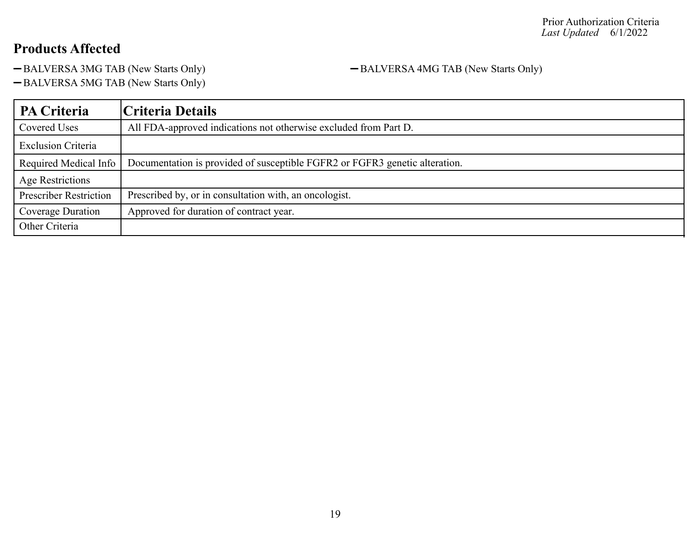-BALVERSA 3MG TAB (New Starts Only) - BALVERSA 4MG TAB (New Starts Only)

-BALVERSA 5MG TAB (New Starts Only)

| <b>PA Criteria</b>            | Criteria Details                                                            |
|-------------------------------|-----------------------------------------------------------------------------|
| <b>Covered Uses</b>           | All FDA-approved indications not otherwise excluded from Part D.            |
| <b>Exclusion Criteria</b>     |                                                                             |
| Required Medical Info         | Documentation is provided of susceptible FGFR2 or FGFR3 genetic alteration. |
| Age Restrictions              |                                                                             |
| <b>Prescriber Restriction</b> | Prescribed by, or in consultation with, an oncologist.                      |
| Coverage Duration             | Approved for duration of contract year.                                     |
| Other Criteria                |                                                                             |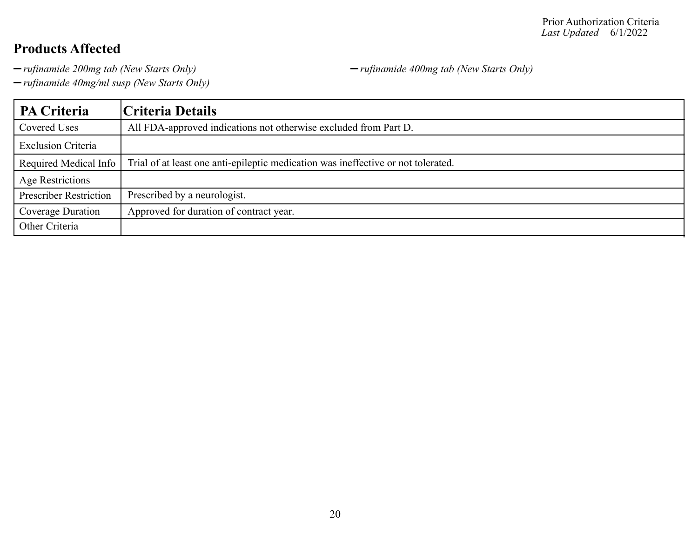*rufinamide 200mg tab (New Starts Only) rufinamide 400mg tab (New Starts Only)*

*rufinamide 40mg/ml susp (New Starts Only)*

**PA Criteria Criteria Details** Covered Uses All FDA-approved indications not otherwise excluded from Part D. Exclusion Criteria Required Medical Info Trial of at least one anti-epileptic medication was ineffective or not tolerated. Age Restrictions Prescriber Restriction | Prescribed by a neurologist. Coverage Duration Approved for duration of contract year. Other Criteria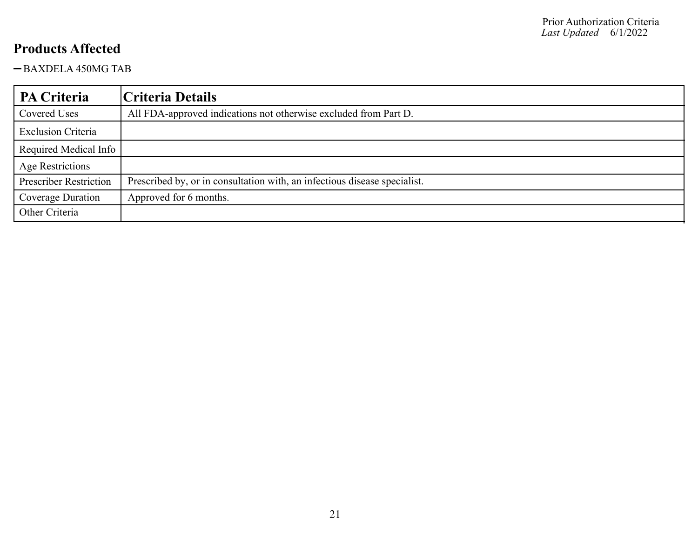BAXDELA 450MG TAB

| PA Criteria                   | Criteria Details                                                          |
|-------------------------------|---------------------------------------------------------------------------|
| Covered Uses                  | All FDA-approved indications not otherwise excluded from Part D.          |
| <b>Exclusion Criteria</b>     |                                                                           |
| Required Medical Info         |                                                                           |
| <b>Age Restrictions</b>       |                                                                           |
| <b>Prescriber Restriction</b> | Prescribed by, or in consultation with, an infectious disease specialist. |
| Coverage Duration             | Approved for 6 months.                                                    |
| Other Criteria                |                                                                           |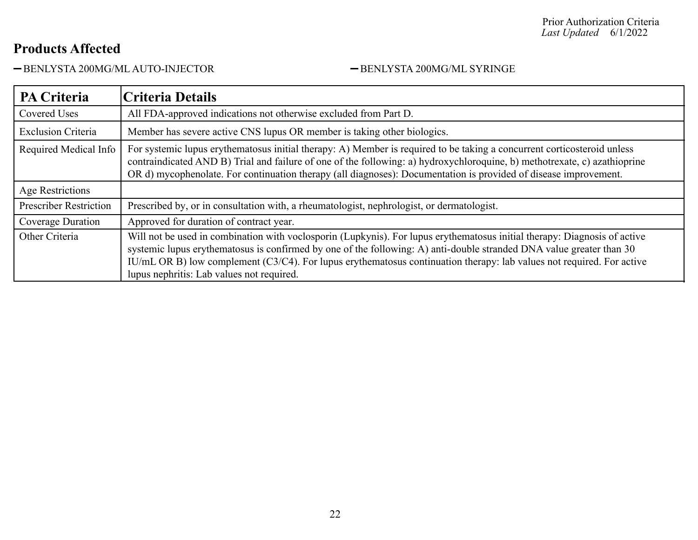BENLYSTA 200MG/ML AUTO-INJECTOR BENLYSTA 200MG/ML SYRINGE

| <b>PA Criteria</b>            | Criteria Details                                                                                                                                                                                                                                                                                                                                                                                                        |
|-------------------------------|-------------------------------------------------------------------------------------------------------------------------------------------------------------------------------------------------------------------------------------------------------------------------------------------------------------------------------------------------------------------------------------------------------------------------|
| <b>Covered Uses</b>           | All FDA-approved indications not otherwise excluded from Part D.                                                                                                                                                                                                                                                                                                                                                        |
| <b>Exclusion Criteria</b>     | Member has severe active CNS lupus OR member is taking other biologics.                                                                                                                                                                                                                                                                                                                                                 |
| Required Medical Info         | For systemic lupus erythematosus initial therapy: A) Member is required to be taking a concurrent corticosteroid unless<br>contraindicated AND B) Trial and failure of one of the following: a) hydroxychloroquine, b) methotrexate, c) azathioprine<br>OR d) mycophenolate. For continuation therapy (all diagnoses): Documentation is provided of disease improvement.                                                |
| Age Restrictions              |                                                                                                                                                                                                                                                                                                                                                                                                                         |
| <b>Prescriber Restriction</b> | Prescribed by, or in consultation with, a rheumatologist, nephrologist, or dermatologist.                                                                                                                                                                                                                                                                                                                               |
| Coverage Duration             | Approved for duration of contract year.                                                                                                                                                                                                                                                                                                                                                                                 |
| Other Criteria                | Will not be used in combination with voclosporin (Lupkynis). For lupus erythematosus initial therapy: Diagnosis of active<br>systemic lupus erythematosus is confirmed by one of the following: A) anti-double stranded DNA value greater than 30<br>IU/mL OR B) low complement (C3/C4). For lupus erythematosus continuation therapy: lab values not required. For active<br>lupus nephritis: Lab values not required. |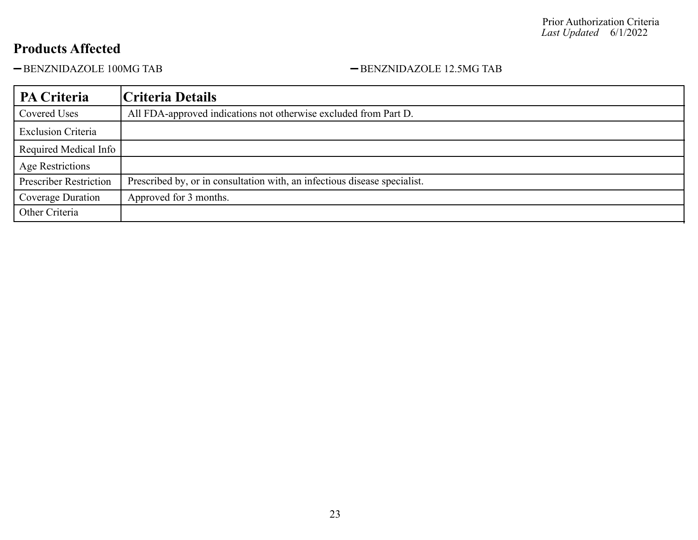-BENZNIDAZOLE 100MG TAB - BENZNIDAZOLE 12.5MG TAB

| <b>PA Criteria</b>            | Criteria Details                                                          |
|-------------------------------|---------------------------------------------------------------------------|
| Covered Uses                  | All FDA-approved indications not otherwise excluded from Part D.          |
| <b>Exclusion Criteria</b>     |                                                                           |
| Required Medical Info         |                                                                           |
| <b>Age Restrictions</b>       |                                                                           |
| <b>Prescriber Restriction</b> | Prescribed by, or in consultation with, an infectious disease specialist. |
| Coverage Duration             | Approved for 3 months.                                                    |
| Other Criteria                |                                                                           |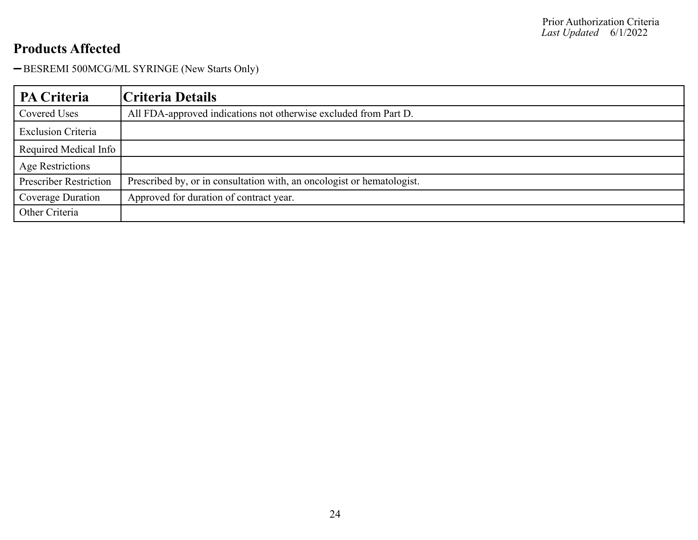-BESREMI 500MCG/ML SYRINGE (New Starts Only)

| <b>PA Criteria</b>            | Criteria Details                                                       |
|-------------------------------|------------------------------------------------------------------------|
| Covered Uses                  | All FDA-approved indications not otherwise excluded from Part D.       |
| <b>Exclusion Criteria</b>     |                                                                        |
| Required Medical Info         |                                                                        |
| <b>Age Restrictions</b>       |                                                                        |
| <b>Prescriber Restriction</b> | Prescribed by, or in consultation with, an oncologist or hematologist. |
| Coverage Duration             | Approved for duration of contract year.                                |
| Other Criteria                |                                                                        |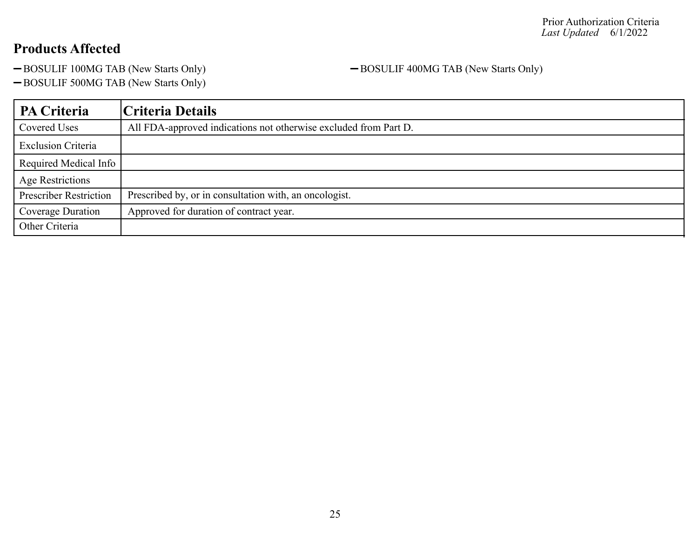-BOSULIF 100MG TAB (New Starts Only) -BOSULIF 400MG TAB (New Starts Only)

-BOSULIF 500MG TAB (New Starts Only)

| PA Criteria                   | Criteria Details                                                 |
|-------------------------------|------------------------------------------------------------------|
| Covered Uses                  | All FDA-approved indications not otherwise excluded from Part D. |
| <b>Exclusion Criteria</b>     |                                                                  |
| Required Medical Info         |                                                                  |
| <b>Age Restrictions</b>       |                                                                  |
| <b>Prescriber Restriction</b> | Prescribed by, or in consultation with, an oncologist.           |
| Coverage Duration             | Approved for duration of contract year.                          |
| Other Criteria                |                                                                  |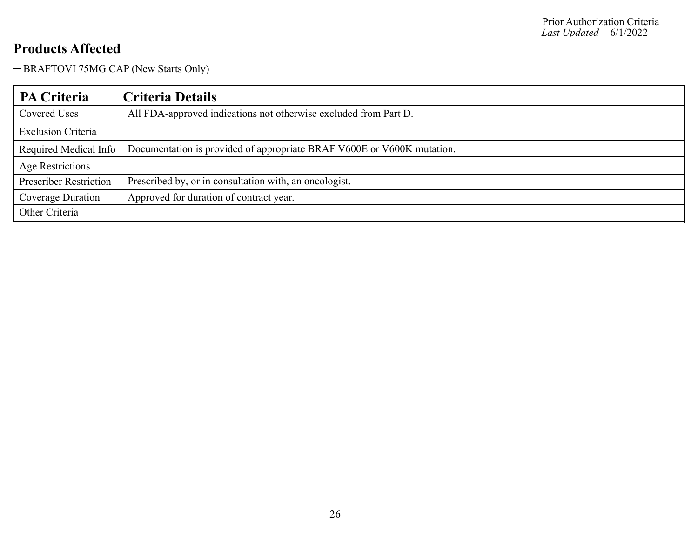-BRAFTOVI 75MG CAP (New Starts Only)

| PA Criteria                   | Criteria Details                                                       |
|-------------------------------|------------------------------------------------------------------------|
| Covered Uses                  | All FDA-approved indications not otherwise excluded from Part D.       |
| <b>Exclusion Criteria</b>     |                                                                        |
| Required Medical Info         | Documentation is provided of appropriate BRAF V600E or V600K mutation. |
| <b>Age Restrictions</b>       |                                                                        |
| <b>Prescriber Restriction</b> | Prescribed by, or in consultation with, an oncologist.                 |
| Coverage Duration             | Approved for duration of contract year.                                |
| Other Criteria                |                                                                        |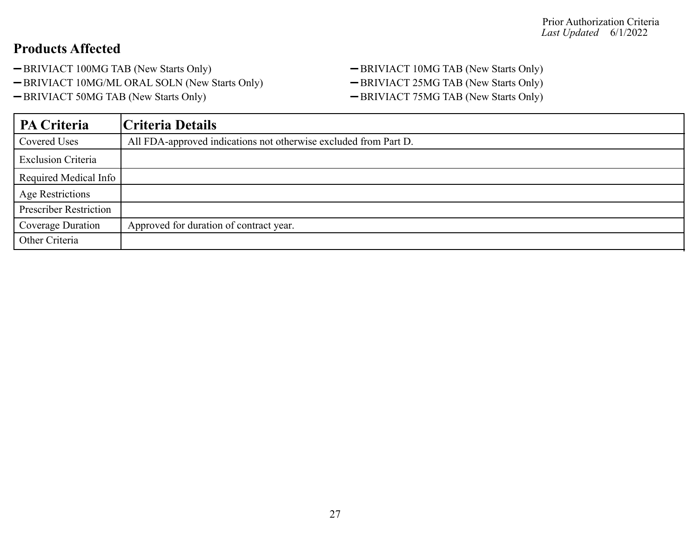- 
- -BRIVIACT 10MG/ML ORAL SOLN (New Starts Only) BRIVIACT 25MG TAB (New Starts Only)
- 

-BRIVIACT 100MG TAB (New Starts Only) - BRIVIACT 10MG TAB (New Starts Only) -BRIVIACT 50MG TAB (New Starts Only) - BRIVIACT 75MG TAB (New Starts Only)

| <b>PA Criteria</b>            | Criteria Details                                                 |
|-------------------------------|------------------------------------------------------------------|
| Covered Uses                  | All FDA-approved indications not otherwise excluded from Part D. |
| <b>Exclusion Criteria</b>     |                                                                  |
| Required Medical Info         |                                                                  |
| <b>Age Restrictions</b>       |                                                                  |
| <b>Prescriber Restriction</b> |                                                                  |
| Coverage Duration             | Approved for duration of contract year.                          |
| Other Criteria                |                                                                  |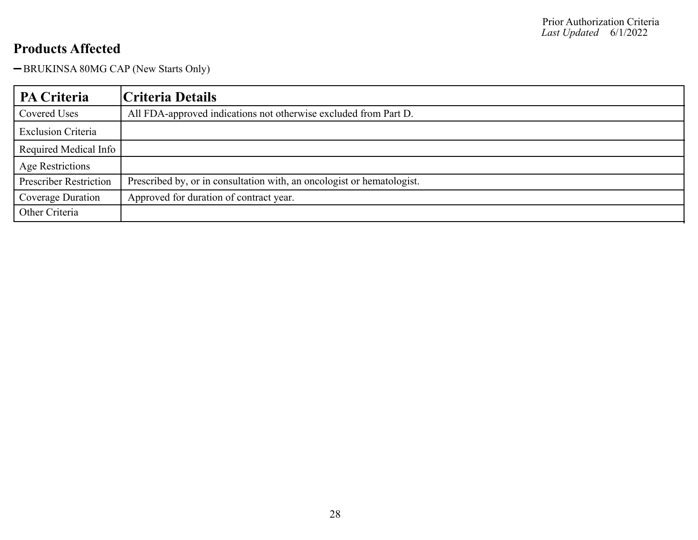-BRUKINSA 80MG CAP (New Starts Only)

| <b>PA Criteria</b>            | Criteria Details                                                       |
|-------------------------------|------------------------------------------------------------------------|
| Covered Uses                  | All FDA-approved indications not otherwise excluded from Part D.       |
| <b>Exclusion Criteria</b>     |                                                                        |
| Required Medical Info         |                                                                        |
| <b>Age Restrictions</b>       |                                                                        |
| <b>Prescriber Restriction</b> | Prescribed by, or in consultation with, an oncologist or hematologist. |
| Coverage Duration             | Approved for duration of contract year.                                |
| Other Criteria                |                                                                        |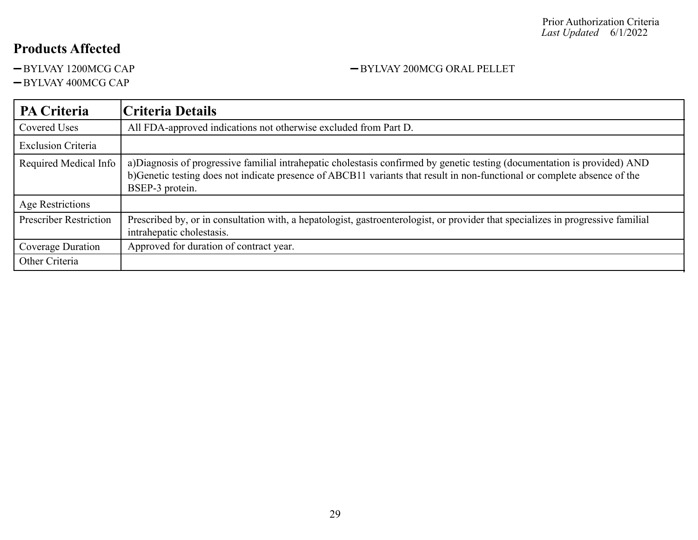#### $-BYL VAY$  400MCG CAP

#### **PA Criteria Criteria Details** Covered Uses All FDA-approved indications not otherwise excluded from Part D. Exclusion Criteria Required Medical Info | a)Diagnosis of progressive familial intrahepatic cholestasis confirmed by genetic testing (documentation is provided) AND b)Genetic testing does not indicate presence of ABCB11 variants that result in non-functional or complete absence of the BSEP-3 protein. Age Restrictions Prescriber Restriction | Prescribed by, or in consultation with, a hepatologist, gastroenterologist, or provider that specializes in progressive familial intrahepatic cholestasis. Coverage Duration | Approved for duration of contract year. Other Criteria

#### -BYLVAY 1200MCG CAP -BYLVAY 200MCG ORAL PELLET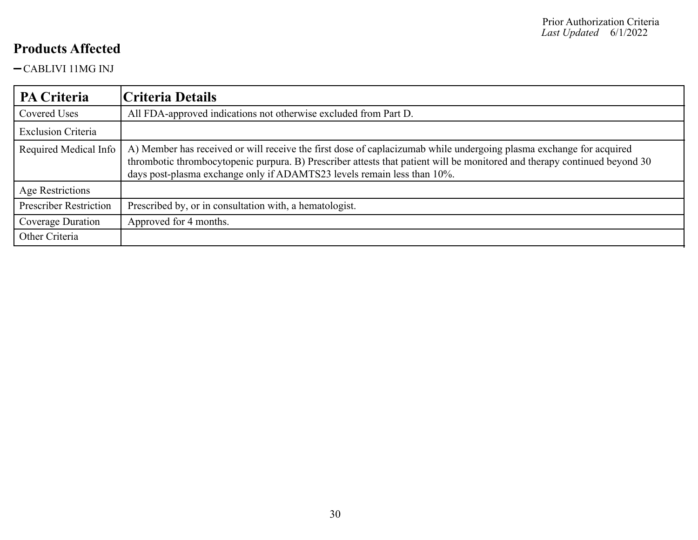CABLIVI 11MG INJ

| PA Criteria                   | Criteria Details                                                                                                                                                                                                                                                                                                            |
|-------------------------------|-----------------------------------------------------------------------------------------------------------------------------------------------------------------------------------------------------------------------------------------------------------------------------------------------------------------------------|
| Covered Uses                  | All FDA-approved indications not otherwise excluded from Part D.                                                                                                                                                                                                                                                            |
| <b>Exclusion Criteria</b>     |                                                                                                                                                                                                                                                                                                                             |
| Required Medical Info         | A) Member has received or will receive the first dose of caplacizumab while undergoing plasma exchange for acquired<br>thrombotic thrombocytopenic purpura. B) Prescriber attests that patient will be monitored and therapy continued beyond 30<br>days post-plasma exchange only if ADAMTS23 levels remain less than 10%. |
| Age Restrictions              |                                                                                                                                                                                                                                                                                                                             |
| <b>Prescriber Restriction</b> | Prescribed by, or in consultation with, a hematologist.                                                                                                                                                                                                                                                                     |
| Coverage Duration             | Approved for 4 months.                                                                                                                                                                                                                                                                                                      |
| Other Criteria                |                                                                                                                                                                                                                                                                                                                             |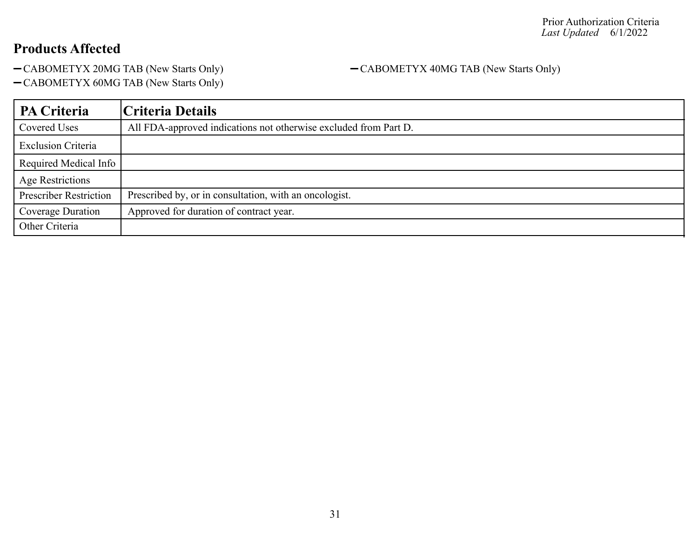-CABOMETYX 20MG TAB (New Starts Only) - CABOMETYX 40MG TAB (New Starts Only)

CABOMETYX 60MG TAB (New Starts Only)

| PA Criteria                   | Criteria Details                                                 |
|-------------------------------|------------------------------------------------------------------|
| Covered Uses                  | All FDA-approved indications not otherwise excluded from Part D. |
| <b>Exclusion Criteria</b>     |                                                                  |
| Required Medical Info         |                                                                  |
| Age Restrictions              |                                                                  |
| <b>Prescriber Restriction</b> | Prescribed by, or in consultation, with an oncologist.           |
| Coverage Duration             | Approved for duration of contract year.                          |
| Other Criteria                |                                                                  |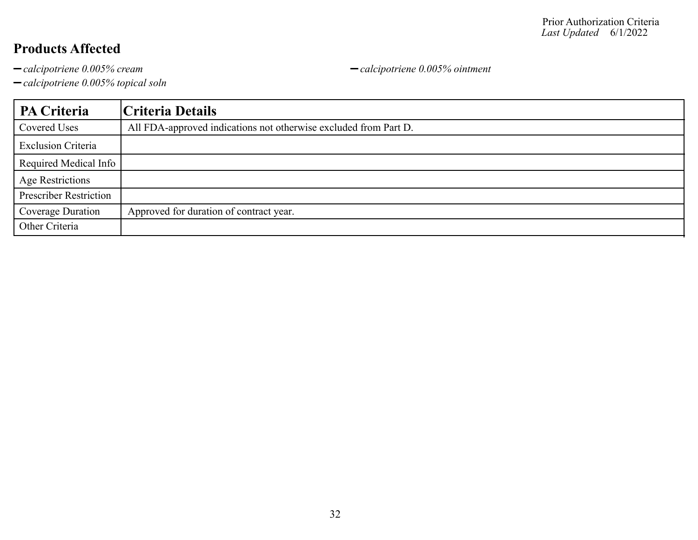*calcipotriene 0.005% topical soln*

**PA Criteria Criteria Details** Covered Uses All FDA-approved indications not otherwise excluded from Part D. Exclusion Criteria Required Medical Info Age Restrictions Prescriber Restriction Coverage Duration | Approved for duration of contract year. Other Criteria

*calcipotriene 0.005% cream calcipotriene 0.005% ointment*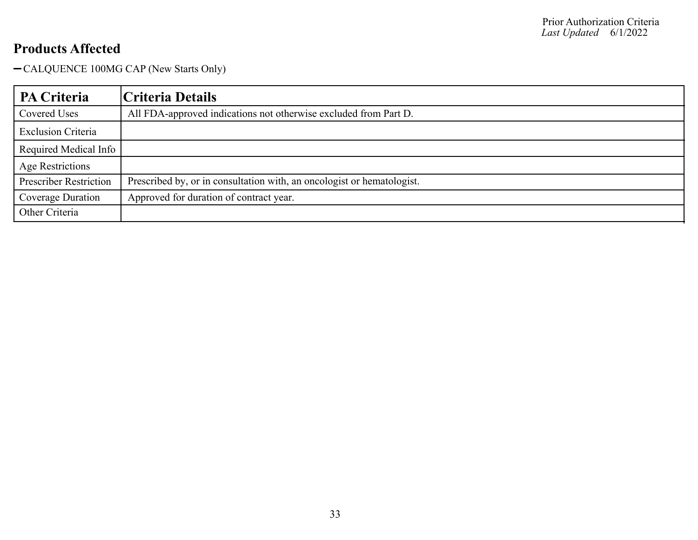CALQUENCE 100MG CAP (New Starts Only)

| <b>PA Criteria</b>            | Criteria Details                                                       |
|-------------------------------|------------------------------------------------------------------------|
| Covered Uses                  | All FDA-approved indications not otherwise excluded from Part D.       |
| <b>Exclusion Criteria</b>     |                                                                        |
| Required Medical Info         |                                                                        |
| Age Restrictions              |                                                                        |
| <b>Prescriber Restriction</b> | Prescribed by, or in consultation with, an oncologist or hematologist. |
| Coverage Duration             | Approved for duration of contract year.                                |
| Other Criteria                |                                                                        |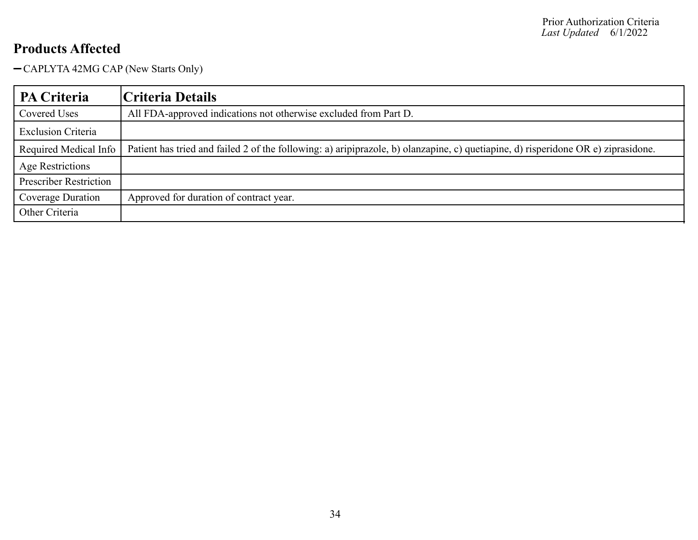CAPLYTA 42MG CAP (New Starts Only)

| <b>PA Criteria</b>            | Criteria Details                                                                                                                  |
|-------------------------------|-----------------------------------------------------------------------------------------------------------------------------------|
| Covered Uses                  | All FDA-approved indications not otherwise excluded from Part D.                                                                  |
| <b>Exclusion Criteria</b>     |                                                                                                                                   |
| Required Medical Info         | Patient has tried and failed 2 of the following: a) aripiprazole, b) olanzapine, c) quetiapine, d) risperidone OR e) ziprasidone. |
| Age Restrictions              |                                                                                                                                   |
| <b>Prescriber Restriction</b> |                                                                                                                                   |
| Coverage Duration             | Approved for duration of contract year.                                                                                           |
| Other Criteria                |                                                                                                                                   |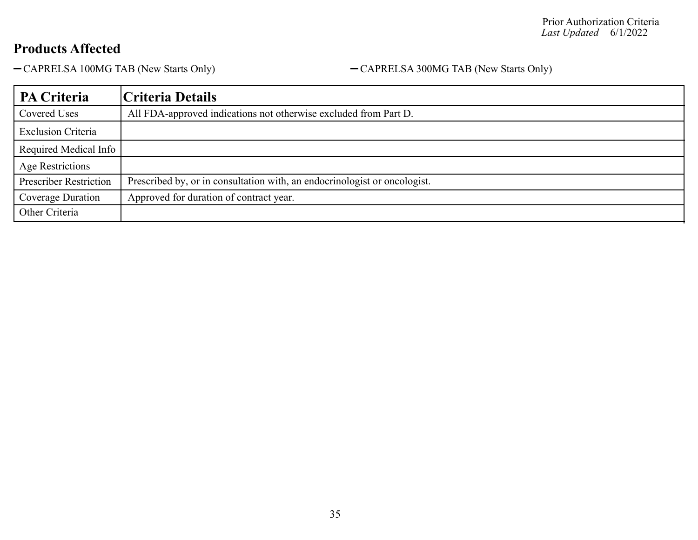-CAPRELSA 100MG TAB (New Starts Only) - CAPRELSA 300MG TAB (New Starts Only)

| PA Criteria                   | Criteria Details                                                          |
|-------------------------------|---------------------------------------------------------------------------|
| Covered Uses                  | All FDA-approved indications not otherwise excluded from Part D.          |
| <b>Exclusion Criteria</b>     |                                                                           |
| Required Medical Info         |                                                                           |
| Age Restrictions              |                                                                           |
| <b>Prescriber Restriction</b> | Prescribed by, or in consultation with, an endocrinologist or oncologist. |
| Coverage Duration             | Approved for duration of contract year.                                   |
| Other Criteria                |                                                                           |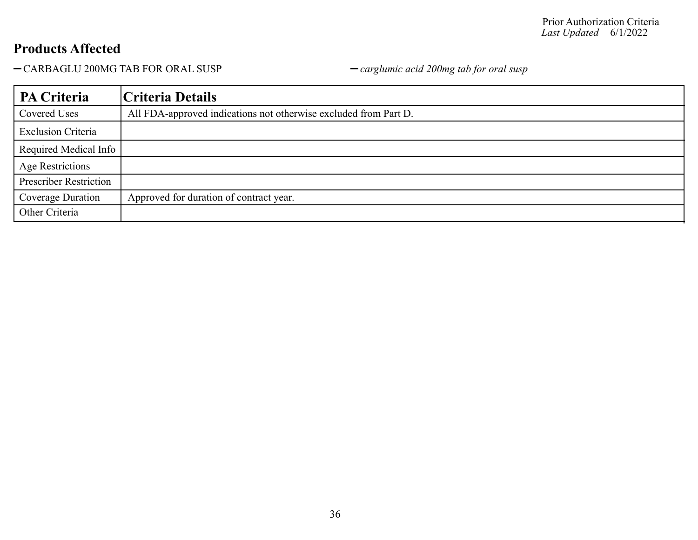CARBAGLU 200MG TAB FOR ORAL SUSP *carglumic acid 200mg tab for oral susp*

| PA Criteria                   | Criteria Details                                                 |
|-------------------------------|------------------------------------------------------------------|
| Covered Uses                  | All FDA-approved indications not otherwise excluded from Part D. |
| <b>Exclusion Criteria</b>     |                                                                  |
| Required Medical Info         |                                                                  |
| <b>Age Restrictions</b>       |                                                                  |
| <b>Prescriber Restriction</b> |                                                                  |
| Coverage Duration             | Approved for duration of contract year.                          |
| Other Criteria                |                                                                  |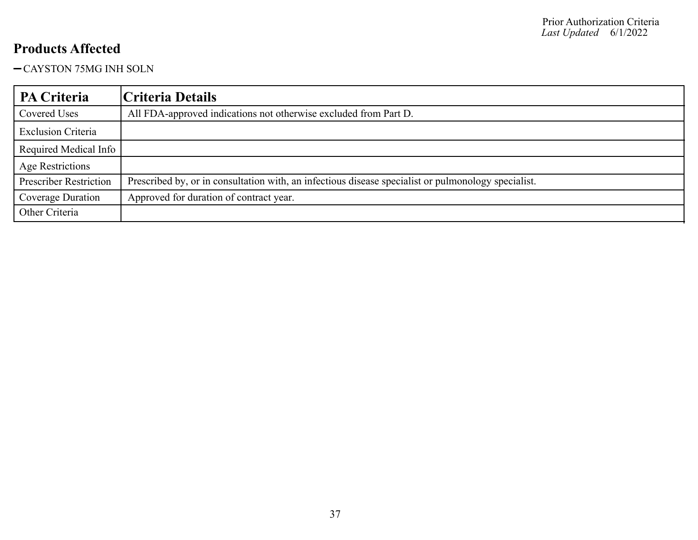### CAYSTON 75MG INH SOLN

| PA Criteria                   | Criteria Details                                                                                    |
|-------------------------------|-----------------------------------------------------------------------------------------------------|
| Covered Uses                  | All FDA-approved indications not otherwise excluded from Part D.                                    |
| <b>Exclusion Criteria</b>     |                                                                                                     |
| Required Medical Info         |                                                                                                     |
| Age Restrictions              |                                                                                                     |
| <b>Prescriber Restriction</b> | Prescribed by, or in consultation with, an infectious disease specialist or pulmonology specialist. |
| Coverage Duration             | Approved for duration of contract year.                                                             |
| Other Criteria                |                                                                                                     |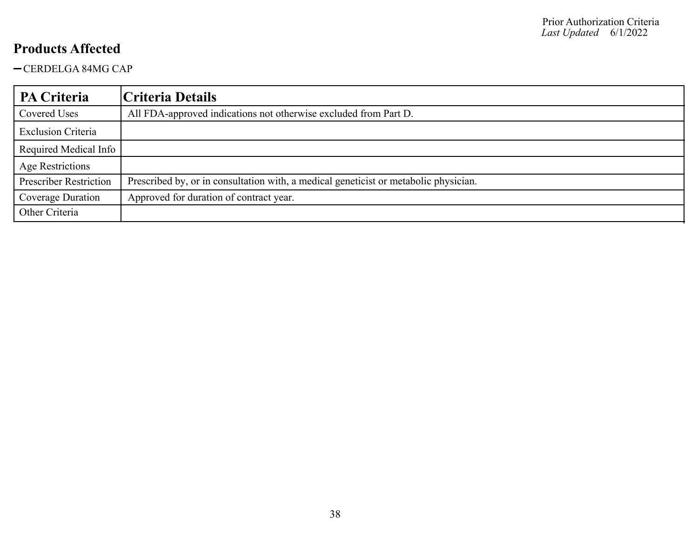CERDELGA 84MG CAP

| PA Criteria                   | Criteria Details                                                                     |
|-------------------------------|--------------------------------------------------------------------------------------|
| Covered Uses                  | All FDA-approved indications not otherwise excluded from Part D.                     |
| <b>Exclusion Criteria</b>     |                                                                                      |
| Required Medical Info         |                                                                                      |
| <b>Age Restrictions</b>       |                                                                                      |
| <b>Prescriber Restriction</b> | Prescribed by, or in consultation with, a medical geneticist or metabolic physician. |
| Coverage Duration             | Approved for duration of contract year.                                              |
| Other Criteria                |                                                                                      |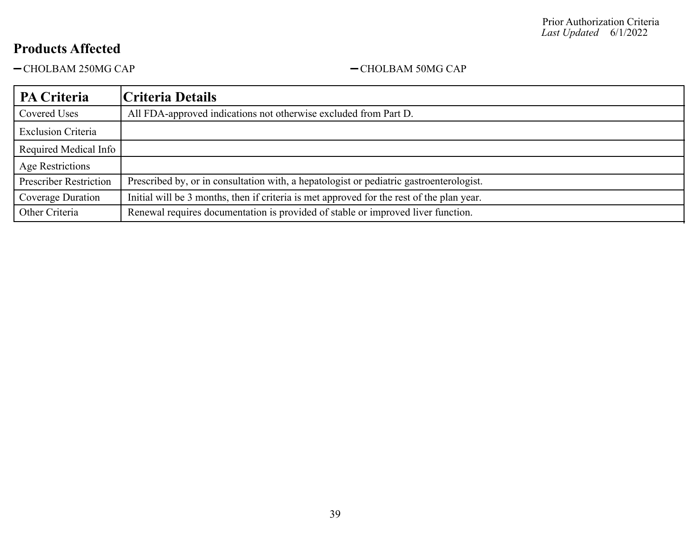-CHOLBAM 250MG CAP - CHOLBAM 50MG CAP

| PA Criteria                   | Criteria Details                                                                          |
|-------------------------------|-------------------------------------------------------------------------------------------|
| Covered Uses                  | All FDA-approved indications not otherwise excluded from Part D.                          |
| <b>Exclusion Criteria</b>     |                                                                                           |
| Required Medical Info         |                                                                                           |
| <b>Age Restrictions</b>       |                                                                                           |
| <b>Prescriber Restriction</b> | Prescribed by, or in consultation with, a hepatologist or pediatric gastroenterologist.   |
| Coverage Duration             | Initial will be 3 months, then if criteria is met approved for the rest of the plan year. |
| Other Criteria                | Renewal requires documentation is provided of stable or improved liver function.          |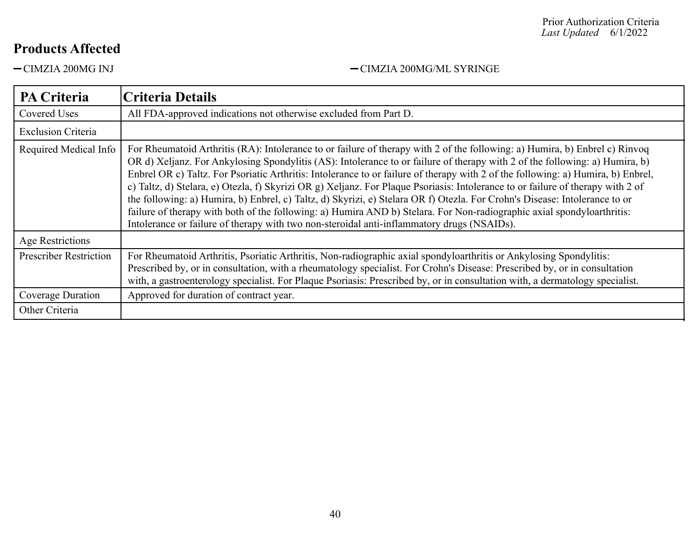#### Prior Authorization Criteria *Last Updated* 6/1/2022

# **Products Affected**

-CIMZIA 200MG INJ <br/>-CIMZIA 200MG/ML SYRINGE

| PA Criteria                   | Criteria Details                                                                                                                                                                                                                                                                                                                                                                                                                                                                                                                                                                                                                                                                                                                                                                                                                                                                        |
|-------------------------------|-----------------------------------------------------------------------------------------------------------------------------------------------------------------------------------------------------------------------------------------------------------------------------------------------------------------------------------------------------------------------------------------------------------------------------------------------------------------------------------------------------------------------------------------------------------------------------------------------------------------------------------------------------------------------------------------------------------------------------------------------------------------------------------------------------------------------------------------------------------------------------------------|
| Covered Uses                  | All FDA-approved indications not otherwise excluded from Part D.                                                                                                                                                                                                                                                                                                                                                                                                                                                                                                                                                                                                                                                                                                                                                                                                                        |
| <b>Exclusion Criteria</b>     |                                                                                                                                                                                                                                                                                                                                                                                                                                                                                                                                                                                                                                                                                                                                                                                                                                                                                         |
| Required Medical Info         | For Rheumatoid Arthritis (RA): Intolerance to or failure of therapy with 2 of the following: a) Humira, b) Enbrel c) Rinvoq<br>OR d) Xeljanz. For Ankylosing Spondylitis (AS): Intolerance to or failure of therapy with 2 of the following: a) Humira, b)<br>Enbrel OR c) Taltz. For Psoriatic Arthritis: Intolerance to or failure of therapy with 2 of the following: a) Humira, b) Enbrel,<br>c) Taltz, d) Stelara, e) Otezla, f) Skyrizi OR g) Xeljanz. For Plaque Psoriasis: Intolerance to or failure of therapy with 2 of<br>the following: a) Humira, b) Enbrel, c) Taltz, d) Skyrizi, e) Stelara OR f) Otezla. For Crohn's Disease: Intolerance to or<br>failure of therapy with both of the following: a) Humira AND b) Stelara. For Non-radiographic axial spondyloarthritis:<br>Intolerance or failure of therapy with two non-steroidal anti-inflammatory drugs (NSAIDs). |
| <b>Age Restrictions</b>       |                                                                                                                                                                                                                                                                                                                                                                                                                                                                                                                                                                                                                                                                                                                                                                                                                                                                                         |
| <b>Prescriber Restriction</b> | For Rheumatoid Arthritis, Psoriatic Arthritis, Non-radiographic axial spondyloarthritis or Ankylosing Spondylitis:<br>Prescribed by, or in consultation, with a rheumatology specialist. For Crohn's Disease: Prescribed by, or in consultation<br>with, a gastroenterology specialist. For Plaque Psoriasis: Prescribed by, or in consultation with, a dermatology specialist.                                                                                                                                                                                                                                                                                                                                                                                                                                                                                                         |
| Coverage Duration             | Approved for duration of contract year.                                                                                                                                                                                                                                                                                                                                                                                                                                                                                                                                                                                                                                                                                                                                                                                                                                                 |
| Other Criteria                |                                                                                                                                                                                                                                                                                                                                                                                                                                                                                                                                                                                                                                                                                                                                                                                                                                                                                         |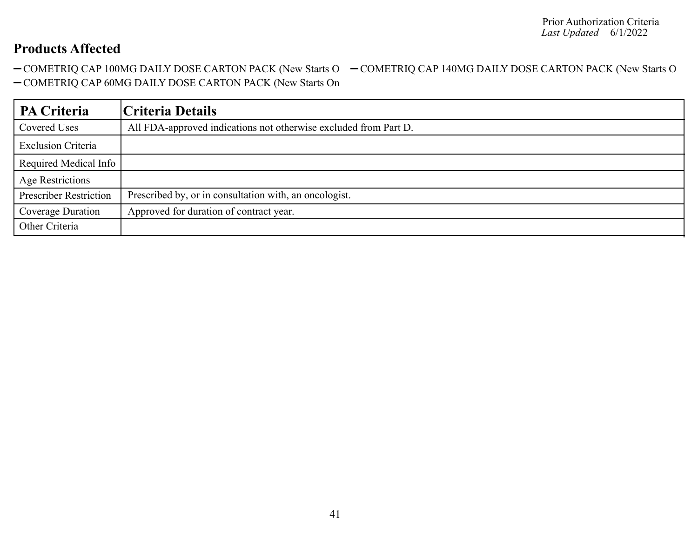-COMETRIQ CAP 100MG DAILY DOSE CARTON PACK (New Starts O -COMETRIQ CAP 140MG DAILY DOSE CARTON PACK (New Starts O -COMETRIQ CAP 60MG DAILY DOSE CARTON PACK (New Starts On

| <b>PA Criteria</b>            | Criteria Details                                                 |
|-------------------------------|------------------------------------------------------------------|
| Covered Uses                  | All FDA-approved indications not otherwise excluded from Part D. |
| <b>Exclusion Criteria</b>     |                                                                  |
| Required Medical Info         |                                                                  |
| <b>Age Restrictions</b>       |                                                                  |
| <b>Prescriber Restriction</b> | Prescribed by, or in consultation with, an oncologist.           |
| Coverage Duration             | Approved for duration of contract year.                          |
| Other Criteria                |                                                                  |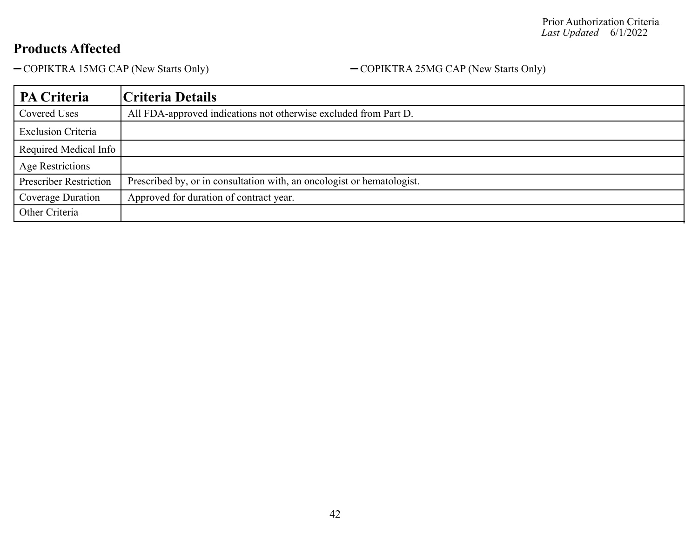-COPIKTRA 15MG CAP (New Starts Only) - COPIKTRA 25MG CAP (New Starts Only)

| PA Criteria                   | Criteria Details                                                       |
|-------------------------------|------------------------------------------------------------------------|
| Covered Uses                  | All FDA-approved indications not otherwise excluded from Part D.       |
| <b>Exclusion Criteria</b>     |                                                                        |
| Required Medical Info         |                                                                        |
| Age Restrictions              |                                                                        |
| <b>Prescriber Restriction</b> | Prescribed by, or in consultation with, an oncologist or hematologist. |
| Coverage Duration             | Approved for duration of contract year.                                |
| Other Criteria                |                                                                        |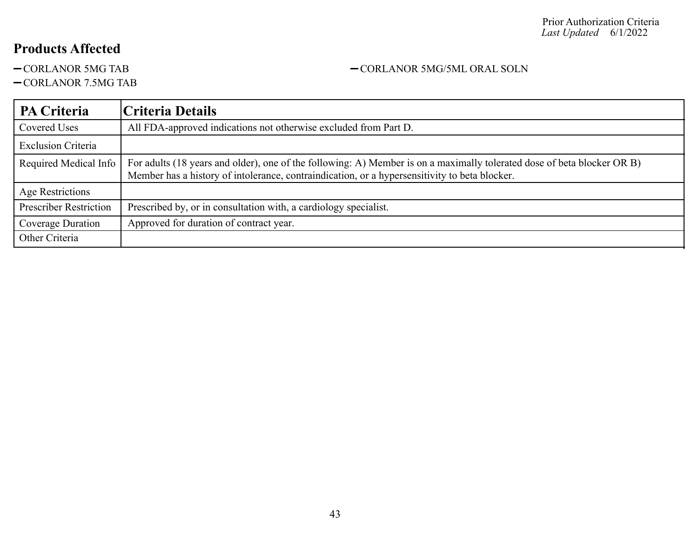CORLANOR 7.5MG TAB

## **PA Criteria Criteria Details** Covered Uses All FDA-approved indications not otherwise excluded from Part D. Exclusion Criteria Required Medical Info  $\vert$  For adults (18 years and older), one of the following: A) Member is on a maximally tolerated dose of beta blocker OR B) Member has a history of intolerance, contraindication, or a hypersensitivity to beta blocker. Age Restrictions Prescriber Restriction | Prescribed by, or in consultation with, a cardiology specialist. Coverage Duration | Approved for duration of contract year. Other Criteria

-CORLANOR 5MG TAB - CORLANOR 5MG/5ML ORAL SOLN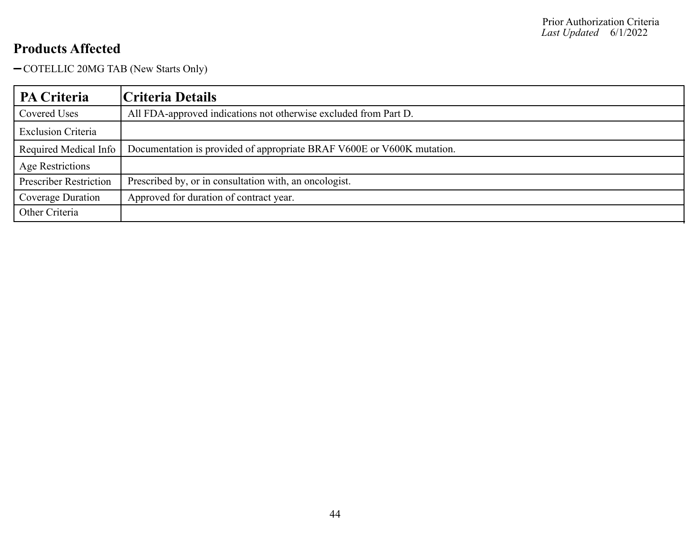- COTELLIC 20MG TAB (New Starts Only)

| PA Criteria                   | Criteria Details                                                       |
|-------------------------------|------------------------------------------------------------------------|
| Covered Uses                  | All FDA-approved indications not otherwise excluded from Part D.       |
| <b>Exclusion Criteria</b>     |                                                                        |
| Required Medical Info         | Documentation is provided of appropriate BRAF V600E or V600K mutation. |
| Age Restrictions              |                                                                        |
| <b>Prescriber Restriction</b> | Prescribed by, or in consultation with, an oncologist.                 |
| Coverage Duration             | Approved for duration of contract year.                                |
| Other Criteria                |                                                                        |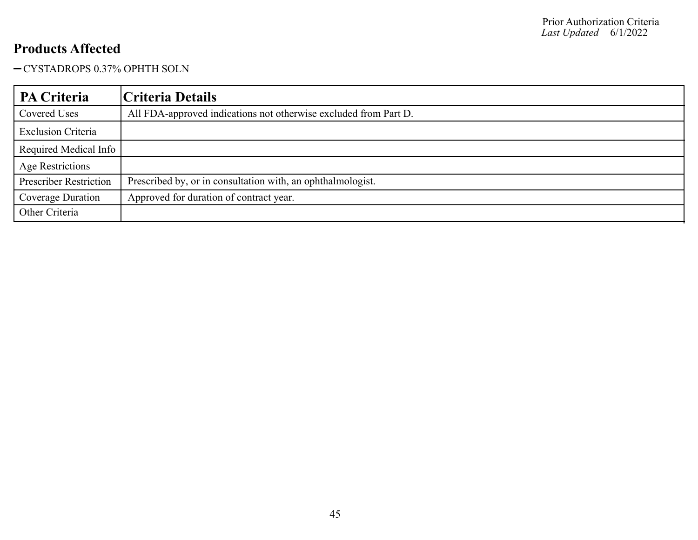CYSTADROPS 0.37% OPHTH SOLN

| PA Criteria                   | Criteria Details                                                 |
|-------------------------------|------------------------------------------------------------------|
| Covered Uses                  | All FDA-approved indications not otherwise excluded from Part D. |
| <b>Exclusion Criteria</b>     |                                                                  |
| Required Medical Info         |                                                                  |
| Age Restrictions              |                                                                  |
| <b>Prescriber Restriction</b> | Prescribed by, or in consultation with, an ophthalmologist.      |
| Coverage Duration             | Approved for duration of contract year.                          |
| Other Criteria                |                                                                  |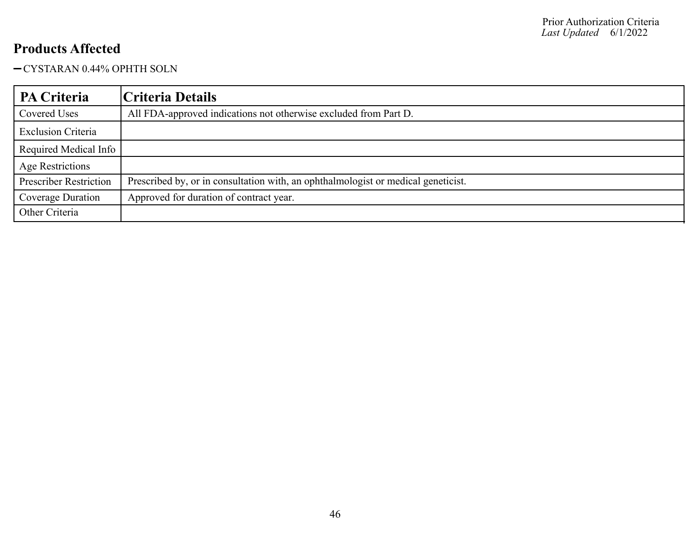### CYSTARAN 0.44% OPHTH SOLN

| PA Criteria                   | Criteria Details                                                                  |
|-------------------------------|-----------------------------------------------------------------------------------|
| Covered Uses                  | All FDA-approved indications not otherwise excluded from Part D.                  |
| <b>Exclusion Criteria</b>     |                                                                                   |
| Required Medical Info         |                                                                                   |
| Age Restrictions              |                                                                                   |
| <b>Prescriber Restriction</b> | Prescribed by, or in consultation with, an ophthalmologist or medical geneticist. |
| Coverage Duration             | Approved for duration of contract year.                                           |
| Other Criteria                |                                                                                   |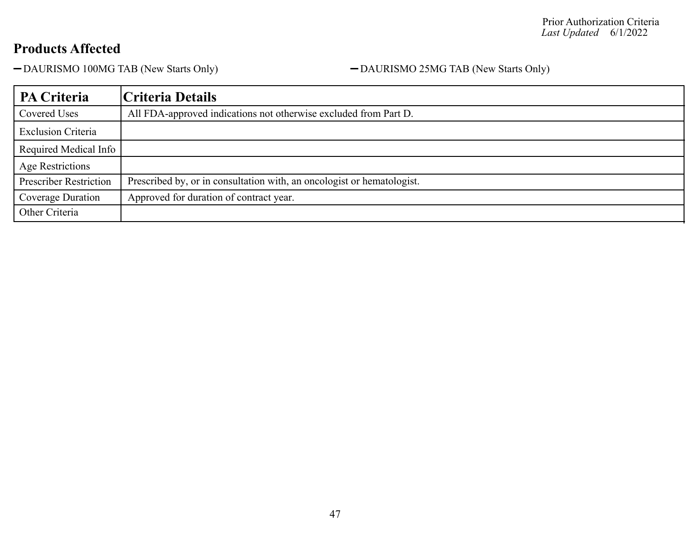-DAURISMO 100MG TAB (New Starts Only) - -DAURISMO 25MG TAB (New Starts Only)

| PA Criteria                   | Criteria Details                                                       |
|-------------------------------|------------------------------------------------------------------------|
| Covered Uses                  | All FDA-approved indications not otherwise excluded from Part D.       |
| <b>Exclusion Criteria</b>     |                                                                        |
| Required Medical Info         |                                                                        |
| Age Restrictions              |                                                                        |
| <b>Prescriber Restriction</b> | Prescribed by, or in consultation with, an oncologist or hematologist. |
| Coverage Duration             | Approved for duration of contract year.                                |
| Other Criteria                |                                                                        |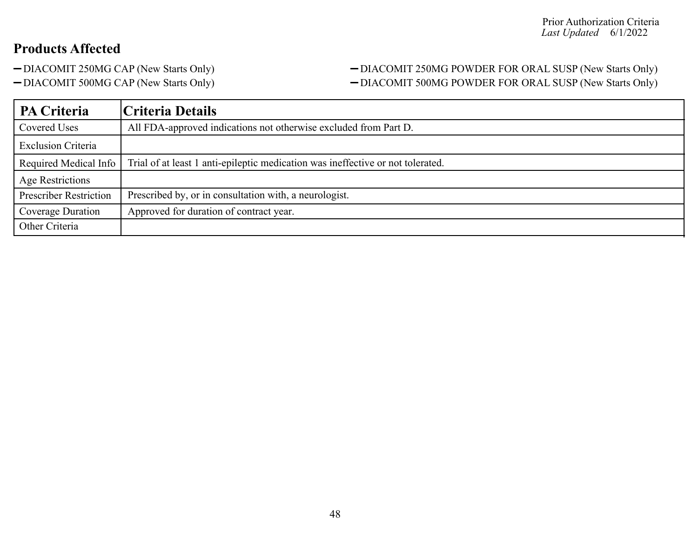## -DIACOMIT 250MG CAP (New Starts Only) - DIACOMIT 250MG POWDER FOR ORAL SUSP (New Starts Only) -DIACOMIT 500MG CAP (New Starts Only) - DIACOMIT 500MG POWDER FOR ORAL SUSP (New Starts Only)

| <b>PA Criteria</b>            | Criteria Details                                                                |
|-------------------------------|---------------------------------------------------------------------------------|
| Covered Uses                  | All FDA-approved indications not otherwise excluded from Part D.                |
| <b>Exclusion Criteria</b>     |                                                                                 |
| Required Medical Info         | Trial of at least 1 anti-epileptic medication was ineffective or not tolerated. |
| Age Restrictions              |                                                                                 |
| <b>Prescriber Restriction</b> | Prescribed by, or in consultation with, a neurologist.                          |
| Coverage Duration             | Approved for duration of contract year.                                         |
| Other Criteria                |                                                                                 |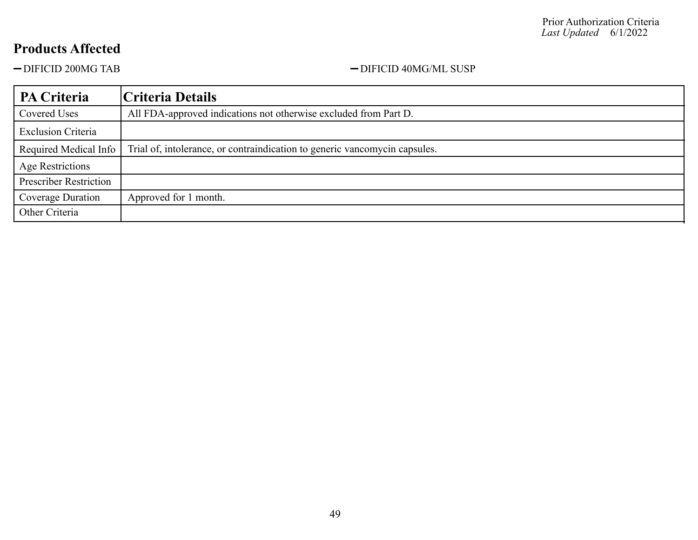-DIFICID 200MG TAB - DIFICID 40MG/ML SUSP

| PA Criteria                   | Criteria Details                                                           |
|-------------------------------|----------------------------------------------------------------------------|
| Covered Uses                  | All FDA-approved indications not otherwise excluded from Part D.           |
| <b>Exclusion Criteria</b>     |                                                                            |
| Required Medical Info         | Trial of, intolerance, or contraindication to generic vancomycin capsules. |
| <b>Age Restrictions</b>       |                                                                            |
| <b>Prescriber Restriction</b> |                                                                            |
| Coverage Duration             | Approved for 1 month.                                                      |
| Other Criteria                |                                                                            |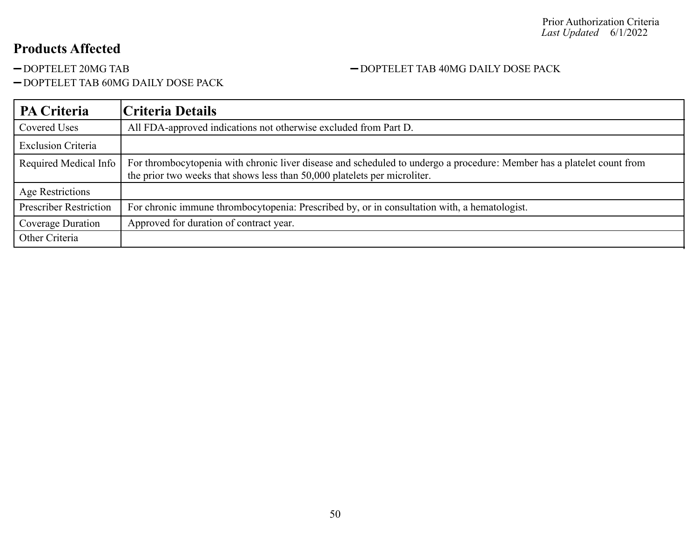### -DOPTELET 20MG TAB  $-$ DOPTELET TAB 40MG DAILY DOSE PACK

- DOPTELET TAB 60MG DAILY DOSE PACK

| PA Criteria                   | Criteria Details                                                                                                                                                                                    |
|-------------------------------|-----------------------------------------------------------------------------------------------------------------------------------------------------------------------------------------------------|
| Covered Uses                  | All FDA-approved indications not otherwise excluded from Part D.                                                                                                                                    |
| <b>Exclusion Criteria</b>     |                                                                                                                                                                                                     |
| Required Medical Info         | For thrombocytopenia with chronic liver disease and scheduled to undergo a procedure: Member has a platelet count from<br>the prior two weeks that shows less than 50,000 platelets per microliter. |
| Age Restrictions              |                                                                                                                                                                                                     |
| <b>Prescriber Restriction</b> | For chronic immune thrombocytopenia: Prescribed by, or in consultation with, a hematologist.                                                                                                        |
| Coverage Duration             | Approved for duration of contract year.                                                                                                                                                             |
| Other Criteria                |                                                                                                                                                                                                     |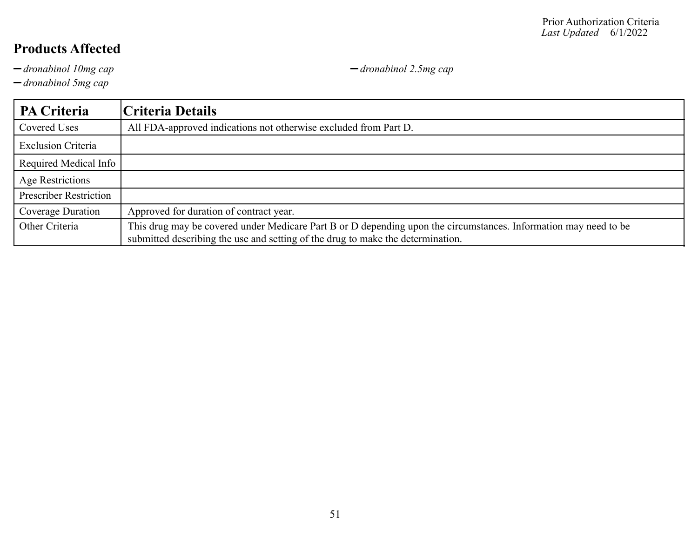*dronabinol 10mg cap dronabinol 2.5mg cap*

*dronabinol 5mg cap*

**PA Criteria Criteria Details** Covered Uses All FDA-approved indications not otherwise excluded from Part D. Exclusion Criteria Required Medical Info Age Restrictions Prescriber Restriction Coverage Duration | Approved for duration of contract year. Other Criteria This drug may be covered under Medicare Part B or D depending upon the circumstances. Information may need to be submitted describing the use and setting of the drug to make the determination.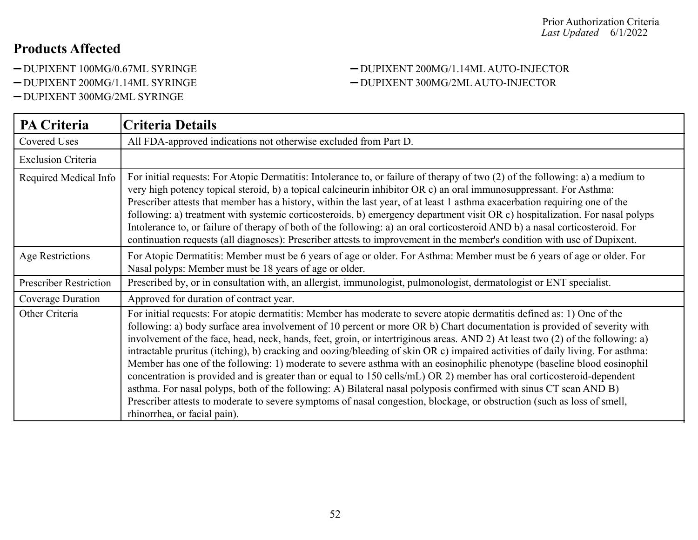- 
- 
- DUPIXENT 300MG/2ML SYRINGE

#### DUPIXENT 100MG/0.67ML SYRINGE DUPIXENT 200MG/1.14ML AUTO-INJECTOR DUPIXENT 200MG/1.14ML SYRINGE DUPIXENT 300MG/2ML AUTO-INJECTOR

| <b>PA Criteria</b>            | <b>Criteria Details</b>                                                                                                                                                                                                                                                                                                                                                                                                                                                                                                                                                                                                                                                                                                                                                                                                                                                                                                                                                                                                                                     |
|-------------------------------|-------------------------------------------------------------------------------------------------------------------------------------------------------------------------------------------------------------------------------------------------------------------------------------------------------------------------------------------------------------------------------------------------------------------------------------------------------------------------------------------------------------------------------------------------------------------------------------------------------------------------------------------------------------------------------------------------------------------------------------------------------------------------------------------------------------------------------------------------------------------------------------------------------------------------------------------------------------------------------------------------------------------------------------------------------------|
| <b>Covered Uses</b>           | All FDA-approved indications not otherwise excluded from Part D.                                                                                                                                                                                                                                                                                                                                                                                                                                                                                                                                                                                                                                                                                                                                                                                                                                                                                                                                                                                            |
| <b>Exclusion Criteria</b>     |                                                                                                                                                                                                                                                                                                                                                                                                                                                                                                                                                                                                                                                                                                                                                                                                                                                                                                                                                                                                                                                             |
| Required Medical Info         | For initial requests: For Atopic Dermatitis: Intolerance to, or failure of therapy of two (2) of the following: a) a medium to<br>very high potency topical steroid, b) a topical calcineurin inhibitor OR c) an oral immunosuppressant. For Asthma:<br>Prescriber attests that member has a history, within the last year, of at least 1 asthma exacerbation requiring one of the<br>following: a) treatment with systemic corticosteroids, b) emergency department visit OR c) hospitalization. For nasal polyps:<br>Intolerance to, or failure of therapy of both of the following: a) an oral corticosteroid AND b) a nasal corticosteroid. For<br>continuation requests (all diagnoses): Prescriber attests to improvement in the member's condition with use of Dupixent.                                                                                                                                                                                                                                                                             |
| Age Restrictions              | For Atopic Dermatitis: Member must be 6 years of age or older. For Asthma: Member must be 6 years of age or older. For<br>Nasal polyps: Member must be 18 years of age or older.                                                                                                                                                                                                                                                                                                                                                                                                                                                                                                                                                                                                                                                                                                                                                                                                                                                                            |
| <b>Prescriber Restriction</b> | Prescribed by, or in consultation with, an allergist, immunologist, pulmonologist, dermatologist or ENT specialist.                                                                                                                                                                                                                                                                                                                                                                                                                                                                                                                                                                                                                                                                                                                                                                                                                                                                                                                                         |
| Coverage Duration             | Approved for duration of contract year.                                                                                                                                                                                                                                                                                                                                                                                                                                                                                                                                                                                                                                                                                                                                                                                                                                                                                                                                                                                                                     |
| Other Criteria                | For initial requests: For atopic dermatitis: Member has moderate to severe atopic dermatitis defined as: 1) One of the<br>following: a) body surface area involvement of 10 percent or more OR b) Chart documentation is provided of severity with<br>involvement of the face, head, neck, hands, feet, groin, or intertriginous areas. AND 2) At least two (2) of the following: a)<br>intractable pruritus (itching), b) cracking and oozing/bleeding of skin OR c) impaired activities of daily living. For asthma:<br>Member has one of the following: 1) moderate to severe asthma with an eosinophilic phenotype (baseline blood eosinophil<br>concentration is provided and is greater than or equal to 150 cells/mL) OR 2) member has oral corticosteroid-dependent<br>asthma. For nasal polyps, both of the following: A) Bilateral nasal polyposis confirmed with sinus CT scan AND B)<br>Prescriber attests to moderate to severe symptoms of nasal congestion, blockage, or obstruction (such as loss of smell,<br>rhinorrhea, or facial pain). |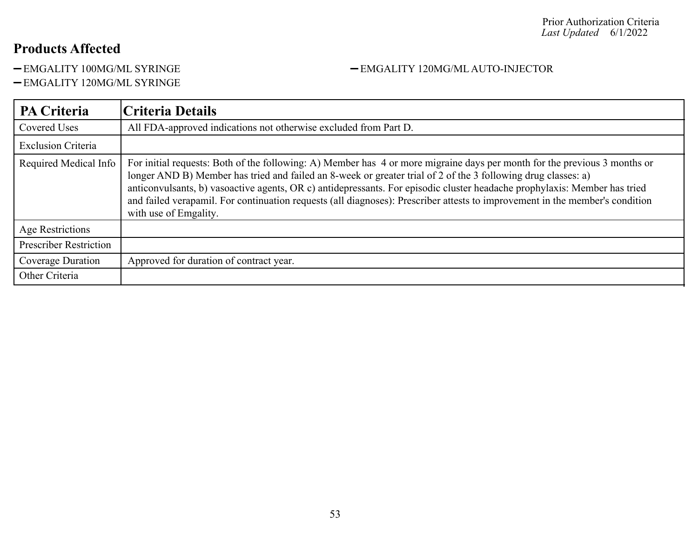-EMGALITY 100MG/ML SYRINGE <br>-EMGALITY 120MG/ML AUTO-INJECTOR

EMGALITY 120MG/ML SYRINGE

| <b>PA Criteria</b>            | Criteria Details                                                                                                                                                                                                                                                                                                                                                                                                                                                                                                                 |
|-------------------------------|----------------------------------------------------------------------------------------------------------------------------------------------------------------------------------------------------------------------------------------------------------------------------------------------------------------------------------------------------------------------------------------------------------------------------------------------------------------------------------------------------------------------------------|
| <b>Covered Uses</b>           | All FDA-approved indications not otherwise excluded from Part D.                                                                                                                                                                                                                                                                                                                                                                                                                                                                 |
| <b>Exclusion Criteria</b>     |                                                                                                                                                                                                                                                                                                                                                                                                                                                                                                                                  |
| Required Medical Info         | For initial requests: Both of the following: A) Member has 4 or more migraine days per month for the previous 3 months or<br>longer AND B) Member has tried and failed an 8-week or greater trial of 2 of the 3 following drug classes: a)<br>anticonvulsants, b) vasoactive agents, OR c) antidepressants. For episodic cluster headache prophylaxis: Member has tried<br>and failed verapamil. For continuation requests (all diagnoses): Prescriber attests to improvement in the member's condition<br>with use of Emgality. |
| Age Restrictions              |                                                                                                                                                                                                                                                                                                                                                                                                                                                                                                                                  |
| <b>Prescriber Restriction</b> |                                                                                                                                                                                                                                                                                                                                                                                                                                                                                                                                  |
| Coverage Duration             | Approved for duration of contract year.                                                                                                                                                                                                                                                                                                                                                                                                                                                                                          |
| Other Criteria                |                                                                                                                                                                                                                                                                                                                                                                                                                                                                                                                                  |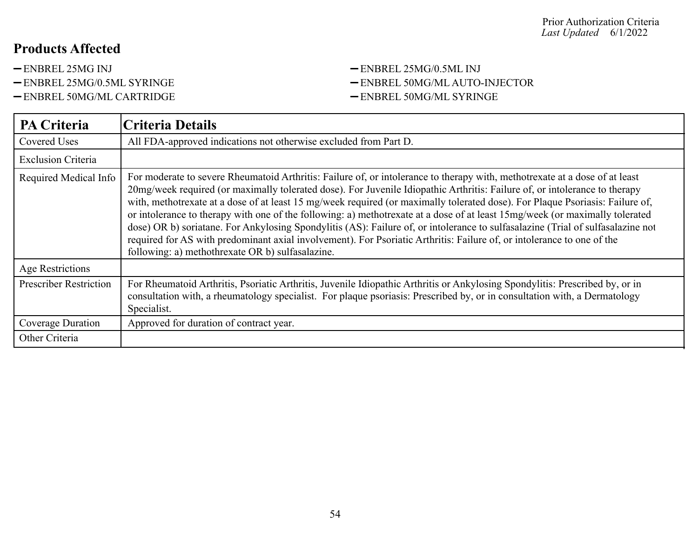- 
- 
- -ENBREL 50MG/ML CARTRIDGE ENBREL 50MG/ML SYRINGE

# -ENBREL 25MG INJ - ENBREL 25MG/0.5ML INJ -ENBREL 25MG/0.5ML SYRINGE - ENBREL 50MG/ML AUTO-INJECTOR

| PA Criteria                   | <b>Criteria Details</b>                                                                                                                                                                                                                                                                                                                                                                                                                                                                                                                                                                                                                                                                                                                                                                                                                     |
|-------------------------------|---------------------------------------------------------------------------------------------------------------------------------------------------------------------------------------------------------------------------------------------------------------------------------------------------------------------------------------------------------------------------------------------------------------------------------------------------------------------------------------------------------------------------------------------------------------------------------------------------------------------------------------------------------------------------------------------------------------------------------------------------------------------------------------------------------------------------------------------|
| Covered Uses                  | All FDA-approved indications not otherwise excluded from Part D.                                                                                                                                                                                                                                                                                                                                                                                                                                                                                                                                                                                                                                                                                                                                                                            |
| <b>Exclusion Criteria</b>     |                                                                                                                                                                                                                                                                                                                                                                                                                                                                                                                                                                                                                                                                                                                                                                                                                                             |
| Required Medical Info         | For moderate to severe Rheumatoid Arthritis: Failure of, or intolerance to therapy with, methotrexate at a dose of at least<br>20mg/week required (or maximally tolerated dose). For Juvenile Idiopathic Arthritis: Failure of, or intolerance to therapy<br>with, methotrexate at a dose of at least 15 mg/week required (or maximally tolerated dose). For Plaque Psoriasis: Failure of,<br>or intolerance to therapy with one of the following: a) methotrexate at a dose of at least 15mg/week (or maximally tolerated<br>dose) OR b) soriatane. For Ankylosing Spondylitis (AS): Failure of, or intolerance to sulfasalazine (Trial of sulfasalazine not<br>required for AS with predominant axial involvement). For Psoriatic Arthritis: Failure of, or intolerance to one of the<br>following: a) methothrexate OR b) sulfasalazine. |
| <b>Age Restrictions</b>       |                                                                                                                                                                                                                                                                                                                                                                                                                                                                                                                                                                                                                                                                                                                                                                                                                                             |
| <b>Prescriber Restriction</b> | For Rheumatoid Arthritis, Psoriatic Arthritis, Juvenile Idiopathic Arthritis or Ankylosing Spondylitis: Prescribed by, or in<br>consultation with, a rheumatology specialist. For plaque psoriasis: Prescribed by, or in consultation with, a Dermatology<br>Specialist.                                                                                                                                                                                                                                                                                                                                                                                                                                                                                                                                                                    |
| Coverage Duration             | Approved for duration of contract year.                                                                                                                                                                                                                                                                                                                                                                                                                                                                                                                                                                                                                                                                                                                                                                                                     |
| Other Criteria                |                                                                                                                                                                                                                                                                                                                                                                                                                                                                                                                                                                                                                                                                                                                                                                                                                                             |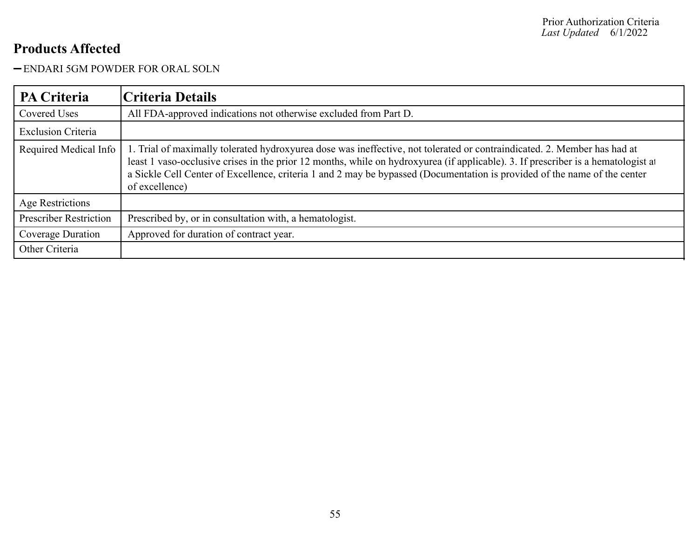### ENDARI 5GM POWDER FOR ORAL SOLN

| <b>PA Criteria</b>            | Criteria Details                                                                                                                                                                                                                                                                                                                                                                                             |
|-------------------------------|--------------------------------------------------------------------------------------------------------------------------------------------------------------------------------------------------------------------------------------------------------------------------------------------------------------------------------------------------------------------------------------------------------------|
| <b>Covered Uses</b>           | All FDA-approved indications not otherwise excluded from Part D.                                                                                                                                                                                                                                                                                                                                             |
| <b>Exclusion Criteria</b>     |                                                                                                                                                                                                                                                                                                                                                                                                              |
| Required Medical Info         | 1. Trial of maximally tolerated hydroxyurea dose was ineffective, not tolerated or contraindicated. 2. Member has had at<br>least 1 vaso-occlusive crises in the prior 12 months, while on hydroxyurea (if applicable). 3. If prescriber is a hematologist at<br>a Sickle Cell Center of Excellence, criteria 1 and 2 may be bypassed (Documentation is provided of the name of the center<br>of excellence) |
| Age Restrictions              |                                                                                                                                                                                                                                                                                                                                                                                                              |
| <b>Prescriber Restriction</b> | Prescribed by, or in consultation with, a hematologist.                                                                                                                                                                                                                                                                                                                                                      |
| Coverage Duration             | Approved for duration of contract year.                                                                                                                                                                                                                                                                                                                                                                      |
| Other Criteria                |                                                                                                                                                                                                                                                                                                                                                                                                              |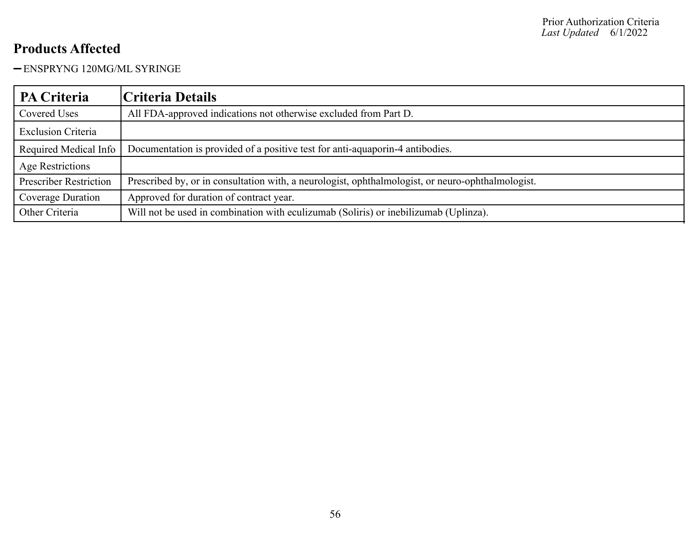ENSPRYNG 120MG/ML SYRINGE

| PA Criteria                   | Criteria Details                                                                                  |
|-------------------------------|---------------------------------------------------------------------------------------------------|
| Covered Uses                  | All FDA-approved indications not otherwise excluded from Part D.                                  |
| <b>Exclusion Criteria</b>     |                                                                                                   |
| Required Medical Info         | Documentation is provided of a positive test for anti-aquaporin-4 antibodies.                     |
| <b>Age Restrictions</b>       |                                                                                                   |
| <b>Prescriber Restriction</b> | Prescribed by, or in consultation with, a neurologist, ophthalmologist, or neuro-ophthalmologist. |
| Coverage Duration             | Approved for duration of contract year.                                                           |
| Other Criteria                | Will not be used in combination with eculizumab (Soliris) or inebilizumab (Uplinza).              |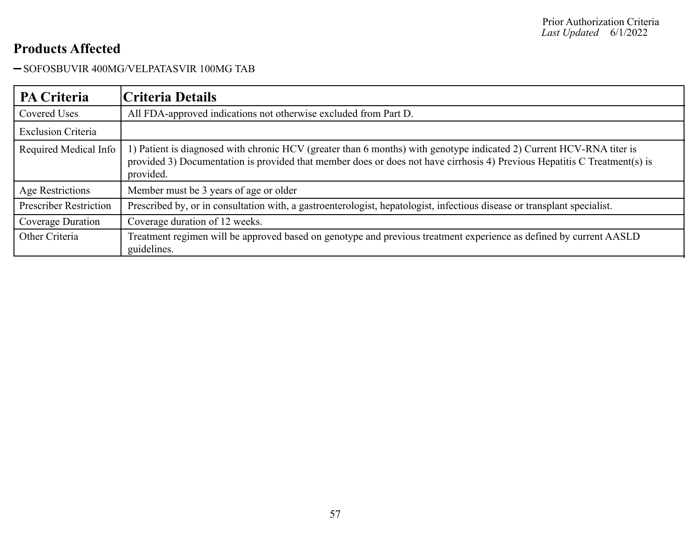-SOFOSBUVIR 400MG/VELPATASVIR 100MG TAB

| <b>PA Criteria</b>            | Criteria Details                                                                                                                                                                                                                                               |
|-------------------------------|----------------------------------------------------------------------------------------------------------------------------------------------------------------------------------------------------------------------------------------------------------------|
| <b>Covered Uses</b>           | All FDA-approved indications not otherwise excluded from Part D.                                                                                                                                                                                               |
| <b>Exclusion Criteria</b>     |                                                                                                                                                                                                                                                                |
| Required Medical Info         | 1) Patient is diagnosed with chronic HCV (greater than 6 months) with genotype indicated 2) Current HCV-RNA titer is<br>provided 3) Documentation is provided that member does or does not have cirrhosis 4) Previous Hepatitis C Treatment(s) is<br>provided. |
| Age Restrictions              | Member must be 3 years of age or older                                                                                                                                                                                                                         |
| <b>Prescriber Restriction</b> | Prescribed by, or in consultation with, a gastroenterologist, hepatologist, infectious disease or transplant specialist.                                                                                                                                       |
| Coverage Duration             | Coverage duration of 12 weeks.                                                                                                                                                                                                                                 |
| Other Criteria                | Treatment regimen will be approved based on genotype and previous treatment experience as defined by current AASLD<br>guidelines.                                                                                                                              |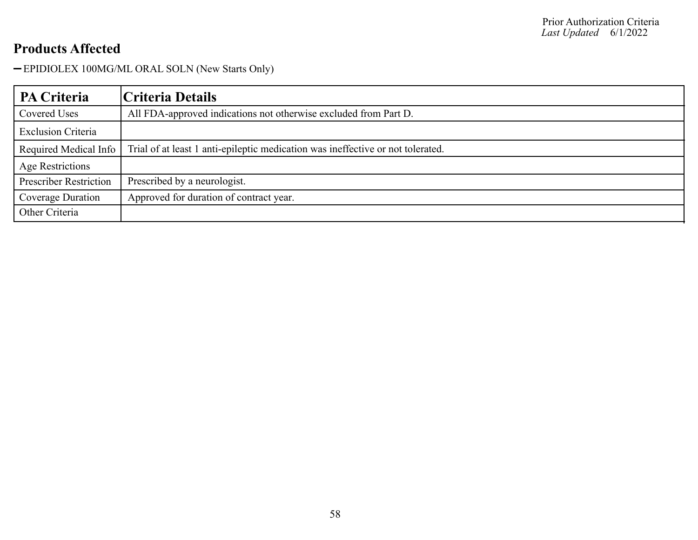EPIDIOLEX 100MG/ML ORAL SOLN (New Starts Only)

| <b>PA Criteria</b>            | Criteria Details                                                                |
|-------------------------------|---------------------------------------------------------------------------------|
| Covered Uses                  | All FDA-approved indications not otherwise excluded from Part D.                |
| <b>Exclusion Criteria</b>     |                                                                                 |
| Required Medical Info         | Trial of at least 1 anti-epileptic medication was ineffective or not tolerated. |
| Age Restrictions              |                                                                                 |
| <b>Prescriber Restriction</b> | Prescribed by a neurologist.                                                    |
| Coverage Duration             | Approved for duration of contract year.                                         |
| Other Criteria                |                                                                                 |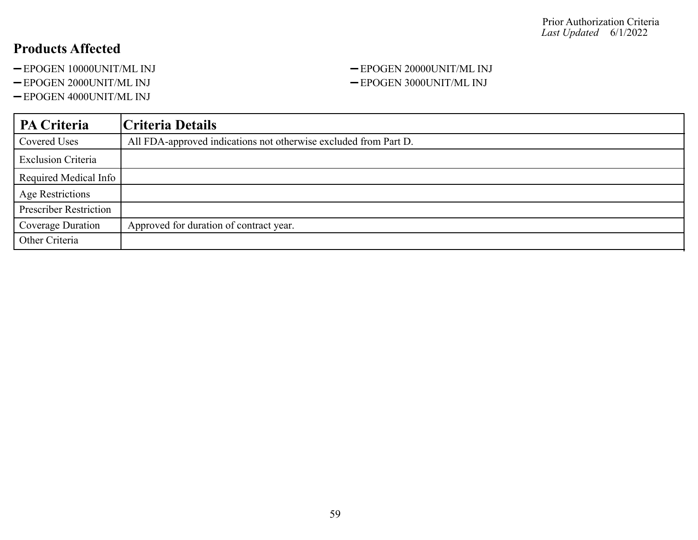- 
- 
- EPOGEN 4000UNIT/ML INJ

### -EPOGEN 10000UNIT/ML INJ -EPOGEN 20000UNIT/ML INJ -EPOGEN 2000UNIT/ML INJ - EPOGEN 3000UNIT/ML INJ

| <b>PA Criteria</b>            | Criteria Details                                                 |
|-------------------------------|------------------------------------------------------------------|
| Covered Uses                  | All FDA-approved indications not otherwise excluded from Part D. |
| <b>Exclusion Criteria</b>     |                                                                  |
| Required Medical Info         |                                                                  |
| <b>Age Restrictions</b>       |                                                                  |
| <b>Prescriber Restriction</b> |                                                                  |
| Coverage Duration             | Approved for duration of contract year.                          |
| Other Criteria                |                                                                  |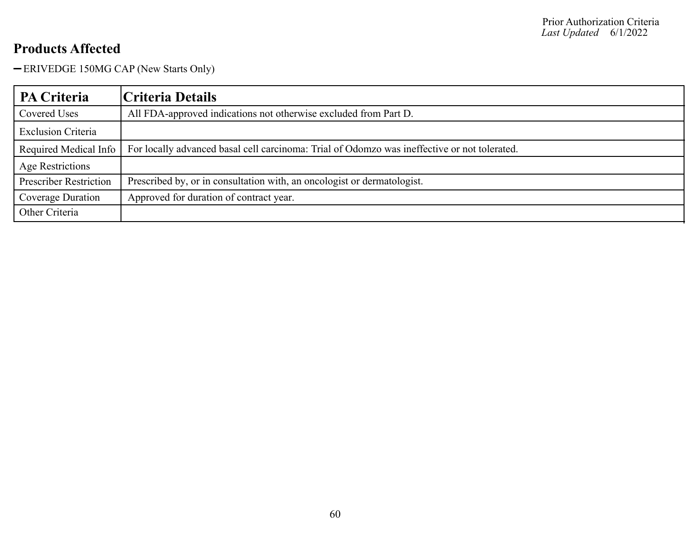ERIVEDGE 150MG CAP (New Starts Only)

| PA Criteria                   | Criteria Details                                                                             |
|-------------------------------|----------------------------------------------------------------------------------------------|
| Covered Uses                  | All FDA-approved indications not otherwise excluded from Part D.                             |
| <b>Exclusion Criteria</b>     |                                                                                              |
| Required Medical Info         | For locally advanced basal cell carcinoma: Trial of Odomzo was ineffective or not tolerated. |
| Age Restrictions              |                                                                                              |
| <b>Prescriber Restriction</b> | Prescribed by, or in consultation with, an oncologist or dermatologist.                      |
| Coverage Duration             | Approved for duration of contract year.                                                      |
| Other Criteria                |                                                                                              |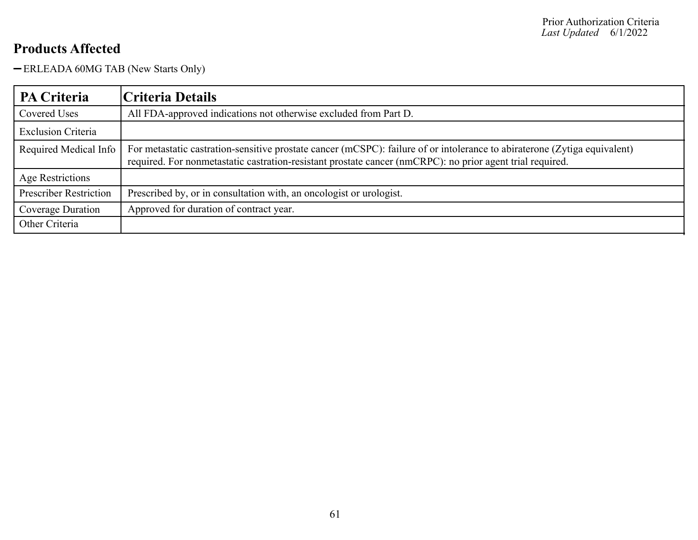ERLEADA 60MG TAB (New Starts Only)

| <b>PA Criteria</b>            | Criteria Details                                                                                                                                                                                                                       |
|-------------------------------|----------------------------------------------------------------------------------------------------------------------------------------------------------------------------------------------------------------------------------------|
| Covered Uses                  | All FDA-approved indications not otherwise excluded from Part D.                                                                                                                                                                       |
| <b>Exclusion Criteria</b>     |                                                                                                                                                                                                                                        |
| Required Medical Info         | For metastatic castration-sensitive prostate cancer (mCSPC): failure of or intolerance to abiraterone (Zytiga equivalent)<br>required. For nonmetastatic castration-resistant prostate cancer (nmCRPC): no prior agent trial required. |
| Age Restrictions              |                                                                                                                                                                                                                                        |
| <b>Prescriber Restriction</b> | Prescribed by, or in consultation with, an oncologist or urologist.                                                                                                                                                                    |
| Coverage Duration             | Approved for duration of contract year.                                                                                                                                                                                                |
| Other Criteria                |                                                                                                                                                                                                                                        |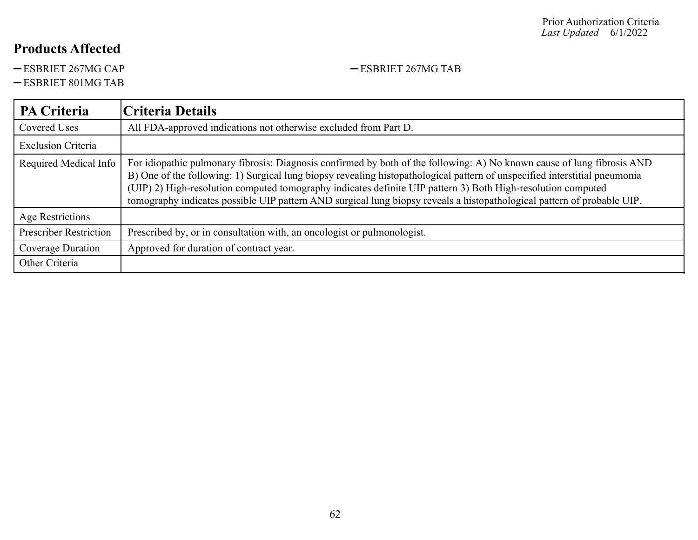-ESBRIET 267MG CAP - ESBRIET 267MG TAB

ESBRIET 801MG TAB

| PA Criteria                   | Criteria Details                                                                                                                                                                                                                                                                                                                                                                                                                                                                                 |
|-------------------------------|--------------------------------------------------------------------------------------------------------------------------------------------------------------------------------------------------------------------------------------------------------------------------------------------------------------------------------------------------------------------------------------------------------------------------------------------------------------------------------------------------|
| Covered Uses                  | All FDA-approved indications not otherwise excluded from Part D.                                                                                                                                                                                                                                                                                                                                                                                                                                 |
| <b>Exclusion Criteria</b>     |                                                                                                                                                                                                                                                                                                                                                                                                                                                                                                  |
| Required Medical Info         | For idiopathic pulmonary fibrosis: Diagnosis confirmed by both of the following: A) No known cause of lung fibrosis AND<br>B) One of the following: 1) Surgical lung biopsy revealing histopathological pattern of unspecified interstitial pneumonia<br>(UIP) 2) High-resolution computed tomography indicates definite UIP pattern 3) Both High-resolution computed<br>tomography indicates possible UIP pattern AND surgical lung biopsy reveals a histopathological pattern of probable UIP. |
| Age Restrictions              |                                                                                                                                                                                                                                                                                                                                                                                                                                                                                                  |
| <b>Prescriber Restriction</b> | Prescribed by, or in consultation with, an oncologist or pulmonologist.                                                                                                                                                                                                                                                                                                                                                                                                                          |
| Coverage Duration             | Approved for duration of contract year.                                                                                                                                                                                                                                                                                                                                                                                                                                                          |
| Other Criteria                |                                                                                                                                                                                                                                                                                                                                                                                                                                                                                                  |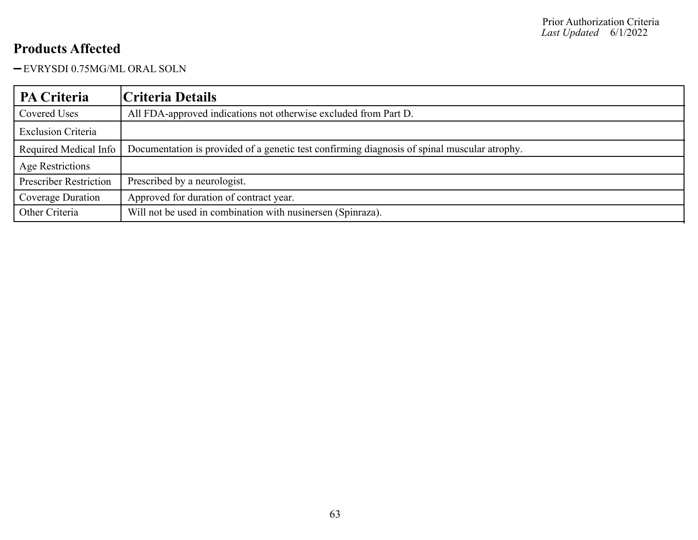EVRYSDI 0.75MG/ML ORAL SOLN

| <b>PA Criteria</b>            | Criteria Details                                                                             |
|-------------------------------|----------------------------------------------------------------------------------------------|
| Covered Uses                  | All FDA-approved indications not otherwise excluded from Part D.                             |
| <b>Exclusion Criteria</b>     |                                                                                              |
| Required Medical Info         | Documentation is provided of a genetic test confirming diagnosis of spinal muscular atrophy. |
| <b>Age Restrictions</b>       |                                                                                              |
| <b>Prescriber Restriction</b> | Prescribed by a neurologist.                                                                 |
| Coverage Duration             | Approved for duration of contract year.                                                      |
| Other Criteria                | Will not be used in combination with nusinersen (Spinraza).                                  |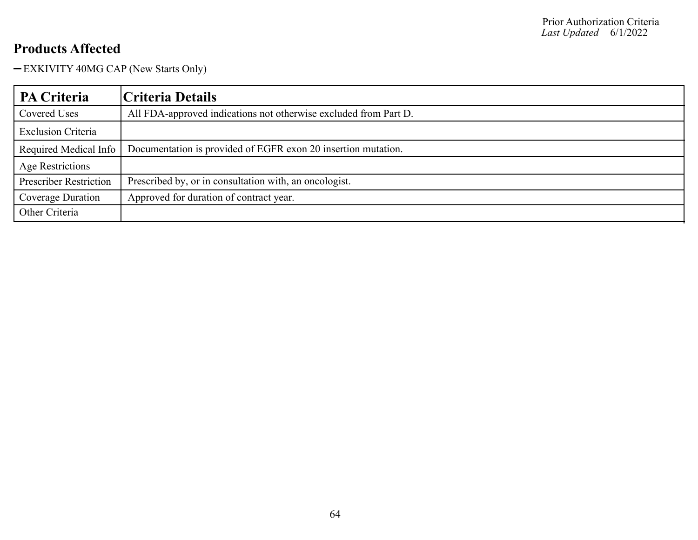EXKIVITY 40MG CAP (New Starts Only)

| PA Criteria                   | Criteria Details                                                 |
|-------------------------------|------------------------------------------------------------------|
| <b>Covered Uses</b>           | All FDA-approved indications not otherwise excluded from Part D. |
| <b>Exclusion Criteria</b>     |                                                                  |
| Required Medical Info         | Documentation is provided of EGFR exon 20 insertion mutation.    |
| <b>Age Restrictions</b>       |                                                                  |
| <b>Prescriber Restriction</b> | Prescribed by, or in consultation with, an oncologist.           |
| Coverage Duration             | Approved for duration of contract year.                          |
| Other Criteria                |                                                                  |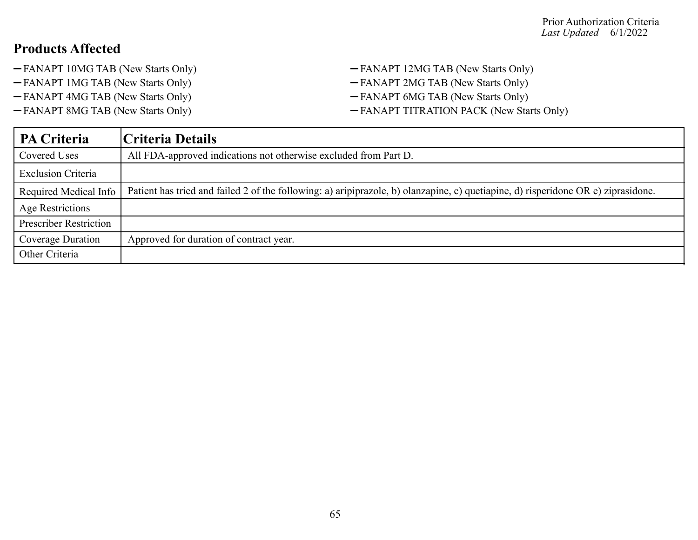- -FANAPT 10MG TAB (New Starts Only) FANAPT 12MG TAB (New Starts Only)
- FANAPT 1MG TAB (New Starts Only) FANAPT 2MG TAB (New Starts Only)
- FANAPT 4MG TAB (New Starts Only) FANAPT 6MG TAB (New Starts Only)
- 
- 
- 
- 
- -FANAPT 8MG TAB (New Starts Only) FANAPT TITRATION PACK (New Starts Only)

| <b>PA Criteria</b>            | Criteria Details                                                                                                                  |
|-------------------------------|-----------------------------------------------------------------------------------------------------------------------------------|
| Covered Uses                  | All FDA-approved indications not otherwise excluded from Part D.                                                                  |
| <b>Exclusion Criteria</b>     |                                                                                                                                   |
| Required Medical Info         | Patient has tried and failed 2 of the following: a) aripiprazole, b) olanzapine, c) quetiapine, d) risperidone OR e) ziprasidone. |
| <b>Age Restrictions</b>       |                                                                                                                                   |
| <b>Prescriber Restriction</b> |                                                                                                                                   |
| Coverage Duration             | Approved for duration of contract year.                                                                                           |
| Other Criteria                |                                                                                                                                   |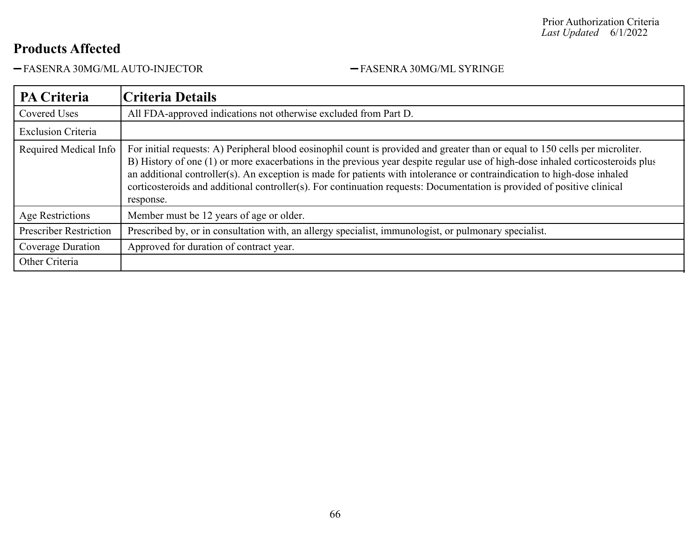-FASENRA 30MG/ML AUTO-INJECTOR - FASENRA 30MG/ML SYRINGE

| <b>PA Criteria</b>            | Criteria Details                                                                                                                                                                                                                                                                                                                                                                                                                                                                                                                    |
|-------------------------------|-------------------------------------------------------------------------------------------------------------------------------------------------------------------------------------------------------------------------------------------------------------------------------------------------------------------------------------------------------------------------------------------------------------------------------------------------------------------------------------------------------------------------------------|
| Covered Uses                  | All FDA-approved indications not otherwise excluded from Part D.                                                                                                                                                                                                                                                                                                                                                                                                                                                                    |
| <b>Exclusion Criteria</b>     |                                                                                                                                                                                                                                                                                                                                                                                                                                                                                                                                     |
| Required Medical Info         | For initial requests: A) Peripheral blood eosinophil count is provided and greater than or equal to 150 cells per microliter.<br>B) History of one (1) or more exacerbations in the previous year despite regular use of high-dose inhaled corticosteroids plus<br>an additional controller(s). An exception is made for patients with intolerance or contraindication to high-dose inhaled<br>corticosteroids and additional controller(s). For continuation requests: Documentation is provided of positive clinical<br>response. |
| Age Restrictions              | Member must be 12 years of age or older.                                                                                                                                                                                                                                                                                                                                                                                                                                                                                            |
| <b>Prescriber Restriction</b> | Prescribed by, or in consultation with, an allergy specialist, immunologist, or pulmonary specialist.                                                                                                                                                                                                                                                                                                                                                                                                                               |
| Coverage Duration             | Approved for duration of contract year.                                                                                                                                                                                                                                                                                                                                                                                                                                                                                             |
| Other Criteria                |                                                                                                                                                                                                                                                                                                                                                                                                                                                                                                                                     |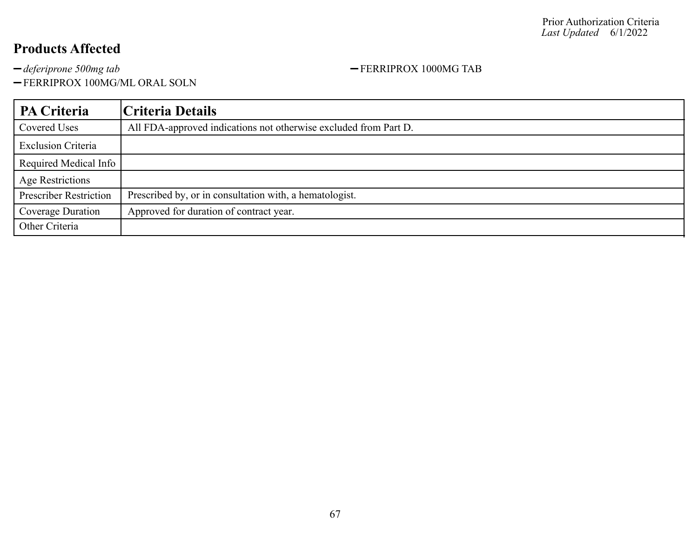<sup>deferiprone 500mg tab</sup> **FERRIPROX** 1000MG TAB

FERRIPROX 100MG/ML ORAL SOLN

| PA Criteria                   | Criteria Details                                                 |
|-------------------------------|------------------------------------------------------------------|
| <b>Covered Uses</b>           | All FDA-approved indications not otherwise excluded from Part D. |
| <b>Exclusion Criteria</b>     |                                                                  |
| Required Medical Info         |                                                                  |
| <b>Age Restrictions</b>       |                                                                  |
| <b>Prescriber Restriction</b> | Prescribed by, or in consultation with, a hematologist.          |
| <b>Coverage Duration</b>      | Approved for duration of contract year.                          |
| Other Criteria                |                                                                  |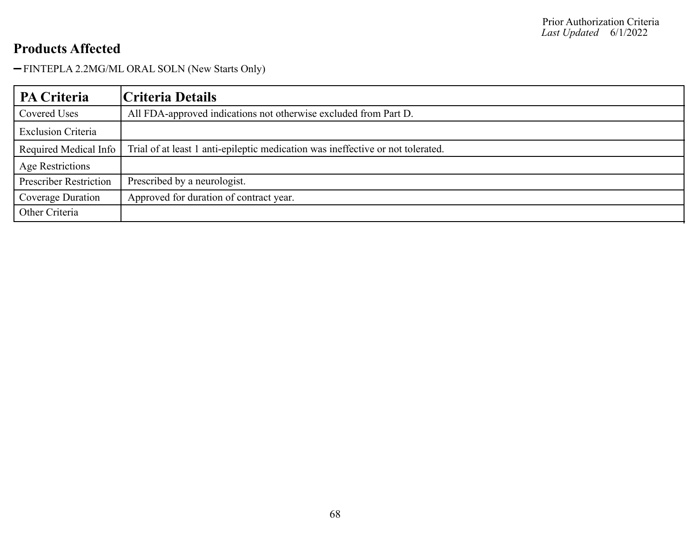FINTEPLA 2.2MG/ML ORAL SOLN (New Starts Only)

| <b>PA Criteria</b>            | <b>Criteria Details</b>                                                         |
|-------------------------------|---------------------------------------------------------------------------------|
| Covered Uses                  | All FDA-approved indications not otherwise excluded from Part D.                |
| <b>Exclusion Criteria</b>     |                                                                                 |
| Required Medical Info         | Trial of at least 1 anti-epileptic medication was ineffective or not tolerated. |
| Age Restrictions              |                                                                                 |
| <b>Prescriber Restriction</b> | Prescribed by a neurologist.                                                    |
| Coverage Duration             | Approved for duration of contract year.                                         |
| Other Criteria                |                                                                                 |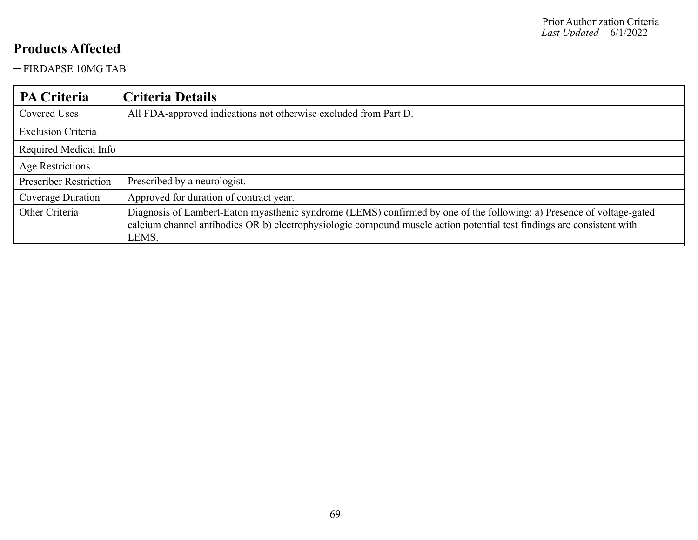FIRDAPSE 10MG TAB

| PA Criteria                   | Criteria Details                                                                                                                                                                                                                                         |
|-------------------------------|----------------------------------------------------------------------------------------------------------------------------------------------------------------------------------------------------------------------------------------------------------|
| Covered Uses                  | All FDA-approved indications not otherwise excluded from Part D.                                                                                                                                                                                         |
| <b>Exclusion Criteria</b>     |                                                                                                                                                                                                                                                          |
| Required Medical Info         |                                                                                                                                                                                                                                                          |
| <b>Age Restrictions</b>       |                                                                                                                                                                                                                                                          |
| <b>Prescriber Restriction</b> | Prescribed by a neurologist.                                                                                                                                                                                                                             |
| Coverage Duration             | Approved for duration of contract year.                                                                                                                                                                                                                  |
| Other Criteria                | Diagnosis of Lambert-Eaton myasthenic syndrome (LEMS) confirmed by one of the following: a) Presence of voltage-gated<br>calcium channel antibodies OR b) electrophysiologic compound muscle action potential test findings are consistent with<br>LEMS. |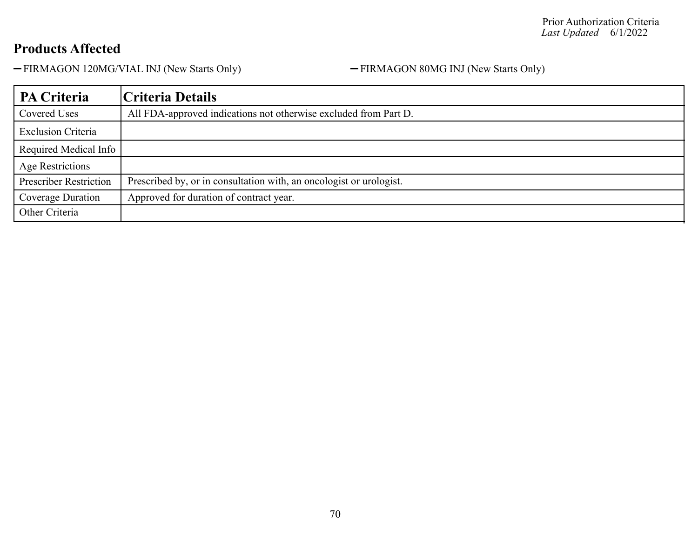-FIRMAGON 120MG/VIAL INJ (New Starts Only) - FIRMAGON 80MG INJ (New Starts Only)

| PA Criteria                   | Criteria Details                                                    |
|-------------------------------|---------------------------------------------------------------------|
| Covered Uses                  | All FDA-approved indications not otherwise excluded from Part D.    |
| <b>Exclusion Criteria</b>     |                                                                     |
| Required Medical Info         |                                                                     |
| Age Restrictions              |                                                                     |
| <b>Prescriber Restriction</b> | Prescribed by, or in consultation with, an oncologist or urologist. |
| Coverage Duration             | Approved for duration of contract year.                             |
| Other Criteria                |                                                                     |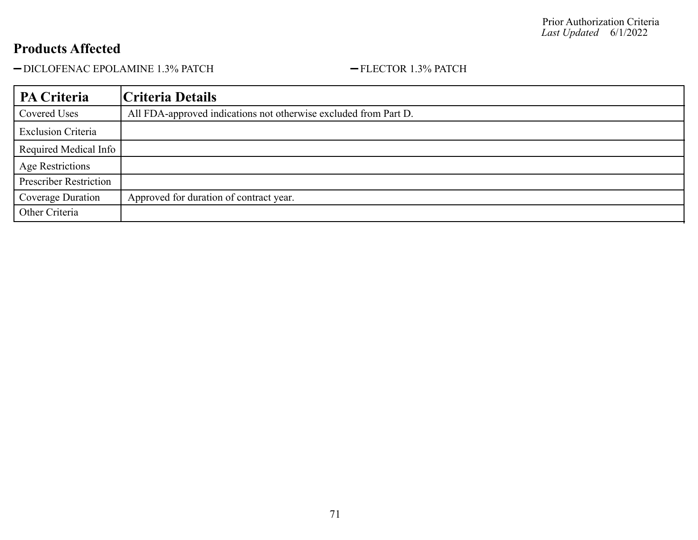-DICLOFENAC EPOLAMINE 1.3% PATCH - FLECTOR 1.3% PATCH

| <b>PA Criteria</b>            | Criteria Details                                                 |
|-------------------------------|------------------------------------------------------------------|
| Covered Uses                  | All FDA-approved indications not otherwise excluded from Part D. |
| <b>Exclusion Criteria</b>     |                                                                  |
| Required Medical Info         |                                                                  |
| <b>Age Restrictions</b>       |                                                                  |
| <b>Prescriber Restriction</b> |                                                                  |
| Coverage Duration             | Approved for duration of contract year.                          |
| Other Criteria                |                                                                  |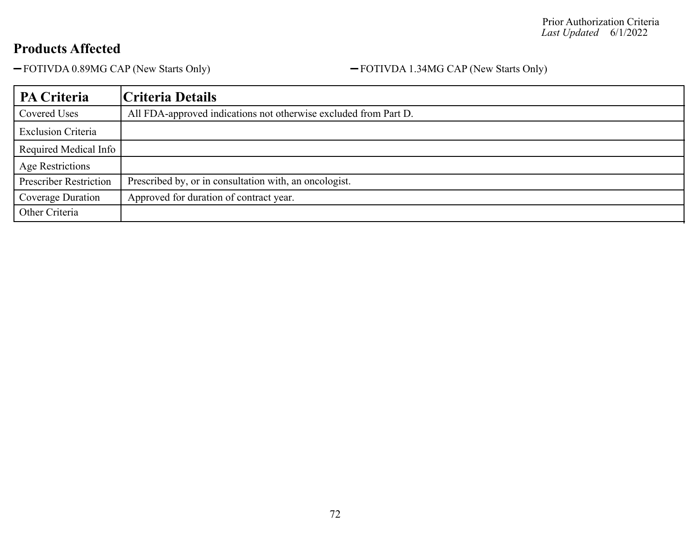-FOTIVDA 0.89MG CAP (New Starts Only) - FOTIVDA 1.34MG CAP (New Starts Only)

| PA Criteria                   | Criteria Details                                                 |
|-------------------------------|------------------------------------------------------------------|
| Covered Uses                  | All FDA-approved indications not otherwise excluded from Part D. |
| <b>Exclusion Criteria</b>     |                                                                  |
| Required Medical Info         |                                                                  |
| <b>Age Restrictions</b>       |                                                                  |
| <b>Prescriber Restriction</b> | Prescribed by, or in consultation with, an oncologist.           |
| Coverage Duration             | Approved for duration of contract year.                          |
| Other Criteria                |                                                                  |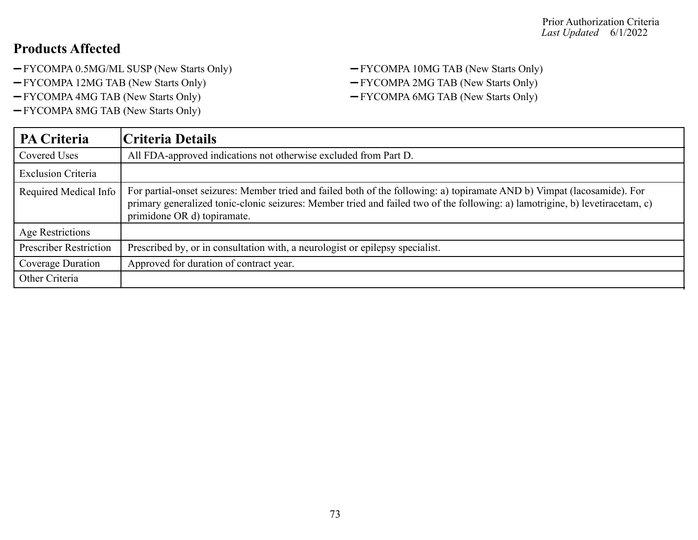- -FYCOMPA 0.5MG/ML SUSP (New Starts Only) FYCOMPA 10MG TAB (New Starts Only)
- 
- -FYCOMPA 4MG TAB (New Starts Only) FYCOMPA 6MG TAB (New Starts Only)
- FYCOMPA 8MG TAB (New Starts Only)
- -FYCOMPA 12MG TAB (New Starts Only) FYCOMPA 2MG TAB (New Starts Only)
	-

| <b>PA Criteria</b>            | Criteria Details                                                                                                                                                                                                                                                                         |
|-------------------------------|------------------------------------------------------------------------------------------------------------------------------------------------------------------------------------------------------------------------------------------------------------------------------------------|
| Covered Uses                  | All FDA-approved indications not otherwise excluded from Part D.                                                                                                                                                                                                                         |
| <b>Exclusion Criteria</b>     |                                                                                                                                                                                                                                                                                          |
| Required Medical Info         | For partial-onset seizures: Member tried and failed both of the following: a) topiramate AND b) Vimpat (lacosamide). For<br>primary generalized tonic-clonic seizures: Member tried and failed two of the following: a) lamotrigine, b) levetiracetam, c)<br>primidone OR d) topiramate. |
| Age Restrictions              |                                                                                                                                                                                                                                                                                          |
| <b>Prescriber Restriction</b> | Prescribed by, or in consultation with, a neurologist or epilepsy specialist.                                                                                                                                                                                                            |
| <b>Coverage Duration</b>      | Approved for duration of contract year.                                                                                                                                                                                                                                                  |
| Other Criteria                |                                                                                                                                                                                                                                                                                          |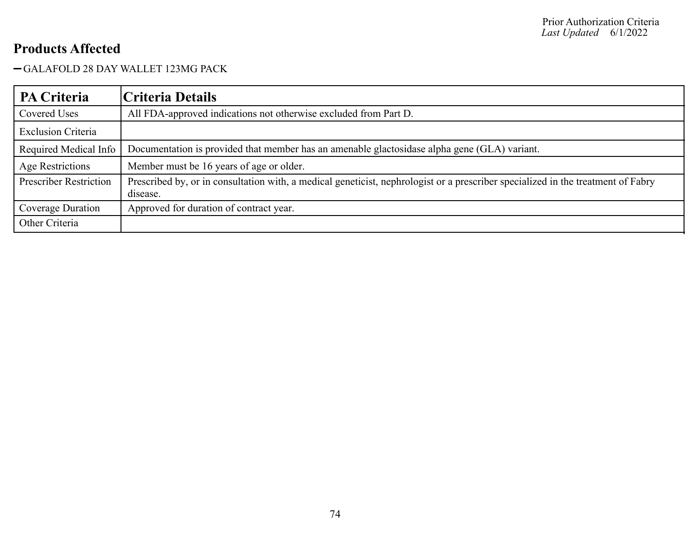#### GALAFOLD 28 DAY WALLET 123MG PACK

| <b>PA Criteria</b>            | Criteria Details                                                                                                                             |
|-------------------------------|----------------------------------------------------------------------------------------------------------------------------------------------|
| Covered Uses                  | All FDA-approved indications not otherwise excluded from Part D.                                                                             |
| <b>Exclusion Criteria</b>     |                                                                                                                                              |
| Required Medical Info         | Documentation is provided that member has an amenable glactosidase alpha gene (GLA) variant.                                                 |
| Age Restrictions              | Member must be 16 years of age or older.                                                                                                     |
| <b>Prescriber Restriction</b> | Prescribed by, or in consultation with, a medical geneticist, nephrologist or a prescriber specialized in the treatment of Fabry<br>disease. |
| Coverage Duration             | Approved for duration of contract year.                                                                                                      |
| Other Criteria                |                                                                                                                                              |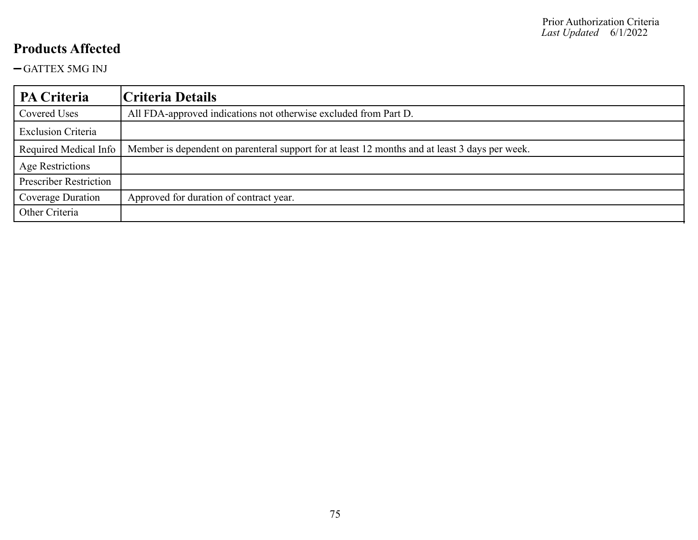GATTEX 5MG INJ

| PA Criteria                   | Criteria Details                                                                               |
|-------------------------------|------------------------------------------------------------------------------------------------|
| Covered Uses                  | All FDA-approved indications not otherwise excluded from Part D.                               |
| <b>Exclusion Criteria</b>     |                                                                                                |
| Required Medical Info         | Member is dependent on parenteral support for at least 12 months and at least 3 days per week. |
| Age Restrictions              |                                                                                                |
| <b>Prescriber Restriction</b> |                                                                                                |
| Coverage Duration             | Approved for duration of contract year.                                                        |
| Other Criteria                |                                                                                                |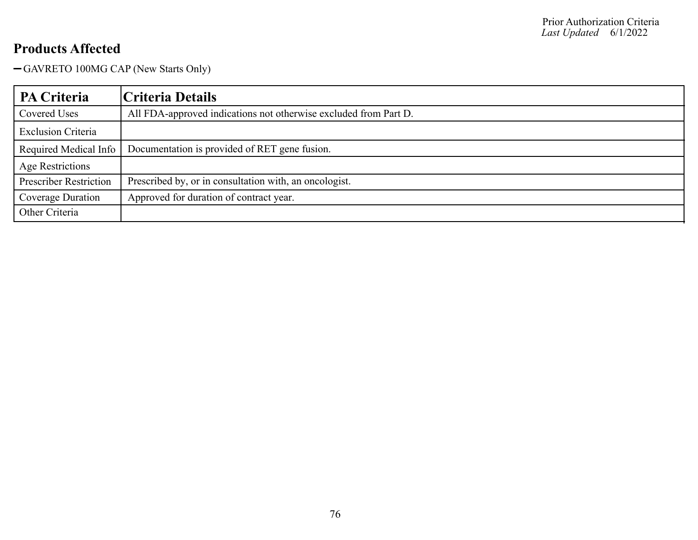GAVRETO 100MG CAP (New Starts Only)

| PA Criteria                   | Criteria Details                                                 |
|-------------------------------|------------------------------------------------------------------|
| Covered Uses                  | All FDA-approved indications not otherwise excluded from Part D. |
| <b>Exclusion Criteria</b>     |                                                                  |
| Required Medical Info         | Documentation is provided of RET gene fusion.                    |
| Age Restrictions              |                                                                  |
| <b>Prescriber Restriction</b> | Prescribed by, or in consultation with, an oncologist.           |
| Coverage Duration             | Approved for duration of contract year.                          |
| Other Criteria                |                                                                  |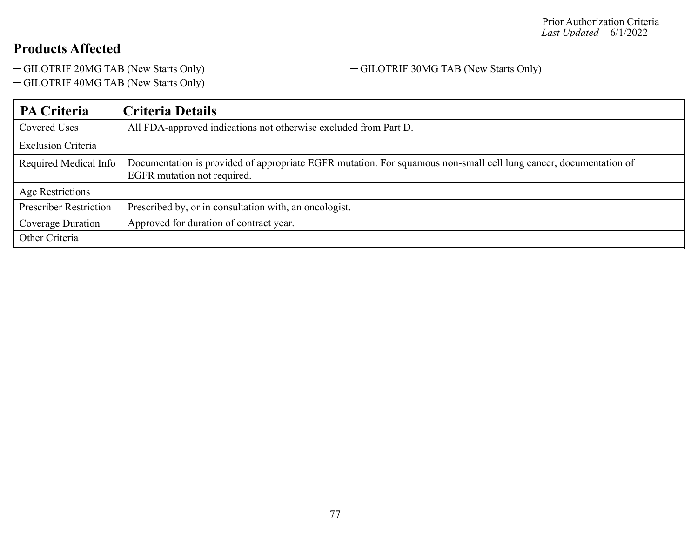-GILOTRIF 20MG TAB (New Starts Only) - GILOTRIF 30MG TAB (New Starts Only)

GILOTRIF 40MG TAB (New Starts Only)

**PA Criteria Criteria Details** Covered Uses All FDA-approved indications not otherwise excluded from Part D. Exclusion Criteria Required Medical Info | Documentation is provided of appropriate EGFR mutation. For squamous non-small cell lung cancer, documentation of EGFR mutation not required. Age Restrictions Prescriber Restriction | Prescribed by, or in consultation with, an oncologist. Coverage Duration | Approved for duration of contract year. Other Criteria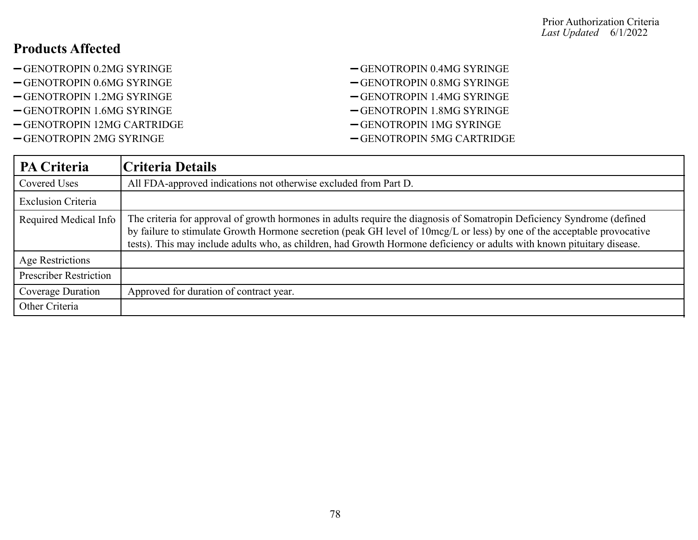- -GENOTROPIN 0.2MG SYRINGE  $-$ GENOTROPIN 0.4MG SYRINGE
- 
- 
- 
- GENOTROPIN 12MG CARTRIDGE GENOTROPIN 1MG SYRINGE
- -GENOTROPIN 2MG SYRINGE <br/>  $-$ GENOTROPIN 5MG CARTRIDGE
- 
- -GENOTROPIN 0.6MG SYRINGE CHENOTROPIN 0.8MG SYRINGE
- -GENOTROPIN 1.2MG SYRINGE CHENOTROPIN 1.4MG SYRINGE
- GENOTROPIN 1.6MG SYRINGE GENOTROPIN 1.8MG SYRINGE
	-
	-

| <b>PA Criteria</b>            | Criteria Details                                                                                                                                                                                                                                                                                                                                                               |
|-------------------------------|--------------------------------------------------------------------------------------------------------------------------------------------------------------------------------------------------------------------------------------------------------------------------------------------------------------------------------------------------------------------------------|
| Covered Uses                  | All FDA-approved indications not otherwise excluded from Part D.                                                                                                                                                                                                                                                                                                               |
| <b>Exclusion Criteria</b>     |                                                                                                                                                                                                                                                                                                                                                                                |
| Required Medical Info         | The criteria for approval of growth hormones in adults require the diagnosis of Somatropin Deficiency Syndrome (defined<br>by failure to stimulate Growth Hormone secretion (peak GH level of 10mcg/L or less) by one of the acceptable provocative<br>tests). This may include adults who, as children, had Growth Hormone deficiency or adults with known pituitary disease. |
| Age Restrictions              |                                                                                                                                                                                                                                                                                                                                                                                |
| <b>Prescriber Restriction</b> |                                                                                                                                                                                                                                                                                                                                                                                |
| Coverage Duration             | Approved for duration of contract year.                                                                                                                                                                                                                                                                                                                                        |
| Other Criteria                |                                                                                                                                                                                                                                                                                                                                                                                |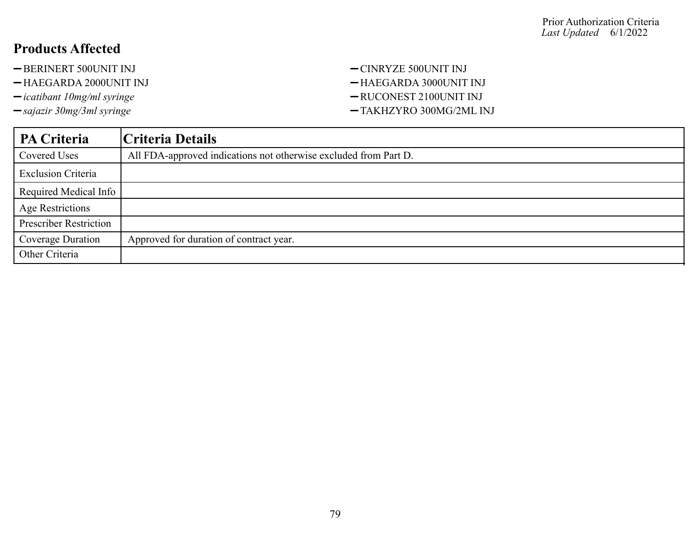- -BERINERT 500UNIT INJ <br/>-CINRYZE 500UNIT INJ
- -HAEGARDA 2000UNIT INJ <br/>-HAEGARDA 3000UNIT INJ
- 
- 
- 
- $-$ *icatibant 10mg/ml syringe*  $-$  RUCONEST 2100UNIT INJ
- *sajazir 30mg/3ml syringe* TAKHZYRO 300MG/2ML INJ

| PA Criteria                   | Criteria Details                                                 |
|-------------------------------|------------------------------------------------------------------|
| Covered Uses                  | All FDA-approved indications not otherwise excluded from Part D. |
| <b>Exclusion Criteria</b>     |                                                                  |
| Required Medical Info         |                                                                  |
| <b>Age Restrictions</b>       |                                                                  |
| <b>Prescriber Restriction</b> |                                                                  |
| Coverage Duration             | Approved for duration of contract year.                          |
| Other Criteria                |                                                                  |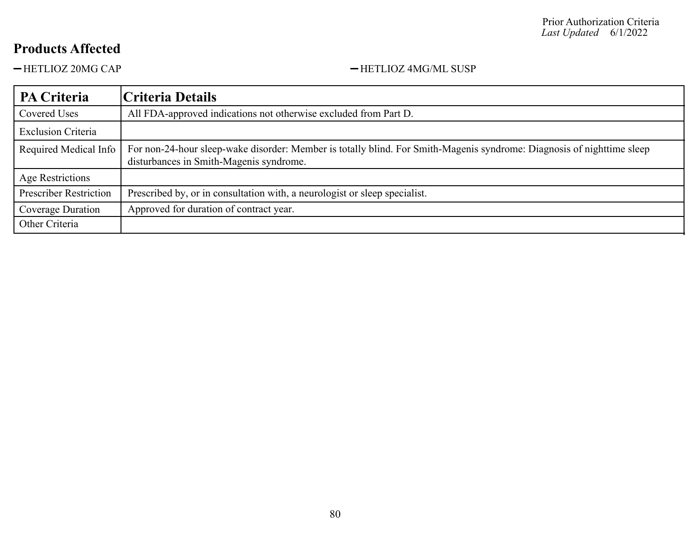-HETLIOZ 20MG CAP - HETLIOZ 4MG/ML SUSP

| <b>PA Criteria</b>            | Criteria Details                                                                                                                                                  |
|-------------------------------|-------------------------------------------------------------------------------------------------------------------------------------------------------------------|
| Covered Uses                  | All FDA-approved indications not otherwise excluded from Part D.                                                                                                  |
| <b>Exclusion Criteria</b>     |                                                                                                                                                                   |
| Required Medical Info         | For non-24-hour sleep-wake disorder: Member is totally blind. For Smith-Magenis syndrome: Diagnosis of nighttime sleep<br>disturbances in Smith-Magenis syndrome. |
| Age Restrictions              |                                                                                                                                                                   |
| <b>Prescriber Restriction</b> | Prescribed by, or in consultation with, a neurologist or sleep specialist.                                                                                        |
| Coverage Duration             | Approved for duration of contract year.                                                                                                                           |
| Other Criteria                |                                                                                                                                                                   |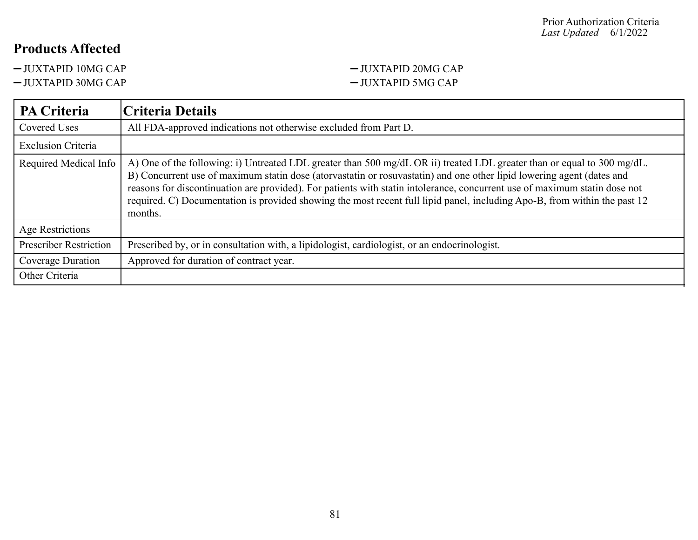JUXTAPID 10MG CAP JUXTAPID 20MG CAP

## JUXTAPID 30MG CAP JUXTAPID 5MG CAP

| <b>PA Criteria</b>            | Criteria Details                                                                                                                                                                                                                                                                                                                                                                                                                                                                                                       |
|-------------------------------|------------------------------------------------------------------------------------------------------------------------------------------------------------------------------------------------------------------------------------------------------------------------------------------------------------------------------------------------------------------------------------------------------------------------------------------------------------------------------------------------------------------------|
| Covered Uses                  | All FDA-approved indications not otherwise excluded from Part D.                                                                                                                                                                                                                                                                                                                                                                                                                                                       |
| <b>Exclusion Criteria</b>     |                                                                                                                                                                                                                                                                                                                                                                                                                                                                                                                        |
| Required Medical Info         | A) One of the following: i) Untreated LDL greater than 500 mg/dL OR ii) treated LDL greater than or equal to 300 mg/dL.<br>B) Concurrent use of maximum statin dose (atorvastatin or rosuvastatin) and one other lipid lowering agent (dates and<br>reasons for discontinuation are provided). For patients with statin intolerance, concurrent use of maximum statin dose not<br>required. C) Documentation is provided showing the most recent full lipid panel, including Apo-B, from within the past 12<br>months. |
| Age Restrictions              |                                                                                                                                                                                                                                                                                                                                                                                                                                                                                                                        |
| <b>Prescriber Restriction</b> | Prescribed by, or in consultation with, a lipidologist, cardiologist, or an endocrinologist.                                                                                                                                                                                                                                                                                                                                                                                                                           |
| Coverage Duration             | Approved for duration of contract year.                                                                                                                                                                                                                                                                                                                                                                                                                                                                                |
| Other Criteria                |                                                                                                                                                                                                                                                                                                                                                                                                                                                                                                                        |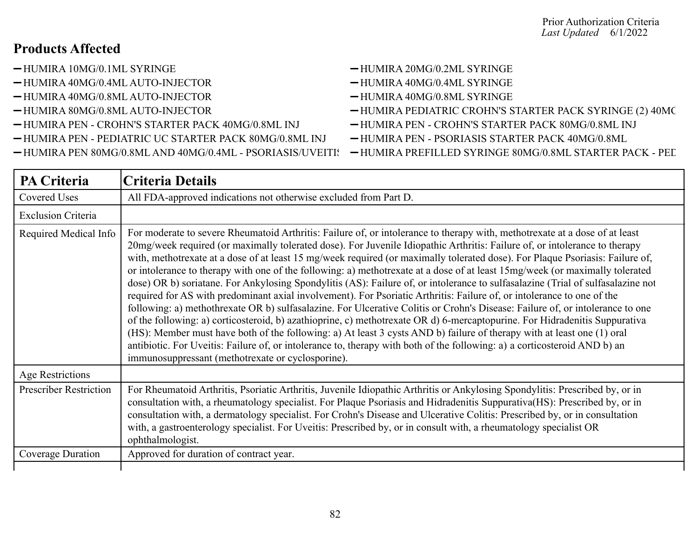- 
- $-HUMIRA 40MG/0.4ML AUTO-INIECTOR$   $-HUMIRA 40MG/0.4ML SYRINGE$
- -HUMIRA 40MG/0.8ML AUTO-INJECTOR HUMIRA 40MG/0.8ML SYRINGE
- 
- -HUMIRA PEN CROHN'S STARTER PACK 40MG/0.8ML INJ HUMIRA PEN CROHN'S STARTER PACK 80MG/0.8ML INJ
- -HUMIRA PEN PEDIATRIC UC STARTER PACK 80MG/0.8ML INJ HUMIRA PEN PSORIASIS STARTER PACK 40MG/0.8ML
- 
- HUMIRA 10MG/0.1ML SYRINGE HUMIRA 20MG/0.2ML SYRINGE
	-
	-
- -HUMIRA 80MG/0.8ML AUTO-INJECTOR HUMIRA PEDIATRIC CROHN'S STARTER PACK SYRINGE (2) 40MC
	-
	-
- $-HUMIRA$  PEN 80MG/0.8ML AND 40MG/0.4ML PSORIASIS/UVEITIS  $-HUMIRA$  PREFILLED SYRINGE 80MG/0.8ML STARTER PACK PED

| <b>PA Criteria</b>            | <b>Criteria Details</b>                                                                                                                                                                                                                                                                                                                                                                                                                                                                                                                                                                                                                                                                                                                                                                                                                                                                                                                                                                                                                                                                                                                                                                                                                                                                                                                                            |
|-------------------------------|--------------------------------------------------------------------------------------------------------------------------------------------------------------------------------------------------------------------------------------------------------------------------------------------------------------------------------------------------------------------------------------------------------------------------------------------------------------------------------------------------------------------------------------------------------------------------------------------------------------------------------------------------------------------------------------------------------------------------------------------------------------------------------------------------------------------------------------------------------------------------------------------------------------------------------------------------------------------------------------------------------------------------------------------------------------------------------------------------------------------------------------------------------------------------------------------------------------------------------------------------------------------------------------------------------------------------------------------------------------------|
| Covered Uses                  | All FDA-approved indications not otherwise excluded from Part D.                                                                                                                                                                                                                                                                                                                                                                                                                                                                                                                                                                                                                                                                                                                                                                                                                                                                                                                                                                                                                                                                                                                                                                                                                                                                                                   |
| <b>Exclusion Criteria</b>     |                                                                                                                                                                                                                                                                                                                                                                                                                                                                                                                                                                                                                                                                                                                                                                                                                                                                                                                                                                                                                                                                                                                                                                                                                                                                                                                                                                    |
| Required Medical Info         | For moderate to severe Rheumatoid Arthritis: Failure of, or intolerance to therapy with, methotrexate at a dose of at least<br>20mg/week required (or maximally tolerated dose). For Juvenile Idiopathic Arthritis: Failure of, or intolerance to therapy<br>with, methotrexate at a dose of at least 15 mg/week required (or maximally tolerated dose). For Plaque Psoriasis: Failure of,<br>or intolerance to therapy with one of the following: a) methotrexate at a dose of at least 15mg/week (or maximally tolerated<br>dose) OR b) soriatane. For Ankylosing Spondylitis (AS): Failure of, or intolerance to sulfasalazine (Trial of sulfasalazine not<br>required for AS with predominant axial involvement). For Psoriatic Arthritis: Failure of, or intolerance to one of the<br>following: a) methothrexate OR b) sulfasalazine. For Ulcerative Colitis or Crohn's Disease: Failure of, or intolerance to one<br>of the following: a) corticosteroid, b) azathioprine, c) methotrexate OR d) 6-mercaptopurine. For Hidradenitis Suppurativa<br>(HS): Member must have both of the following: a) At least 3 cysts AND b) failure of therapy with at least one (1) oral<br>antibiotic. For Uveitis: Failure of, or intolerance to, therapy with both of the following: a) a corticosteroid AND b) an<br>immunosuppressant (methotrexate or cyclosporine). |
| Age Restrictions              |                                                                                                                                                                                                                                                                                                                                                                                                                                                                                                                                                                                                                                                                                                                                                                                                                                                                                                                                                                                                                                                                                                                                                                                                                                                                                                                                                                    |
| <b>Prescriber Restriction</b> | For Rheumatoid Arthritis, Psoriatic Arthritis, Juvenile Idiopathic Arthritis or Ankylosing Spondylitis: Prescribed by, or in<br>consultation with, a rheumatology specialist. For Plaque Psoriasis and Hidradenitis Suppurativa(HS): Prescribed by, or in<br>consultation with, a dermatology specialist. For Crohn's Disease and Ulcerative Colitis: Prescribed by, or in consultation<br>with, a gastroenterology specialist. For Uveitis: Prescribed by, or in consult with, a rheumatology specialist OR<br>ophthalmologist.                                                                                                                                                                                                                                                                                                                                                                                                                                                                                                                                                                                                                                                                                                                                                                                                                                   |
| Coverage Duration             | Approved for duration of contract year.                                                                                                                                                                                                                                                                                                                                                                                                                                                                                                                                                                                                                                                                                                                                                                                                                                                                                                                                                                                                                                                                                                                                                                                                                                                                                                                            |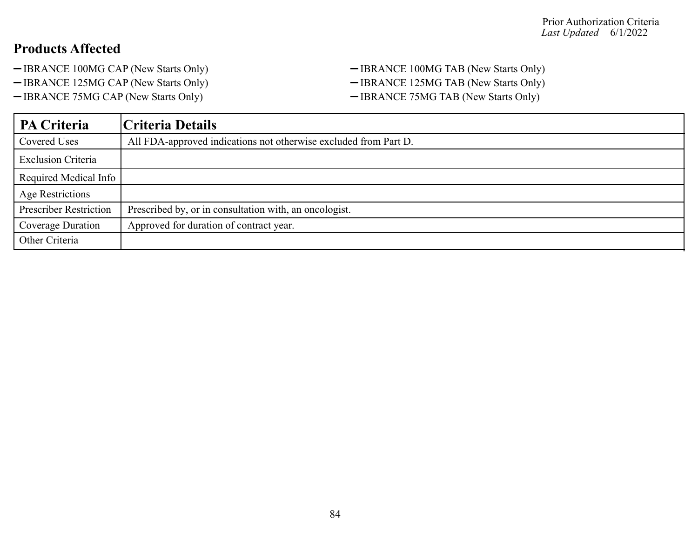- -IBRANCE 100MG CAP (New Starts Only) IBRANCE 100MG TAB (New Starts Only)
- 
- -IBRANCE 75MG CAP (New Starts Only) IBRANCE 75MG TAB (New Starts Only)
- -IBRANCE 125MG CAP (New Starts Only) IBRANCE 125MG TAB (New Starts Only)

| PA Criteria                   | Criteria Details                                                 |
|-------------------------------|------------------------------------------------------------------|
| Covered Uses                  | All FDA-approved indications not otherwise excluded from Part D. |
| <b>Exclusion Criteria</b>     |                                                                  |
| Required Medical Info         |                                                                  |
| Age Restrictions              |                                                                  |
| <b>Prescriber Restriction</b> | Prescribed by, or in consultation with, an oncologist.           |
| Coverage Duration             | Approved for duration of contract year.                          |
| Other Criteria                |                                                                  |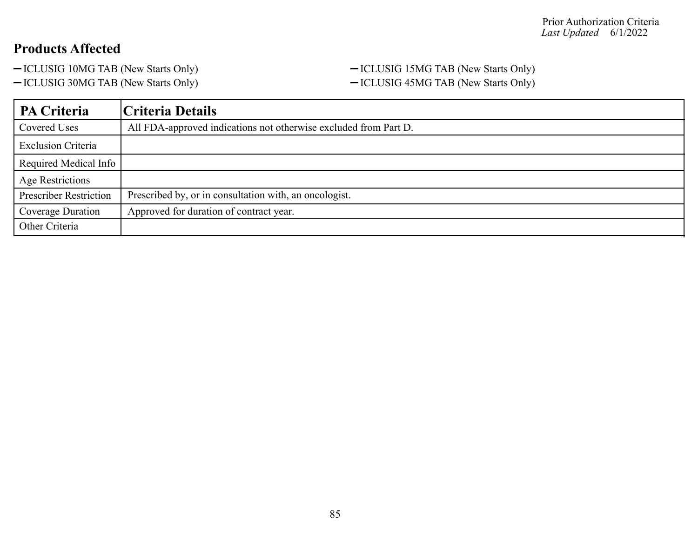- 
- 

-ICLUSIG 10MG TAB (New Starts Only) - ICLUSIG 15MG TAB (New Starts Only) -ICLUSIG 30MG TAB (New Starts Only) - ICLUSIG 45MG TAB (New Starts Only)

| PA Criteria                   | Criteria Details                                                 |
|-------------------------------|------------------------------------------------------------------|
| Covered Uses                  | All FDA-approved indications not otherwise excluded from Part D. |
| <b>Exclusion Criteria</b>     |                                                                  |
| Required Medical Info         |                                                                  |
| <b>Age Restrictions</b>       |                                                                  |
| <b>Prescriber Restriction</b> | Prescribed by, or in consultation with, an oncologist.           |
| Coverage Duration             | Approved for duration of contract year.                          |
| Other Criteria                |                                                                  |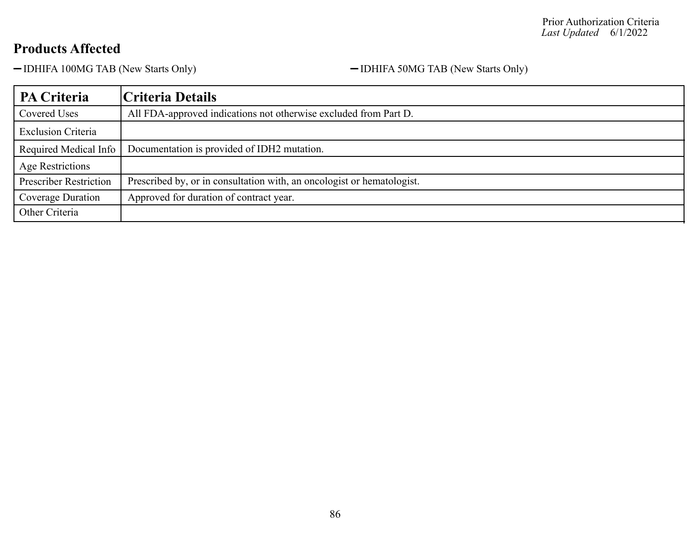-IDHIFA 100MG TAB (New Starts Only) - IDHIFA 50MG TAB (New Starts Only)

| PA Criteria                   | Criteria Details                                                       |
|-------------------------------|------------------------------------------------------------------------|
| Covered Uses                  | All FDA-approved indications not otherwise excluded from Part D.       |
| <b>Exclusion Criteria</b>     |                                                                        |
| Required Medical Info         | Documentation is provided of IDH2 mutation.                            |
| Age Restrictions              |                                                                        |
| <b>Prescriber Restriction</b> | Prescribed by, or in consultation with, an oncologist or hematologist. |
| Coverage Duration             | Approved for duration of contract year.                                |
| Other Criteria                |                                                                        |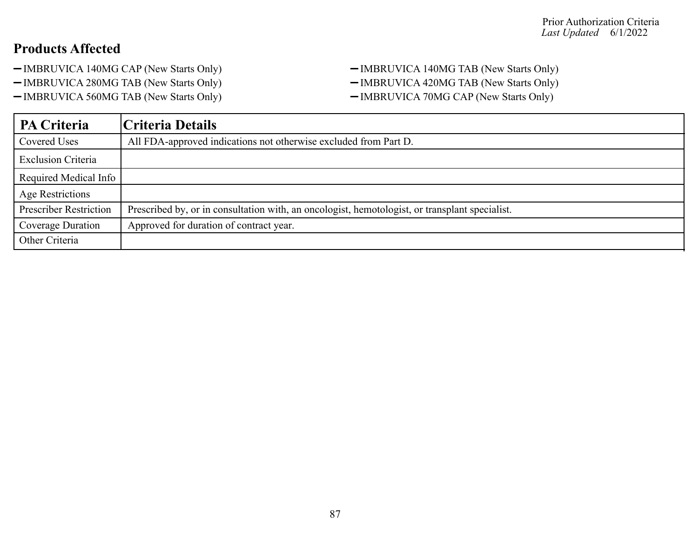- 
- 
- -IMBRUVICA 560MG TAB (New Starts Only) IMBRUVICA 70MG CAP (New Starts Only)

-IMBRUVICA 140MG CAP (New Starts Only) - IMBRUVICA 140MG TAB (New Starts Only) -IMBRUVICA 280MG TAB (New Starts Only) - IMBRUVICA 420MG TAB (New Starts Only)

| <b>PA Criteria</b>            | Criteria Details                                                                               |
|-------------------------------|------------------------------------------------------------------------------------------------|
| <b>Covered Uses</b>           | All FDA-approved indications not otherwise excluded from Part D.                               |
| <b>Exclusion Criteria</b>     |                                                                                                |
| Required Medical Info         |                                                                                                |
| Age Restrictions              |                                                                                                |
| <b>Prescriber Restriction</b> | Prescribed by, or in consultation with, an oncologist, hemotologist, or transplant specialist. |
| Coverage Duration             | Approved for duration of contract year.                                                        |
| Other Criteria                |                                                                                                |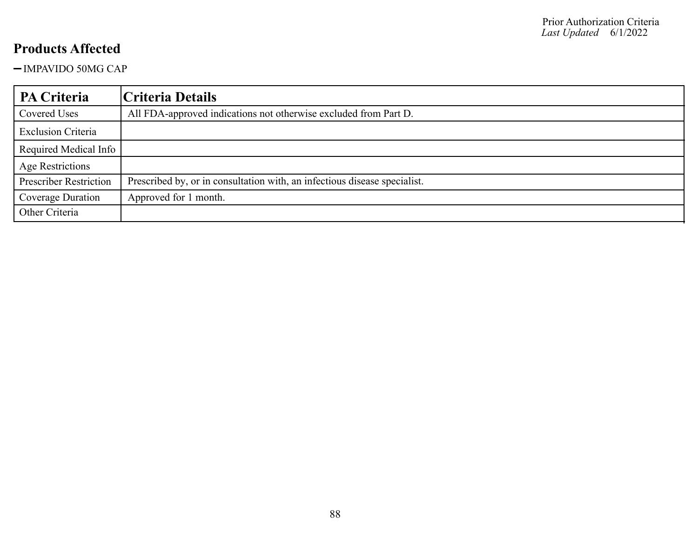-IMPAVIDO 50MG CAP

| PA Criteria                   | Criteria Details                                                          |
|-------------------------------|---------------------------------------------------------------------------|
| Covered Uses                  | All FDA-approved indications not otherwise excluded from Part D.          |
| <b>Exclusion Criteria</b>     |                                                                           |
| Required Medical Info         |                                                                           |
| <b>Age Restrictions</b>       |                                                                           |
| <b>Prescriber Restriction</b> | Prescribed by, or in consultation with, an infectious disease specialist. |
| Coverage Duration             | Approved for 1 month.                                                     |
| Other Criteria                |                                                                           |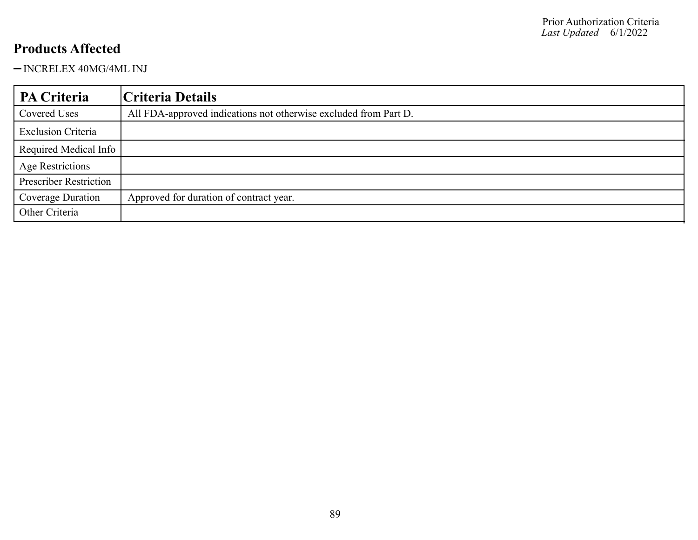- INCRELEX 40MG/4ML INJ

| PA Criteria                   | Criteria Details                                                 |
|-------------------------------|------------------------------------------------------------------|
| Covered Uses                  | All FDA-approved indications not otherwise excluded from Part D. |
| <b>Exclusion Criteria</b>     |                                                                  |
| Required Medical Info         |                                                                  |
| <b>Age Restrictions</b>       |                                                                  |
| <b>Prescriber Restriction</b> |                                                                  |
| Coverage Duration             | Approved for duration of contract year.                          |
| Other Criteria                |                                                                  |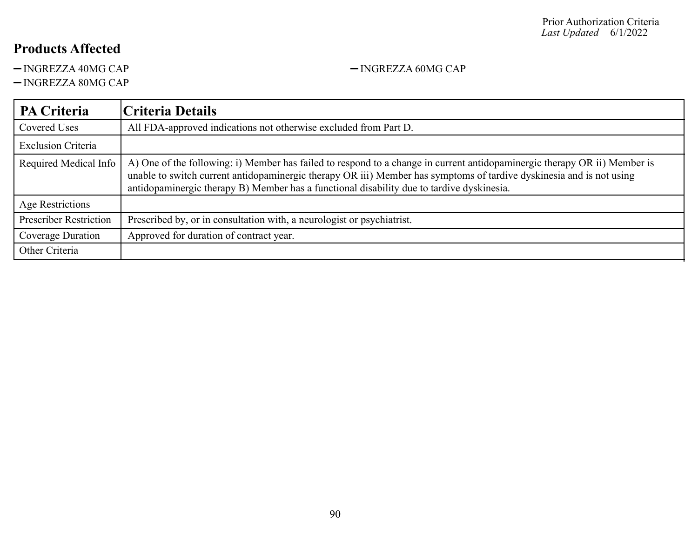-INGREZZA 40MG CAP - INGREZZA 60MG CAP

 $-$ INGREZZA 80MG CAP

| <b>PA Criteria</b>            | Criteria Details                                                                                                                                                                                                                                                                                                                               |
|-------------------------------|------------------------------------------------------------------------------------------------------------------------------------------------------------------------------------------------------------------------------------------------------------------------------------------------------------------------------------------------|
| Covered Uses                  | All FDA-approved indications not otherwise excluded from Part D.                                                                                                                                                                                                                                                                               |
| <b>Exclusion Criteria</b>     |                                                                                                                                                                                                                                                                                                                                                |
| Required Medical Info         | A) One of the following: i) Member has failed to respond to a change in current antidopaminergic therapy OR ii) Member is<br>unable to switch current antidopaminergic therapy OR iii) Member has symptoms of tardive dyskinesia and is not using<br>antidopaminergic therapy B) Member has a functional disability due to tardive dyskinesia. |
| <b>Age Restrictions</b>       |                                                                                                                                                                                                                                                                                                                                                |
| <b>Prescriber Restriction</b> | Prescribed by, or in consultation with, a neurologist or psychiatrist.                                                                                                                                                                                                                                                                         |
| Coverage Duration             | Approved for duration of contract year.                                                                                                                                                                                                                                                                                                        |
| Other Criteria                |                                                                                                                                                                                                                                                                                                                                                |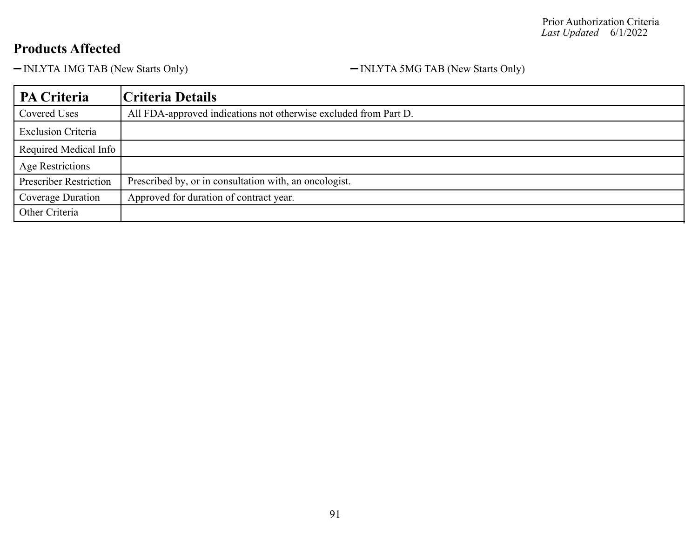-INLYTA 1MG TAB (New Starts Only) - INLYTA 5MG TAB (New Starts Only)

| PA Criteria                   | Criteria Details                                                 |
|-------------------------------|------------------------------------------------------------------|
| Covered Uses                  | All FDA-approved indications not otherwise excluded from Part D. |
| <b>Exclusion Criteria</b>     |                                                                  |
| Required Medical Info         |                                                                  |
| <b>Age Restrictions</b>       |                                                                  |
| <b>Prescriber Restriction</b> | Prescribed by, or in consultation with, an oncologist.           |
| Coverage Duration             | Approved for duration of contract year.                          |
| Other Criteria                |                                                                  |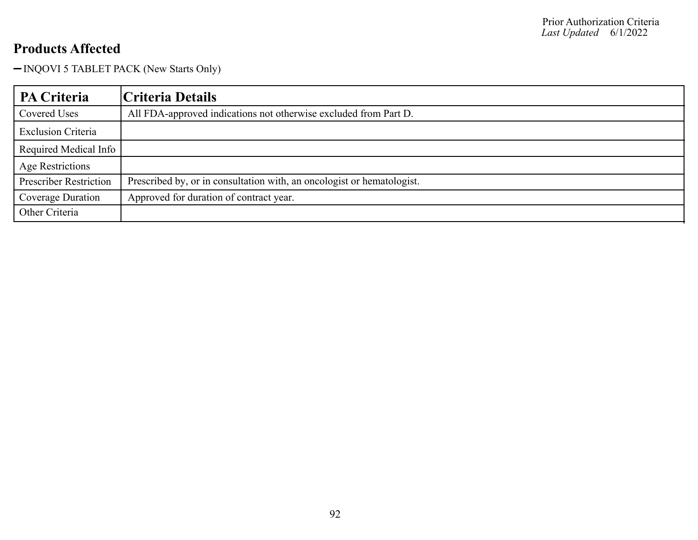- INQOVI 5 TABLET PACK (New Starts Only)

| PA Criteria                   | <b>Criteria Details</b>                                                |
|-------------------------------|------------------------------------------------------------------------|
| Covered Uses                  | All FDA-approved indications not otherwise excluded from Part D.       |
| <b>Exclusion Criteria</b>     |                                                                        |
| Required Medical Info         |                                                                        |
| <b>Age Restrictions</b>       |                                                                        |
| <b>Prescriber Restriction</b> | Prescribed by, or in consultation with, an oncologist or hematologist. |
| Coverage Duration             | Approved for duration of contract year.                                |
| Other Criteria                |                                                                        |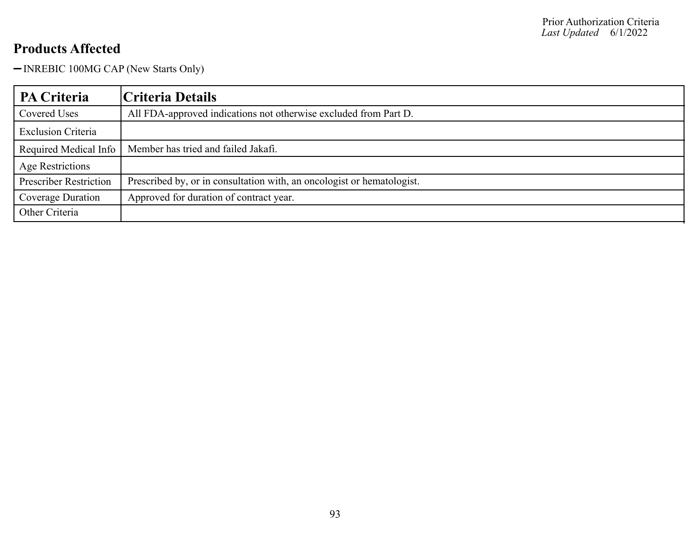- INREBIC 100MG CAP (New Starts Only)

| PA Criteria                   | Criteria Details                                                       |
|-------------------------------|------------------------------------------------------------------------|
| Covered Uses                  | All FDA-approved indications not otherwise excluded from Part D.       |
| <b>Exclusion Criteria</b>     |                                                                        |
| Required Medical Info         | Member has tried and failed Jakafi.                                    |
| Age Restrictions              |                                                                        |
| <b>Prescriber Restriction</b> | Prescribed by, or in consultation with, an oncologist or hematologist. |
| Coverage Duration             | Approved for duration of contract year.                                |
| Other Criteria                |                                                                        |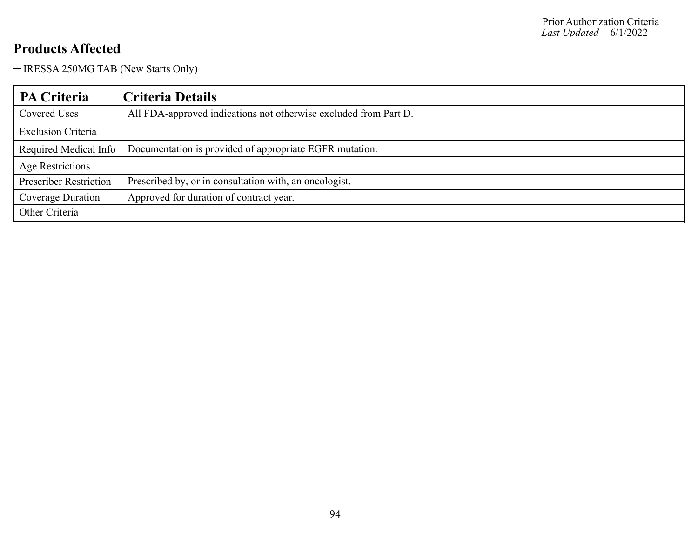- IRESSA 250MG TAB (New Starts Only)

| <b>PA Criteria</b>            | Criteria Details                                                 |
|-------------------------------|------------------------------------------------------------------|
| Covered Uses                  | All FDA-approved indications not otherwise excluded from Part D. |
| <b>Exclusion Criteria</b>     |                                                                  |
| Required Medical Info         | Documentation is provided of appropriate EGFR mutation.          |
| Age Restrictions              |                                                                  |
| <b>Prescriber Restriction</b> | Prescribed by, or in consultation with, an oncologist.           |
| Coverage Duration             | Approved for duration of contract year.                          |
| Other Criteria                |                                                                  |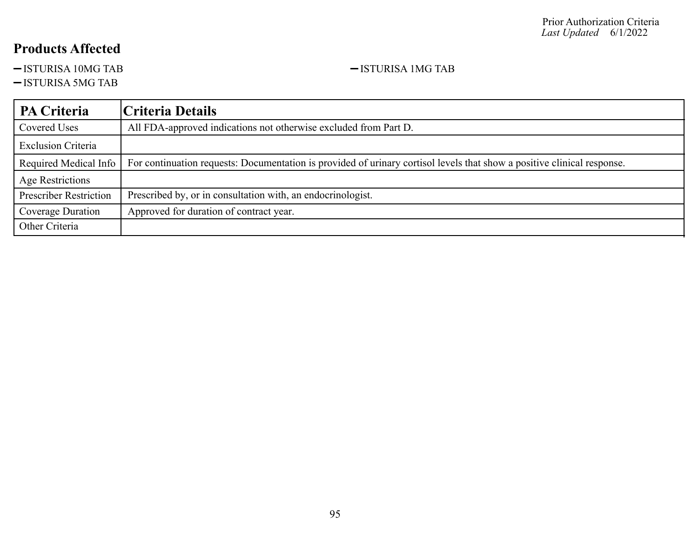-ISTURISA 10MG TAB 100 - 1STURISA 10MG TAB

-ISTURISA 5MG TAB

#### **PA Criteria Criteria Details** Covered Uses All FDA-approved indications not otherwise excluded from Part D. Exclusion Criteria Required Medical Info For continuation requests: Documentation is provided of urinary cortisol levels that show a positive clinical response. Age Restrictions Prescriber Restriction | Prescribed by, or in consultation with, an endocrinologist. Coverage Duration | Approved for duration of contract year. Other Criteria

95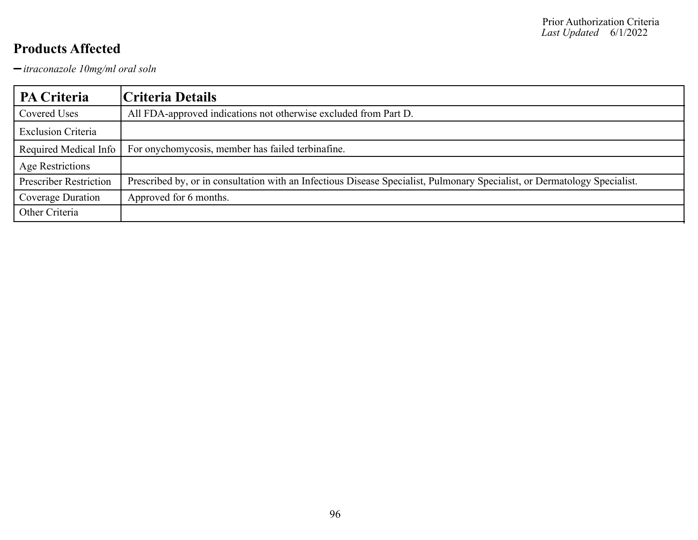*itraconazole 10mg/ml oral soln*

| <b>PA Criteria</b>            | Criteria Details                                                                                                          |
|-------------------------------|---------------------------------------------------------------------------------------------------------------------------|
| Covered Uses                  | All FDA-approved indications not otherwise excluded from Part D.                                                          |
| <b>Exclusion Criteria</b>     |                                                                                                                           |
| Required Medical Info         | For onychomycosis, member has failed terbinafine.                                                                         |
| Age Restrictions              |                                                                                                                           |
| <b>Prescriber Restriction</b> | Prescribed by, or in consultation with an Infectious Disease Specialist, Pulmonary Specialist, or Dermatology Specialist. |
| Coverage Duration             | Approved for 6 months.                                                                                                    |
| Other Criteria                |                                                                                                                           |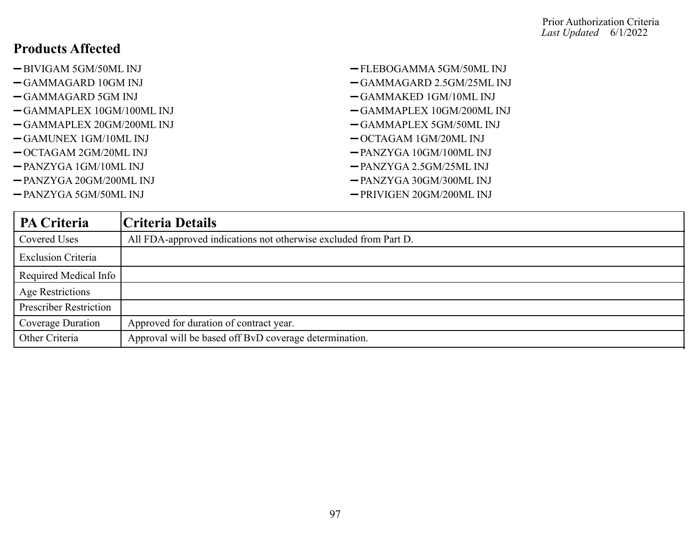- 
- 
- 
- GAMMAPLEX 10GM/100ML INJ GAMMAPLEX 10GM/200ML INJ
- GAMMAPLEX 20GM/200ML INJ GAMMAPLEX 5GM/50ML INJ
- -GAMUNEX 1GM/10ML INJ  $-$  OCTAGAM 1GM/20ML INJ
- OCTAGAM 2GM/20ML INJ PANZYGA 10GM/100ML INJ
- 
- PANZYGA 20GM/200ML INJ PANZYGA 30GM/300ML INJ
- 
- -BIVIGAM 5GM/50ML INJ FLEBOGAMMA 5GM/50ML INJ
- GAMMAGARD 10GM INJ GAMMAGARD 2.5GM/25ML INJ
- GAMMAGARD 5GM INJ GAMMAKED 1GM/10ML INJ
	-
	-
	-
	-
- PANZYGA 1GM/10ML INJ PANZYGA 2.5GM/25ML INJ
	-
- PANZYGA 5GM/50ML INJ PRIVIGEN 20GM/200ML INJ

| PA Criteria                   | Criteria Details                                                 |
|-------------------------------|------------------------------------------------------------------|
| Covered Uses                  | All FDA-approved indications not otherwise excluded from Part D. |
| <b>Exclusion Criteria</b>     |                                                                  |
| Required Medical Info         |                                                                  |
| <b>Age Restrictions</b>       |                                                                  |
| <b>Prescriber Restriction</b> |                                                                  |
| Coverage Duration             | Approved for duration of contract year.                          |
| Other Criteria                | Approval will be based off BvD coverage determination.           |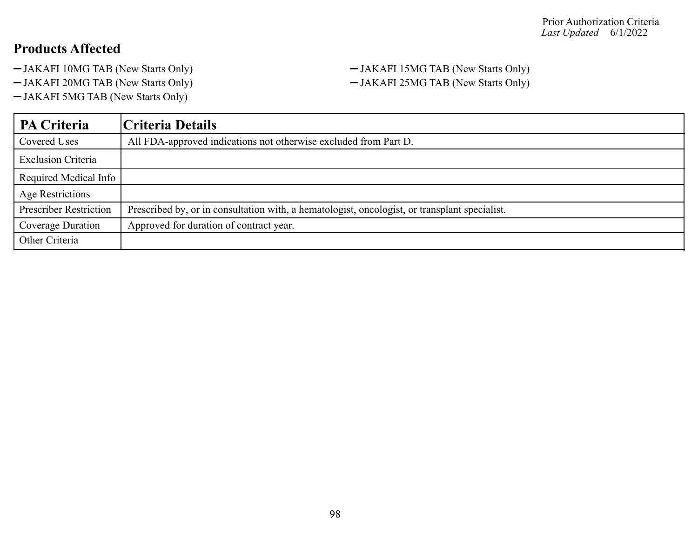- JAKAFI 10MG TAB (New Starts Only) JAKAFI 15MG TAB (New Starts Only)
- 
- JAKAFI 5MG TAB (New Starts Only)

JAKAFI 20MG TAB (New Starts Only) JAKAFI 25MG TAB (New Starts Only)

| PA Criteria                   | Criteria Details                                                                              |
|-------------------------------|-----------------------------------------------------------------------------------------------|
| Covered Uses                  | All FDA-approved indications not otherwise excluded from Part D.                              |
| <b>Exclusion Criteria</b>     |                                                                                               |
| Required Medical Info         |                                                                                               |
| Age Restrictions              |                                                                                               |
| <b>Prescriber Restriction</b> | Prescribed by, or in consultation with, a hematologist, oncologist, or transplant specialist. |
| Coverage Duration             | Approved for duration of contract year.                                                       |
| Other Criteria                |                                                                                               |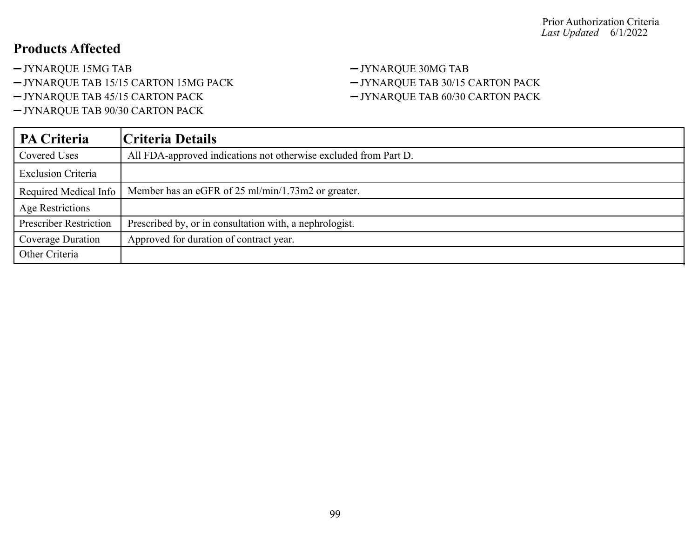-JYNARQUE 15MG TAB -JYNARQUE 30MG TAB

-JYNARQUE TAB 15/15 CARTON 15MG PACK - JYNARQUE TAB 30/15 CARTON PACK

JYNARQUE TAB 90/30 CARTON PACK

# -JYNARQUE TAB 45/15 CARTON PACK - JYNARQUE TAB 60/30 CARTON PACK

| PA Criteria                   | Criteria Details                                                 |
|-------------------------------|------------------------------------------------------------------|
| Covered Uses                  | All FDA-approved indications not otherwise excluded from Part D. |
| <b>Exclusion Criteria</b>     |                                                                  |
| Required Medical Info         | Member has an eGFR of 25 ml/min/1.73m2 or greater.               |
| Age Restrictions              |                                                                  |
| <b>Prescriber Restriction</b> | Prescribed by, or in consultation with, a nephrologist.          |
| Coverage Duration             | Approved for duration of contract year.                          |
| Other Criteria                |                                                                  |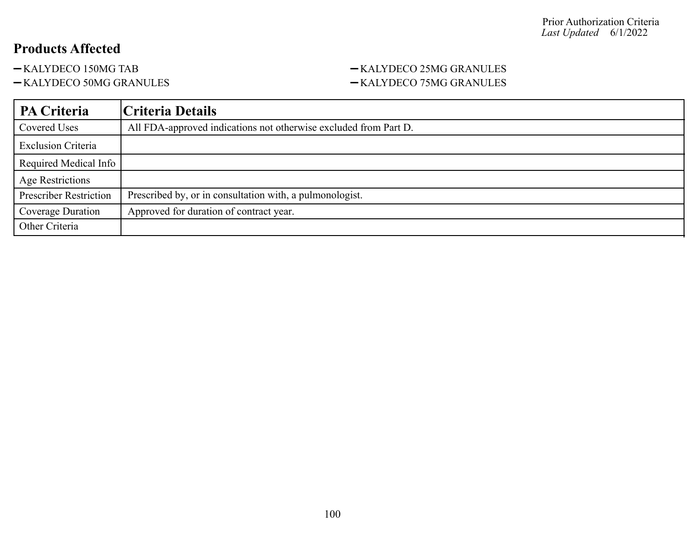#### -KALYDECO 150MG TAB - KALYDECO 25MG GRANULES -KALYDECO 50MG GRANULES - SALYDECO 75MG GRANULES

| PA Criteria                   | Criteria Details                                                 |
|-------------------------------|------------------------------------------------------------------|
| Covered Uses                  | All FDA-approved indications not otherwise excluded from Part D. |
| <b>Exclusion Criteria</b>     |                                                                  |
| Required Medical Info         |                                                                  |
| <b>Age Restrictions</b>       |                                                                  |
| <b>Prescriber Restriction</b> | Prescribed by, or in consultation with, a pulmonologist.         |
| Coverage Duration             | Approved for duration of contract year.                          |
| Other Criteria                |                                                                  |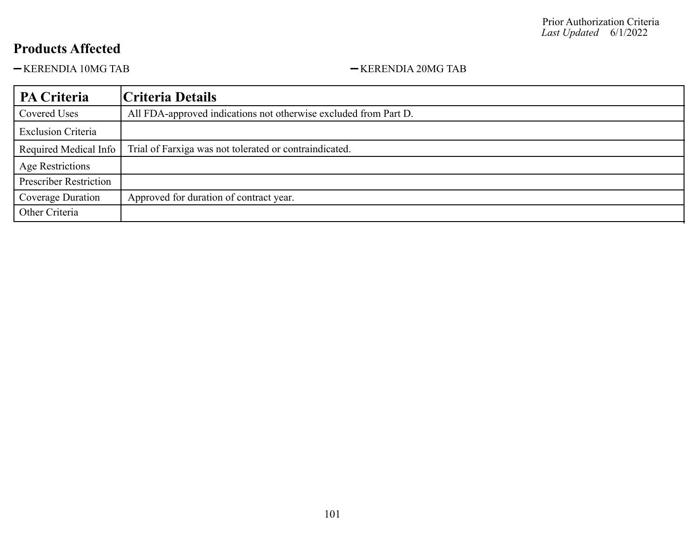-KERENDIA 10MG TAB - KERENDIA 20MG TAB

| PA Criteria                   | Criteria Details                                                 |
|-------------------------------|------------------------------------------------------------------|
| Covered Uses                  | All FDA-approved indications not otherwise excluded from Part D. |
| <b>Exclusion Criteria</b>     |                                                                  |
| Required Medical Info         | Trial of Farxiga was not tolerated or contraindicated.           |
| <b>Age Restrictions</b>       |                                                                  |
| <b>Prescriber Restriction</b> |                                                                  |
| Coverage Duration             | Approved for duration of contract year.                          |
| Other Criteria                |                                                                  |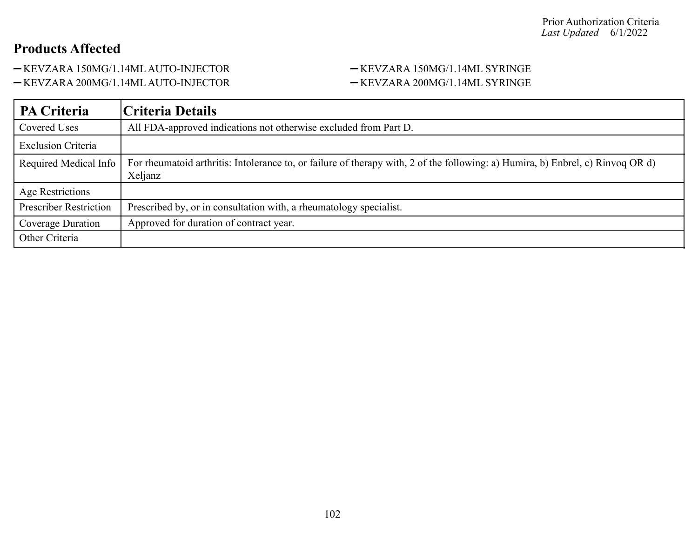-KEVZARA 150MG/1.14ML AUTO-INJECTOR - KEVZARA 150MG/1.14ML SYRINGE

-KEVZARA 200MG/1.14ML AUTO-INJECTOR - KEVZARA 200MG/1.14ML SYRINGE

| PA Criteria                   | Criteria Details                                                                                                                           |
|-------------------------------|--------------------------------------------------------------------------------------------------------------------------------------------|
| Covered Uses                  | All FDA-approved indications not otherwise excluded from Part D.                                                                           |
| <b>Exclusion Criteria</b>     |                                                                                                                                            |
| Required Medical Info         | For rheumatoid arthritis: Intolerance to, or failure of therapy with, 2 of the following: a) Humira, b) Enbrel, c) Rinvoq OR d)<br>Xeljanz |
| <b>Age Restrictions</b>       |                                                                                                                                            |
| <b>Prescriber Restriction</b> | Prescribed by, or in consultation with, a rheumatology specialist.                                                                         |
| Coverage Duration             | Approved for duration of contract year.                                                                                                    |
| Other Criteria                |                                                                                                                                            |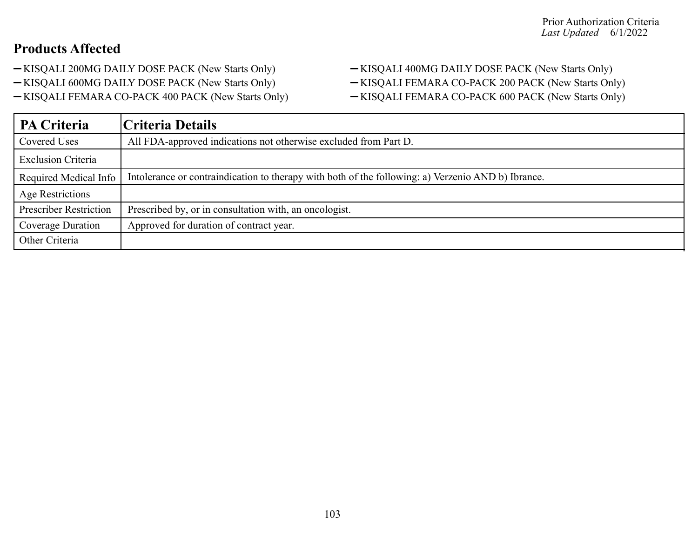- 
- 
- -KISQALI FEMARA CO-PACK 400 PACK (New Starts Only) KISQALI FEMARA CO-PACK 600 PACK (New Starts Only)

-KISQALI 200MG DAILY DOSE PACK (New Starts Only) - KISQALI 400MG DAILY DOSE PACK (New Starts Only) -KISQALI 600MG DAILY DOSE PACK (New Starts Only) - KISQALI FEMARA CO-PACK 200 PACK (New Starts Only)

| <b>PA Criteria</b>            | Criteria Details                                                                                   |
|-------------------------------|----------------------------------------------------------------------------------------------------|
| Covered Uses                  | All FDA-approved indications not otherwise excluded from Part D.                                   |
| <b>Exclusion Criteria</b>     |                                                                                                    |
| Required Medical Info         | Intolerance or contraindication to therapy with both of the following: a) Verzenio AND b) Ibrance. |
| <b>Age Restrictions</b>       |                                                                                                    |
| <b>Prescriber Restriction</b> | Prescribed by, or in consultation with, an oncologist.                                             |
| Coverage Duration             | Approved for duration of contract year.                                                            |
| Other Criteria                |                                                                                                    |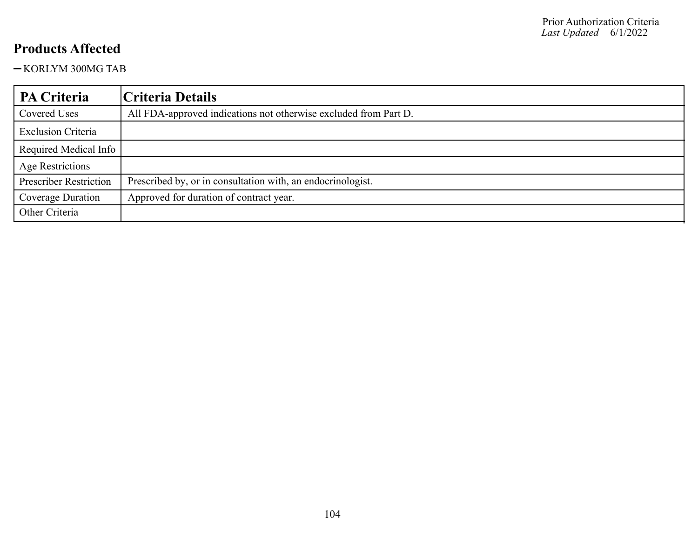-KORLYM 300MG TAB

| <b>PA Criteria</b>            | Criteria Details                                                 |
|-------------------------------|------------------------------------------------------------------|
| <b>Covered Uses</b>           | All FDA-approved indications not otherwise excluded from Part D. |
| <b>Exclusion Criteria</b>     |                                                                  |
| Required Medical Info         |                                                                  |
| Age Restrictions              |                                                                  |
| <b>Prescriber Restriction</b> | Prescribed by, or in consultation with, an endocrinologist.      |
| Coverage Duration             | Approved for duration of contract year.                          |
| Other Criteria                |                                                                  |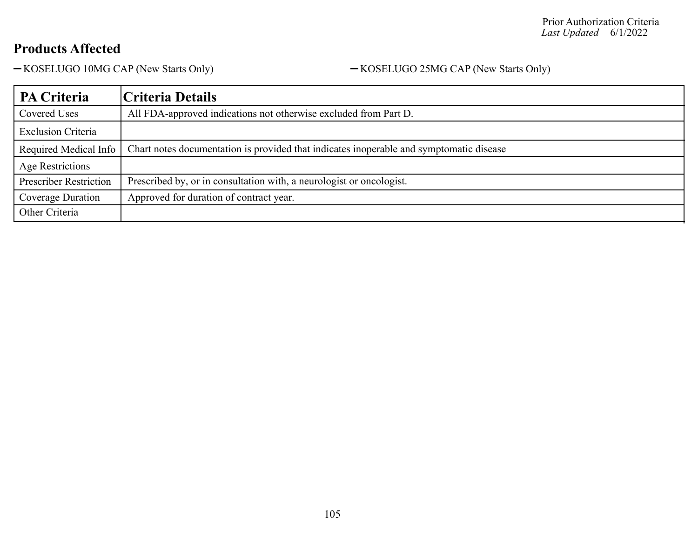-KOSELUGO 10MG CAP (New Starts Only) - KOSELUGO 25MG CAP (New Starts Only)

| <b>PA Criteria</b>            | Criteria Details                                                                        |
|-------------------------------|-----------------------------------------------------------------------------------------|
| <b>Covered Uses</b>           | All FDA-approved indications not otherwise excluded from Part D.                        |
| <b>Exclusion Criteria</b>     |                                                                                         |
| Required Medical Info         | Chart notes documentation is provided that indicates inoperable and symptomatic disease |
| Age Restrictions              |                                                                                         |
| <b>Prescriber Restriction</b> | Prescribed by, or in consultation with, a neurologist or oncologist.                    |
| Coverage Duration             | Approved for duration of contract year.                                                 |
| Other Criteria                |                                                                                         |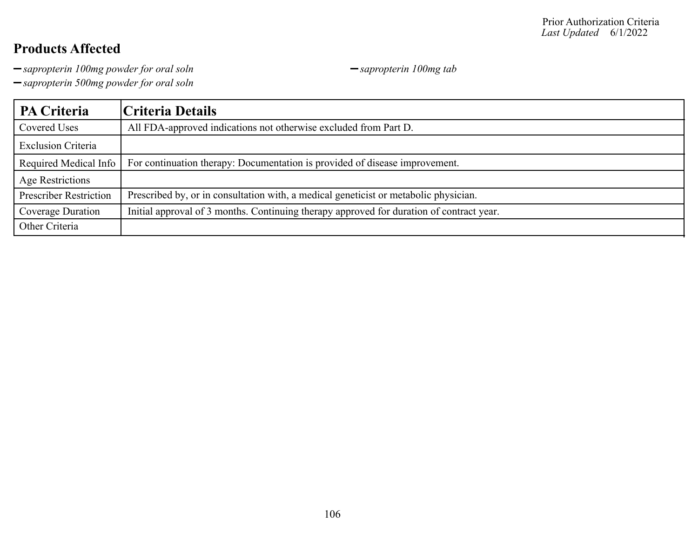-sapropterin 100mg powder for oral soln **sample 3** sapropterin 100mg tab

*sapropterin 500mg powder for oral soln*

| PA Criteria                   | Criteria Details                                                                         |
|-------------------------------|------------------------------------------------------------------------------------------|
| Covered Uses                  | All FDA-approved indications not otherwise excluded from Part D.                         |
| <b>Exclusion Criteria</b>     |                                                                                          |
| Required Medical Info         | For continuation therapy: Documentation is provided of disease improvement.              |
| Age Restrictions              |                                                                                          |
| <b>Prescriber Restriction</b> | Prescribed by, or in consultation with, a medical geneticist or metabolic physician.     |
| Coverage Duration             | Initial approval of 3 months. Continuing therapy approved for duration of contract year. |
| Other Criteria                |                                                                                          |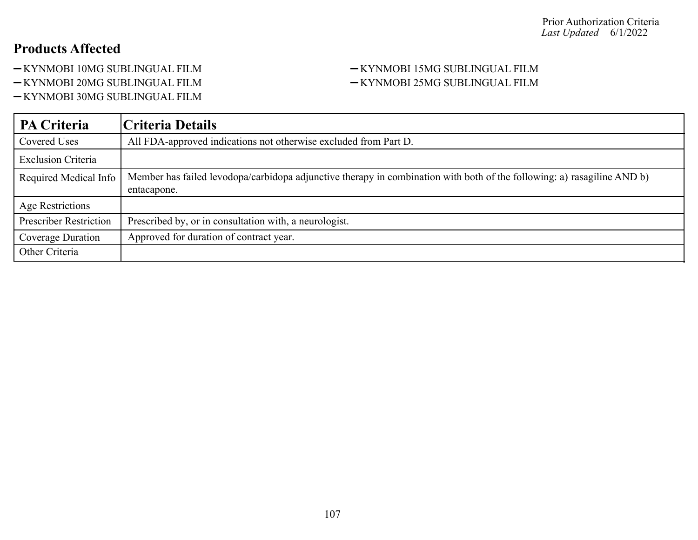- 
- 
- -KYNMOBI 30MG SUBLINGUAL FILM

#### -KYNMOBI 10MG SUBLINGUAL FILM <br/>-KYNMOBI 15MG SUBLINGUAL FILM -KYNMOBI 20MG SUBLINGUAL FILM <br/>- KYNMOBI 25MG SUBLINGUAL FILM

| <b>PA Criteria</b>            | Criteria Details                                                                                                                       |
|-------------------------------|----------------------------------------------------------------------------------------------------------------------------------------|
| Covered Uses                  | All FDA-approved indications not otherwise excluded from Part D.                                                                       |
| <b>Exclusion Criteria</b>     |                                                                                                                                        |
| Required Medical Info         | Member has failed levodopa/carbidopa adjunctive therapy in combination with both of the following: a) rasagiline AND b)<br>entacapone. |
| Age Restrictions              |                                                                                                                                        |
| <b>Prescriber Restriction</b> | Prescribed by, or in consultation with, a neurologist.                                                                                 |
| Coverage Duration             | Approved for duration of contract year.                                                                                                |
| Other Criteria                |                                                                                                                                        |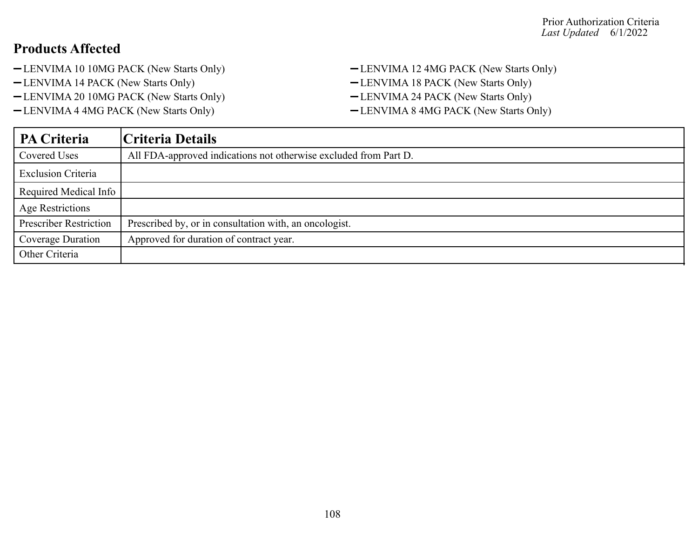- -LENVIMA 10 10MG PACK (New Starts Only) LENVIMA 12 4MG PACK (New Starts Only)
- -LENVIMA 14 PACK (New Starts Only) LENVIMA 18 PACK (New Starts Only)
- -LENVIMA 20 10MG PACK (New Starts Only) LENVIMA 24 PACK (New Starts Only)
- -LENVIMA 4 4MG PACK (New Starts Only) LENVIMA 8 4MG PACK (New Starts Only)
- 
- 
- -

| PA Criteria                   | Criteria Details                                                 |
|-------------------------------|------------------------------------------------------------------|
| Covered Uses                  | All FDA-approved indications not otherwise excluded from Part D. |
| <b>Exclusion Criteria</b>     |                                                                  |
| Required Medical Info         |                                                                  |
| Age Restrictions              |                                                                  |
| <b>Prescriber Restriction</b> | Prescribed by, or in consultation with, an oncologist.           |
| Coverage Duration             | Approved for duration of contract year.                          |
| Other Criteria                |                                                                  |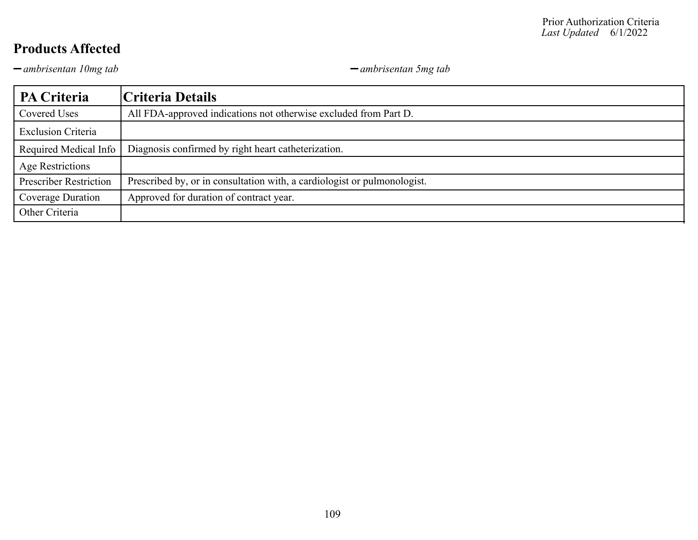*ambrisentan 10mg tab ambrisentan 5mg tab*

| PA Criteria                   | Criteria Details                                                         |
|-------------------------------|--------------------------------------------------------------------------|
| Covered Uses                  | All FDA-approved indications not otherwise excluded from Part D.         |
| <b>Exclusion Criteria</b>     |                                                                          |
| Required Medical Info         | Diagnosis confirmed by right heart catheterization.                      |
| Age Restrictions              |                                                                          |
| <b>Prescriber Restriction</b> | Prescribed by, or in consultation with, a cardiologist or pulmonologist. |
| Coverage Duration             | Approved for duration of contract year.                                  |
| Other Criteria                |                                                                          |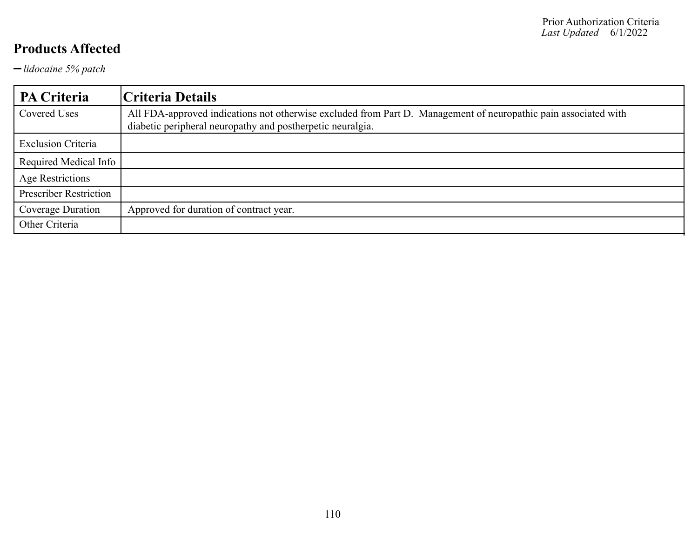*lidocaine 5% patch*

| PA Criteria                   | Criteria Details                                                                                                                                                              |
|-------------------------------|-------------------------------------------------------------------------------------------------------------------------------------------------------------------------------|
| Covered Uses                  | All FDA-approved indications not otherwise excluded from Part D. Management of neuropathic pain associated with<br>diabetic peripheral neuropathy and postherpetic neuralgia. |
| <b>Exclusion Criteria</b>     |                                                                                                                                                                               |
| Required Medical Info         |                                                                                                                                                                               |
| Age Restrictions              |                                                                                                                                                                               |
| <b>Prescriber Restriction</b> |                                                                                                                                                                               |
| Coverage Duration             | Approved for duration of contract year.                                                                                                                                       |
| Other Criteria                |                                                                                                                                                                               |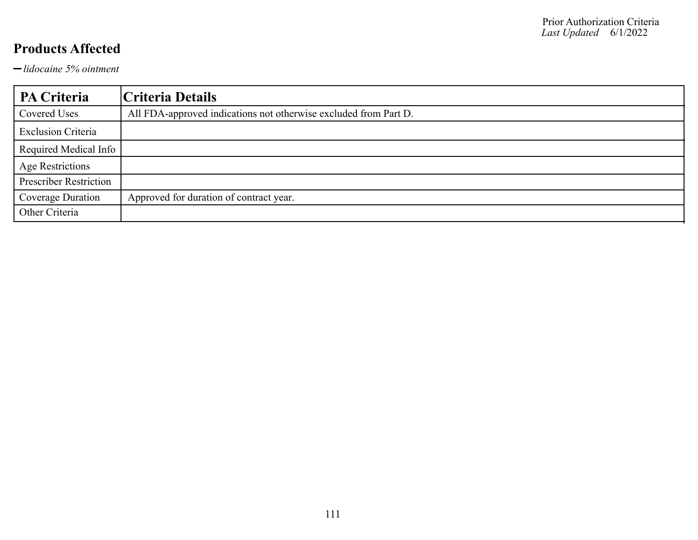*lidocaine 5% ointment*

| PA Criteria                   | Criteria Details                                                 |
|-------------------------------|------------------------------------------------------------------|
| Covered Uses                  | All FDA-approved indications not otherwise excluded from Part D. |
| <b>Exclusion Criteria</b>     |                                                                  |
| Required Medical Info         |                                                                  |
| <b>Age Restrictions</b>       |                                                                  |
| <b>Prescriber Restriction</b> |                                                                  |
| Coverage Duration             | Approved for duration of contract year.                          |
| Other Criteria                |                                                                  |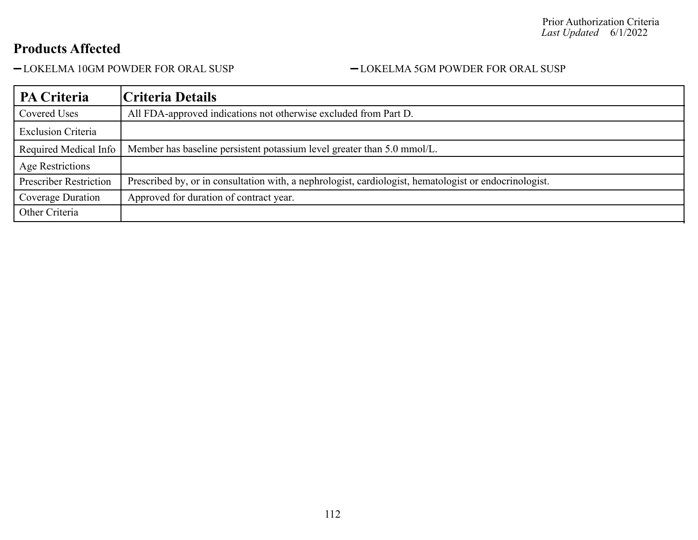#### -LOKELMA 10GM POWDER FOR ORAL SUSP - LOKELMA 5GM POWDER FOR ORAL SUSP

| PA Criteria                   | Criteria Details                                                                                       |
|-------------------------------|--------------------------------------------------------------------------------------------------------|
| Covered Uses                  | All FDA-approved indications not otherwise excluded from Part D.                                       |
| <b>Exclusion Criteria</b>     |                                                                                                        |
| Required Medical Info         | Member has baseline persistent potassium level greater than 5.0 mmol/L.                                |
| Age Restrictions              |                                                                                                        |
| <b>Prescriber Restriction</b> | Prescribed by, or in consultation with, a nephrologist, cardiologist, hematologist or endocrinologist. |
| Coverage Duration             | Approved for duration of contract year.                                                                |
| Other Criteria                |                                                                                                        |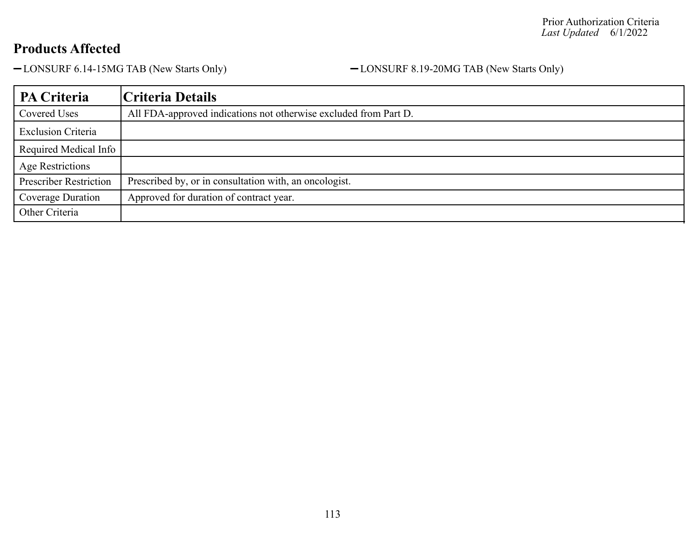-LONSURF 6.14-15MG TAB (New Starts Only) - LONSURF 8.19-20MG TAB (New Starts Only)

| <b>PA Criteria</b>            | Criteria Details                                                 |
|-------------------------------|------------------------------------------------------------------|
| Covered Uses                  | All FDA-approved indications not otherwise excluded from Part D. |
| <b>Exclusion Criteria</b>     |                                                                  |
| Required Medical Info         |                                                                  |
| <b>Age Restrictions</b>       |                                                                  |
| <b>Prescriber Restriction</b> | Prescribed by, or in consultation with, an oncologist.           |
| Coverage Duration             | Approved for duration of contract year.                          |
| Other Criteria                |                                                                  |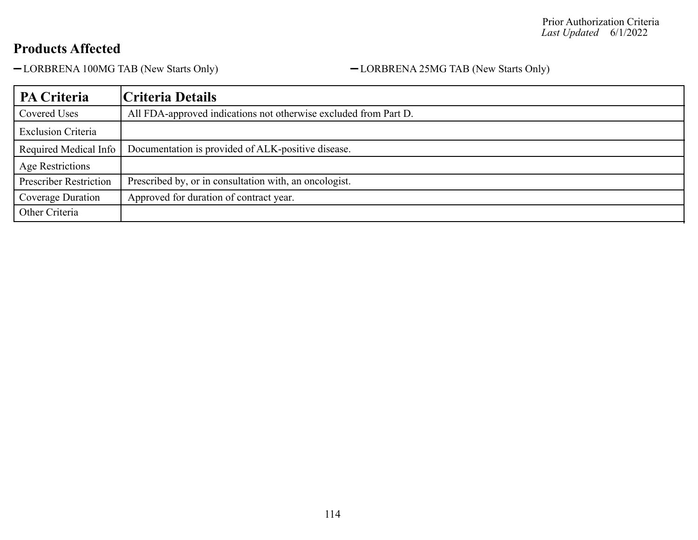-LORBRENA 100MG TAB (New Starts Only) - CORBRENA 25MG TAB (New Starts Only)

| PA Criteria                   | Criteria Details                                                 |
|-------------------------------|------------------------------------------------------------------|
| Covered Uses                  | All FDA-approved indications not otherwise excluded from Part D. |
| <b>Exclusion Criteria</b>     |                                                                  |
| Required Medical Info         | Documentation is provided of ALK-positive disease.               |
| Age Restrictions              |                                                                  |
| <b>Prescriber Restriction</b> | Prescribed by, or in consultation with, an oncologist.           |
| Coverage Duration             | Approved for duration of contract year.                          |
| Other Criteria                |                                                                  |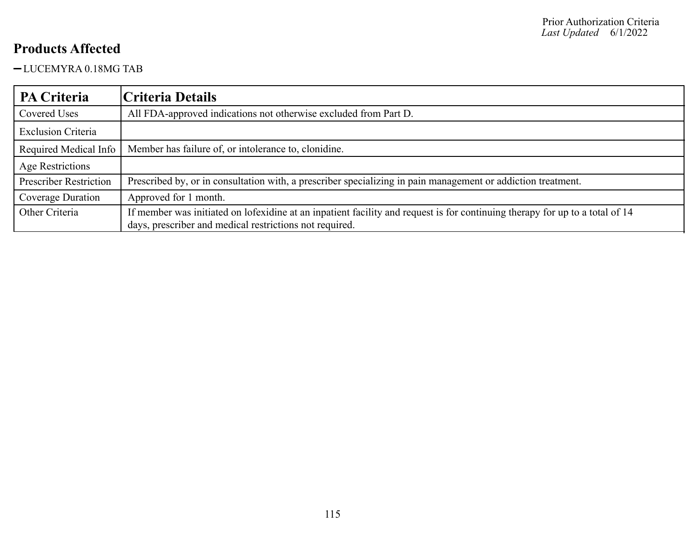#### LUCEMYRA 0.18MG TAB

| PA Criteria                   | Criteria Details                                                                                                                                                                        |
|-------------------------------|-----------------------------------------------------------------------------------------------------------------------------------------------------------------------------------------|
| Covered Uses                  | All FDA-approved indications not otherwise excluded from Part D.                                                                                                                        |
| <b>Exclusion Criteria</b>     |                                                                                                                                                                                         |
| Required Medical Info         | Member has failure of, or intolerance to, clonidine.                                                                                                                                    |
| Age Restrictions              |                                                                                                                                                                                         |
| <b>Prescriber Restriction</b> | Prescribed by, or in consultation with, a prescriber specializing in pain management or addiction treatment.                                                                            |
| Coverage Duration             | Approved for 1 month.                                                                                                                                                                   |
| Other Criteria                | If member was initiated on lofexidine at an inpatient facility and request is for continuing therapy for up to a total of 14<br>days, prescriber and medical restrictions not required. |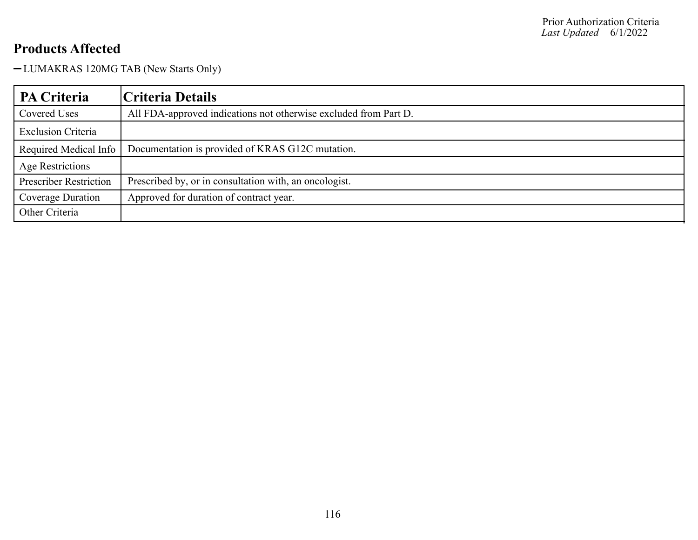LUMAKRAS 120MG TAB (New Starts Only)

| <b>PA Criteria</b>            | Criteria Details                                                 |
|-------------------------------|------------------------------------------------------------------|
| Covered Uses                  | All FDA-approved indications not otherwise excluded from Part D. |
| <b>Exclusion Criteria</b>     |                                                                  |
| Required Medical Info         | Documentation is provided of KRAS G12C mutation.                 |
| Age Restrictions              |                                                                  |
| <b>Prescriber Restriction</b> | Prescribed by, or in consultation with, an oncologist.           |
| Coverage Duration             | Approved for duration of contract year.                          |
| Other Criteria                |                                                                  |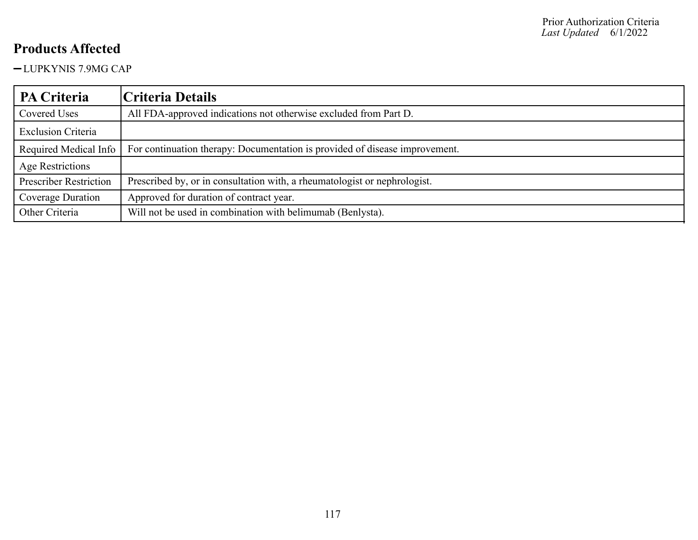-LUPKYNIS 7.9MG CAP

| <b>PA Criteria</b>            | Criteria Details                                                            |
|-------------------------------|-----------------------------------------------------------------------------|
| Covered Uses                  | All FDA-approved indications not otherwise excluded from Part D.            |
| <b>Exclusion Criteria</b>     |                                                                             |
| Required Medical Info         | For continuation therapy: Documentation is provided of disease improvement. |
| Age Restrictions              |                                                                             |
| <b>Prescriber Restriction</b> | Prescribed by, or in consultation with, a rheumatologist or nephrologist.   |
| Coverage Duration             | Approved for duration of contract year.                                     |
| Other Criteria                | Will not be used in combination with belimumab (Benlysta).                  |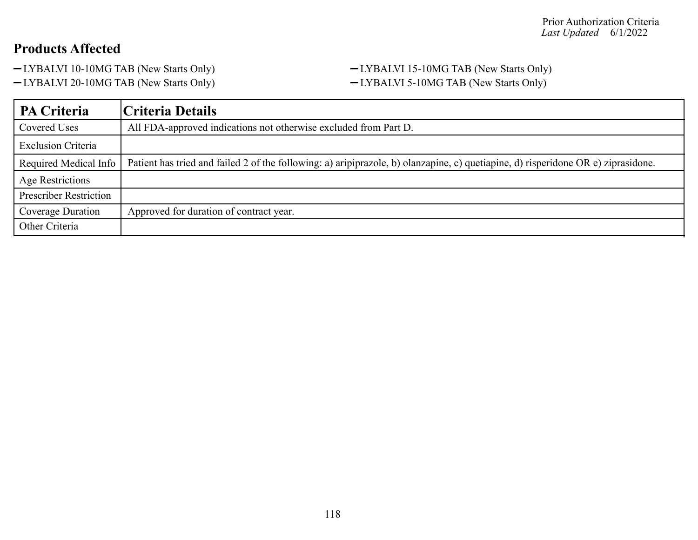-LYBALVI 20-10MG TAB (New Starts Only) - LYBALVI 5-10MG TAB (New Starts Only)

# -LYBALVI 10-10MG TAB (New Starts Only) - LYBALVI 15-10MG TAB (New Starts Only)

| <b>PA Criteria</b>            | Criteria Details                                                                                                                  |
|-------------------------------|-----------------------------------------------------------------------------------------------------------------------------------|
| Covered Uses                  | All FDA-approved indications not otherwise excluded from Part D.                                                                  |
| <b>Exclusion Criteria</b>     |                                                                                                                                   |
| Required Medical Info         | Patient has tried and failed 2 of the following: a) aripiprazole, b) olanzapine, c) quetiapine, d) risperidone OR e) ziprasidone. |
| Age Restrictions              |                                                                                                                                   |
| <b>Prescriber Restriction</b> |                                                                                                                                   |
| Coverage Duration             | Approved for duration of contract year.                                                                                           |
| Other Criteria                |                                                                                                                                   |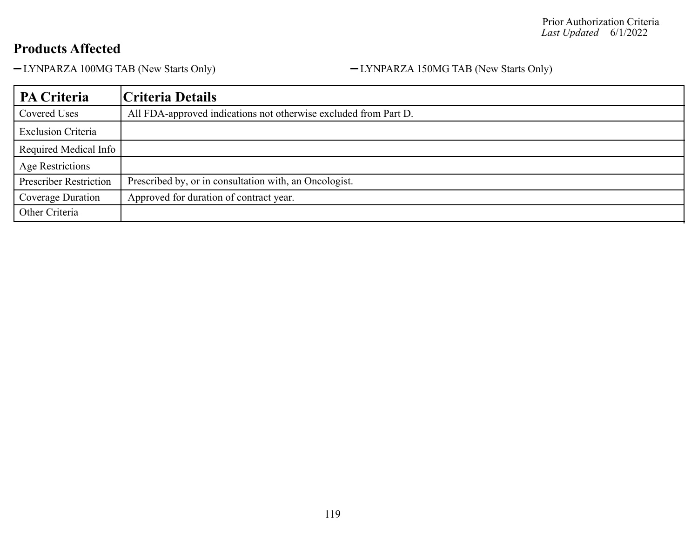LYNPARZA 100MG TAB (New Starts Only) LYNPARZA 150MG TAB (New Starts Only)

| PA Criteria                   | Criteria Details                                                 |
|-------------------------------|------------------------------------------------------------------|
| Covered Uses                  | All FDA-approved indications not otherwise excluded from Part D. |
| <b>Exclusion Criteria</b>     |                                                                  |
| Required Medical Info         |                                                                  |
| <b>Age Restrictions</b>       |                                                                  |
| <b>Prescriber Restriction</b> | Prescribed by, or in consultation with, an Oncologist.           |
| Coverage Duration             | Approved for duration of contract year.                          |
| Other Criteria                |                                                                  |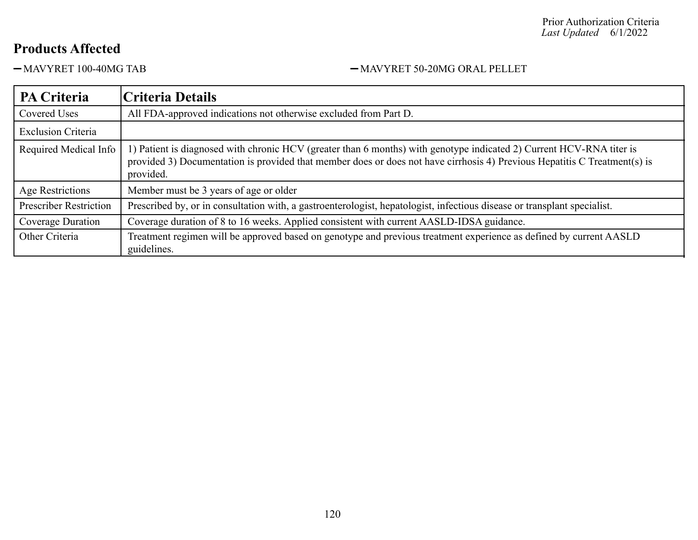#### Prior Authorization Criteria *Last Updated* 6/1/2022

#### **Products Affected**

#### -MAVYRET 100-40MG TAB - MAVYRET 50-20MG ORAL PELLET

| PA Criteria                   | Criteria Details                                                                                                                                                                                                                                               |
|-------------------------------|----------------------------------------------------------------------------------------------------------------------------------------------------------------------------------------------------------------------------------------------------------------|
| Covered Uses                  | All FDA-approved indications not otherwise excluded from Part D.                                                                                                                                                                                               |
| <b>Exclusion Criteria</b>     |                                                                                                                                                                                                                                                                |
| Required Medical Info         | 1) Patient is diagnosed with chronic HCV (greater than 6 months) with genotype indicated 2) Current HCV-RNA titer is<br>provided 3) Documentation is provided that member does or does not have cirrhosis 4) Previous Hepatitis C Treatment(s) is<br>provided. |
| Age Restrictions              | Member must be 3 years of age or older                                                                                                                                                                                                                         |
| <b>Prescriber Restriction</b> | Prescribed by, or in consultation with, a gastroenterologist, hepatologist, infectious disease or transplant specialist.                                                                                                                                       |
| Coverage Duration             | Coverage duration of 8 to 16 weeks. Applied consistent with current AASLD-IDSA guidance.                                                                                                                                                                       |
| Other Criteria                | Treatment regimen will be approved based on genotype and previous treatment experience as defined by current AASLD<br>guidelines.                                                                                                                              |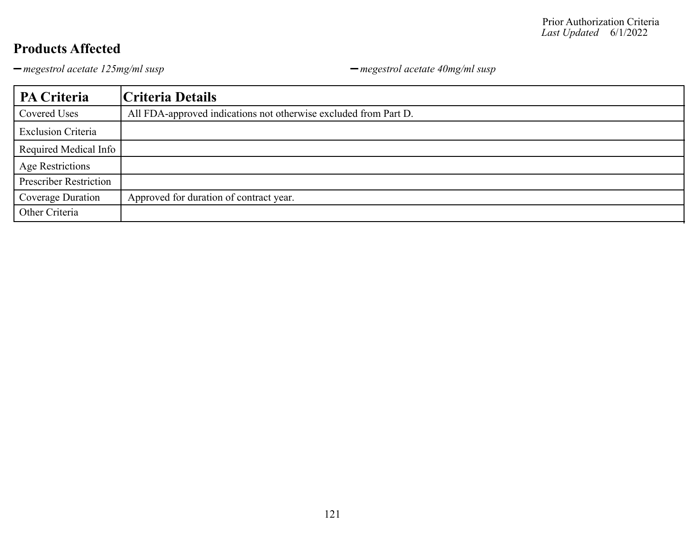*megestrol acetate 125mg/ml susp megestrol acetate 40mg/ml susp*

| PA Criteria                   | Criteria Details                                                 |
|-------------------------------|------------------------------------------------------------------|
| Covered Uses                  | All FDA-approved indications not otherwise excluded from Part D. |
| <b>Exclusion Criteria</b>     |                                                                  |
| Required Medical Info         |                                                                  |
| <b>Age Restrictions</b>       |                                                                  |
| <b>Prescriber Restriction</b> |                                                                  |
| Coverage Duration             | Approved for duration of contract year.                          |
| Other Criteria                |                                                                  |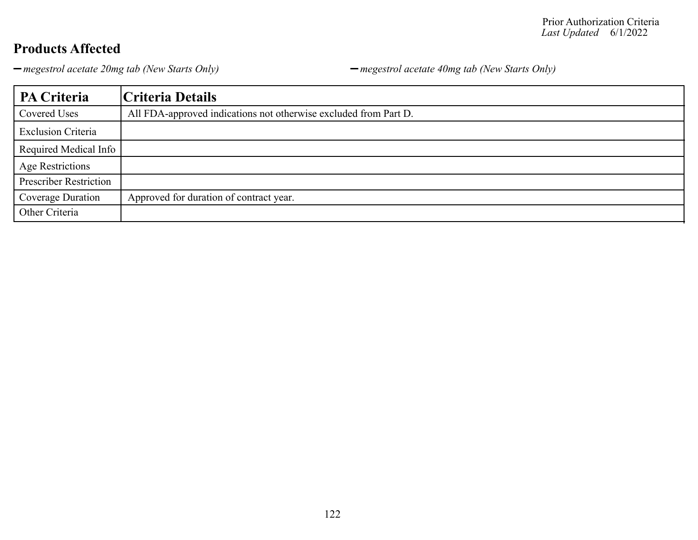*megestrol acetate 20mg tab (New Starts Only) megestrol acetate 40mg tab (New Starts Only)*

| PA Criteria                   | Criteria Details                                                 |
|-------------------------------|------------------------------------------------------------------|
| Covered Uses                  | All FDA-approved indications not otherwise excluded from Part D. |
| <b>Exclusion Criteria</b>     |                                                                  |
| Required Medical Info         |                                                                  |
| <b>Age Restrictions</b>       |                                                                  |
| <b>Prescriber Restriction</b> |                                                                  |
| Coverage Duration             | Approved for duration of contract year.                          |
| Other Criteria                |                                                                  |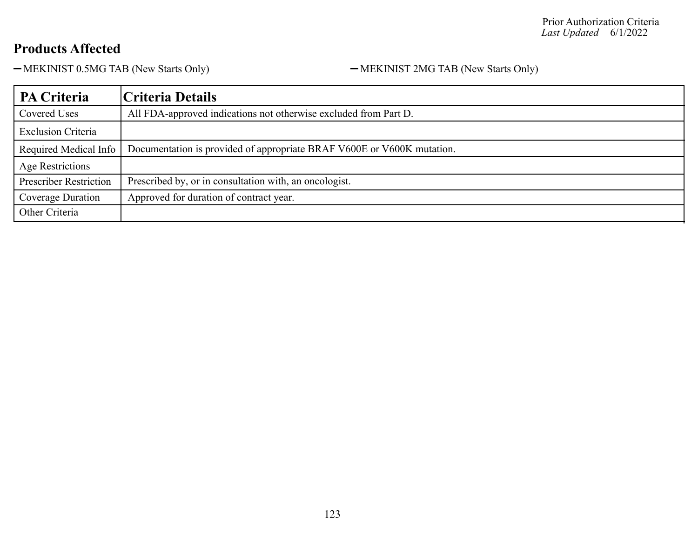-MEKINIST 0.5MG TAB (New Starts Only) - MEKINIST 2MG TAB (New Starts Only)

| <b>PA Criteria</b>            | Criteria Details                                                       |
|-------------------------------|------------------------------------------------------------------------|
| Covered Uses                  | All FDA-approved indications not otherwise excluded from Part D.       |
| <b>Exclusion Criteria</b>     |                                                                        |
| Required Medical Info         | Documentation is provided of appropriate BRAF V600E or V600K mutation. |
| Age Restrictions              |                                                                        |
| <b>Prescriber Restriction</b> | Prescribed by, or in consultation with, an oncologist.                 |
| Coverage Duration             | Approved for duration of contract year.                                |
| Other Criteria                |                                                                        |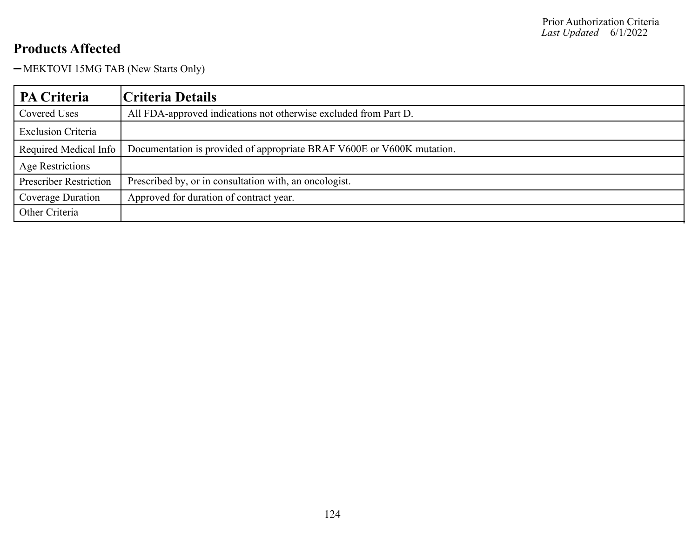-MEKTOVI 15MG TAB (New Starts Only)

| PA Criteria                   | Criteria Details                                                       |
|-------------------------------|------------------------------------------------------------------------|
| Covered Uses                  | All FDA-approved indications not otherwise excluded from Part D.       |
| <b>Exclusion Criteria</b>     |                                                                        |
| Required Medical Info         | Documentation is provided of appropriate BRAF V600E or V600K mutation. |
| Age Restrictions              |                                                                        |
| <b>Prescriber Restriction</b> | Prescribed by, or in consultation with, an oncologist.                 |
| Coverage Duration             | Approved for duration of contract year.                                |
| Other Criteria                |                                                                        |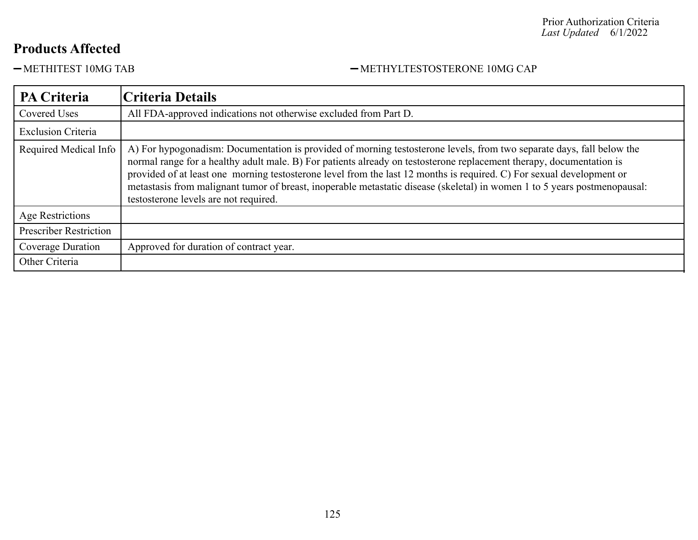#### Prior Authorization Criteria *Last Updated* 6/1/2022

#### **Products Affected**

#### $\begin{tabular}{ll} \bf -METHITEST 10MG TAB & \bf --METHYLTESTOSTERONE 10MG CAP \\ \end{tabular}$

| PA Criteria                   | <b>Criteria Details</b>                                                                                                                                                                                                                                                                                                                                                                                                                                                                                                                      |
|-------------------------------|----------------------------------------------------------------------------------------------------------------------------------------------------------------------------------------------------------------------------------------------------------------------------------------------------------------------------------------------------------------------------------------------------------------------------------------------------------------------------------------------------------------------------------------------|
| Covered Uses                  | All FDA-approved indications not otherwise excluded from Part D.                                                                                                                                                                                                                                                                                                                                                                                                                                                                             |
| <b>Exclusion Criteria</b>     |                                                                                                                                                                                                                                                                                                                                                                                                                                                                                                                                              |
| Required Medical Info         | A) For hypogonadism: Documentation is provided of morning testosterone levels, from two separate days, fall below the<br>normal range for a healthy adult male. B) For patients already on testosterone replacement therapy, documentation is<br>provided of at least one morning testosterone level from the last 12 months is required. C) For sexual development or<br>metastasis from malignant tumor of breast, inoperable metastatic disease (skeletal) in women 1 to 5 years postmenopausal:<br>testosterone levels are not required. |
| Age Restrictions              |                                                                                                                                                                                                                                                                                                                                                                                                                                                                                                                                              |
| <b>Prescriber Restriction</b> |                                                                                                                                                                                                                                                                                                                                                                                                                                                                                                                                              |
| Coverage Duration             | Approved for duration of contract year.                                                                                                                                                                                                                                                                                                                                                                                                                                                                                                      |
| Other Criteria                |                                                                                                                                                                                                                                                                                                                                                                                                                                                                                                                                              |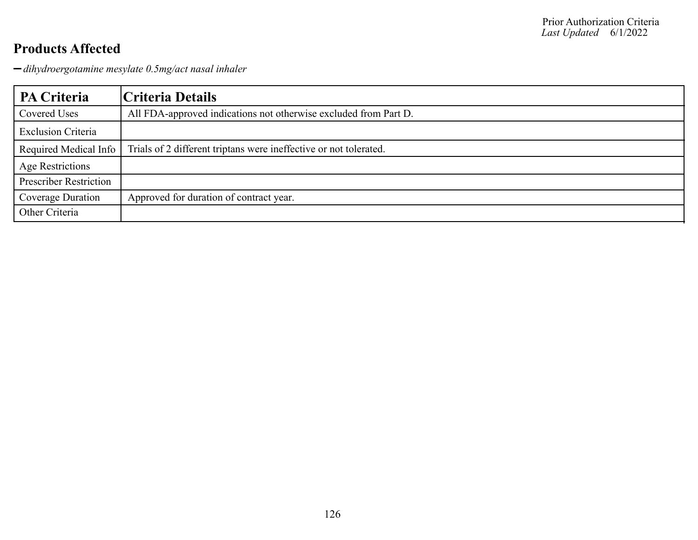*dihydroergotamine mesylate 0.5mg/act nasal inhaler*

| PA Criteria                   | Criteria Details                                                  |
|-------------------------------|-------------------------------------------------------------------|
| Covered Uses                  | All FDA-approved indications not otherwise excluded from Part D.  |
| <b>Exclusion Criteria</b>     |                                                                   |
| Required Medical Info         | Trials of 2 different triptans were ineffective or not tolerated. |
| <b>Age Restrictions</b>       |                                                                   |
| <b>Prescriber Restriction</b> |                                                                   |
| Coverage Duration             | Approved for duration of contract year.                           |
| Other Criteria                |                                                                   |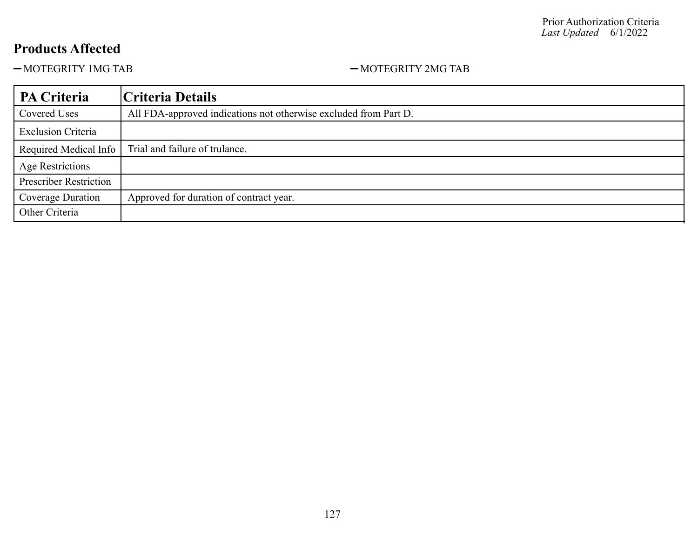$-MOTEGRITY$  1MG TAB  $-MOTEGRITY$  2MG TAB

| PA Criteria                   | Criteria Details                                                 |
|-------------------------------|------------------------------------------------------------------|
| Covered Uses                  | All FDA-approved indications not otherwise excluded from Part D. |
| <b>Exclusion Criteria</b>     |                                                                  |
| Required Medical Info         | Trial and failure of trulance.                                   |
| <b>Age Restrictions</b>       |                                                                  |
| <b>Prescriber Restriction</b> |                                                                  |
| Coverage Duration             | Approved for duration of contract year.                          |
| Other Criteria                |                                                                  |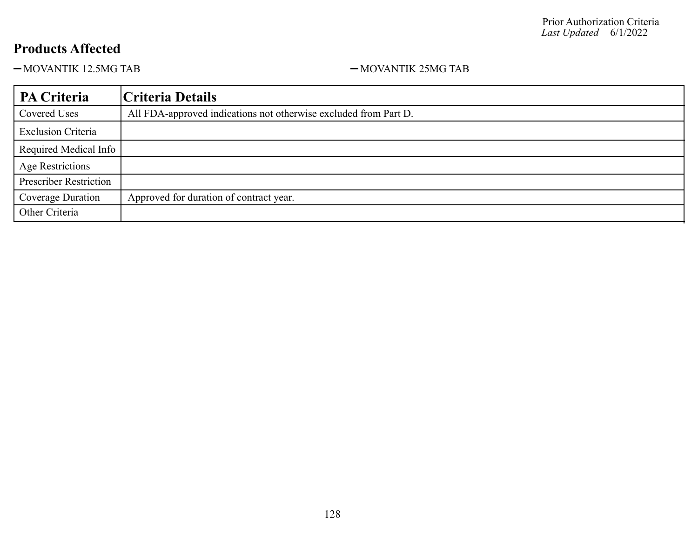-MOVANTIK 12.5MG TAB 12.5MG TAB 12.5MG TAB

| PA Criteria                   | Criteria Details                                                 |
|-------------------------------|------------------------------------------------------------------|
| Covered Uses                  | All FDA-approved indications not otherwise excluded from Part D. |
| <b>Exclusion Criteria</b>     |                                                                  |
| Required Medical Info         |                                                                  |
| <b>Age Restrictions</b>       |                                                                  |
| <b>Prescriber Restriction</b> |                                                                  |
| Coverage Duration             | Approved for duration of contract year.                          |
| Other Criteria                |                                                                  |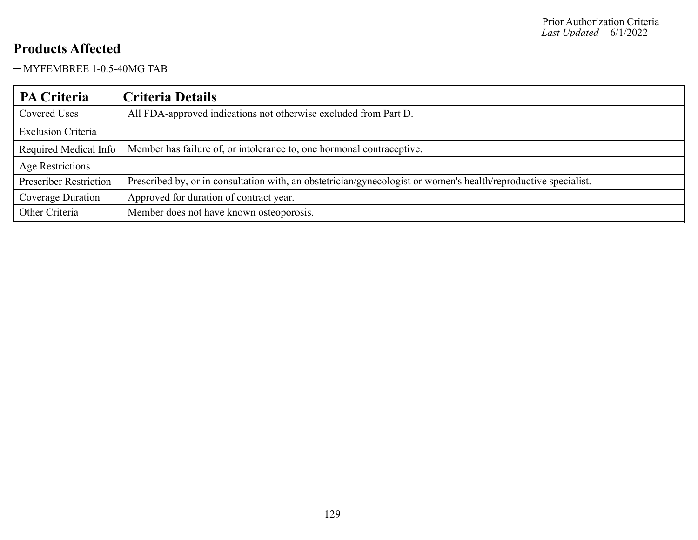MYFEMBREE 1-0.5-40MG TAB

| PA Criteria                   | Criteria Details                                                                                                |
|-------------------------------|-----------------------------------------------------------------------------------------------------------------|
| Covered Uses                  | All FDA-approved indications not otherwise excluded from Part D.                                                |
| <b>Exclusion Criteria</b>     |                                                                                                                 |
| Required Medical Info         | Member has failure of, or intolerance to, one hormonal contraceptive.                                           |
| <b>Age Restrictions</b>       |                                                                                                                 |
| <b>Prescriber Restriction</b> | Prescribed by, or in consultation with, an obstetrician/gynecologist or women's health/reproductive specialist. |
| Coverage Duration             | Approved for duration of contract year.                                                                         |
| Other Criteria                | Member does not have known osteoporosis.                                                                        |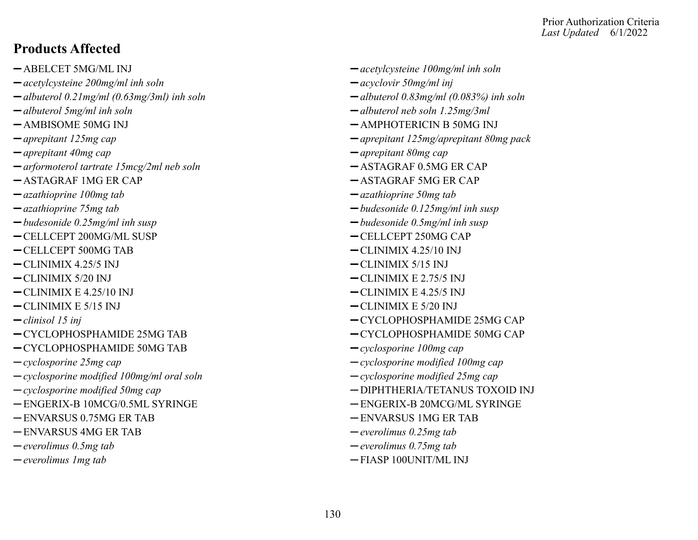#### Prior Authorization Criteria *Last Updated* 6/1/2022

#### **Products Affected**

- 
- *acetylcysteine 200mg/ml inh soln acyclovir 50mg/ml inj*
- *albuterol 0.21mg/ml (0.63mg/3ml) inh soln albuterol 0.83mg/ml (0.083%) inh soln*
- 
- 
- 
- *aprepitant 40mg cap aprepitant 80mg cap*
- $-$ arformoterol tartrate 15mcg/2ml neb soln  $-$ ASTAGRAF 0.5MG ER CAP
- $-$ ASTAGRAF 1MG ER CAP  $-$ ASTAGRAF 5MG ER CAP
- *azathioprine 100mg tab azathioprine 50mg tab*
- 
- *budesonide 0.25mg/ml inh susp budesonide 0.5mg/ml inh susp*
- -CELLCEPT 200MG/ML SUSP CELLCEPT 250MG CAP
- -CELLCEPT 500MG TAB  $-CLINIMIX 4.25/10 INJ$
- CLINIMIX 4.25/5 INJ CLINIMIX 5/15 INJ
- 
- CLINIMIX E 4.25/10 INJ CLINIMIX E 4.25/5 INJ
- CLINIMIX E 5/15 INJ CLINIMIX E 5/20 INJ
- 
- $-CYCLOPHOSPHAMIDE 25MG TAB$   $-CYCLOPHOSPHAMIDE 50MG CAP$
- CYCLOPHOSPHAMIDE 50MG TAB *cyclosporine 100mg cap*
- 
- *cyclosporine modified 100mg/ml oral soln cyclosporine modified 25mg cap*
- 
- ENGERIX-B 10MCG/0.5ML SYRINGE ENGERIX-B 20MCG/ML SYRINGE
- ENVARSUS 0.75MG ER TAB ENVARSUS 1MG ER TAB
- ENVARSUS 4MG ER TAB *everolimus 0.25mg tab*
- 
- 
- ABELCET 5MG/ML INJ *acetylcysteine 100mg/ml inh soln*
	-
	-
- *albuterol 5mg/ml inh soln albuterol neb soln 1.25mg/3ml*
- AMBISOME 50MG INJ  $-$  AMPHOTERICIN B 50MG INJ
- *aprepitant 125mg cap aprepitant 125mg/aprepitant 80mg pack*
	-
	-
	-
	-
- *azathioprine 75mg tab budesonide 0.125mg/ml inh susp*
	-
	-
	-
	-
- CLINIMIX 5/20 INJ CLINIMIX E 2.75/5 INJ
	-
	-
- *clinisol 15 inj* CYCLOPHOSPHAMIDE 25MG CAP
	-
	-
- *cyclosporine 25mg cap cyclosporine modified 100mg cap*
	-
- <sup>-</sup> *cyclosporine modified 50mg cap*  $-$  *DIPHTHERIA/TETANUS TOXOID INJ* 
	-
	-
	-
- *everolimus 0.5mg tab everolimus 0.75mg tab*
- *everolimus 1mg tab*  $-$  FIASP 100UNIT/ML INJ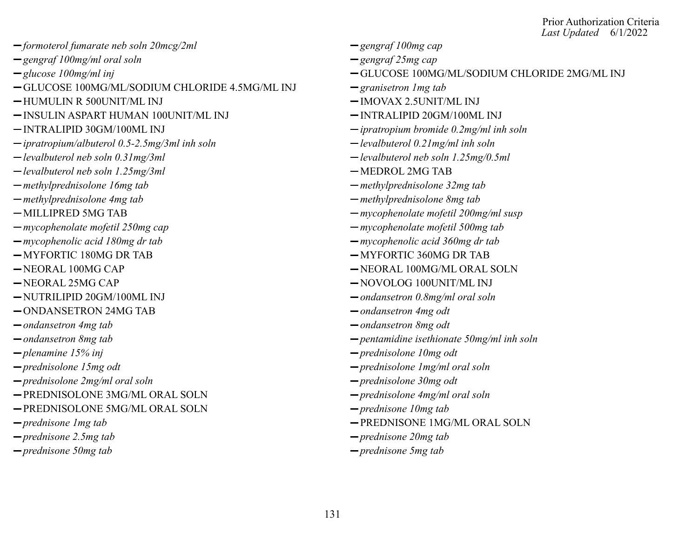- *formoterol fumarate neb soln 20mcg/2ml gengraf 100mg cap*
- *gengraf 100mg/ml oral soln gengraf 25mg cap*
- 
- GLUCOSE 100MG/ML/SODIUM CHLORIDE 4.5MG/ML INJ *granisetron 1mg tab*
- HUMULIN R 500UNIT/ML INJ IMOVAX 2.5UNIT/ML INJ
- INSULIN ASPART HUMAN 100UNIT/ML INJ INTRALIPID 20GM/100ML INJ
- 
- *ipratropium/albuterol 0.5-2.5mg/3ml inh soln levalbuterol 0.21mg/ml inh soln*
- 
- $-\text{level}$  *levalbuterol neb soln 1.25mg/3ml* MEDROL 2MG TAB
- *methylprednisolone 16mg tab methylprednisolone 32mg tab*
- *methylprednisolone 4mg tab methylprednisolone 8mg tab*
- 
- *mycophenolate mofetil 250mg cap mycophenolate mofetil 500mg tab*
- 
- 
- 
- 
- NUTRILIPID 20GM/100ML INJ *ondansetron 0.8mg/ml oral soln*
- ONDANSETRON 24MG TAB *ondansetron 4mg odt*
- *ondansetron 4mg tab ondansetron 8mg odt*
- 
- 
- 
- *prednisolone 2mg/ml oral soln prednisolone 30mg odt*
- PREDNISOLONE 3MG/ML ORAL SOLN *prednisolone 4mg/ml oral soln*
- PREDNISOLONE 5MG/ML ORAL SOLN *prednisone 10mg tab*
- 
- *prednisone 2.5mg tab prednisone 20mg tab*
- *prednisone 50mg tab prednisone 5mg tab*
- 
- 
- *glucose 100mg/ml inj* GLUCOSE 100MG/ML/SODIUM CHLORIDE 2MG/ML INJ
	-
	-
	-
- INTRALIPID 30GM/100ML INJ *ipratropium bromide 0.2mg/ml inh soln*
	-
- *levalbuterol neb soln 0.31mg/3ml levalbuterol neb soln 1.25mg/0.5ml*
	-
	-
	-
- MILLIPRED 5MG TAB *mycophenolate mofetil 200mg/ml susp*
	-
- *mycophenolic acid 180mg dr tab mycophenolic acid 360mg dr tab*
- $-MYFORTIC 180MG DR TAB$   $-MYFORTIC 360MG DR TAB$
- $-$ NEORAL 100MG CAP  $-$ NEORAL 100MG/ML ORAL SOLN
- $-$ NEORAL 25MG CAP  $-$ NOVOLOG 100UNIT/ML INJ
	-
	-
	-
- *ondansetron 8mg tab pentamidine isethionate 50mg/ml inh soln*
- *plenamine 15% inj prednisolone 10mg odt*
- *prednisolone 15mg odt prednisolone 1mg/ml oral soln*
	-
	-
	-
- *prednisone 1mg tab* PREDNISONE 1MG/ML ORAL SOLN
	-
	-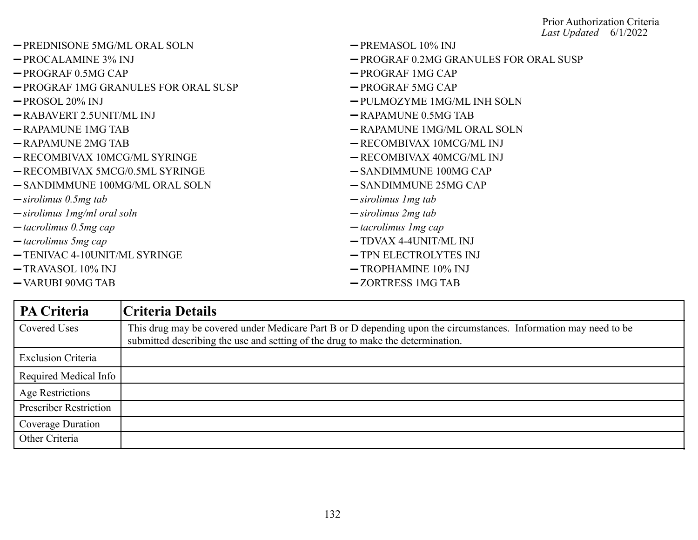| - PREDNISONE 5MG/ML ORAL SOLN       | $-$ PREMASOL 10% INJ                  |
|-------------------------------------|---------------------------------------|
| $-$ PROCALAMINE 3% INJ              | -PROGRAF 0.2MG GRANULES FOR ORAL SUSP |
| $-$ PROGRAF 0.5MG CAP               | -PROGRAF 1MG CAP                      |
| -PROGRAF 1MG GRANULES FOR ORAL SUSP | $-$ PROGRAF 5MG CAP                   |
| $-$ PROSOL 20% INJ                  | -PULMOZYME 1MG/ML INH SOLN            |
| $-RABAVERT 2.5UNIT/ML INJ$          | $-RAPAMUNE 0.5MG TAB$                 |
| $-RAPAMUNE$ 1MG TAB                 | -RAPAMUNE 1MG/ML ORAL SOLN            |
| $-RAPAMUNE 2MG TAB$                 | -RECOMBIVAX 10MCG/ML INJ              |
| -RECOMBIVAX 10MCG/ML SYRINGE        | -RECOMBIVAX 40MCG/ML INJ              |
| -RECOMBIVAX 5MCG/0.5ML SYRINGE      | -SANDIMMUNE 100MG CAP                 |
| -SANDIMMUNE 100MG/ML ORAL SOLN      | $-$ SANDIMMUNE 25MG CAP               |
| $-sirolimus 0.5mg tab$              | $\rightarrow$ sirolimus 1 mg tab      |
| $-$ sirolimus 1 mg/ml oral soln     | $-sirolimus 2mg tab$                  |
| $-$ tacrolimus 0.5mg cap            | $-$ tacrolimus 1 mg cap               |
| $-$ tacrolimus 5mg cap              | $-$ TDVAX 4-4UNIT/ML INJ              |
| -TENIVAC 4-10UNIT/ML SYRINGE        | -TPN ELECTROLYTES INJ                 |
| $-$ TRAVASOL 10% INJ                | $-$ TROPHAMINE 10% INJ                |
| -VARUBI 90MG TAB                    | -ZORTRESS 1MG TAB                     |

| PA Criteria                   | Criteria Details                                                                                                                                                                                    |
|-------------------------------|-----------------------------------------------------------------------------------------------------------------------------------------------------------------------------------------------------|
| Covered Uses                  | This drug may be covered under Medicare Part B or D depending upon the circumstances. Information may need to be<br>submitted describing the use and setting of the drug to make the determination. |
| <b>Exclusion Criteria</b>     |                                                                                                                                                                                                     |
| Required Medical Info         |                                                                                                                                                                                                     |
| Age Restrictions              |                                                                                                                                                                                                     |
| <b>Prescriber Restriction</b> |                                                                                                                                                                                                     |
| Coverage Duration             |                                                                                                                                                                                                     |
| Other Criteria                |                                                                                                                                                                                                     |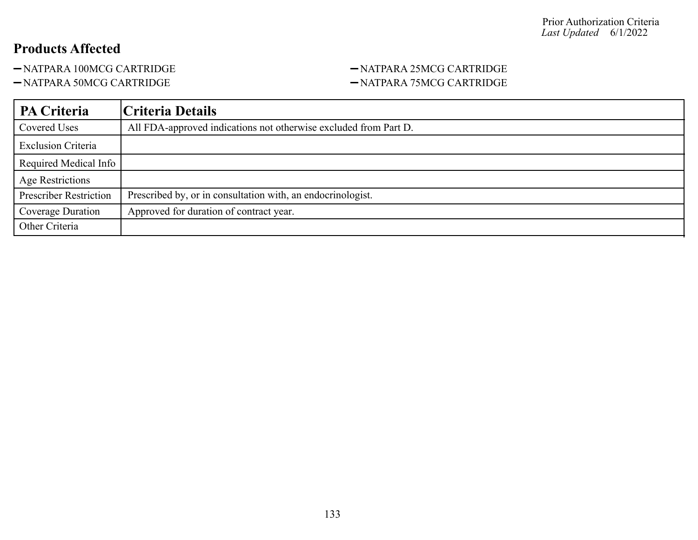-NATPARA 100MCG CARTRIDGE - NATPARA 25MCG CARTRIDGE

## -NATPARA 50MCG CARTRIDGE - NATPARA 75MCG CARTRIDGE

| <b>PA Criteria</b>            | Criteria Details                                                 |
|-------------------------------|------------------------------------------------------------------|
| Covered Uses                  | All FDA-approved indications not otherwise excluded from Part D. |
| <b>Exclusion Criteria</b>     |                                                                  |
| Required Medical Info         |                                                                  |
| Age Restrictions              |                                                                  |
| <b>Prescriber Restriction</b> | Prescribed by, or in consultation with, an endocrinologist.      |
| Coverage Duration             | Approved for duration of contract year.                          |
| Other Criteria                |                                                                  |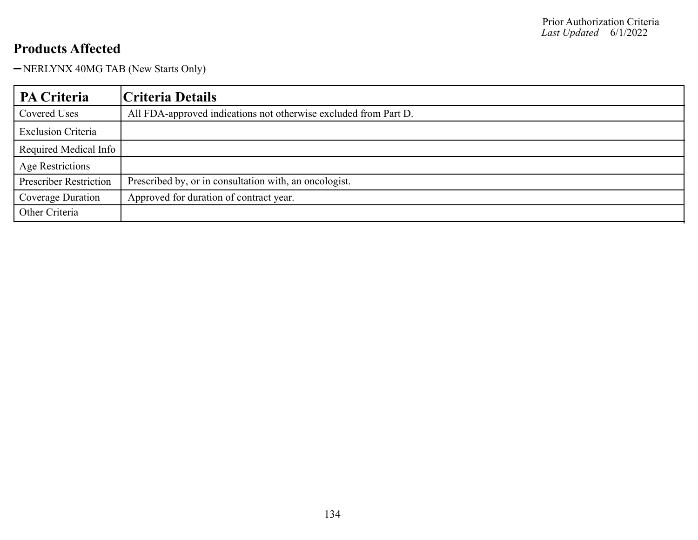-NERLYNX 40MG TAB (New Starts Only)

| <b>PA Criteria</b>            | Criteria Details                                                 |
|-------------------------------|------------------------------------------------------------------|
| Covered Uses                  | All FDA-approved indications not otherwise excluded from Part D. |
| <b>Exclusion Criteria</b>     |                                                                  |
| Required Medical Info         |                                                                  |
| <b>Age Restrictions</b>       |                                                                  |
| <b>Prescriber Restriction</b> | Prescribed by, or in consultation with, an oncologist.           |
| Coverage Duration             | Approved for duration of contract year.                          |
| Other Criteria                |                                                                  |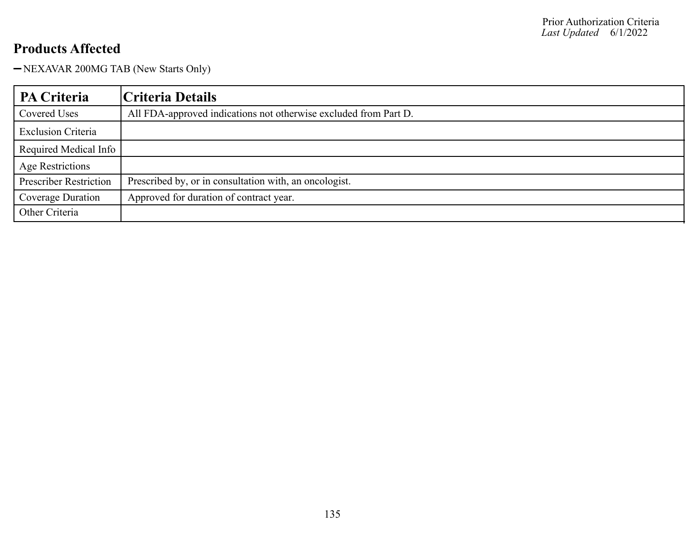-NEXAVAR 200MG TAB (New Starts Only)

| <b>PA Criteria</b>            | Criteria Details                                                 |
|-------------------------------|------------------------------------------------------------------|
| Covered Uses                  | All FDA-approved indications not otherwise excluded from Part D. |
| <b>Exclusion Criteria</b>     |                                                                  |
| Required Medical Info         |                                                                  |
| Age Restrictions              |                                                                  |
| <b>Prescriber Restriction</b> | Prescribed by, or in consultation with, an oncologist.           |
| Coverage Duration             | Approved for duration of contract year.                          |
| Other Criteria                |                                                                  |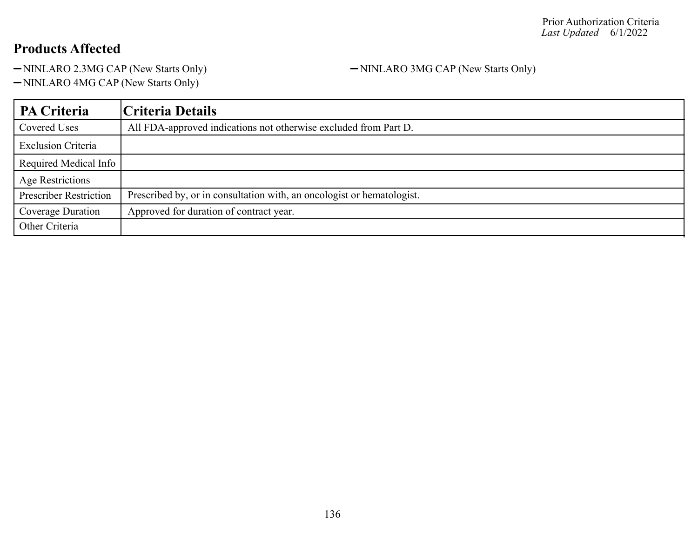-NINLARO 2.3MG CAP (New Starts Only) - NINLARO 3MG CAP (New Starts Only)

-NINLARO 4MG CAP (New Starts Only)

| PA Criteria                   | Criteria Details                                                       |
|-------------------------------|------------------------------------------------------------------------|
| Covered Uses                  | All FDA-approved indications not otherwise excluded from Part D.       |
| <b>Exclusion Criteria</b>     |                                                                        |
| Required Medical Info         |                                                                        |
| <b>Age Restrictions</b>       |                                                                        |
| <b>Prescriber Restriction</b> | Prescribed by, or in consultation with, an oncologist or hematologist. |
| Coverage Duration             | Approved for duration of contract year.                                |
| Other Criteria                |                                                                        |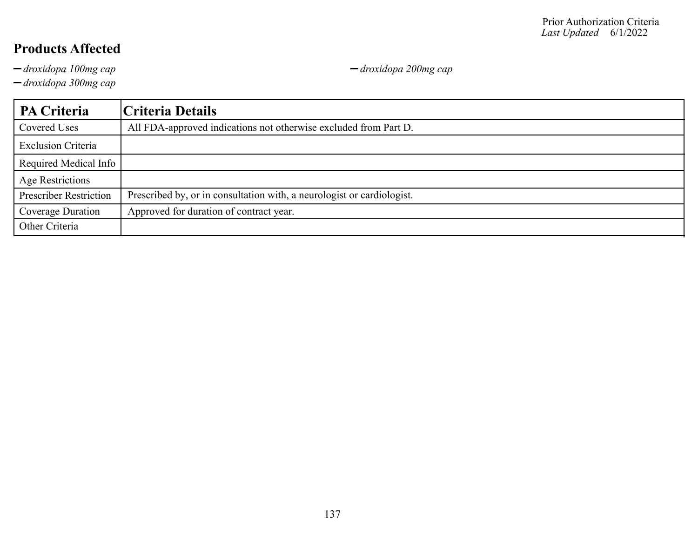*droxidopa 100mg cap droxidopa 200mg cap*

*droxidopa 300mg cap*

| <b>PA Criteria</b>            | Criteria Details                                                       |
|-------------------------------|------------------------------------------------------------------------|
| Covered Uses                  | All FDA-approved indications not otherwise excluded from Part D.       |
| <b>Exclusion Criteria</b>     |                                                                        |
| Required Medical Info         |                                                                        |
| <b>Age Restrictions</b>       |                                                                        |
| <b>Prescriber Restriction</b> | Prescribed by, or in consultation with, a neurologist or cardiologist. |
| Coverage Duration             | Approved for duration of contract year.                                |
| Other Criteria                |                                                                        |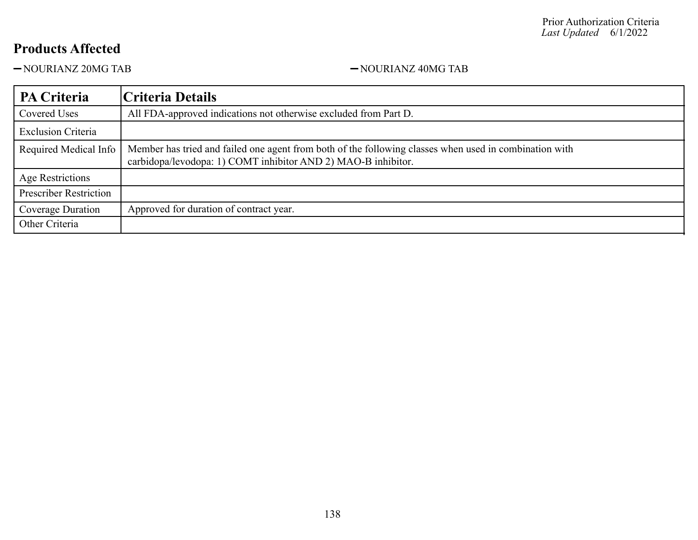-NOURIANZ 20MG TAB - NOURIANZ 40MG TAB

| PA Criteria                   | Criteria Details                                                                                                                                                        |
|-------------------------------|-------------------------------------------------------------------------------------------------------------------------------------------------------------------------|
| Covered Uses                  | All FDA-approved indications not otherwise excluded from Part D.                                                                                                        |
| <b>Exclusion Criteria</b>     |                                                                                                                                                                         |
| Required Medical Info         | Member has tried and failed one agent from both of the following classes when used in combination with<br>carbidopa/levodopa: 1) COMT inhibitor AND 2) MAO-B inhibitor. |
| Age Restrictions              |                                                                                                                                                                         |
| <b>Prescriber Restriction</b> |                                                                                                                                                                         |
| Coverage Duration             | Approved for duration of contract year.                                                                                                                                 |
| Other Criteria                |                                                                                                                                                                         |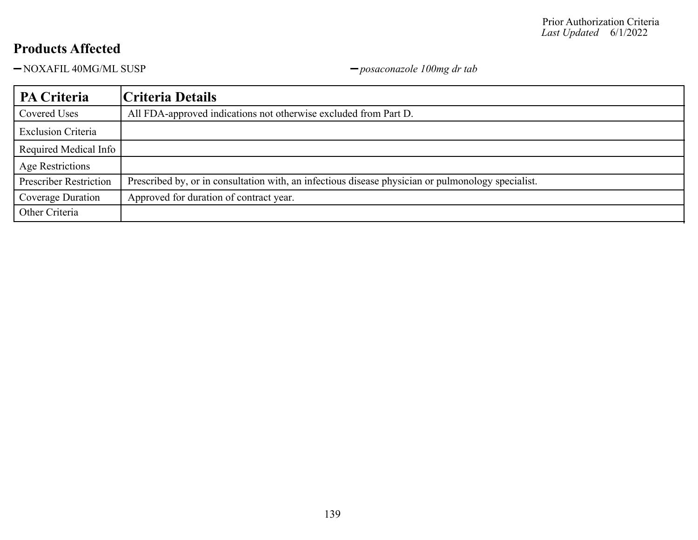NOXAFIL 40MG/ML SUSP *posaconazole 100mg dr tab*

| PA Criteria                   | Criteria Details                                                                                   |
|-------------------------------|----------------------------------------------------------------------------------------------------|
| Covered Uses                  | All FDA-approved indications not otherwise excluded from Part D.                                   |
| <b>Exclusion Criteria</b>     |                                                                                                    |
| Required Medical Info         |                                                                                                    |
| Age Restrictions              |                                                                                                    |
| <b>Prescriber Restriction</b> | Prescribed by, or in consultation with, an infectious disease physician or pulmonology specialist. |
| Coverage Duration             | Approved for duration of contract year.                                                            |
| Other Criteria                |                                                                                                    |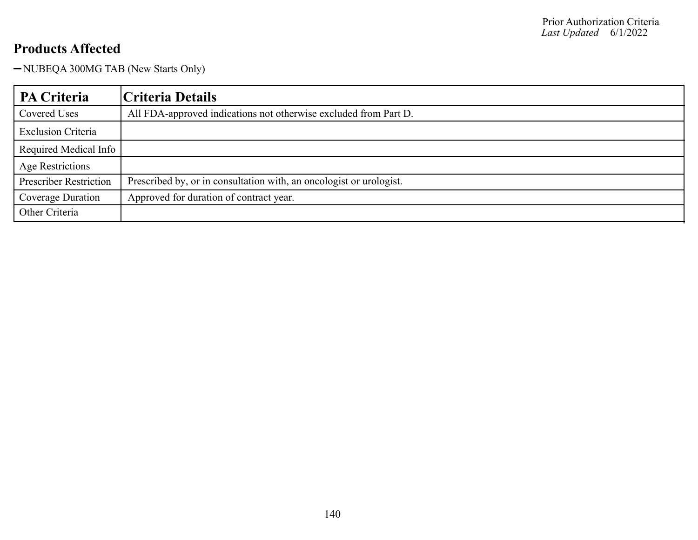-NUBEQA 300MG TAB (New Starts Only)

| PA Criteria                   | Criteria Details                                                    |
|-------------------------------|---------------------------------------------------------------------|
| Covered Uses                  | All FDA-approved indications not otherwise excluded from Part D.    |
| <b>Exclusion Criteria</b>     |                                                                     |
| Required Medical Info         |                                                                     |
| Age Restrictions              |                                                                     |
| <b>Prescriber Restriction</b> | Prescribed by, or in consultation with, an oncologist or urologist. |
| Coverage Duration             | Approved for duration of contract year.                             |
| Other Criteria                |                                                                     |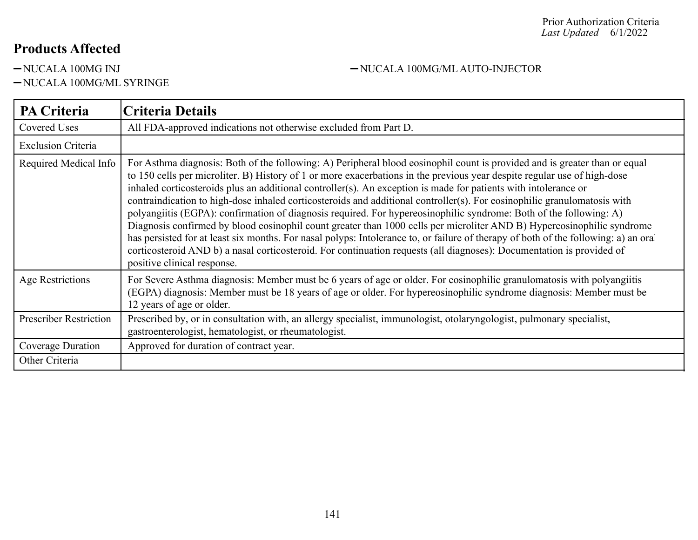-NUCALA 100MG/ML SYRINGE

#### -NUCALA 100MG INJ - NUCALA 100MG/ML AUTO-INJECTOR

| <b>PA Criteria</b>            | <b>Criteria Details</b>                                                                                                                                                                                                                                                                                                                                                                                                                                                                                                                                                                                                                                                                                                                                                                                                                                                                                                                                                                                                                              |
|-------------------------------|------------------------------------------------------------------------------------------------------------------------------------------------------------------------------------------------------------------------------------------------------------------------------------------------------------------------------------------------------------------------------------------------------------------------------------------------------------------------------------------------------------------------------------------------------------------------------------------------------------------------------------------------------------------------------------------------------------------------------------------------------------------------------------------------------------------------------------------------------------------------------------------------------------------------------------------------------------------------------------------------------------------------------------------------------|
| <b>Covered Uses</b>           | All FDA-approved indications not otherwise excluded from Part D.                                                                                                                                                                                                                                                                                                                                                                                                                                                                                                                                                                                                                                                                                                                                                                                                                                                                                                                                                                                     |
| <b>Exclusion Criteria</b>     |                                                                                                                                                                                                                                                                                                                                                                                                                                                                                                                                                                                                                                                                                                                                                                                                                                                                                                                                                                                                                                                      |
| Required Medical Info         | For Asthma diagnosis: Both of the following: A) Peripheral blood eosinophil count is provided and is greater than or equal<br>to 150 cells per microliter. B) History of 1 or more exacerbations in the previous year despite regular use of high-dose<br>inhaled corticosteroids plus an additional controller(s). An exception is made for patients with intolerance or<br>contraindication to high-dose inhaled corticosteroids and additional controller(s). For eosinophilic granulomatosis with<br>polyangiitis (EGPA): confirmation of diagnosis required. For hypereosinophilic syndrome: Both of the following: A)<br>Diagnosis confirmed by blood eosinophil count greater than 1000 cells per microliter AND B) Hypereosinophilic syndrome<br>has persisted for at least six months. For nasal polyps: Intolerance to, or failure of therapy of both of the following: a) an oral<br>corticosteroid AND b) a nasal corticosteroid. For continuation requests (all diagnoses): Documentation is provided of<br>positive clinical response. |
| <b>Age Restrictions</b>       | For Severe Asthma diagnosis: Member must be 6 years of age or older. For eosinophilic granulomatosis with polyangiitis<br>(EGPA) diagnosis: Member must be 18 years of age or older. For hypereosinophilic syndrome diagnosis: Member must be<br>12 years of age or older.                                                                                                                                                                                                                                                                                                                                                                                                                                                                                                                                                                                                                                                                                                                                                                           |
| <b>Prescriber Restriction</b> | Prescribed by, or in consultation with, an allergy specialist, immunologist, otolaryngologist, pulmonary specialist,<br>gastroenterologist, hematologist, or rheumatologist.                                                                                                                                                                                                                                                                                                                                                                                                                                                                                                                                                                                                                                                                                                                                                                                                                                                                         |
| Coverage Duration             | Approved for duration of contract year.                                                                                                                                                                                                                                                                                                                                                                                                                                                                                                                                                                                                                                                                                                                                                                                                                                                                                                                                                                                                              |
| Other Criteria                |                                                                                                                                                                                                                                                                                                                                                                                                                                                                                                                                                                                                                                                                                                                                                                                                                                                                                                                                                                                                                                                      |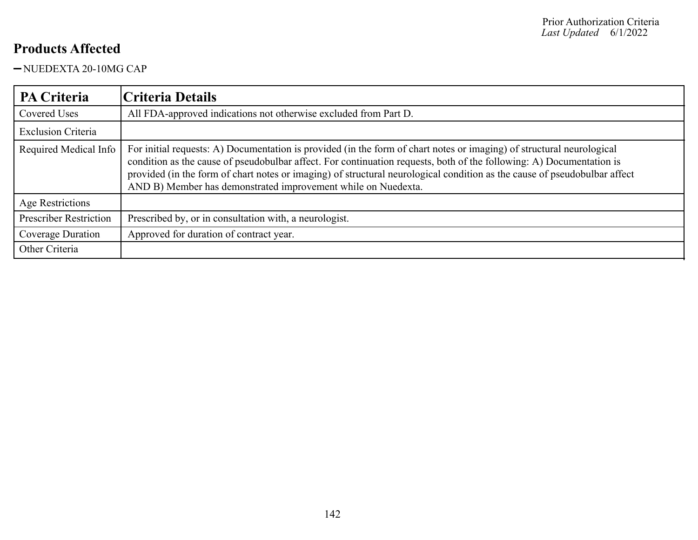-NUEDEXTA 20-10MG CAP

| <b>PA Criteria</b>            | Criteria Details                                                                                                                                                                                                                                                                                                                                                                                                                            |
|-------------------------------|---------------------------------------------------------------------------------------------------------------------------------------------------------------------------------------------------------------------------------------------------------------------------------------------------------------------------------------------------------------------------------------------------------------------------------------------|
| <b>Covered Uses</b>           | All FDA-approved indications not otherwise excluded from Part D.                                                                                                                                                                                                                                                                                                                                                                            |
| <b>Exclusion Criteria</b>     |                                                                                                                                                                                                                                                                                                                                                                                                                                             |
| Required Medical Info         | For initial requests: A) Documentation is provided (in the form of chart notes or imaging) of structural neurological<br>condition as the cause of pseudobulbar affect. For continuation requests, both of the following: A) Documentation is<br>provided (in the form of chart notes or imaging) of structural neurological condition as the cause of pseudobulbar affect<br>AND B) Member has demonstrated improvement while on Nuedexta. |
| Age Restrictions              |                                                                                                                                                                                                                                                                                                                                                                                                                                             |
| <b>Prescriber Restriction</b> | Prescribed by, or in consultation with, a neurologist.                                                                                                                                                                                                                                                                                                                                                                                      |
| Coverage Duration             | Approved for duration of contract year.                                                                                                                                                                                                                                                                                                                                                                                                     |
| Other Criteria                |                                                                                                                                                                                                                                                                                                                                                                                                                                             |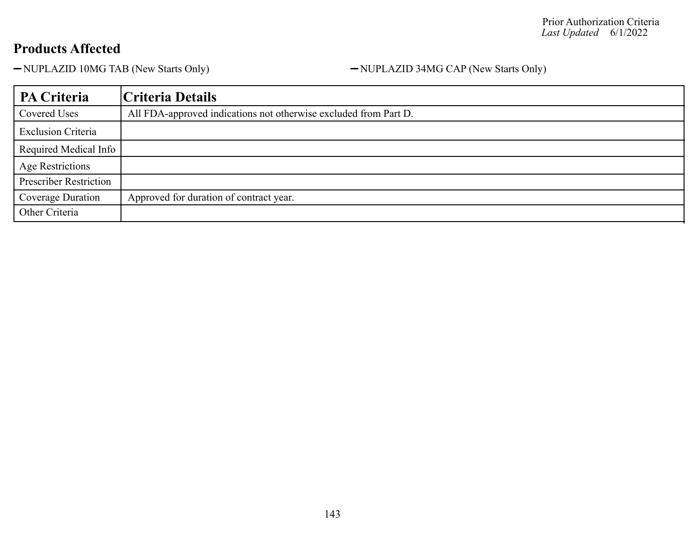-NUPLAZID 10MG TAB (New Starts Only) - NUPLAZID 34MG CAP (New Starts Only)

| PA Criteria                   | Criteria Details                                                 |
|-------------------------------|------------------------------------------------------------------|
| Covered Uses                  | All FDA-approved indications not otherwise excluded from Part D. |
| <b>Exclusion Criteria</b>     |                                                                  |
| Required Medical Info         |                                                                  |
| <b>Age Restrictions</b>       |                                                                  |
| <b>Prescriber Restriction</b> |                                                                  |
| Coverage Duration             | Approved for duration of contract year.                          |
| Other Criteria                |                                                                  |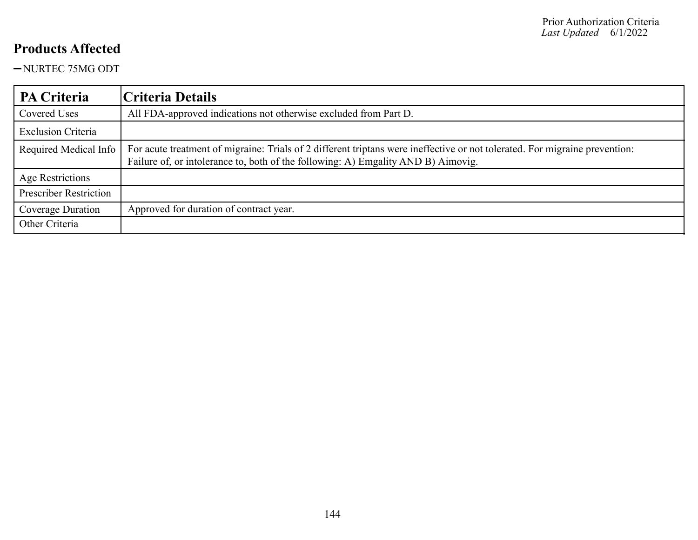NURTEC 75MG ODT

| <b>PA Criteria</b>            | Criteria Details                                                                                                                                                                                                 |
|-------------------------------|------------------------------------------------------------------------------------------------------------------------------------------------------------------------------------------------------------------|
| Covered Uses                  | All FDA-approved indications not otherwise excluded from Part D.                                                                                                                                                 |
| <b>Exclusion Criteria</b>     |                                                                                                                                                                                                                  |
| Required Medical Info         | For acute treatment of migraine: Trials of 2 different triptans were ineffective or not tolerated. For migraine prevention:<br>Failure of, or intolerance to, both of the following: A) Emgality AND B) Aimovig. |
| Age Restrictions              |                                                                                                                                                                                                                  |
| <b>Prescriber Restriction</b> |                                                                                                                                                                                                                  |
| Coverage Duration             | Approved for duration of contract year.                                                                                                                                                                          |
| Other Criteria                |                                                                                                                                                                                                                  |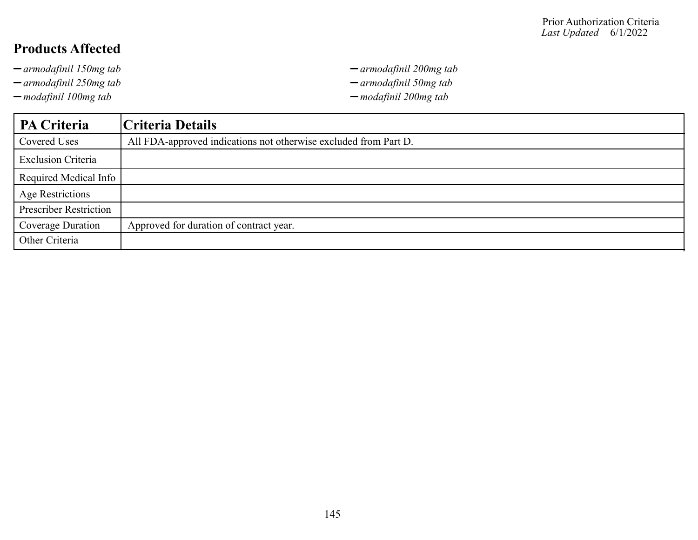- 
- 
- *modafinil 100mg tab modafinil 200mg tab*

*armodafinil 150mg tab armodafinil 200mg tab armodafinil 250mg tab armodafinil 50mg tab*

| PA Criteria                   | Criteria Details                                                 |
|-------------------------------|------------------------------------------------------------------|
| <b>Covered Uses</b>           | All FDA-approved indications not otherwise excluded from Part D. |
| <b>Exclusion Criteria</b>     |                                                                  |
| Required Medical Info         |                                                                  |
| <b>Age Restrictions</b>       |                                                                  |
| <b>Prescriber Restriction</b> |                                                                  |
| Coverage Duration             | Approved for duration of contract year.                          |
| Other Criteria                |                                                                  |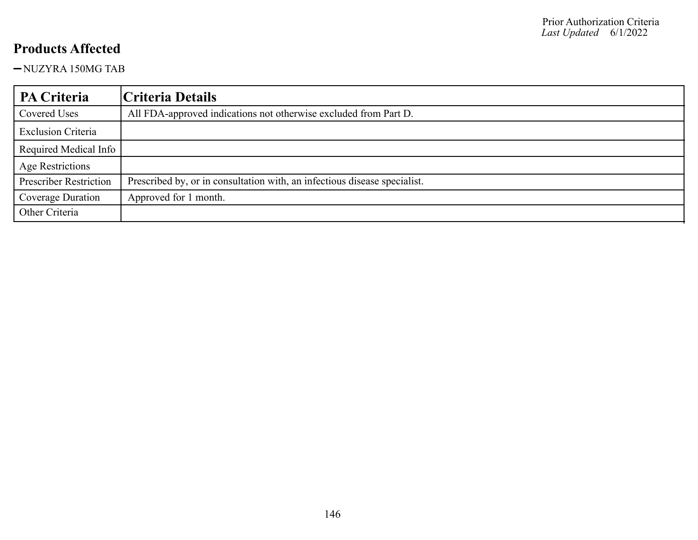NUZYRA 150MG TAB

| PA Criteria                   | Criteria Details                                                          |
|-------------------------------|---------------------------------------------------------------------------|
| Covered Uses                  | All FDA-approved indications not otherwise excluded from Part D.          |
| <b>Exclusion Criteria</b>     |                                                                           |
| Required Medical Info         |                                                                           |
| <b>Age Restrictions</b>       |                                                                           |
| <b>Prescriber Restriction</b> | Prescribed by, or in consultation with, an infectious disease specialist. |
| Coverage Duration             | Approved for 1 month.                                                     |
| Other Criteria                |                                                                           |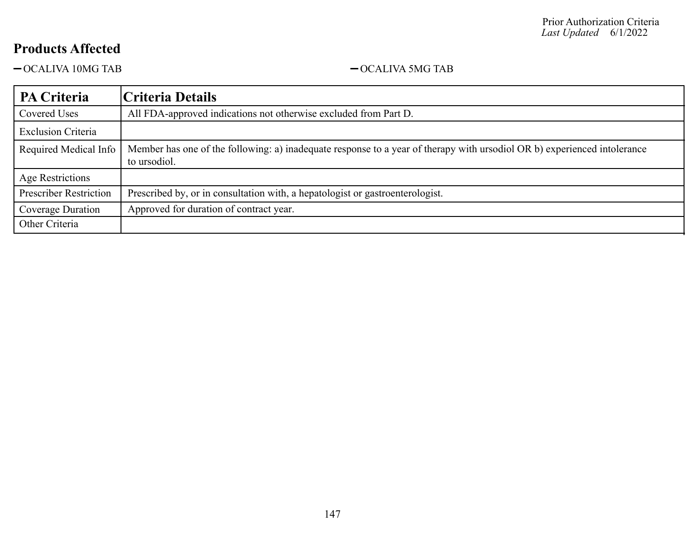$\begin{tabular}{ll} - \text{OCALIVA} & 10MG TAB \\ \end{tabular} \begin{tabular}{ll} - \text{OCALIVA} & 5MG TAB \\ \end{tabular}$ 

| <b>PA Criteria</b>            | Criteria Details                                                                                                                         |
|-------------------------------|------------------------------------------------------------------------------------------------------------------------------------------|
| Covered Uses                  | All FDA-approved indications not otherwise excluded from Part D.                                                                         |
| <b>Exclusion Criteria</b>     |                                                                                                                                          |
| Required Medical Info         | Member has one of the following: a) inadequate response to a year of therapy with ursodiol OR b) experienced intolerance<br>to ursodiol. |
| Age Restrictions              |                                                                                                                                          |
| <b>Prescriber Restriction</b> | Prescribed by, or in consultation with, a hepatologist or gastroenterologist.                                                            |
| Coverage Duration             | Approved for duration of contract year.                                                                                                  |
| Other Criteria                |                                                                                                                                          |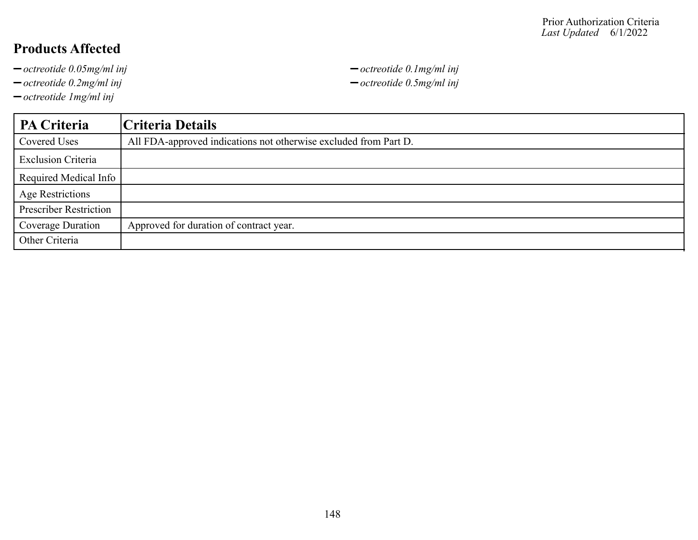- 
- *octreotide 0.2mg/ml inj octreotide 0.5mg/ml inj*
- *octreotide 1mg/ml inj*

*octreotide 0.05mg/ml inj octreotide 0.1mg/ml inj*

| <b>PA Criteria</b>            | Criteria Details                                                 |
|-------------------------------|------------------------------------------------------------------|
| Covered Uses                  | All FDA-approved indications not otherwise excluded from Part D. |
| <b>Exclusion Criteria</b>     |                                                                  |
| Required Medical Info         |                                                                  |
| <b>Age Restrictions</b>       |                                                                  |
| <b>Prescriber Restriction</b> |                                                                  |
| Coverage Duration             | Approved for duration of contract year.                          |
| Other Criteria                |                                                                  |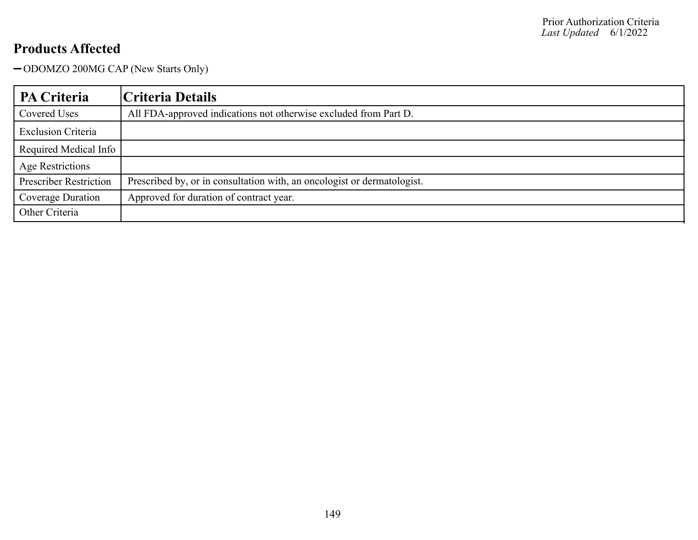ODOMZO 200MG CAP (New Starts Only)

| PA Criteria                   | Criteria Details                                                        |
|-------------------------------|-------------------------------------------------------------------------|
| Covered Uses                  | All FDA-approved indications not otherwise excluded from Part D.        |
| <b>Exclusion Criteria</b>     |                                                                         |
| Required Medical Info         |                                                                         |
| <b>Age Restrictions</b>       |                                                                         |
| <b>Prescriber Restriction</b> | Prescribed by, or in consultation with, an oncologist or dermatologist. |
| Coverage Duration             | Approved for duration of contract year.                                 |
| Other Criteria                |                                                                         |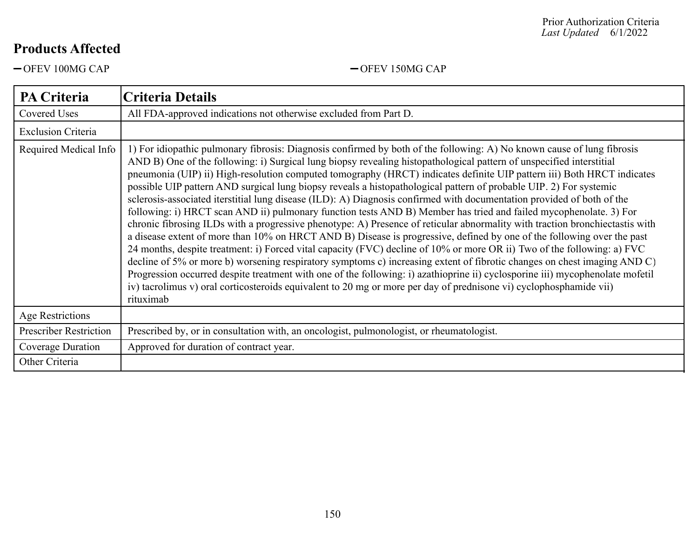-OFEV 100MG CAP - OFEV 150MG CAP

| <b>PA Criteria</b>            | <b>Criteria Details</b>                                                                                                                                                                                                                                                                                                                                                                                                                                                                                                                                                                                                                                                                                                                                                                                                                                                                                                                                                                                                                                                                                                                                                                                                                                                                                                                                                                                                                                                                                                            |
|-------------------------------|------------------------------------------------------------------------------------------------------------------------------------------------------------------------------------------------------------------------------------------------------------------------------------------------------------------------------------------------------------------------------------------------------------------------------------------------------------------------------------------------------------------------------------------------------------------------------------------------------------------------------------------------------------------------------------------------------------------------------------------------------------------------------------------------------------------------------------------------------------------------------------------------------------------------------------------------------------------------------------------------------------------------------------------------------------------------------------------------------------------------------------------------------------------------------------------------------------------------------------------------------------------------------------------------------------------------------------------------------------------------------------------------------------------------------------------------------------------------------------------------------------------------------------|
| <b>Covered Uses</b>           | All FDA-approved indications not otherwise excluded from Part D.                                                                                                                                                                                                                                                                                                                                                                                                                                                                                                                                                                                                                                                                                                                                                                                                                                                                                                                                                                                                                                                                                                                                                                                                                                                                                                                                                                                                                                                                   |
| <b>Exclusion Criteria</b>     |                                                                                                                                                                                                                                                                                                                                                                                                                                                                                                                                                                                                                                                                                                                                                                                                                                                                                                                                                                                                                                                                                                                                                                                                                                                                                                                                                                                                                                                                                                                                    |
| Required Medical Info         | 1) For idiopathic pulmonary fibrosis: Diagnosis confirmed by both of the following: A) No known cause of lung fibrosis<br>AND B) One of the following: i) Surgical lung biopsy revealing histopathological pattern of unspecified interstitial<br>pneumonia (UIP) ii) High-resolution computed tomography (HRCT) indicates definite UIP pattern iii) Both HRCT indicates<br>possible UIP pattern AND surgical lung biopsy reveals a histopathological pattern of probable UIP. 2) For systemic<br>sclerosis-associated iterstitial lung disease (ILD): A) Diagnosis confirmed with documentation provided of both of the<br>following: i) HRCT scan AND ii) pulmonary function tests AND B) Member has tried and failed mycophenolate. 3) For<br>chronic fibrosing ILDs with a progressive phenotype: A) Presence of reticular abnormality with traction bronchiectastis with<br>a disease extent of more than 10% on HRCT AND B) Disease is progressive, defined by one of the following over the past<br>24 months, despite treatment: i) Forced vital capacity (FVC) decline of 10% or more OR ii) Two of the following: a) FVC<br>decline of 5% or more b) worsening respiratory symptoms c) increasing extent of fibrotic changes on chest imaging AND C)<br>Progression occurred despite treatment with one of the following: i) azathioprine ii) cyclosporine iii) mycophenolate mofetil<br>iv) tacrolimus v) oral corticosteroids equivalent to 20 mg or more per day of prednisone vi) cyclophosphamide vii)<br>rituximab |
| <b>Age Restrictions</b>       |                                                                                                                                                                                                                                                                                                                                                                                                                                                                                                                                                                                                                                                                                                                                                                                                                                                                                                                                                                                                                                                                                                                                                                                                                                                                                                                                                                                                                                                                                                                                    |
| <b>Prescriber Restriction</b> | Prescribed by, or in consultation with, an oncologist, pulmonologist, or rheumatologist.                                                                                                                                                                                                                                                                                                                                                                                                                                                                                                                                                                                                                                                                                                                                                                                                                                                                                                                                                                                                                                                                                                                                                                                                                                                                                                                                                                                                                                           |
| Coverage Duration             | Approved for duration of contract year.                                                                                                                                                                                                                                                                                                                                                                                                                                                                                                                                                                                                                                                                                                                                                                                                                                                                                                                                                                                                                                                                                                                                                                                                                                                                                                                                                                                                                                                                                            |
| Other Criteria                |                                                                                                                                                                                                                                                                                                                                                                                                                                                                                                                                                                                                                                                                                                                                                                                                                                                                                                                                                                                                                                                                                                                                                                                                                                                                                                                                                                                                                                                                                                                                    |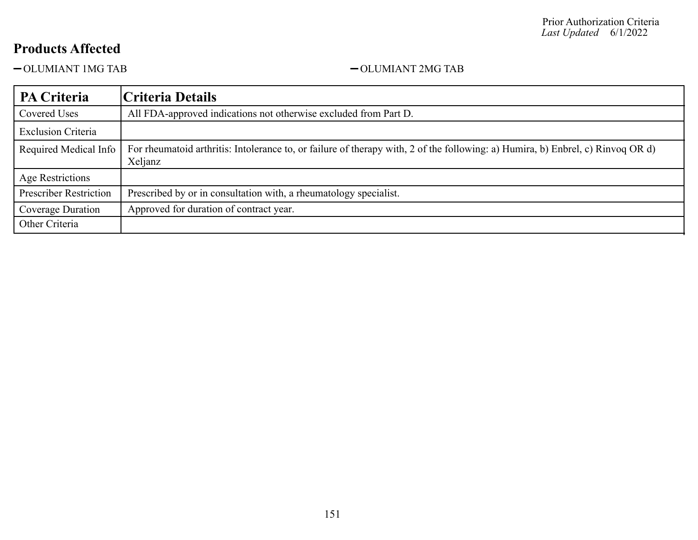$-\text{OLUMIANT 1MG TAB} \newline-\text{OLUMIANT 2MG TAB}$ 

| <b>PA Criteria</b>            | Criteria Details                                                                                                                           |
|-------------------------------|--------------------------------------------------------------------------------------------------------------------------------------------|
| Covered Uses                  | All FDA-approved indications not otherwise excluded from Part D.                                                                           |
| <b>Exclusion Criteria</b>     |                                                                                                                                            |
| Required Medical Info         | For rheumatoid arthritis: Intolerance to, or failure of therapy with, 2 of the following: a) Humira, b) Enbrel, c) Rinvoq OR d)<br>Xeljanz |
| Age Restrictions              |                                                                                                                                            |
| <b>Prescriber Restriction</b> | Prescribed by or in consultation with, a rheumatology specialist.                                                                          |
| Coverage Duration             | Approved for duration of contract year.                                                                                                    |
| Other Criteria                |                                                                                                                                            |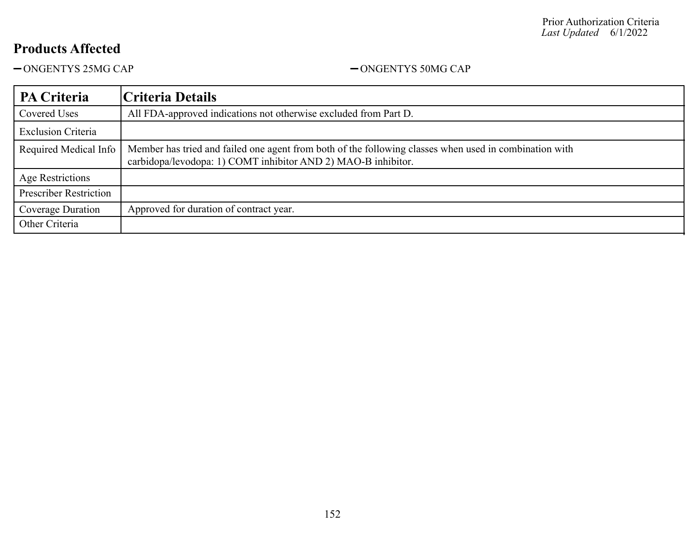ONGENTYS 25MG CAP ONGENTYS 50MG CAP

| PA Criteria                   | Criteria Details                                                                                                                                                        |
|-------------------------------|-------------------------------------------------------------------------------------------------------------------------------------------------------------------------|
| Covered Uses                  | All FDA-approved indications not otherwise excluded from Part D.                                                                                                        |
| <b>Exclusion Criteria</b>     |                                                                                                                                                                         |
| Required Medical Info         | Member has tried and failed one agent from both of the following classes when used in combination with<br>carbidopa/levodopa: 1) COMT inhibitor AND 2) MAO-B inhibitor. |
| Age Restrictions              |                                                                                                                                                                         |
| <b>Prescriber Restriction</b> |                                                                                                                                                                         |
| Coverage Duration             | Approved for duration of contract year.                                                                                                                                 |
| Other Criteria                |                                                                                                                                                                         |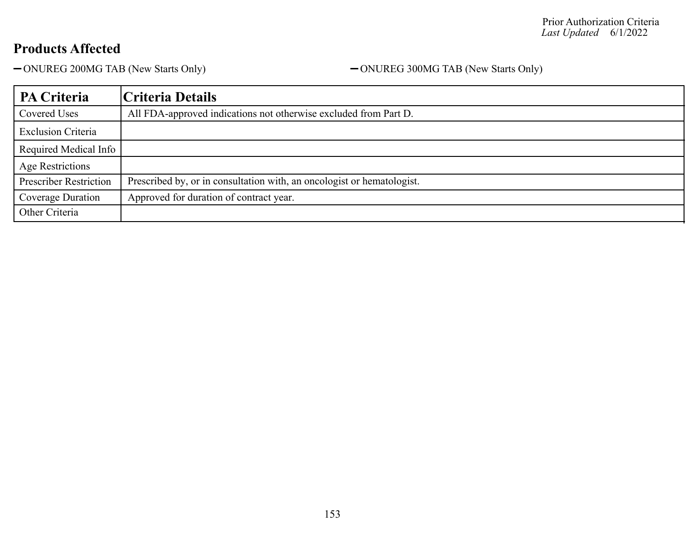-ONUREG 200MG TAB (New Starts Only) - ONUREG 300MG TAB (New Starts Only)

| PA Criteria                   | Criteria Details                                                       |
|-------------------------------|------------------------------------------------------------------------|
| Covered Uses                  | All FDA-approved indications not otherwise excluded from Part D.       |
| <b>Exclusion Criteria</b>     |                                                                        |
| Required Medical Info         |                                                                        |
| <b>Age Restrictions</b>       |                                                                        |
| <b>Prescriber Restriction</b> | Prescribed by, or in consultation with, an oncologist or hematologist. |
| Coverage Duration             | Approved for duration of contract year.                                |
| Other Criteria                |                                                                        |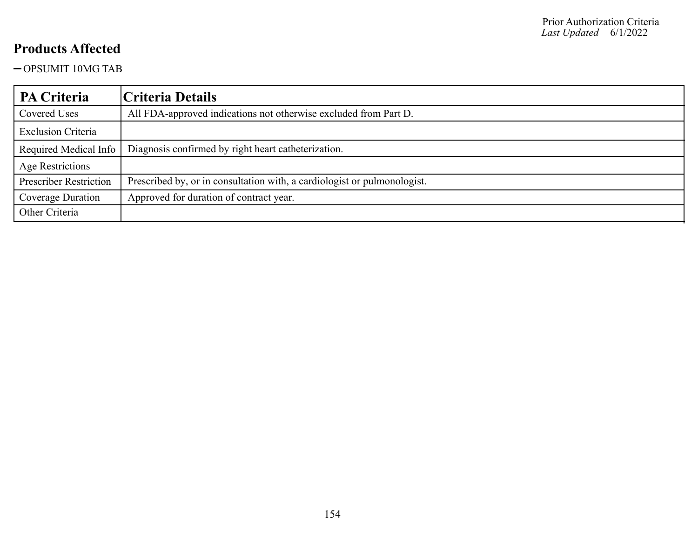OPSUMIT 10MG TAB

| <b>PA Criteria</b>            | Criteria Details                                                         |
|-------------------------------|--------------------------------------------------------------------------|
| Covered Uses                  | All FDA-approved indications not otherwise excluded from Part D.         |
| <b>Exclusion Criteria</b>     |                                                                          |
| Required Medical Info         | Diagnosis confirmed by right heart catheterization.                      |
| Age Restrictions              |                                                                          |
| <b>Prescriber Restriction</b> | Prescribed by, or in consultation with, a cardiologist or pulmonologist. |
| Coverage Duration             | Approved for duration of contract year.                                  |
| Other Criteria                |                                                                          |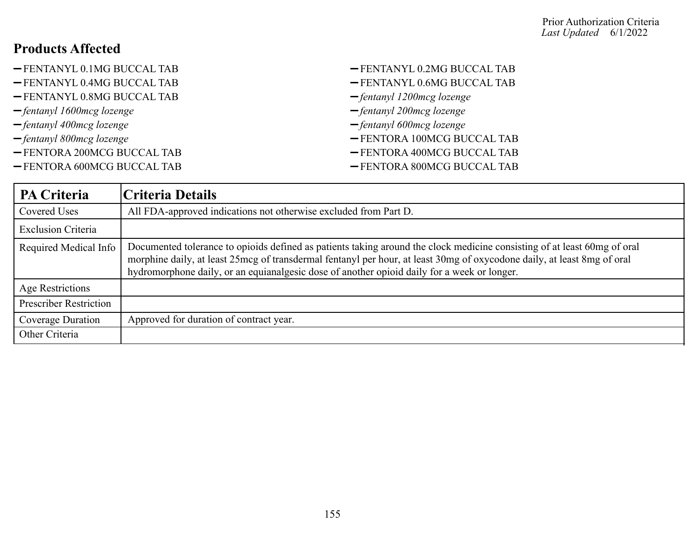| -FENTANYL 0.1MG BUCCAL TAB    | $-$ FENTANYL 0.2MG BUCCAL TAB   |
|-------------------------------|---------------------------------|
| $-$ FENTANYL 0.4MG BUCCAL TAB | -FENTANYL 0.6MG BUCCAL TAB      |
| -FENTANYL 0.8MG BUCCAL TAB    | $-$ fentanyl 1200 mcg lozenge   |
| $-$ fentanyl 1600 mcg lozenge | $-$ fentanyl 200 $mc$ g lozenge |
| $-$ fentanyl 400 mcg lozenge  | $-$ fentanyl 600 mcg lozenge    |
| $-$ fentanyl 800 mcg lozenge  | -FENTORA 100MCG BUCCAL TAB      |
| -FENTORA 200MCG BUCCAL TAB    | -FENTORA 400MCG BUCCAL TAB      |
| -FENTORA 600MCG BUCCAL TAB    | -FENTORA 800MCG BUCCAL TAB      |

| <b>PA Criteria</b>            | Criteria Details                                                                                                                                                                                                                                                                                                                                   |
|-------------------------------|----------------------------------------------------------------------------------------------------------------------------------------------------------------------------------------------------------------------------------------------------------------------------------------------------------------------------------------------------|
| Covered Uses                  | All FDA-approved indications not otherwise excluded from Part D.                                                                                                                                                                                                                                                                                   |
| <b>Exclusion Criteria</b>     |                                                                                                                                                                                                                                                                                                                                                    |
| Required Medical Info         | Documented tolerance to opioids defined as patients taking around the clock medicine consisting of at least 60mg of oral<br>morphine daily, at least 25mcg of transdermal fentanyl per hour, at least 30mg of oxycodone daily, at least 8mg of oral<br>hydromorphone daily, or an equianalgesic dose of another opioid daily for a week or longer. |
| Age Restrictions              |                                                                                                                                                                                                                                                                                                                                                    |
| <b>Prescriber Restriction</b> |                                                                                                                                                                                                                                                                                                                                                    |
| Coverage Duration             | Approved for duration of contract year.                                                                                                                                                                                                                                                                                                            |
| Other Criteria                |                                                                                                                                                                                                                                                                                                                                                    |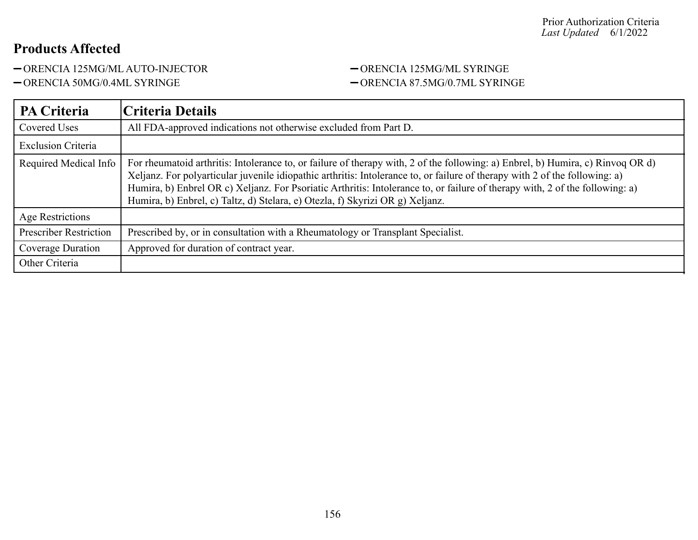ORENCIA 125MG/ML AUTO-INJECTOR ORENCIA 125MG/ML SYRINGE

# -ORENCIA 50MG/0.4ML SYRINGE - ORENCIA 87.5MG/0.7ML SYRINGE

| <b>PA Criteria</b>            | Criteria Details                                                                                                                                                                                                                                                                                                                                                                                                                                                                |
|-------------------------------|---------------------------------------------------------------------------------------------------------------------------------------------------------------------------------------------------------------------------------------------------------------------------------------------------------------------------------------------------------------------------------------------------------------------------------------------------------------------------------|
| Covered Uses                  | All FDA-approved indications not otherwise excluded from Part D.                                                                                                                                                                                                                                                                                                                                                                                                                |
| <b>Exclusion Criteria</b>     |                                                                                                                                                                                                                                                                                                                                                                                                                                                                                 |
| Required Medical Info         | For rheumatoid arthritis: Intolerance to, or failure of therapy with, 2 of the following: a) Enbrel, b) Humira, c) Rinvoq OR d)<br>Xeljanz. For polyarticular juvenile idiopathic arthritis: Intolerance to, or failure of therapy with 2 of the following: a)<br>Humira, b) Enbrel OR c) Xeljanz. For Psoriatic Arthritis: Intolerance to, or failure of therapy with, 2 of the following: a)<br>Humira, b) Enbrel, c) Taltz, d) Stelara, e) Otezla, f) Skyrizi OR g) Xeljanz. |
| Age Restrictions              |                                                                                                                                                                                                                                                                                                                                                                                                                                                                                 |
| <b>Prescriber Restriction</b> | Prescribed by, or in consultation with a Rheumatology or Transplant Specialist.                                                                                                                                                                                                                                                                                                                                                                                                 |
| Coverage Duration             | Approved for duration of contract year.                                                                                                                                                                                                                                                                                                                                                                                                                                         |
| Other Criteria                |                                                                                                                                                                                                                                                                                                                                                                                                                                                                                 |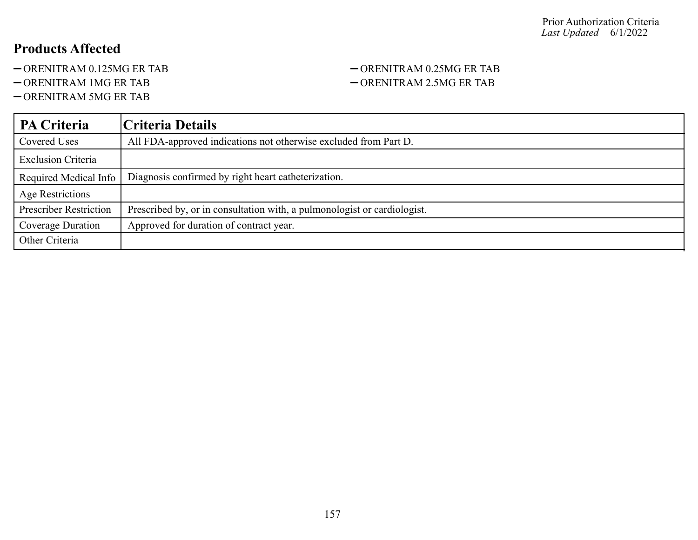- -ORENITRAM 0.125MG ER TAB ORENITRAM 0.25MG ER TAB
- 
- ORENITRAM 5MG ER TAB

# -ORENITRAM 1MG ER TAB  $-$ ORENITRAM 2.5MG ER TAB

| <b>PA Criteria</b>            | Criteria Details                                                         |
|-------------------------------|--------------------------------------------------------------------------|
| Covered Uses                  | All FDA-approved indications not otherwise excluded from Part D.         |
| <b>Exclusion Criteria</b>     |                                                                          |
| Required Medical Info         | Diagnosis confirmed by right heart catheterization.                      |
| <b>Age Restrictions</b>       |                                                                          |
| <b>Prescriber Restriction</b> | Prescribed by, or in consultation with, a pulmonologist or cardiologist. |
| Coverage Duration             | Approved for duration of contract year.                                  |
| Other Criteria                |                                                                          |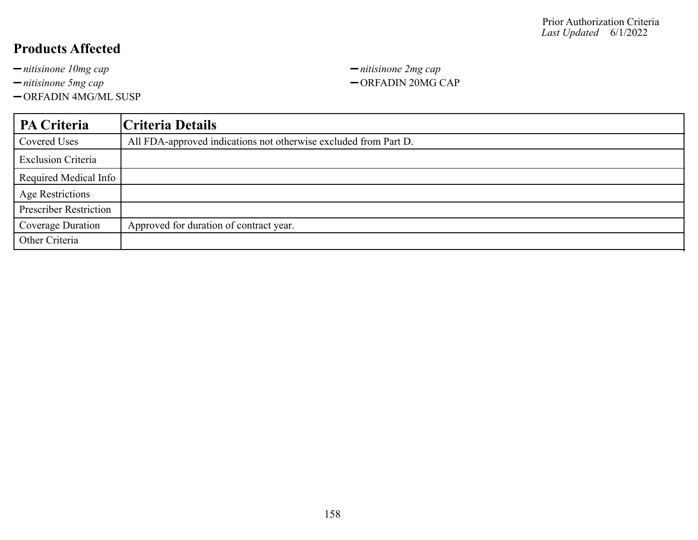-ORFADIN 4MG/ML SUSP

*nitisinone 10mg cap nitisinone 2mg cap nitisinone 5mg cap*  $-$  ORFADIN 20MG CAP

| <b>PA Criteria</b>            | Criteria Details                                                 |
|-------------------------------|------------------------------------------------------------------|
| Covered Uses                  | All FDA-approved indications not otherwise excluded from Part D. |
| <b>Exclusion Criteria</b>     |                                                                  |
| Required Medical Info         |                                                                  |
| <b>Age Restrictions</b>       |                                                                  |
| <b>Prescriber Restriction</b> |                                                                  |
| Coverage Duration             | Approved for duration of contract year.                          |
| Other Criteria                |                                                                  |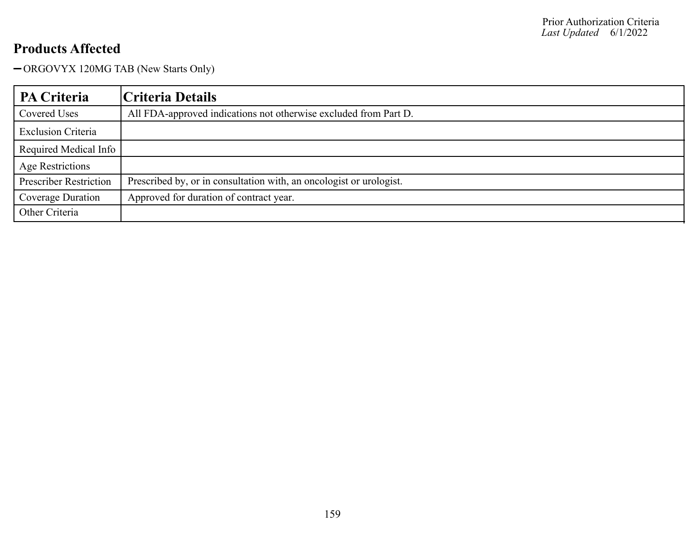ORGOVYX 120MG TAB (New Starts Only)

| PA Criteria                   | Criteria Details                                                    |
|-------------------------------|---------------------------------------------------------------------|
| Covered Uses                  | All FDA-approved indications not otherwise excluded from Part D.    |
| <b>Exclusion Criteria</b>     |                                                                     |
| Required Medical Info         |                                                                     |
| <b>Age Restrictions</b>       |                                                                     |
| <b>Prescriber Restriction</b> | Prescribed by, or in consultation with, an oncologist or urologist. |
| Coverage Duration             | Approved for duration of contract year.                             |
| Other Criteria                |                                                                     |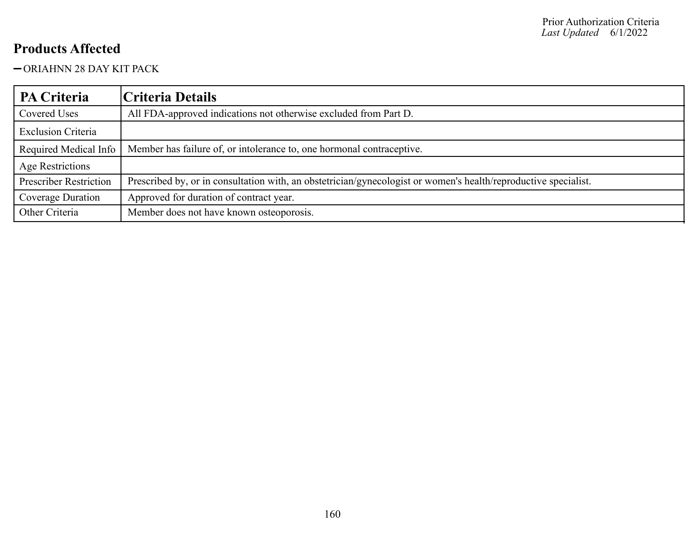#### ORIAHNN 28 DAY KIT PACK

| PA Criteria                   | Criteria Details                                                                                                |
|-------------------------------|-----------------------------------------------------------------------------------------------------------------|
| Covered Uses                  | All FDA-approved indications not otherwise excluded from Part D.                                                |
| <b>Exclusion Criteria</b>     |                                                                                                                 |
| Required Medical Info         | Member has failure of, or intolerance to, one hormonal contraceptive.                                           |
| Age Restrictions              |                                                                                                                 |
| <b>Prescriber Restriction</b> | Prescribed by, or in consultation with, an obstetrician/gynecologist or women's health/reproductive specialist. |
| Coverage Duration             | Approved for duration of contract year.                                                                         |
| Other Criteria                | Member does not have known osteoporosis.                                                                        |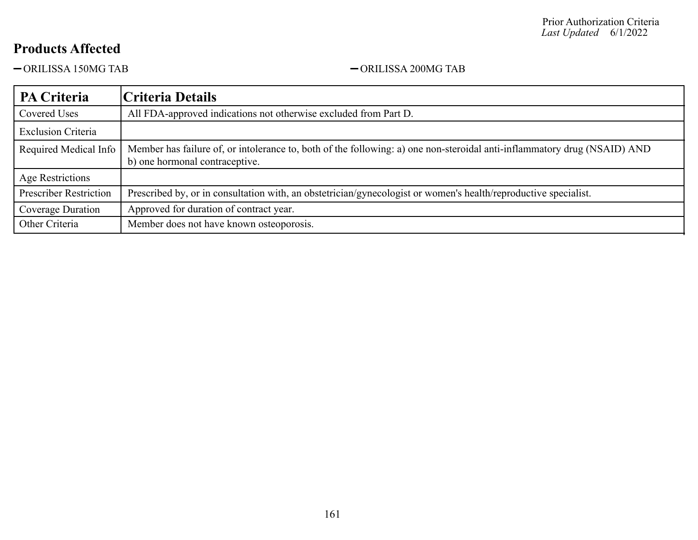-ORILISSA 150MG TAB - ORILISSA 200MG TAB

| PA Criteria                   | Criteria Details                                                                                                                                           |
|-------------------------------|------------------------------------------------------------------------------------------------------------------------------------------------------------|
| Covered Uses                  | All FDA-approved indications not otherwise excluded from Part D.                                                                                           |
| <b>Exclusion Criteria</b>     |                                                                                                                                                            |
| Required Medical Info         | Member has failure of, or intolerance to, both of the following: a) one non-steroidal anti-inflammatory drug (NSAID) AND<br>b) one hormonal contraceptive. |
| Age Restrictions              |                                                                                                                                                            |
| <b>Prescriber Restriction</b> | Prescribed by, or in consultation with, an obstetrician/gynecologist or women's health/reproductive specialist.                                            |
| Coverage Duration             | Approved for duration of contract year.                                                                                                                    |
| Other Criteria                | Member does not have known osteoporosis.                                                                                                                   |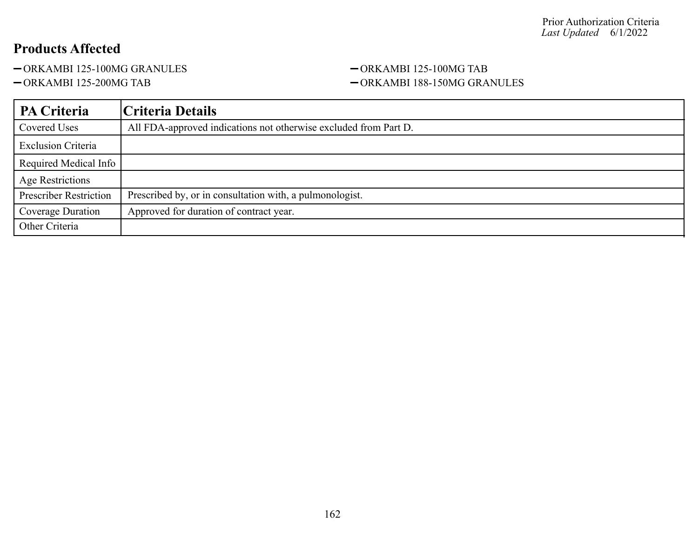-ORKAMBI 125-100MG GRANULES - ORKAMBI 125-100MG TAB

## -ORKAMBI 125-200MG TAB - ORKAMBI 188-150MG GRANULES

| PA Criteria                   | Criteria Details                                                 |
|-------------------------------|------------------------------------------------------------------|
| Covered Uses                  | All FDA-approved indications not otherwise excluded from Part D. |
| <b>Exclusion Criteria</b>     |                                                                  |
| Required Medical Info         |                                                                  |
| Age Restrictions              |                                                                  |
| <b>Prescriber Restriction</b> | Prescribed by, or in consultation with, a pulmonologist.         |
| Coverage Duration             | Approved for duration of contract year.                          |
| Other Criteria                |                                                                  |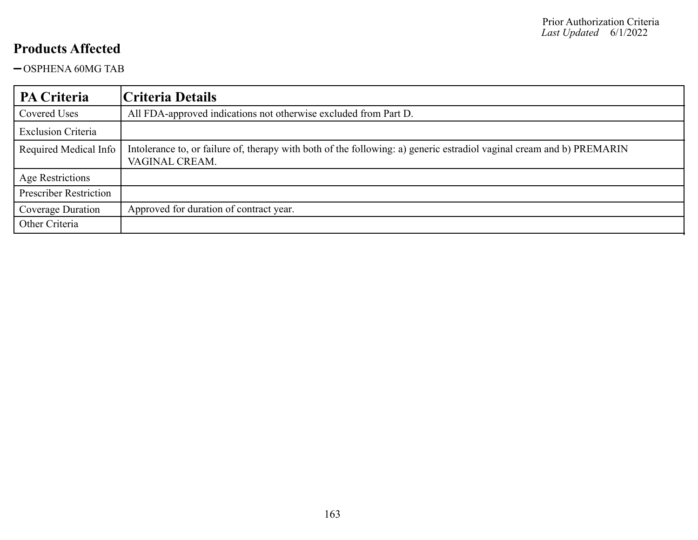OSPHENA 60MG TAB

| PA Criteria                   | Criteria Details                                                                                                                        |
|-------------------------------|-----------------------------------------------------------------------------------------------------------------------------------------|
| Covered Uses                  | All FDA-approved indications not otherwise excluded from Part D.                                                                        |
| <b>Exclusion Criteria</b>     |                                                                                                                                         |
| Required Medical Info         | Intolerance to, or failure of, therapy with both of the following: a) generic estradiol vaginal cream and b) PREMARIN<br>VAGINAL CREAM. |
| Age Restrictions              |                                                                                                                                         |
| <b>Prescriber Restriction</b> |                                                                                                                                         |
| Coverage Duration             | Approved for duration of contract year.                                                                                                 |
| Other Criteria                |                                                                                                                                         |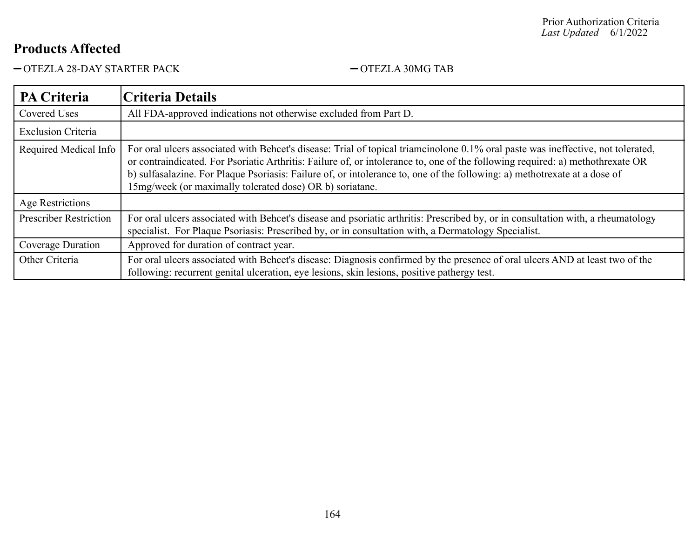-OTEZLA 28-DAY STARTER PACK - OTEZLA 30MG TAB

| <b>PA Criteria</b>            | Criteria Details                                                                                                                                                                                                                                                                                                                                                                                                                                            |
|-------------------------------|-------------------------------------------------------------------------------------------------------------------------------------------------------------------------------------------------------------------------------------------------------------------------------------------------------------------------------------------------------------------------------------------------------------------------------------------------------------|
| <b>Covered Uses</b>           | All FDA-approved indications not otherwise excluded from Part D.                                                                                                                                                                                                                                                                                                                                                                                            |
| <b>Exclusion Criteria</b>     |                                                                                                                                                                                                                                                                                                                                                                                                                                                             |
| Required Medical Info         | For oral ulcers associated with Behcet's disease: Trial of topical triamcinolone 0.1% oral paste was ineffective, not tolerated,<br>or contraindicated. For Psoriatic Arthritis: Failure of, or intolerance to, one of the following required: a) methothrexate OR<br>b) sulfasalazine. For Plaque Psoriasis: Failure of, or intolerance to, one of the following: a) methotrexate at a dose of<br>15mg/week (or maximally tolerated dose) OR b) soriatane. |
| Age Restrictions              |                                                                                                                                                                                                                                                                                                                                                                                                                                                             |
| <b>Prescriber Restriction</b> | For oral ulcers associated with Behcet's disease and psoriatic arthritis: Prescribed by, or in consultation with, a rheumatology<br>specialist. For Plaque Psoriasis: Prescribed by, or in consultation with, a Dermatology Specialist.                                                                                                                                                                                                                     |
| Coverage Duration             | Approved for duration of contract year.                                                                                                                                                                                                                                                                                                                                                                                                                     |
| Other Criteria                | For oral ulcers associated with Behcet's disease: Diagnosis confirmed by the presence of oral ulcers AND at least two of the<br>following: recurrent genital ulceration, eye lesions, skin lesions, positive pathergy test.                                                                                                                                                                                                                                 |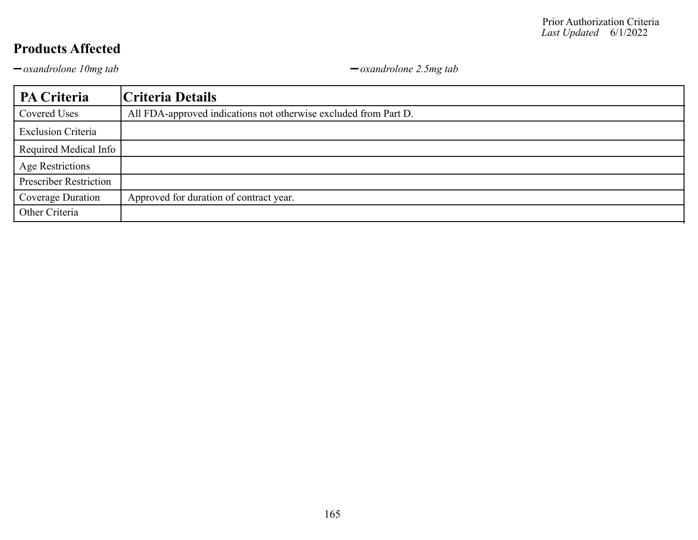*oxandrolone 10mg tab oxandrolone 2.5mg tab*

| PA Criteria                   | Criteria Details                                                 |
|-------------------------------|------------------------------------------------------------------|
| Covered Uses                  | All FDA-approved indications not otherwise excluded from Part D. |
| <b>Exclusion Criteria</b>     |                                                                  |
| Required Medical Info         |                                                                  |
| <b>Age Restrictions</b>       |                                                                  |
| <b>Prescriber Restriction</b> |                                                                  |
| Coverage Duration             | Approved for duration of contract year.                          |
| Other Criteria                |                                                                  |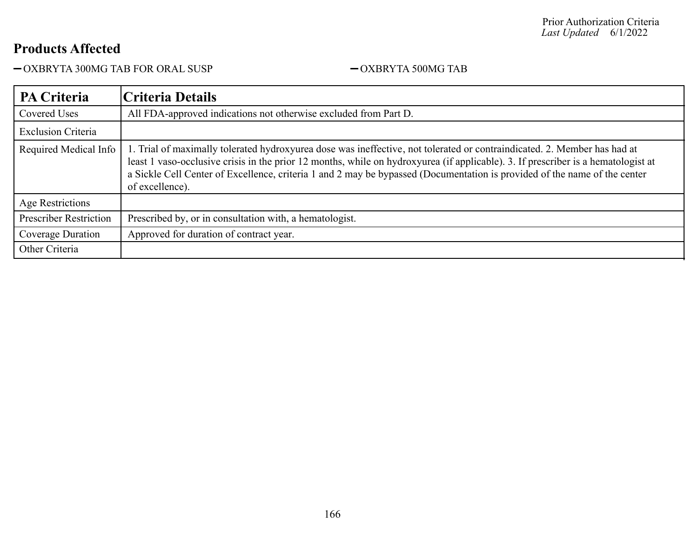OXBRYTA 300MG TAB FOR ORAL SUSP OXBRYTA 500MG TAB

| <b>PA Criteria</b>            | Criteria Details                                                                                                                                                                                                                                                                                                                                                                                              |
|-------------------------------|---------------------------------------------------------------------------------------------------------------------------------------------------------------------------------------------------------------------------------------------------------------------------------------------------------------------------------------------------------------------------------------------------------------|
| <b>Covered Uses</b>           | All FDA-approved indications not otherwise excluded from Part D.                                                                                                                                                                                                                                                                                                                                              |
| <b>Exclusion Criteria</b>     |                                                                                                                                                                                                                                                                                                                                                                                                               |
| Required Medical Info         | 1. Trial of maximally tolerated hydroxyurea dose was ineffective, not tolerated or contraindicated. 2. Member has had at<br>least 1 vaso-occlusive crisis in the prior 12 months, while on hydroxyurea (if applicable). 3. If prescriber is a hematologist at<br>a Sickle Cell Center of Excellence, criteria 1 and 2 may be bypassed (Documentation is provided of the name of the center<br>of excellence). |
| Age Restrictions              |                                                                                                                                                                                                                                                                                                                                                                                                               |
| <b>Prescriber Restriction</b> | Prescribed by, or in consultation with, a hematologist.                                                                                                                                                                                                                                                                                                                                                       |
| Coverage Duration             | Approved for duration of contract year.                                                                                                                                                                                                                                                                                                                                                                       |
| Other Criteria                |                                                                                                                                                                                                                                                                                                                                                                                                               |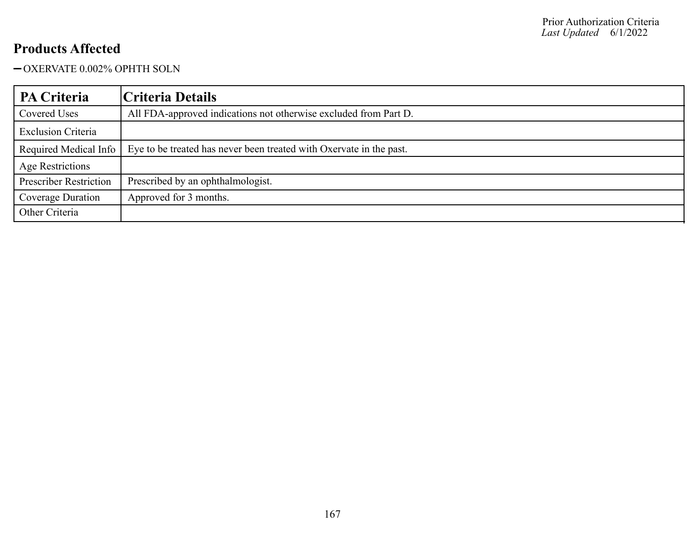#### OXERVATE 0.002% OPHTH SOLN

| <b>PA Criteria</b>            | Criteria Details                                                    |
|-------------------------------|---------------------------------------------------------------------|
| Covered Uses                  | All FDA-approved indications not otherwise excluded from Part D.    |
| <b>Exclusion Criteria</b>     |                                                                     |
| Required Medical Info         | Eye to be treated has never been treated with Oxervate in the past. |
| Age Restrictions              |                                                                     |
| <b>Prescriber Restriction</b> | Prescribed by an ophthalmologist.                                   |
| Coverage Duration             | Approved for 3 months.                                              |
| Other Criteria                |                                                                     |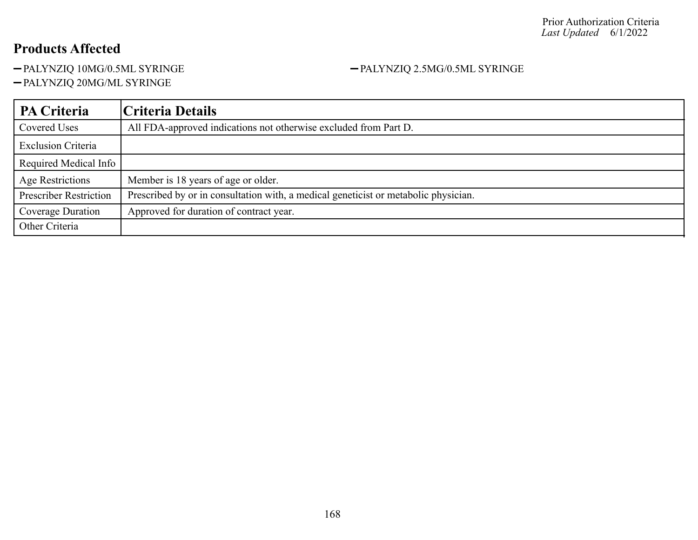-PALYNZIQ 10MG/0.5ML SYRINGE - PALYNZIQ 2.5MG/0.5ML SYRINGE

PALYNZIQ 20MG/ML SYRINGE

#### **PA Criteria Criteria Details** Covered Uses All FDA-approved indications not otherwise excluded from Part D. Exclusion Criteria Required Medical Info Age Restrictions Member is 18 years of age or older. Prescriber Restriction | Prescribed by or in consultation with, a medical geneticist or metabolic physician. Coverage Duration | Approved for duration of contract year. Other Criteria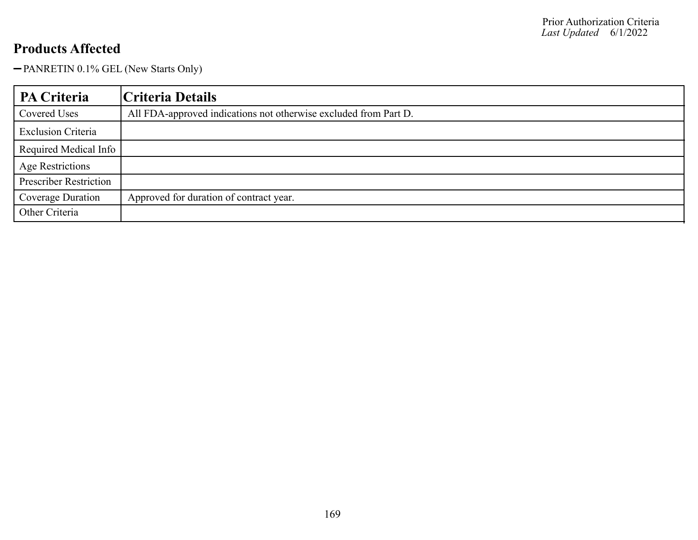-PANRETIN 0.1% GEL (New Starts Only)

| PA Criteria                   | Criteria Details                                                 |
|-------------------------------|------------------------------------------------------------------|
| Covered Uses                  | All FDA-approved indications not otherwise excluded from Part D. |
| <b>Exclusion Criteria</b>     |                                                                  |
| Required Medical Info         |                                                                  |
| <b>Age Restrictions</b>       |                                                                  |
| <b>Prescriber Restriction</b> |                                                                  |
| Coverage Duration             | Approved for duration of contract year.                          |
| Other Criteria                |                                                                  |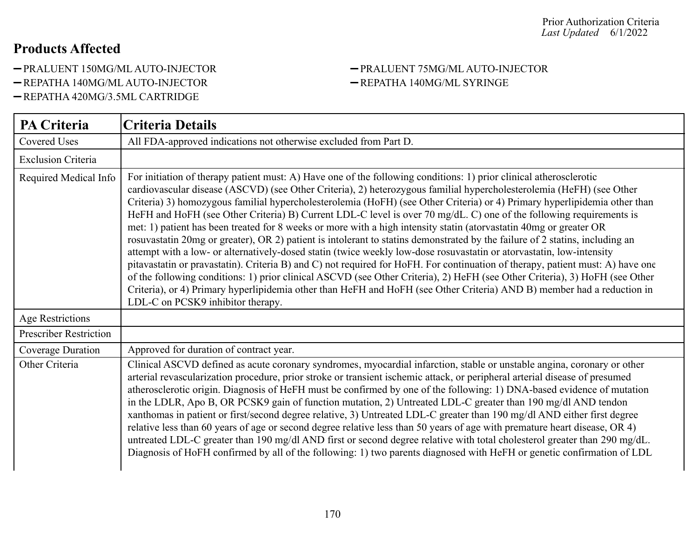- -PRALUENT 150MG/ML AUTO-INJECTOR PRALUENT 75MG/ML AUTO-INJECTOR
- -REPATHA 140MG/ML AUTO-INJECTOR REPATHA 140MG/ML SYRINGE
- REPATHA 420MG/3.5ML CARTRIDGE

| <b>PA Criteria</b>            | <b>Criteria Details</b>                                                                                                                                                                                                                                                                                                                                                                                                                                                                                                                                                                                                                                                                                                                                                                                                                                                                                                                                                                                                                                                                                                                                                                                                                                                                                      |
|-------------------------------|--------------------------------------------------------------------------------------------------------------------------------------------------------------------------------------------------------------------------------------------------------------------------------------------------------------------------------------------------------------------------------------------------------------------------------------------------------------------------------------------------------------------------------------------------------------------------------------------------------------------------------------------------------------------------------------------------------------------------------------------------------------------------------------------------------------------------------------------------------------------------------------------------------------------------------------------------------------------------------------------------------------------------------------------------------------------------------------------------------------------------------------------------------------------------------------------------------------------------------------------------------------------------------------------------------------|
| Covered Uses                  | All FDA-approved indications not otherwise excluded from Part D.                                                                                                                                                                                                                                                                                                                                                                                                                                                                                                                                                                                                                                                                                                                                                                                                                                                                                                                                                                                                                                                                                                                                                                                                                                             |
| <b>Exclusion Criteria</b>     |                                                                                                                                                                                                                                                                                                                                                                                                                                                                                                                                                                                                                                                                                                                                                                                                                                                                                                                                                                                                                                                                                                                                                                                                                                                                                                              |
| Required Medical Info         | For initiation of therapy patient must: A) Have one of the following conditions: 1) prior clinical atherosclerotic<br>cardiovascular disease (ASCVD) (see Other Criteria), 2) heterozygous familial hypercholesterolemia (HeFH) (see Other<br>Criteria) 3) homozygous familial hypercholesterolemia (HoFH) (see Other Criteria) or 4) Primary hyperlipidemia other than<br>HeFH and HoFH (see Other Criteria) B) Current LDL-C level is over 70 mg/dL. C) one of the following requirements is<br>met: 1) patient has been treated for 8 weeks or more with a high intensity statin (atorvastatin 40mg or greater OR<br>rosuvastatin 20mg or greater), OR 2) patient is intolerant to statins demonstrated by the failure of 2 statins, including an<br>attempt with a low- or alternatively-dosed statin (twice weekly low-dose rosuvastatin or atorvastatin, low-intensity<br>pitavastatin or pravastatin). Criteria B) and C) not required for HoFH. For continuation of therapy, patient must: A) have one<br>of the following conditions: 1) prior clinical ASCVD (see Other Criteria), 2) HeFH (see Other Criteria), 3) HoFH (see Other<br>Criteria), or 4) Primary hyperlipidemia other than HeFH and HoFH (see Other Criteria) AND B) member had a reduction in<br>LDL-C on PCSK9 inhibitor therapy. |
| <b>Age Restrictions</b>       |                                                                                                                                                                                                                                                                                                                                                                                                                                                                                                                                                                                                                                                                                                                                                                                                                                                                                                                                                                                                                                                                                                                                                                                                                                                                                                              |
| <b>Prescriber Restriction</b> |                                                                                                                                                                                                                                                                                                                                                                                                                                                                                                                                                                                                                                                                                                                                                                                                                                                                                                                                                                                                                                                                                                                                                                                                                                                                                                              |
| Coverage Duration             | Approved for duration of contract year.                                                                                                                                                                                                                                                                                                                                                                                                                                                                                                                                                                                                                                                                                                                                                                                                                                                                                                                                                                                                                                                                                                                                                                                                                                                                      |
| Other Criteria                | Clinical ASCVD defined as acute coronary syndromes, myocardial infarction, stable or unstable angina, coronary or other<br>arterial revascularization procedure, prior stroke or transient ischemic attack, or peripheral arterial disease of presumed<br>atherosclerotic origin. Diagnosis of HeFH must be confirmed by one of the following: 1) DNA-based evidence of mutation<br>in the LDLR, Apo B, OR PCSK9 gain of function mutation, 2) Untreated LDL-C greater than 190 mg/dl AND tendon<br>xanthomas in patient or first/second degree relative, 3) Untreated LDL-C greater than 190 mg/dl AND either first degree<br>relative less than 60 years of age or second degree relative less than 50 years of age with premature heart disease, OR 4)<br>untreated LDL-C greater than 190 mg/dl AND first or second degree relative with total cholesterol greater than 290 mg/dL.<br>Diagnosis of HoFH confirmed by all of the following: 1) two parents diagnosed with HeFH or genetic confirmation of LDL                                                                                                                                                                                                                                                                                             |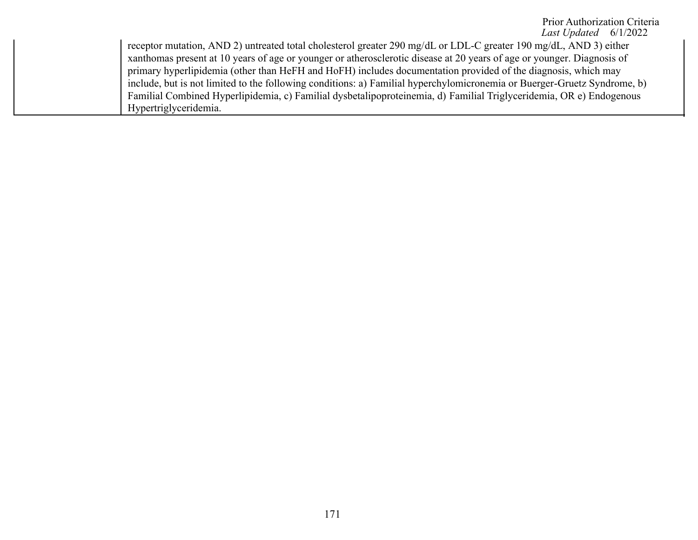#### Prior Authorization Criteria *Last Updated* 6/1/2022

receptor mutation, AND 2) untreated total cholesterol greater 290 mg/dL or LDL-C greater 190 mg/dL, AND 3) either xanthomas present at 10 years of age or younger or atherosclerotic disease at 20 years of age or younger. Diagnosis of primary hyperlipidemia (other than HeFH and HoFH) includes documentation provided of the diagnosis, which may include, but is not limited to the following conditions: a) Familial hyperchylomicronemia or Buerger-Gruetz Syndrome, b) Familial Combined Hyperlipidemia, c) Familial dysbetalipoproteinemia, d) Familial Triglyceridemia, OR e) Endogenous Hypertriglyceridemia.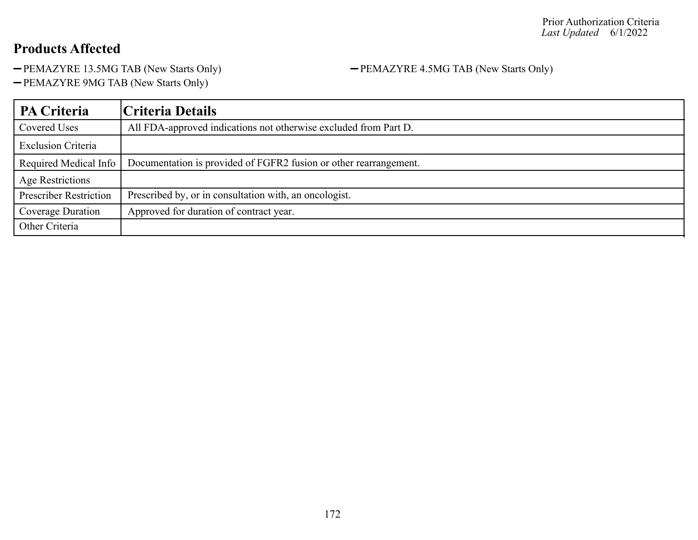-PEMAZYRE 13.5MG TAB (New Starts Only) - PEMAZYRE 4.5MG TAB (New Starts Only)

-PEMAZYRE 9MG TAB (New Starts Only)

| <b>PA Criteria</b>            | Criteria Details                                                  |
|-------------------------------|-------------------------------------------------------------------|
| Covered Uses                  | All FDA-approved indications not otherwise excluded from Part D.  |
| <b>Exclusion Criteria</b>     |                                                                   |
| Required Medical Info         | Documentation is provided of FGFR2 fusion or other rearrangement. |
| Age Restrictions              |                                                                   |
| <b>Prescriber Restriction</b> | Prescribed by, or in consultation with, an oncologist.            |
| Coverage Duration             | Approved for duration of contract year.                           |
| Other Criteria                |                                                                   |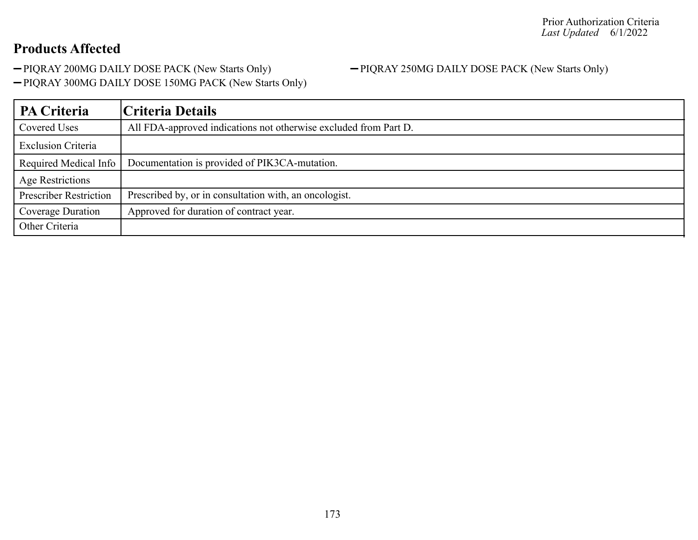-PIQRAY 200MG DAILY DOSE PACK (New Starts Only) - PIQRAY 250MG DAILY DOSE PACK (New Starts Only)

PIQRAY 300MG DAILY DOSE 150MG PACK (New Starts Only)

| PA Criteria                   | Criteria Details                                                 |
|-------------------------------|------------------------------------------------------------------|
| Covered Uses                  | All FDA-approved indications not otherwise excluded from Part D. |
| <b>Exclusion Criteria</b>     |                                                                  |
| Required Medical Info         | Documentation is provided of PIK3CA-mutation.                    |
| Age Restrictions              |                                                                  |
| <b>Prescriber Restriction</b> | Prescribed by, or in consultation with, an oncologist.           |
| Coverage Duration             | Approved for duration of contract year.                          |
| Other Criteria                |                                                                  |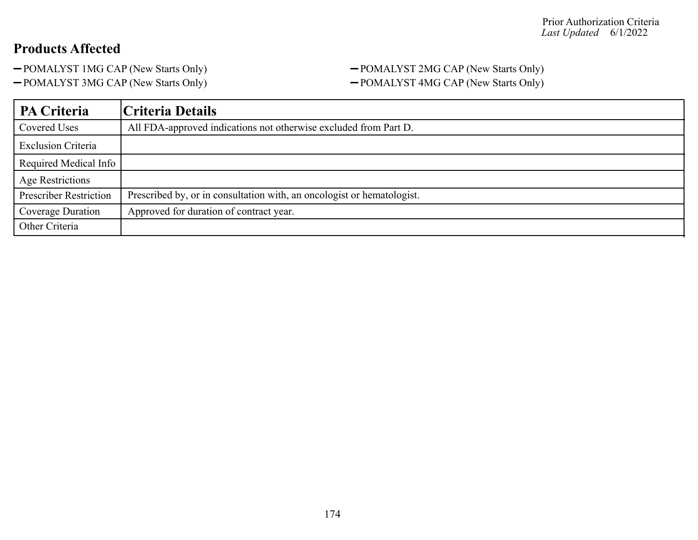#### -POMALYST 1MG CAP (New Starts Only) - POMALYST 2MG CAP (New Starts Only) -POMALYST 3MG CAP (New Starts Only) - POMALYST 4MG CAP (New Starts Only)

| PA Criteria                   | Criteria Details                                                       |
|-------------------------------|------------------------------------------------------------------------|
| Covered Uses                  | All FDA-approved indications not otherwise excluded from Part D.       |
| <b>Exclusion Criteria</b>     |                                                                        |
| Required Medical Info         |                                                                        |
| <b>Age Restrictions</b>       |                                                                        |
| <b>Prescriber Restriction</b> | Prescribed by, or in consultation with, an oncologist or hematologist. |
| Coverage Duration             | Approved for duration of contract year.                                |
| Other Criteria                |                                                                        |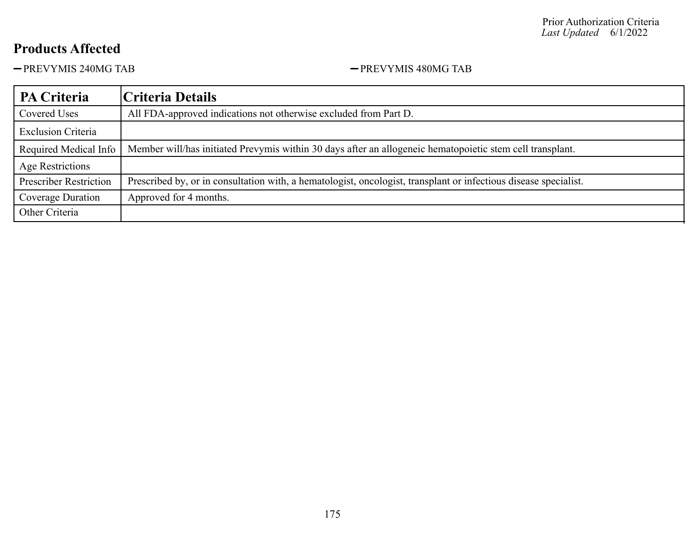-PREVYMIS 240MG TAB PREVYMIS 480MG TAB

| PA Criteria                   | Criteria Details                                                                                                 |
|-------------------------------|------------------------------------------------------------------------------------------------------------------|
| Covered Uses                  | All FDA-approved indications not otherwise excluded from Part D.                                                 |
| <b>Exclusion Criteria</b>     |                                                                                                                  |
| Required Medical Info         | Member will/has initiated Prevymis within 30 days after an allogeneic hematopoietic stem cell transplant.        |
| Age Restrictions              |                                                                                                                  |
| <b>Prescriber Restriction</b> | Prescribed by, or in consultation with, a hematologist, oncologist, transplant or infectious disease specialist. |
| Coverage Duration             | Approved for 4 months.                                                                                           |
| Other Criteria                |                                                                                                                  |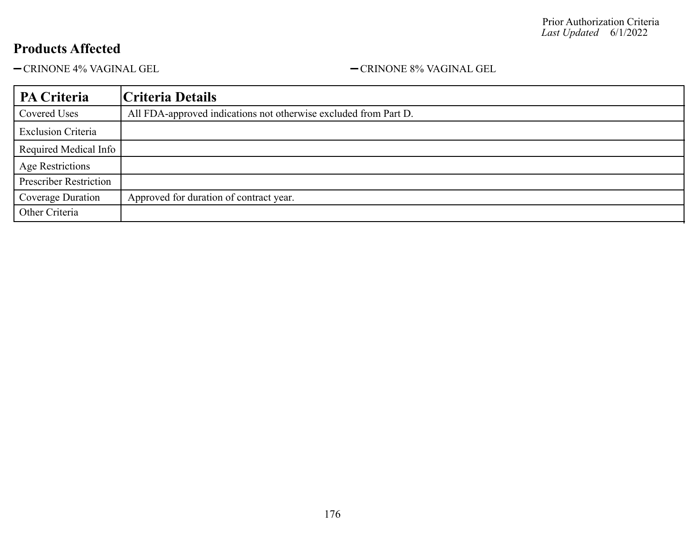-CRINONE 4% VAGINAL GEL - CRINONE 8% VAGINAL GEL

| PA Criteria                   | Criteria Details                                                 |
|-------------------------------|------------------------------------------------------------------|
| Covered Uses                  | All FDA-approved indications not otherwise excluded from Part D. |
| <b>Exclusion Criteria</b>     |                                                                  |
| Required Medical Info         |                                                                  |
| <b>Age Restrictions</b>       |                                                                  |
| <b>Prescriber Restriction</b> |                                                                  |
| Coverage Duration             | Approved for duration of contract year.                          |
| Other Criteria                |                                                                  |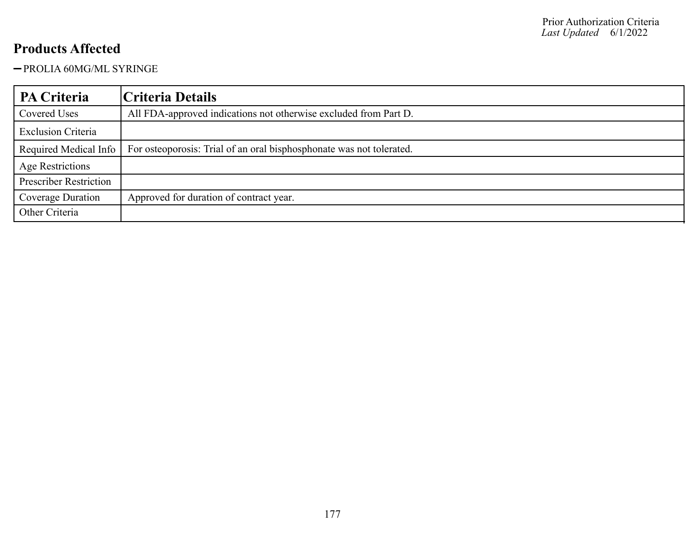PROLIA 60MG/ML SYRINGE

| PA Criteria                   | Criteria Details                                                     |
|-------------------------------|----------------------------------------------------------------------|
| Covered Uses                  | All FDA-approved indications not otherwise excluded from Part D.     |
| <b>Exclusion Criteria</b>     |                                                                      |
| Required Medical Info         | For osteoporosis: Trial of an oral bisphosphonate was not tolerated. |
| <b>Age Restrictions</b>       |                                                                      |
| <b>Prescriber Restriction</b> |                                                                      |
| Coverage Duration             | Approved for duration of contract year.                              |
| Other Criteria                |                                                                      |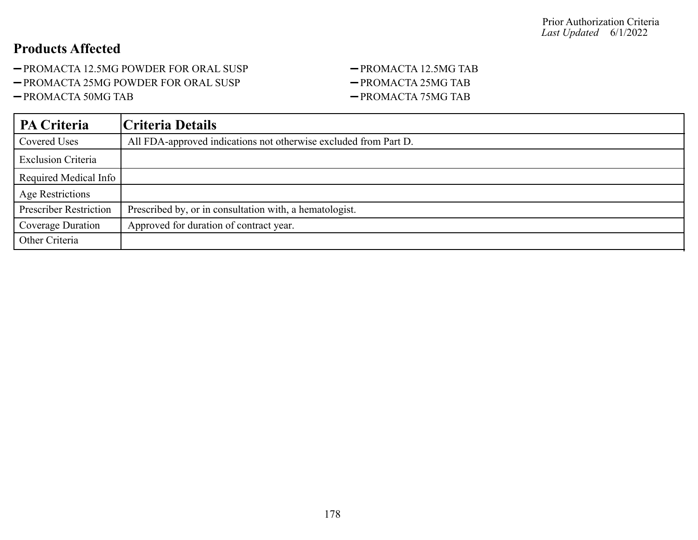- -PROMACTA 12.5MG POWDER FOR ORAL SUSP PROMACTA 12.5MG TAB
- -PROMACTA 25MG POWDER FOR ORAL SUSP PROMACTA 25MG TAB
- 

# -PROMACTA 50MG TAB PROMACTA 75MG TAB

| <b>PA Criteria</b>            | Criteria Details                                                 |
|-------------------------------|------------------------------------------------------------------|
| <b>Covered Uses</b>           | All FDA-approved indications not otherwise excluded from Part D. |
| <b>Exclusion Criteria</b>     |                                                                  |
| Required Medical Info         |                                                                  |
| Age Restrictions              |                                                                  |
| <b>Prescriber Restriction</b> | Prescribed by, or in consultation with, a hematologist.          |
| Coverage Duration             | Approved for duration of contract year.                          |
| Other Criteria                |                                                                  |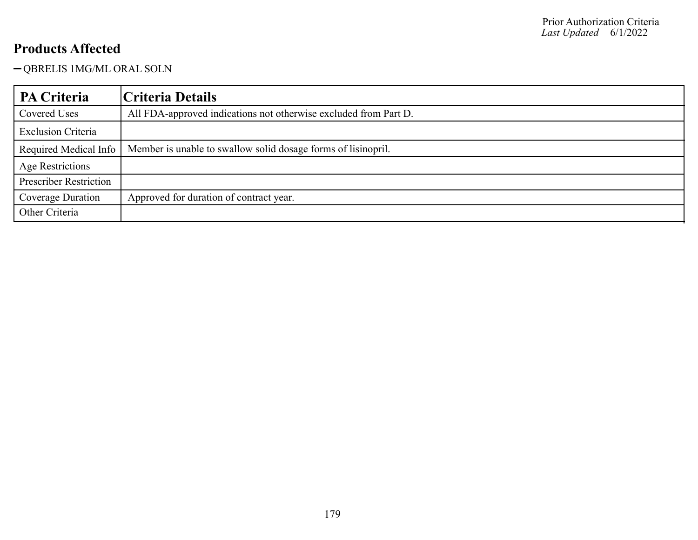QBRELIS 1MG/ML ORAL SOLN

| PA Criteria                   | Criteria Details                                                 |
|-------------------------------|------------------------------------------------------------------|
| Covered Uses                  | All FDA-approved indications not otherwise excluded from Part D. |
| <b>Exclusion Criteria</b>     |                                                                  |
| Required Medical Info         | Member is unable to swallow solid dosage forms of list nopril.   |
| Age Restrictions              |                                                                  |
| <b>Prescriber Restriction</b> |                                                                  |
| Coverage Duration             | Approved for duration of contract year.                          |
| Other Criteria                |                                                                  |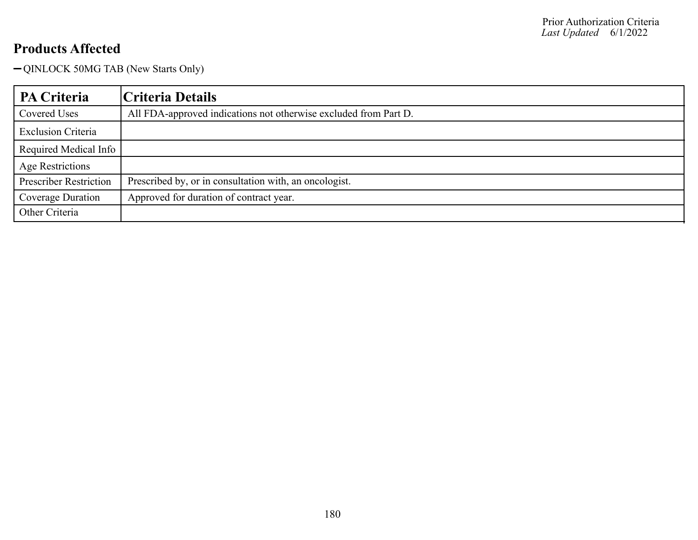QINLOCK 50MG TAB (New Starts Only)

| PA Criteria                   | Criteria Details                                                 |
|-------------------------------|------------------------------------------------------------------|
| Covered Uses                  | All FDA-approved indications not otherwise excluded from Part D. |
| <b>Exclusion Criteria</b>     |                                                                  |
| Required Medical Info         |                                                                  |
| <b>Age Restrictions</b>       |                                                                  |
| <b>Prescriber Restriction</b> | Prescribed by, or in consultation with, an oncologist.           |
| Coverage Duration             | Approved for duration of contract year.                          |
| Other Criteria                |                                                                  |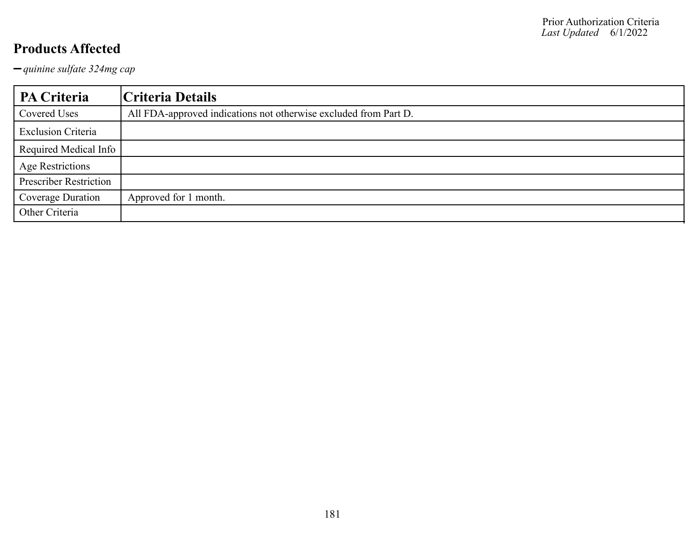*quinine sulfate 324mg cap*

| PA Criteria                   | Criteria Details                                                 |
|-------------------------------|------------------------------------------------------------------|
| Covered Uses                  | All FDA-approved indications not otherwise excluded from Part D. |
| <b>Exclusion Criteria</b>     |                                                                  |
| Required Medical Info         |                                                                  |
| <b>Age Restrictions</b>       |                                                                  |
| <b>Prescriber Restriction</b> |                                                                  |
| Coverage Duration             | Approved for 1 month.                                            |
| Other Criteria                |                                                                  |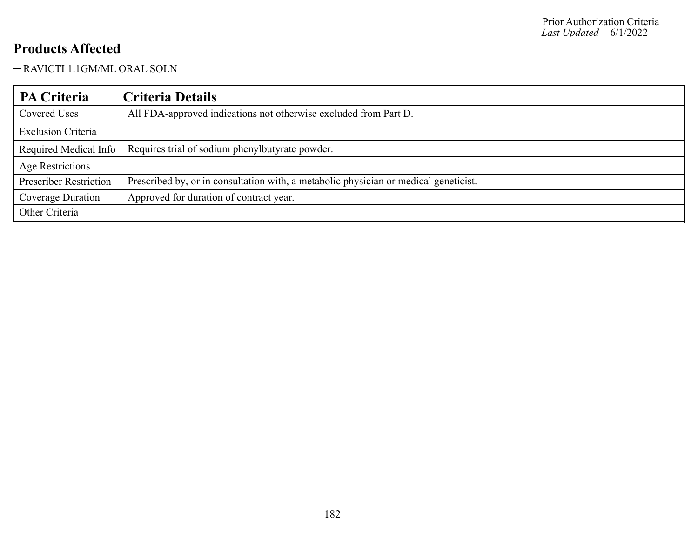### RAVICTI 1.1GM/ML ORAL SOLN

| PA Criteria                   | Criteria Details                                                                     |
|-------------------------------|--------------------------------------------------------------------------------------|
| Covered Uses                  | All FDA-approved indications not otherwise excluded from Part D.                     |
| <b>Exclusion Criteria</b>     |                                                                                      |
| Required Medical Info         | Requires trial of sodium phenylbutyrate powder.                                      |
| Age Restrictions              |                                                                                      |
| <b>Prescriber Restriction</b> | Prescribed by, or in consultation with, a metabolic physician or medical geneticist. |
| Coverage Duration             | Approved for duration of contract year.                                              |
| Other Criteria                |                                                                                      |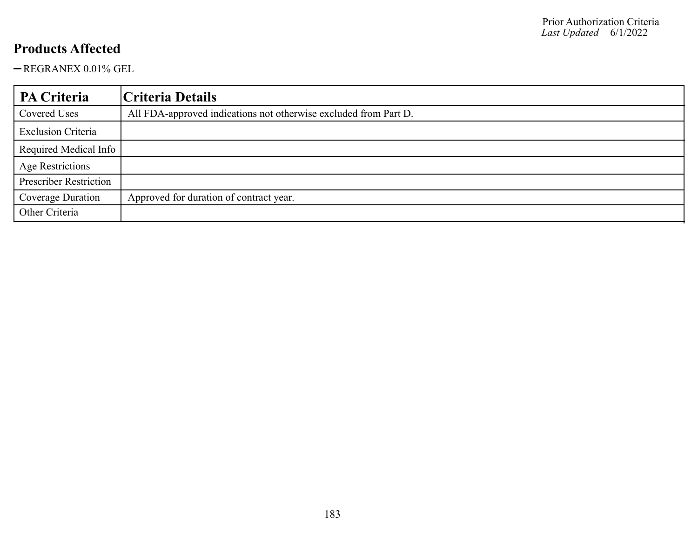REGRANEX 0.01% GEL

| PA Criteria                   | Criteria Details                                                 |
|-------------------------------|------------------------------------------------------------------|
| Covered Uses                  | All FDA-approved indications not otherwise excluded from Part D. |
| <b>Exclusion Criteria</b>     |                                                                  |
| Required Medical Info         |                                                                  |
| <b>Age Restrictions</b>       |                                                                  |
| <b>Prescriber Restriction</b> |                                                                  |
| Coverage Duration             | Approved for duration of contract year.                          |
| Other Criteria                |                                                                  |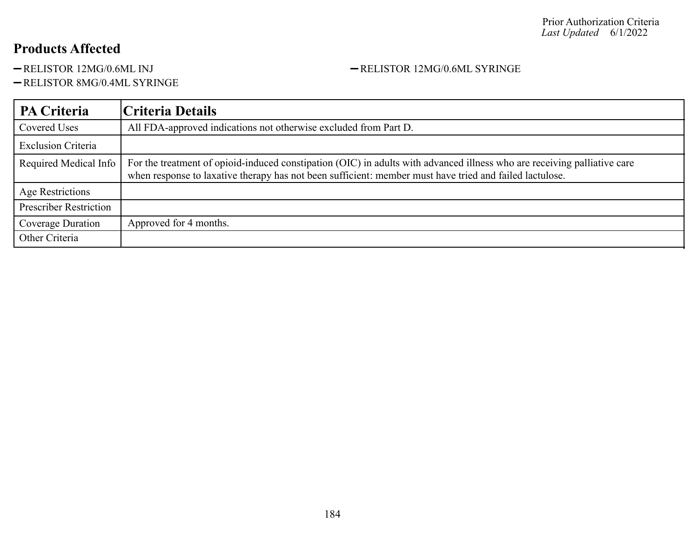### -RELISTOR 8MG/0.4ML SYRINGE

### **PA Criteria Criteria Details** Covered Uses All FDA-approved indications not otherwise excluded from Part D. Exclusion Criteria Required Medical Info For the treatment of opioid-induced constipation (OIC) in adults with advanced illness who are receiving palliative care when response to laxative therapy has not been sufficient: member must have tried and failed lactulose. Age Restrictions Prescriber Restriction Coverage Duration | Approved for 4 months. Other Criteria

-RELISTOR 12MG/0.6ML INJ - RELISTOR 12MG/0.6ML SYRINGE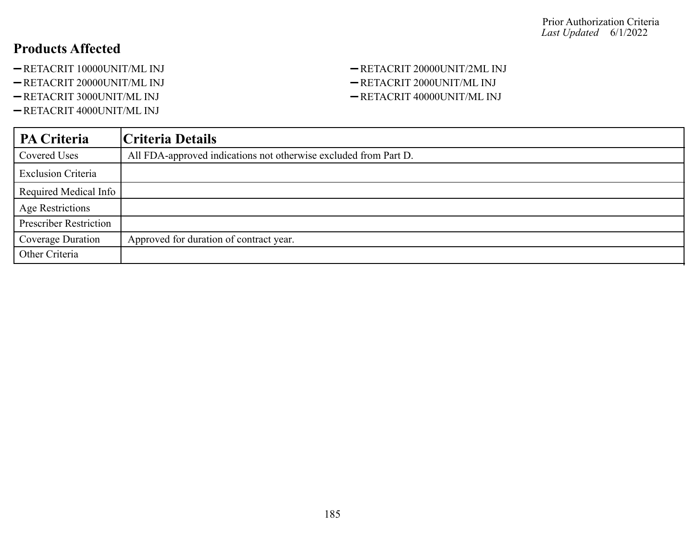- -RETACRIT 10000UNIT/ML INJ -RETACRIT 20000UNIT/2ML INJ
- -RETACRIT 20000UNIT/ML INJ -RETACRIT 2000UNIT/ML INJ
- 
- -RETACRIT 4000UNIT/ML INJ

# -RETACRIT 3000UNIT/ML INJ -RETACRIT 40000UNIT/ML INJ

| <b>PA Criteria</b>            | Criteria Details                                                 |
|-------------------------------|------------------------------------------------------------------|
| Covered Uses                  | All FDA-approved indications not otherwise excluded from Part D. |
| <b>Exclusion Criteria</b>     |                                                                  |
| Required Medical Info         |                                                                  |
| <b>Age Restrictions</b>       |                                                                  |
| <b>Prescriber Restriction</b> |                                                                  |
| Coverage Duration             | Approved for duration of contract year.                          |
| Other Criteria                |                                                                  |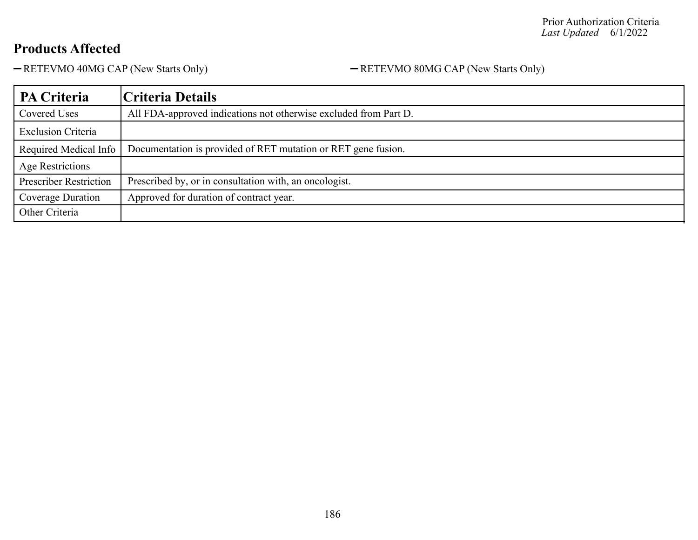-RETEVMO 40MG CAP (New Starts Only) - RETEVMO 80MG CAP (New Starts Only)

| PA Criteria                   | Criteria Details                                                 |
|-------------------------------|------------------------------------------------------------------|
| Covered Uses                  | All FDA-approved indications not otherwise excluded from Part D. |
| <b>Exclusion Criteria</b>     |                                                                  |
| Required Medical Info         | Documentation is provided of RET mutation or RET gene fusion.    |
| Age Restrictions              |                                                                  |
| <b>Prescriber Restriction</b> | Prescribed by, or in consultation with, an oncologist.           |
| Coverage Duration             | Approved for duration of contract year.                          |
| Other Criteria                |                                                                  |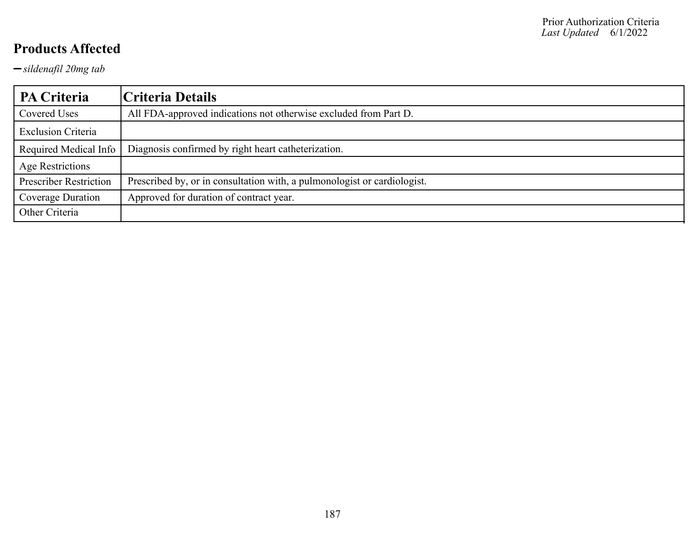*sildenafil 20mg tab*

| PA Criteria                   | Criteria Details                                                         |
|-------------------------------|--------------------------------------------------------------------------|
| Covered Uses                  | All FDA-approved indications not otherwise excluded from Part D.         |
| <b>Exclusion Criteria</b>     |                                                                          |
| Required Medical Info         | Diagnosis confirmed by right heart catheterization.                      |
| Age Restrictions              |                                                                          |
| <b>Prescriber Restriction</b> | Prescribed by, or in consultation with, a pulmonologist or cardiologist. |
| Coverage Duration             | Approved for duration of contract year.                                  |
| Other Criteria                |                                                                          |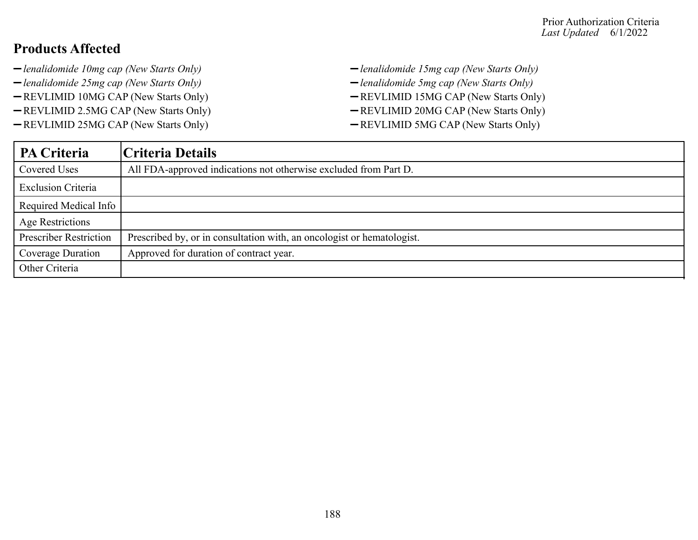- *lenalidomide 10mg cap (New Starts Only) lenalidomide 15mg cap (New Starts Only)*
- 
- 
- -REVLIMID 2.5MG CAP (New Starts Only) REVLIMID 20MG CAP (New Starts Only)
- -REVLIMID 25MG CAP (New Starts Only) REVLIMID 5MG CAP (New Starts Only)
- 
- *lenalidomide 25mg cap (New Starts Only) lenalidomide 5mg cap (New Starts Only)*
- -REVLIMID 10MG CAP (New Starts Only) REVLIMID 15MG CAP (New Starts Only)
	-
	-

| <b>PA Criteria</b>            | Criteria Details                                                       |
|-------------------------------|------------------------------------------------------------------------|
| Covered Uses                  | All FDA-approved indications not otherwise excluded from Part D.       |
| <b>Exclusion Criteria</b>     |                                                                        |
| Required Medical Info         |                                                                        |
| <b>Age Restrictions</b>       |                                                                        |
| <b>Prescriber Restriction</b> | Prescribed by, or in consultation with, an oncologist or hematologist. |
| Coverage Duration             | Approved for duration of contract year.                                |
| Other Criteria                |                                                                        |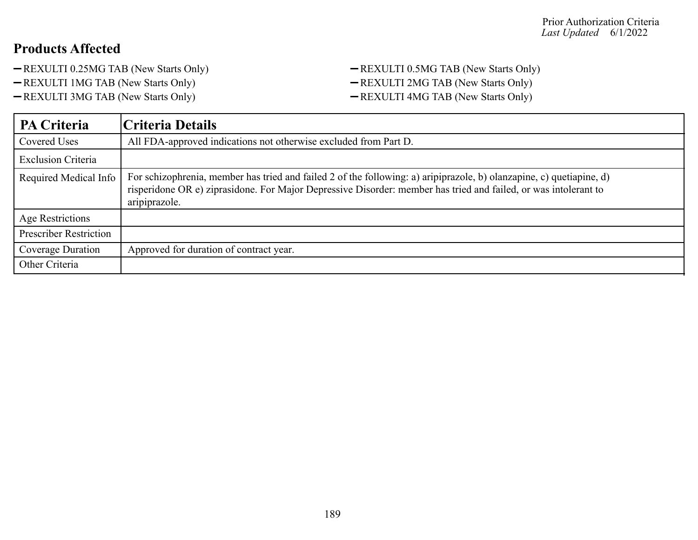- -REXULTI 0.25MG TAB (New Starts Only) REXULTI 0.5MG TAB (New Starts Only)
- 
- 
- -REXULTI 1MG TAB (New Starts Only) REXULTI 2MG TAB (New Starts Only)
- -REXULTI 3MG TAB (New Starts Only) REXULTI 4MG TAB (New Starts Only)

| PA Criteria                   | Criteria Details                                                                                                                                                                                                                                         |
|-------------------------------|----------------------------------------------------------------------------------------------------------------------------------------------------------------------------------------------------------------------------------------------------------|
| <b>Covered Uses</b>           | All FDA-approved indications not otherwise excluded from Part D.                                                                                                                                                                                         |
| <b>Exclusion Criteria</b>     |                                                                                                                                                                                                                                                          |
| Required Medical Info         | For schizophrenia, member has tried and failed 2 of the following: a) aripiprazole, b) olanzapine, c) quetiapine, d)<br>risperidone OR e) ziprasidone. For Major Depressive Disorder: member has tried and failed, or was intolerant to<br>aripiprazole. |
| Age Restrictions              |                                                                                                                                                                                                                                                          |
| <b>Prescriber Restriction</b> |                                                                                                                                                                                                                                                          |
| Coverage Duration             | Approved for duration of contract year.                                                                                                                                                                                                                  |
| Other Criteria                |                                                                                                                                                                                                                                                          |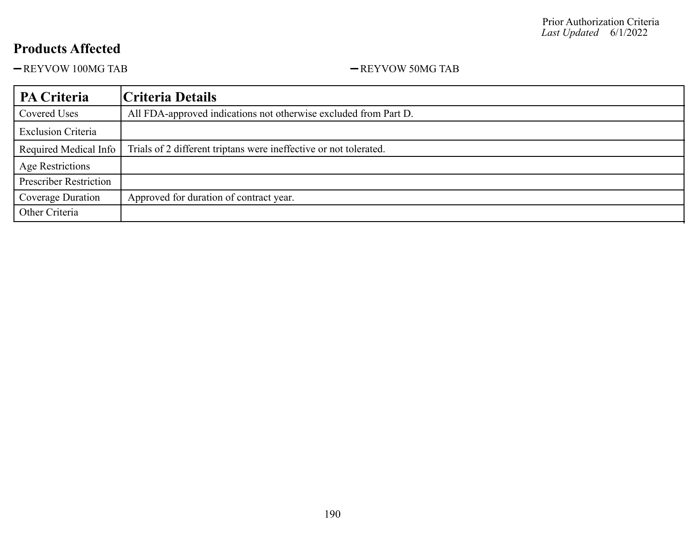-REYVOW 100MG TAB - REYVOW 50MG TAB

| <b>PA Criteria</b>            | Criteria Details                                                  |
|-------------------------------|-------------------------------------------------------------------|
| Covered Uses                  | All FDA-approved indications not otherwise excluded from Part D.  |
| <b>Exclusion Criteria</b>     |                                                                   |
| Required Medical Info         | Trials of 2 different triptans were ineffective or not tolerated. |
| <b>Age Restrictions</b>       |                                                                   |
| <b>Prescriber Restriction</b> |                                                                   |
| Coverage Duration             | Approved for duration of contract year.                           |
| Other Criteria                |                                                                   |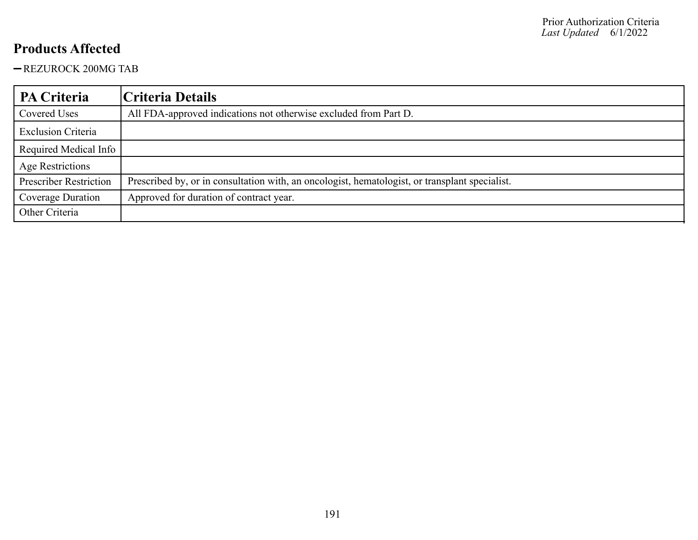-REZUROCK 200MG TAB

| PA Criteria                   | Criteria Details                                                                               |
|-------------------------------|------------------------------------------------------------------------------------------------|
| Covered Uses                  | All FDA-approved indications not otherwise excluded from Part D.                               |
| <b>Exclusion Criteria</b>     |                                                                                                |
| Required Medical Info         |                                                                                                |
| <b>Age Restrictions</b>       |                                                                                                |
| <b>Prescriber Restriction</b> | Prescribed by, or in consultation with, an oncologist, hematologist, or transplant specialist. |
| Coverage Duration             | Approved for duration of contract year.                                                        |
| Other Criteria                |                                                                                                |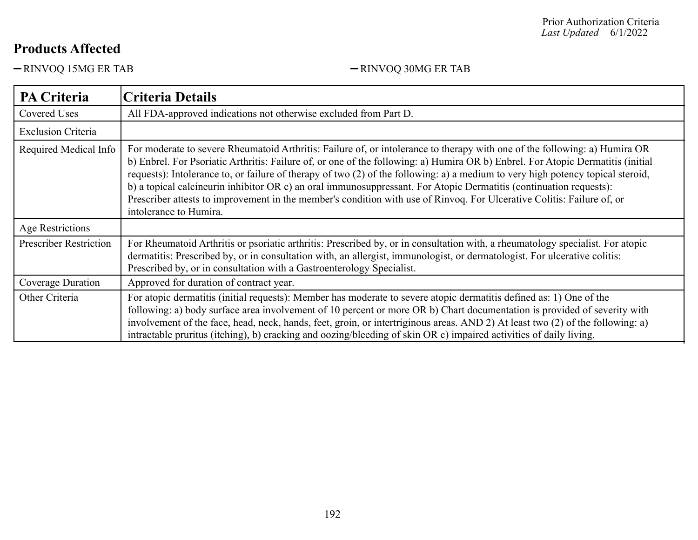-RINVOQ 15MG ER TAB RINVOQ 30MG ER TAB

| <b>PA Criteria</b>            | <b>Criteria Details</b>                                                                                                                                                                                                                                                                                                                                                                                                                                                                                                                                                                                                                                                    |
|-------------------------------|----------------------------------------------------------------------------------------------------------------------------------------------------------------------------------------------------------------------------------------------------------------------------------------------------------------------------------------------------------------------------------------------------------------------------------------------------------------------------------------------------------------------------------------------------------------------------------------------------------------------------------------------------------------------------|
| Covered Uses                  | All FDA-approved indications not otherwise excluded from Part D.                                                                                                                                                                                                                                                                                                                                                                                                                                                                                                                                                                                                           |
| <b>Exclusion Criteria</b>     |                                                                                                                                                                                                                                                                                                                                                                                                                                                                                                                                                                                                                                                                            |
| Required Medical Info         | For moderate to severe Rheumatoid Arthritis: Failure of, or intolerance to therapy with one of the following: a) Humira OR<br>b) Enbrel. For Psoriatic Arthritis: Failure of, or one of the following: a) Humira OR b) Enbrel. For Atopic Dermatitis (initial<br>requests): Intolerance to, or failure of therapy of two (2) of the following: a) a medium to very high potency topical steroid,<br>b) a topical calcineurin inhibitor OR c) an oral immunosuppressant. For Atopic Dermatitis (continuation requests):<br>Prescriber attests to improvement in the member's condition with use of Rinvoq. For Ulcerative Colitis: Failure of, or<br>intolerance to Humira. |
| Age Restrictions              |                                                                                                                                                                                                                                                                                                                                                                                                                                                                                                                                                                                                                                                                            |
| <b>Prescriber Restriction</b> | For Rheumatoid Arthritis or psoriatic arthritis: Prescribed by, or in consultation with, a rheumatology specialist. For atopic<br>dermatitis: Prescribed by, or in consultation with, an allergist, immunologist, or dermatologist. For ulcerative colitis:<br>Prescribed by, or in consultation with a Gastroenterology Specialist.                                                                                                                                                                                                                                                                                                                                       |
| Coverage Duration             | Approved for duration of contract year.                                                                                                                                                                                                                                                                                                                                                                                                                                                                                                                                                                                                                                    |
| Other Criteria                | For atopic dermatitis (initial requests): Member has moderate to severe atopic dermatitis defined as: 1) One of the<br>following: a) body surface area involvement of 10 percent or more OR b) Chart documentation is provided of severity with<br>involvement of the face, head, neck, hands, feet, groin, or intertriginous areas. AND 2) At least two (2) of the following: a)<br>intractable pruritus (itching), b) cracking and oozing/bleeding of skin OR c) impaired activities of daily living.                                                                                                                                                                    |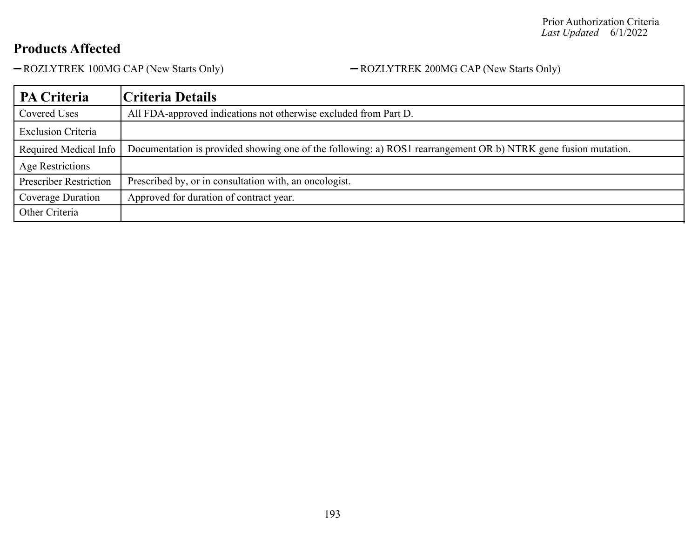-ROZLYTREK 100MG CAP (New Starts Only) - ROZLYTREK 200MG CAP (New Starts Only)

| <b>PA Criteria</b>            | Criteria Details                                                                                               |
|-------------------------------|----------------------------------------------------------------------------------------------------------------|
| Covered Uses                  | All FDA-approved indications not otherwise excluded from Part D.                                               |
| <b>Exclusion Criteria</b>     |                                                                                                                |
| Required Medical Info         | Documentation is provided showing one of the following: a) ROS1 rearrangement OR b) NTRK gene fusion mutation. |
| Age Restrictions              |                                                                                                                |
| <b>Prescriber Restriction</b> | Prescribed by, or in consultation with, an oncologist.                                                         |
| Coverage Duration             | Approved for duration of contract year.                                                                        |
| Other Criteria                |                                                                                                                |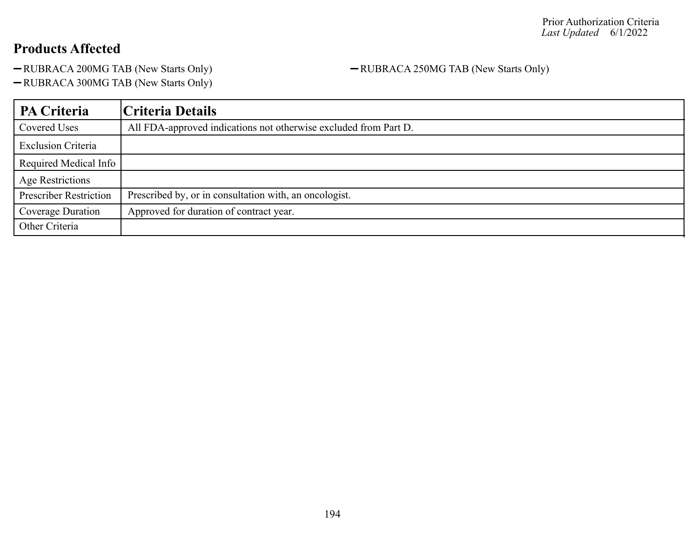-RUBRACA 200MG TAB (New Starts Only) - RUBRACA 250MG TAB (New Starts Only)

RUBRACA 300MG TAB (New Starts Only)

| PA Criteria                   | Criteria Details                                                 |
|-------------------------------|------------------------------------------------------------------|
| <b>Covered Uses</b>           | All FDA-approved indications not otherwise excluded from Part D. |
| <b>Exclusion Criteria</b>     |                                                                  |
| Required Medical Info         |                                                                  |
| <b>Age Restrictions</b>       |                                                                  |
| <b>Prescriber Restriction</b> | Prescribed by, or in consultation with, an oncologist.           |
| Coverage Duration             | Approved for duration of contract year.                          |
| Other Criteria                |                                                                  |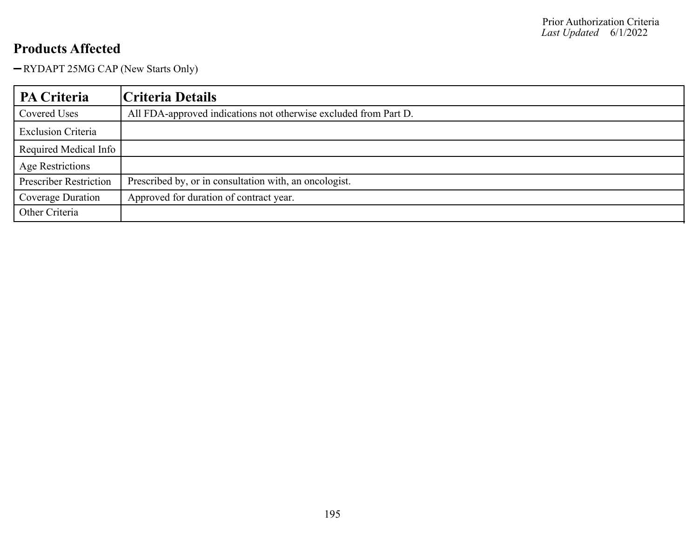RYDAPT 25MG CAP (New Starts Only)

| PA Criteria                   | Criteria Details                                                 |
|-------------------------------|------------------------------------------------------------------|
| Covered Uses                  | All FDA-approved indications not otherwise excluded from Part D. |
| <b>Exclusion Criteria</b>     |                                                                  |
| Required Medical Info         |                                                                  |
| <b>Age Restrictions</b>       |                                                                  |
| <b>Prescriber Restriction</b> | Prescribed by, or in consultation with, an oncologist.           |
| Coverage Duration             | Approved for duration of contract year.                          |
| Other Criteria                |                                                                  |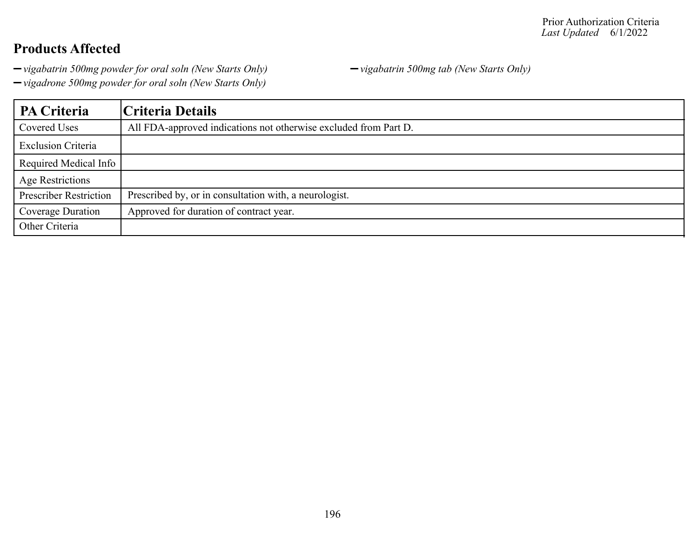*vigabatrin 500mg powder for oral soln (New Starts Only) vigabatrin 500mg tab (New Starts Only)*

*vigadrone 500mg powder for oral soln (New Starts Only)*

**PA Criteria Criteria Details** Covered Uses All FDA-approved indications not otherwise excluded from Part D. Exclusion Criteria Required Medical Info Age Restrictions Prescriber Restriction | Prescribed by, or in consultation with, a neurologist. Coverage Duration | Approved for duration of contract year. Other Criteria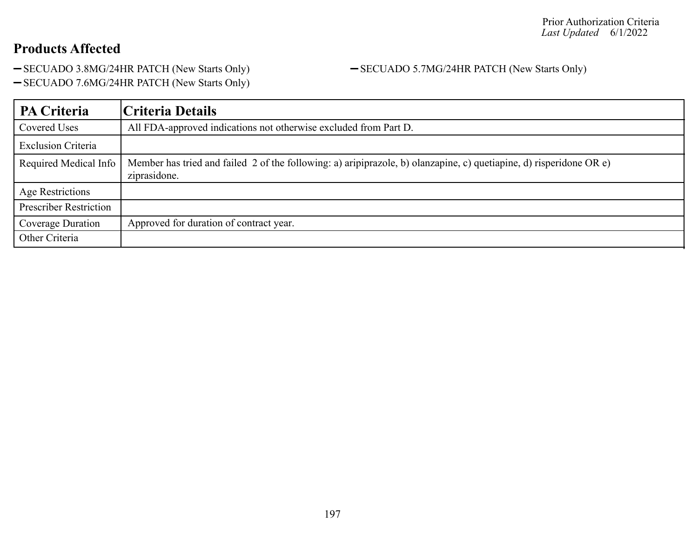-SECUADO 3.8MG/24HR PATCH (New Starts Only) - SECUADO 5.7MG/24HR PATCH (New Starts Only)

- SECUADO 7.6MG/24HR PATCH (New Starts Only)

| PA Criteria                   | Criteria Details                                                                                                                    |
|-------------------------------|-------------------------------------------------------------------------------------------------------------------------------------|
| <b>Covered Uses</b>           | All FDA-approved indications not otherwise excluded from Part D.                                                                    |
| <b>Exclusion Criteria</b>     |                                                                                                                                     |
| Required Medical Info         | Member has tried and failed 2 of the following: a) aripiprazole, b) olanzapine, c) quetiapine, d) risperidone OR e)<br>ziprasidone. |
| <b>Age Restrictions</b>       |                                                                                                                                     |
| <b>Prescriber Restriction</b> |                                                                                                                                     |
| Coverage Duration             | Approved for duration of contract year.                                                                                             |
| Other Criteria                |                                                                                                                                     |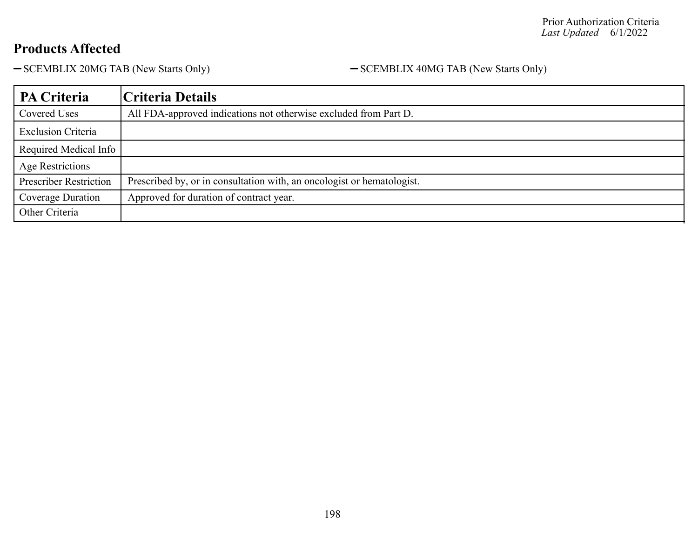- SCEMBLIX 20MG TAB (New Starts Only) - SCEMBLIX 40MG TAB (New Starts Only)

| PA Criteria                   | Criteria Details                                                       |
|-------------------------------|------------------------------------------------------------------------|
| Covered Uses                  | All FDA-approved indications not otherwise excluded from Part D.       |
| <b>Exclusion Criteria</b>     |                                                                        |
| Required Medical Info         |                                                                        |
| Age Restrictions              |                                                                        |
| <b>Prescriber Restriction</b> | Prescribed by, or in consultation with, an oncologist or hematologist. |
| Coverage Duration             | Approved for duration of contract year.                                |
| Other Criteria                |                                                                        |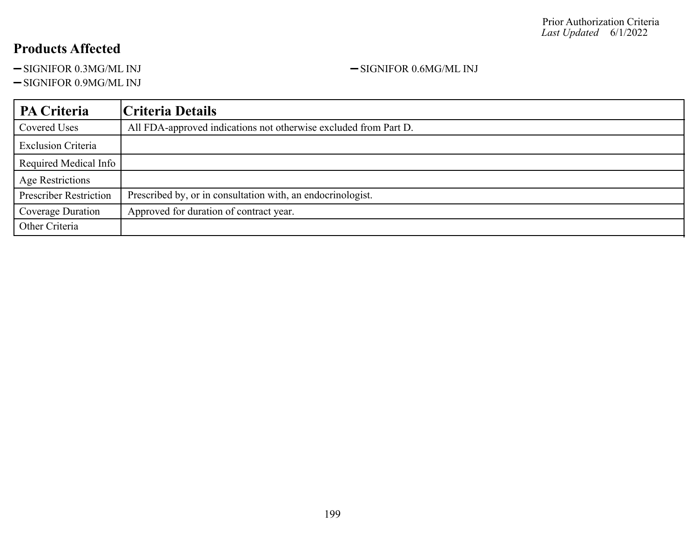-SIGNIFOR 0.3MG/ML INJ -SIGNIFOR 0.6MG/ML INJ

-SIGNIFOR 0.9MG/ML INJ

**PA Criteria Criteria Details** Covered Uses All FDA-approved indications not otherwise excluded from Part D. Exclusion Criteria Required Medical Info Age Restrictions Prescriber Restriction | Prescribed by, or in consultation with, an endocrinologist. Coverage Duration | Approved for duration of contract year. Other Criteria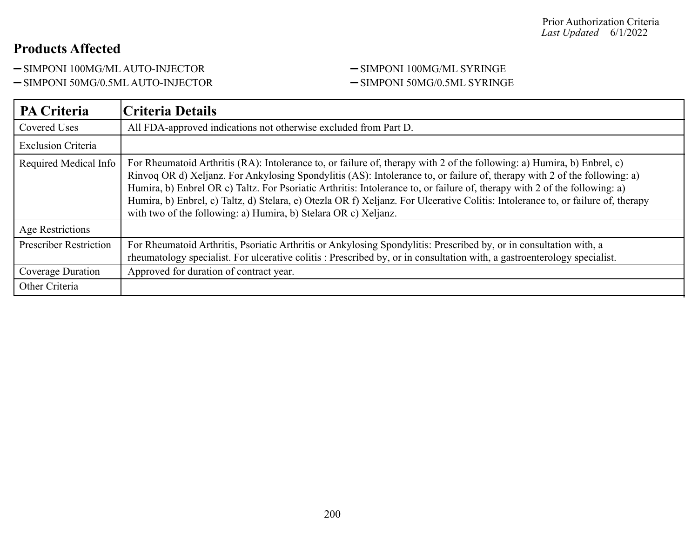-SIMPONI 100MG/ML AUTO-INJECTOR - SIMPONI 100MG/ML SYRINGE

-SIMPONI 50MG/0.5ML AUTO-INJECTOR - SIMPONI 50MG/0.5ML SYRINGE

| <b>PA Criteria</b>            | Criteria Details                                                                                                                                                                                                                                                                                                                                                                                                                                                                                                                                                                          |
|-------------------------------|-------------------------------------------------------------------------------------------------------------------------------------------------------------------------------------------------------------------------------------------------------------------------------------------------------------------------------------------------------------------------------------------------------------------------------------------------------------------------------------------------------------------------------------------------------------------------------------------|
| Covered Uses                  | All FDA-approved indications not otherwise excluded from Part D.                                                                                                                                                                                                                                                                                                                                                                                                                                                                                                                          |
| <b>Exclusion Criteria</b>     |                                                                                                                                                                                                                                                                                                                                                                                                                                                                                                                                                                                           |
| Required Medical Info         | For Rheumatoid Arthritis (RA): Intolerance to, or failure of, therapy with 2 of the following: a) Humira, b) Enbrel, c)<br>Rinvoq OR d) Xeljanz. For Ankylosing Spondylitis (AS): Intolerance to, or failure of, therapy with 2 of the following: a)<br>Humira, b) Enbrel OR c) Taltz. For Psoriatic Arthritis: Intolerance to, or failure of, therapy with 2 of the following: a)<br>Humira, b) Enbrel, c) Taltz, d) Stelara, e) Otezla OR f) Xeljanz. For Ulcerative Colitis: Intolerance to, or failure of, therapy<br>with two of the following: a) Humira, b) Stelara OR c) Xeljanz. |
| Age Restrictions              |                                                                                                                                                                                                                                                                                                                                                                                                                                                                                                                                                                                           |
| <b>Prescriber Restriction</b> | For Rheumatoid Arthritis, Psoriatic Arthritis or Ankylosing Spondylitis: Prescribed by, or in consultation with, a<br>rheumatology specialist. For ulcerative colitis : Prescribed by, or in consultation with, a gastroenterology specialist.                                                                                                                                                                                                                                                                                                                                            |
| Coverage Duration             | Approved for duration of contract year.                                                                                                                                                                                                                                                                                                                                                                                                                                                                                                                                                   |
| Other Criteria                |                                                                                                                                                                                                                                                                                                                                                                                                                                                                                                                                                                                           |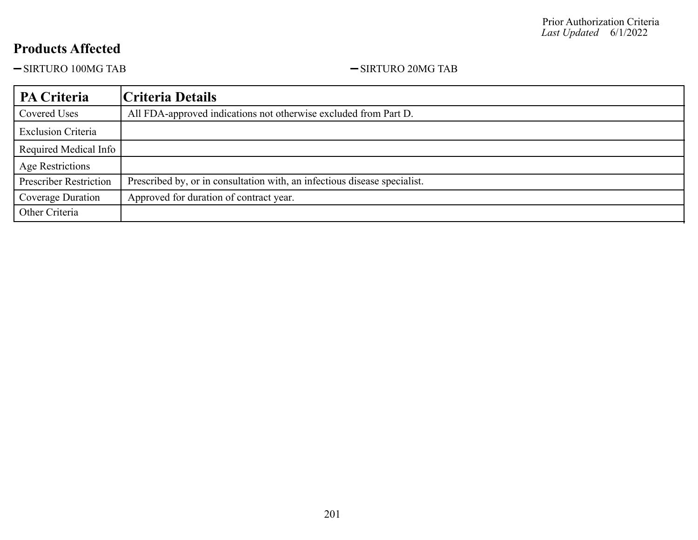-SIRTURO 100MG TAB -SIRTURO 20MG TAB

| PA Criteria                   | Criteria Details                                                          |
|-------------------------------|---------------------------------------------------------------------------|
| Covered Uses                  | All FDA-approved indications not otherwise excluded from Part D.          |
| <b>Exclusion Criteria</b>     |                                                                           |
| Required Medical Info         |                                                                           |
| Age Restrictions              |                                                                           |
| <b>Prescriber Restriction</b> | Prescribed by, or in consultation with, an infectious disease specialist. |
| Coverage Duration             | Approved for duration of contract year.                                   |
| Other Criteria                |                                                                           |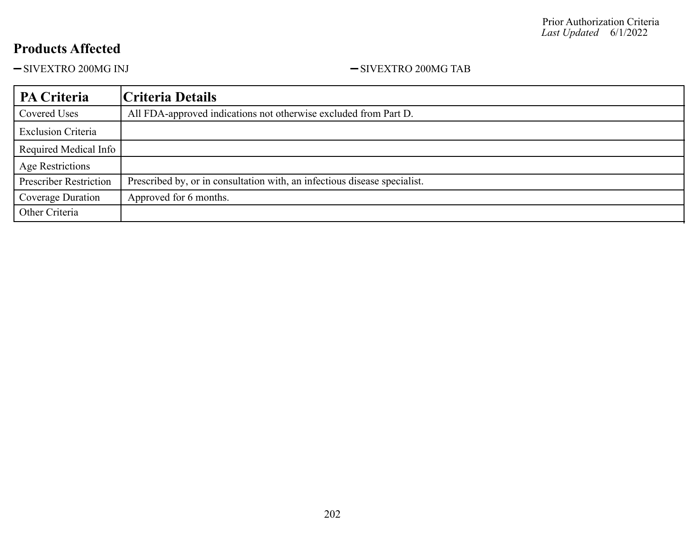-SIVEXTRO 200MG INJ <br/>-SIVEXTRO 200MG TAB

| PA Criteria                   | Criteria Details                                                          |
|-------------------------------|---------------------------------------------------------------------------|
| Covered Uses                  | All FDA-approved indications not otherwise excluded from Part D.          |
| <b>Exclusion Criteria</b>     |                                                                           |
| Required Medical Info         |                                                                           |
| Age Restrictions              |                                                                           |
| <b>Prescriber Restriction</b> | Prescribed by, or in consultation with, an infectious disease specialist. |
| Coverage Duration             | Approved for 6 months.                                                    |
| Other Criteria                |                                                                           |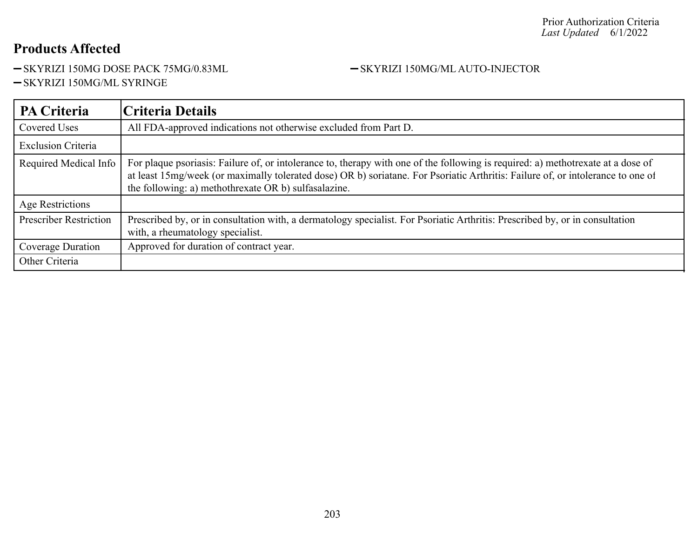-SKYRIZI 150MG DOSE PACK 75MG/0.83ML - SKYRIZI 150MG/ML AUTO-INJECTOR

-SKYRIZI 150MG/ML SYRINGE

| <b>PA Criteria</b>            | Criteria Details                                                                                                                                                                                                                                                                                                            |
|-------------------------------|-----------------------------------------------------------------------------------------------------------------------------------------------------------------------------------------------------------------------------------------------------------------------------------------------------------------------------|
| Covered Uses                  | All FDA-approved indications not otherwise excluded from Part D.                                                                                                                                                                                                                                                            |
| <b>Exclusion Criteria</b>     |                                                                                                                                                                                                                                                                                                                             |
| Required Medical Info         | For plaque psoriasis: Failure of, or intolerance to, therapy with one of the following is required: a) methotrexate at a dose of<br>at least 15mg/week (or maximally tolerated dose) OR b) soriatane. For Psoriatic Arthritis: Failure of, or intolerance to one of<br>the following: a) methothrexate OR b) sulfasalazine. |
| Age Restrictions              |                                                                                                                                                                                                                                                                                                                             |
| <b>Prescriber Restriction</b> | Prescribed by, or in consultation with, a dermatology specialist. For Psoriatic Arthritis: Prescribed by, or in consultation<br>with, a rheumatology specialist.                                                                                                                                                            |
| Coverage Duration             | Approved for duration of contract year.                                                                                                                                                                                                                                                                                     |
| Other Criteria                |                                                                                                                                                                                                                                                                                                                             |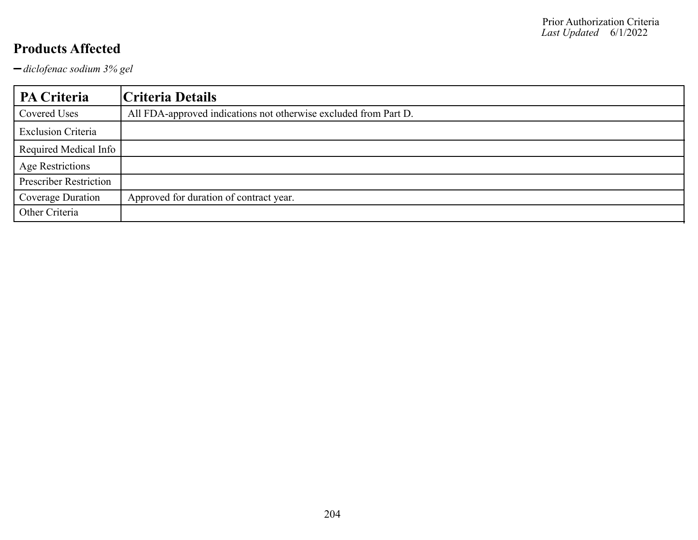*diclofenac sodium 3% gel*

| PA Criteria                   | Criteria Details                                                 |
|-------------------------------|------------------------------------------------------------------|
| Covered Uses                  | All FDA-approved indications not otherwise excluded from Part D. |
| <b>Exclusion Criteria</b>     |                                                                  |
| Required Medical Info         |                                                                  |
| <b>Age Restrictions</b>       |                                                                  |
| <b>Prescriber Restriction</b> |                                                                  |
| Coverage Duration             | Approved for duration of contract year.                          |
| Other Criteria                |                                                                  |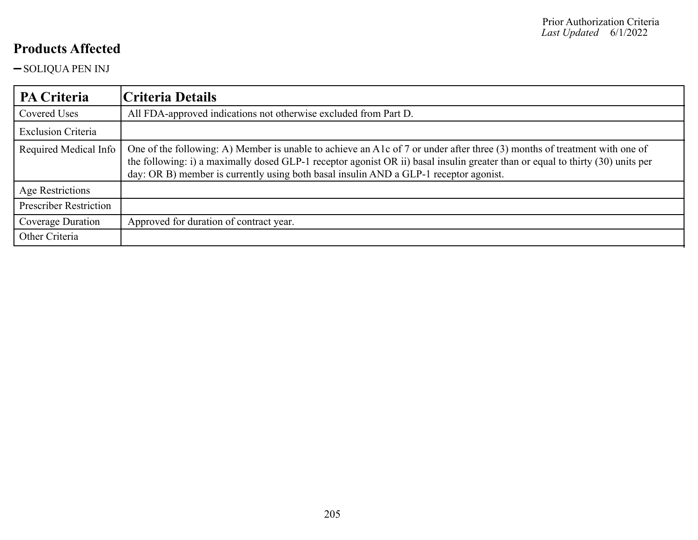-SOLIQUA PEN INJ

| <b>PA Criteria</b>            | Criteria Details                                                                                                                                                                                                                                                                                                                                     |
|-------------------------------|------------------------------------------------------------------------------------------------------------------------------------------------------------------------------------------------------------------------------------------------------------------------------------------------------------------------------------------------------|
| Covered Uses                  | All FDA-approved indications not otherwise excluded from Part D.                                                                                                                                                                                                                                                                                     |
| <b>Exclusion Criteria</b>     |                                                                                                                                                                                                                                                                                                                                                      |
| Required Medical Info         | One of the following: A) Member is unable to achieve an A1c of 7 or under after three (3) months of treatment with one of<br>the following: i) a maximally dosed GLP-1 receptor agonist OR ii) basal insulin greater than or equal to thirty (30) units per<br>day: OR B) member is currently using both basal insulin AND a GLP-1 receptor agonist. |
| Age Restrictions              |                                                                                                                                                                                                                                                                                                                                                      |
| <b>Prescriber Restriction</b> |                                                                                                                                                                                                                                                                                                                                                      |
| Coverage Duration             | Approved for duration of contract year.                                                                                                                                                                                                                                                                                                              |
| Other Criteria                |                                                                                                                                                                                                                                                                                                                                                      |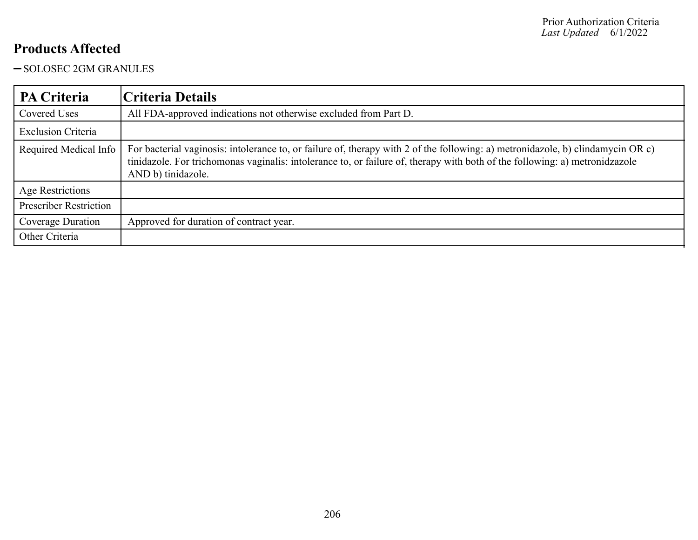### -SOLOSEC 2GM GRANULES

| <b>PA Criteria</b>            | Criteria Details                                                                                                                                                                                                                                                                     |
|-------------------------------|--------------------------------------------------------------------------------------------------------------------------------------------------------------------------------------------------------------------------------------------------------------------------------------|
| Covered Uses                  | All FDA-approved indications not otherwise excluded from Part D.                                                                                                                                                                                                                     |
| <b>Exclusion Criteria</b>     |                                                                                                                                                                                                                                                                                      |
| Required Medical Info         | For bacterial vaginosis: intolerance to, or failure of, therapy with 2 of the following: a) metronidazole, b) clindamycin OR c)<br>tinidazole. For trichomonas vaginalis: intolerance to, or failure of, therapy with both of the following: a) metronidzazole<br>AND b) tinidazole. |
| Age Restrictions              |                                                                                                                                                                                                                                                                                      |
| <b>Prescriber Restriction</b> |                                                                                                                                                                                                                                                                                      |
| Coverage Duration             | Approved for duration of contract year.                                                                                                                                                                                                                                              |
| Other Criteria                |                                                                                                                                                                                                                                                                                      |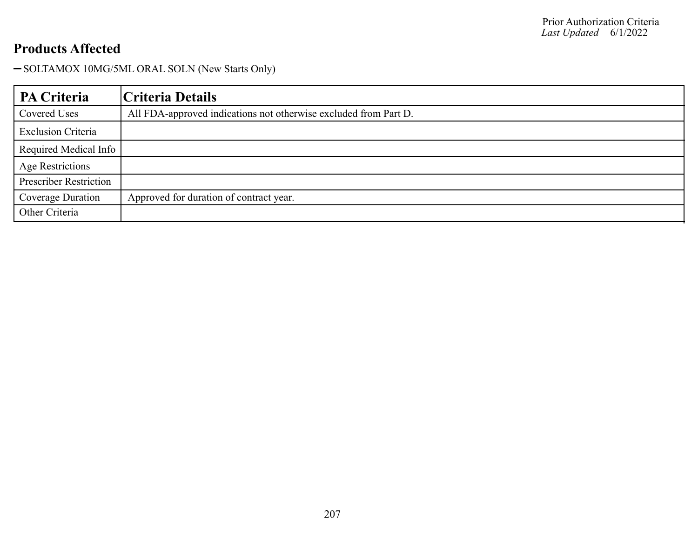-SOLTAMOX 10MG/5ML ORAL SOLN (New Starts Only)

| PA Criteria                   | Criteria Details                                                 |
|-------------------------------|------------------------------------------------------------------|
| Covered Uses                  | All FDA-approved indications not otherwise excluded from Part D. |
| <b>Exclusion Criteria</b>     |                                                                  |
| Required Medical Info         |                                                                  |
| <b>Age Restrictions</b>       |                                                                  |
| <b>Prescriber Restriction</b> |                                                                  |
| Coverage Duration             | Approved for duration of contract year.                          |
| Other Criteria                |                                                                  |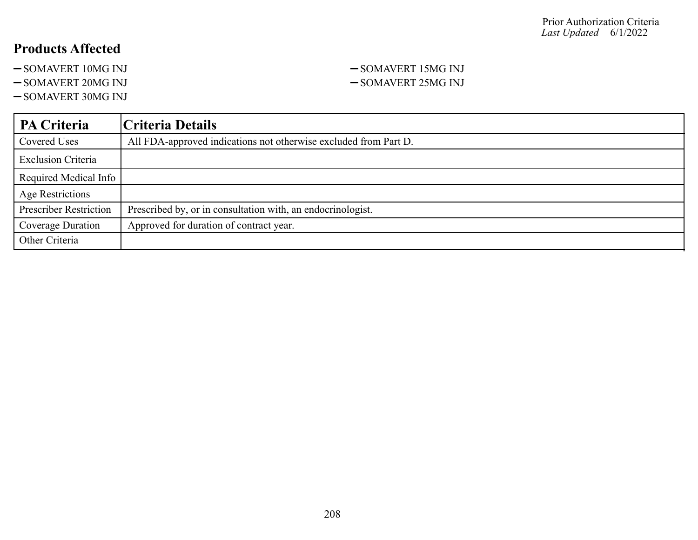- -SOMAVERT 10MG INJ -SOMAVERT 15MG INJ
- 
- -SOMAVERT 30MG INJ

## -SOMAVERT 20MG INJ <br>-SOMAVERT 25MG INJ

| PA Criteria                   | Criteria Details                                                 |
|-------------------------------|------------------------------------------------------------------|
| Covered Uses                  | All FDA-approved indications not otherwise excluded from Part D. |
| <b>Exclusion Criteria</b>     |                                                                  |
| Required Medical Info         |                                                                  |
| <b>Age Restrictions</b>       |                                                                  |
| <b>Prescriber Restriction</b> | Prescribed by, or in consultation with, an endocrinologist.      |
| Coverage Duration             | Approved for duration of contract year.                          |
| Other Criteria                |                                                                  |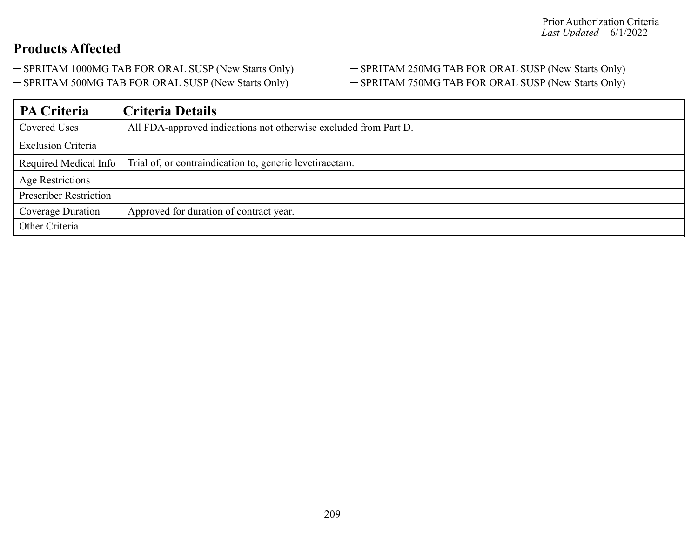- -SPRITAM 1000MG TAB FOR ORAL SUSP (New Starts Only) SPRITAM 250MG TAB FOR ORAL SUSP (New Starts Only)
- 

# -SPRITAM 500MG TAB FOR ORAL SUSP (New Starts Only) - SPRITAM 750MG TAB FOR ORAL SUSP (New Starts Only)

| PA Criteria                   | Criteria Details                                                 |
|-------------------------------|------------------------------------------------------------------|
| Covered Uses                  | All FDA-approved indications not otherwise excluded from Part D. |
| <b>Exclusion Criteria</b>     |                                                                  |
| Required Medical Info         | Trial of, or contraindication to, generic levetiracetam.         |
| Age Restrictions              |                                                                  |
| <b>Prescriber Restriction</b> |                                                                  |
| Coverage Duration             | Approved for duration of contract year.                          |
| Other Criteria                |                                                                  |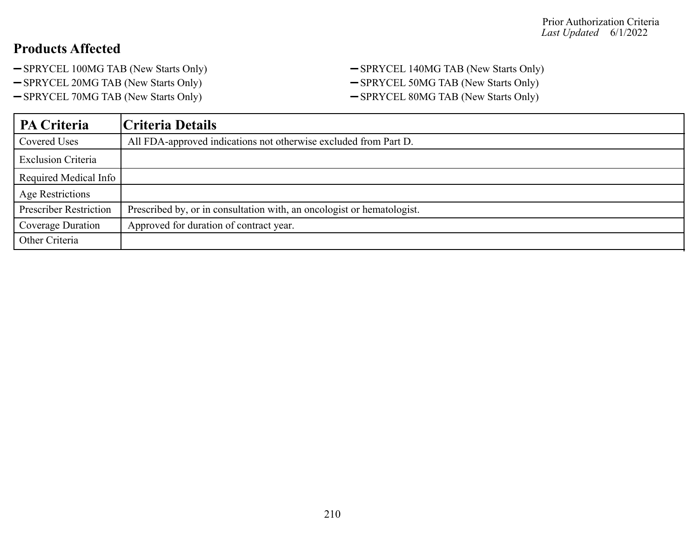- SPRYCEL 100MG TAB (New Starts Only) SPRYCEL 140MG TAB (New Starts Only)
- 
- SPRYCEL 70MG TAB (New Starts Only) SPRYCEL 80MG TAB (New Starts Only)
- SPRYCEL 20MG TAB (New Starts Only) SPRYCEL 50MG TAB (New Starts Only)
	-

| PA Criteria                   | Criteria Details                                                       |
|-------------------------------|------------------------------------------------------------------------|
| Covered Uses                  | All FDA-approved indications not otherwise excluded from Part D.       |
| <b>Exclusion Criteria</b>     |                                                                        |
| Required Medical Info         |                                                                        |
| Age Restrictions              |                                                                        |
| <b>Prescriber Restriction</b> | Prescribed by, or in consultation with, an oncologist or hematologist. |
| <b>Coverage Duration</b>      | Approved for duration of contract year.                                |
| Other Criteria                |                                                                        |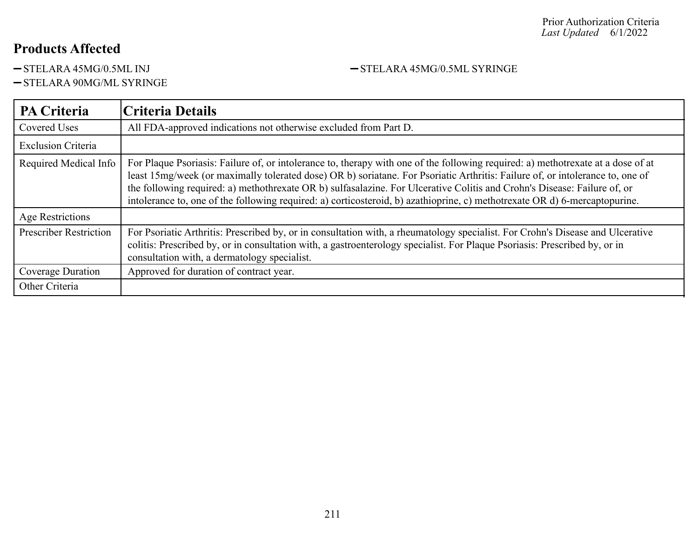-STELARA 45MG/0.5ML INJ -STELARA 45MG/0.5ML SYRINGE

-STELARA 90MG/ML SYRINGE

| <b>PA Criteria</b>            | Criteria Details                                                                                                                                                                                                                                                                                                                                                                                                                                                                                                            |
|-------------------------------|-----------------------------------------------------------------------------------------------------------------------------------------------------------------------------------------------------------------------------------------------------------------------------------------------------------------------------------------------------------------------------------------------------------------------------------------------------------------------------------------------------------------------------|
| <b>Covered Uses</b>           | All FDA-approved indications not otherwise excluded from Part D.                                                                                                                                                                                                                                                                                                                                                                                                                                                            |
| <b>Exclusion Criteria</b>     |                                                                                                                                                                                                                                                                                                                                                                                                                                                                                                                             |
| Required Medical Info         | For Plaque Psoriasis: Failure of, or intolerance to, therapy with one of the following required: a) methotrexate at a dose of at<br>least 15mg/week (or maximally tolerated dose) OR b) soriatane. For Psoriatic Arthritis: Failure of, or intolerance to, one of<br>the following required: a) methothrexate OR b) sulfasalazine. For Ulcerative Colitis and Crohn's Disease: Failure of, or<br>intolerance to, one of the following required: a) corticosteroid, b) azathioprine, c) methotrexate OR d) 6-mercaptopurine. |
| Age Restrictions              |                                                                                                                                                                                                                                                                                                                                                                                                                                                                                                                             |
| <b>Prescriber Restriction</b> | For Psoriatic Arthritis: Prescribed by, or in consultation with, a rheumatology specialist. For Crohn's Disease and Ulcerative<br>colitis: Prescribed by, or in consultation with, a gastroenterology specialist. For Plaque Psoriasis: Prescribed by, or in<br>consultation with, a dermatology specialist.                                                                                                                                                                                                                |
| Coverage Duration             | Approved for duration of contract year.                                                                                                                                                                                                                                                                                                                                                                                                                                                                                     |
| Other Criteria                |                                                                                                                                                                                                                                                                                                                                                                                                                                                                                                                             |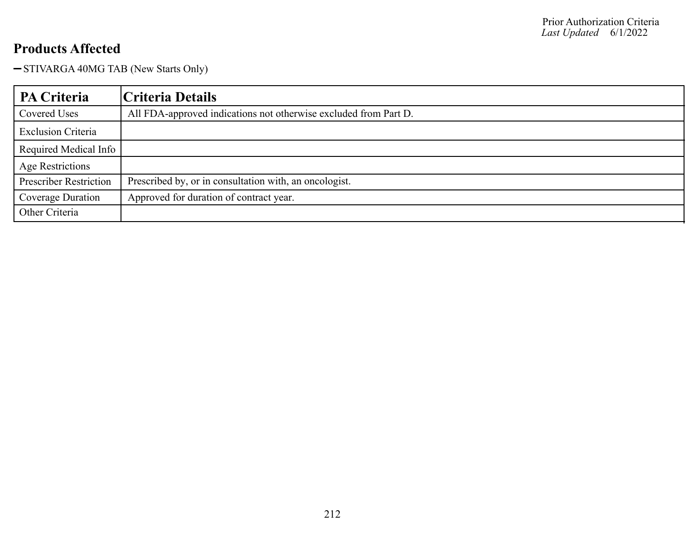- STIVARGA 40MG TAB (New Starts Only)

| PA Criteria                   | Criteria Details                                                 |
|-------------------------------|------------------------------------------------------------------|
| Covered Uses                  | All FDA-approved indications not otherwise excluded from Part D. |
| <b>Exclusion Criteria</b>     |                                                                  |
| Required Medical Info         |                                                                  |
| <b>Age Restrictions</b>       |                                                                  |
| <b>Prescriber Restriction</b> | Prescribed by, or in consultation with, an oncologist.           |
| Coverage Duration             | Approved for duration of contract year.                          |
| Other Criteria                |                                                                  |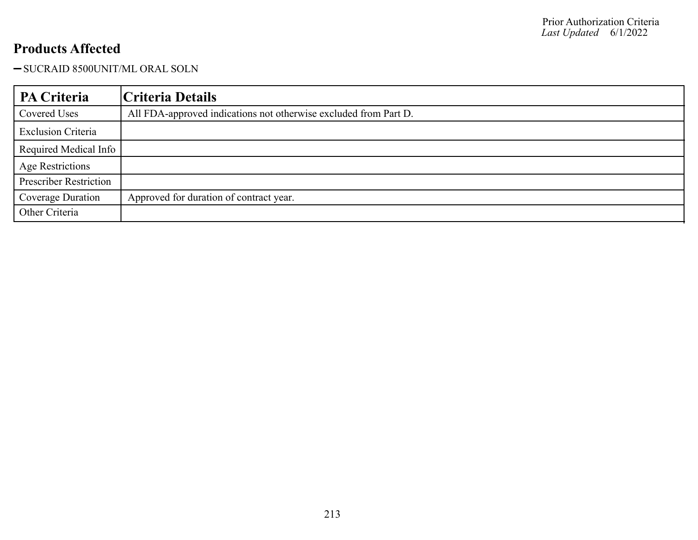-SUCRAID 8500UNIT/ML ORAL SOLN

| PA Criteria                   | Criteria Details                                                 |
|-------------------------------|------------------------------------------------------------------|
| Covered Uses                  | All FDA-approved indications not otherwise excluded from Part D. |
| <b>Exclusion Criteria</b>     |                                                                  |
| Required Medical Info         |                                                                  |
| <b>Age Restrictions</b>       |                                                                  |
| <b>Prescriber Restriction</b> |                                                                  |
| Coverage Duration             | Approved for duration of contract year.                          |
| Other Criteria                |                                                                  |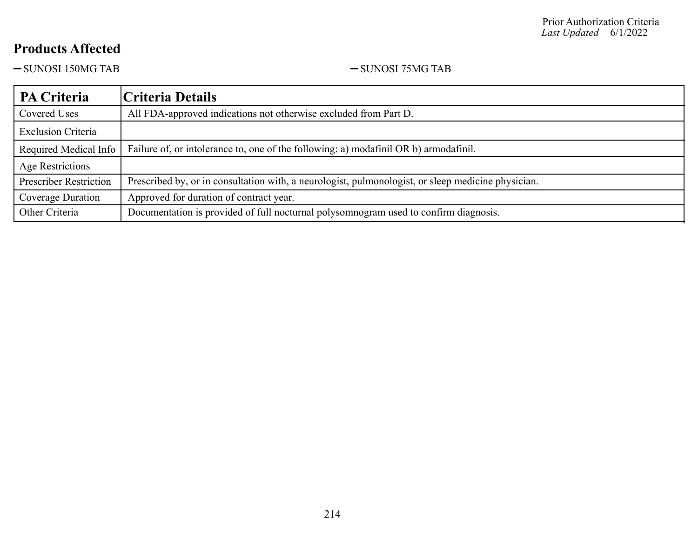$-SUNOSI 150MG TAB$   $-SUNOSI 75MG TAB$ 

| <b>PA Criteria</b>            | Criteria Details                                                                                   |
|-------------------------------|----------------------------------------------------------------------------------------------------|
| Covered Uses                  | All FDA-approved indications not otherwise excluded from Part D.                                   |
| <b>Exclusion Criteria</b>     |                                                                                                    |
| Required Medical Info         | Failure of, or intolerance to, one of the following: a) modafinil OR b) armodafinil.               |
| Age Restrictions              |                                                                                                    |
| <b>Prescriber Restriction</b> | Prescribed by, or in consultation with, a neurologist, pulmonologist, or sleep medicine physician. |
| Coverage Duration             | Approved for duration of contract year.                                                            |
| Other Criteria                | Documentation is provided of full nocturnal polysomnogram used to confirm diagnosis.               |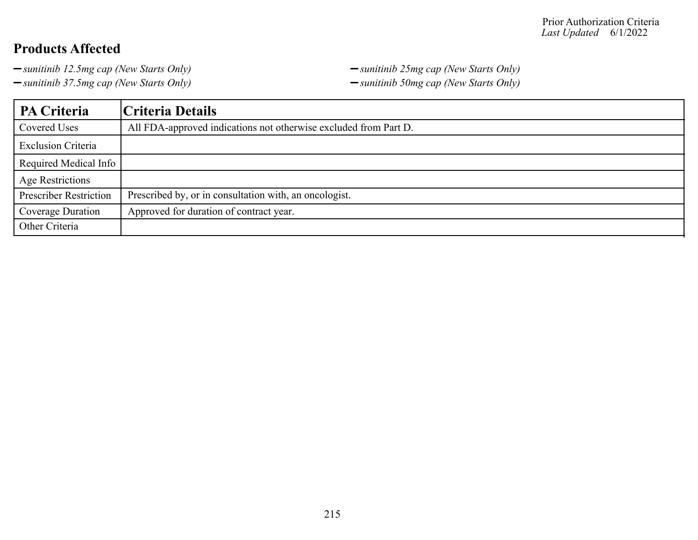*sunitinib 37.5mg cap (New Starts Only) sunitinib 50mg cap (New Starts Only)*

*sunitinib 12.5mg cap (New Starts Only) sunitinib 25mg cap (New Starts Only)*

| PA Criteria                   | Criteria Details                                                 |
|-------------------------------|------------------------------------------------------------------|
| Covered Uses                  | All FDA-approved indications not otherwise excluded from Part D. |
| <b>Exclusion Criteria</b>     |                                                                  |
| Required Medical Info         |                                                                  |
| Age Restrictions              |                                                                  |
| <b>Prescriber Restriction</b> | Prescribed by, or in consultation with, an oncologist.           |
| Coverage Duration             | Approved for duration of contract year.                          |
| Other Criteria                |                                                                  |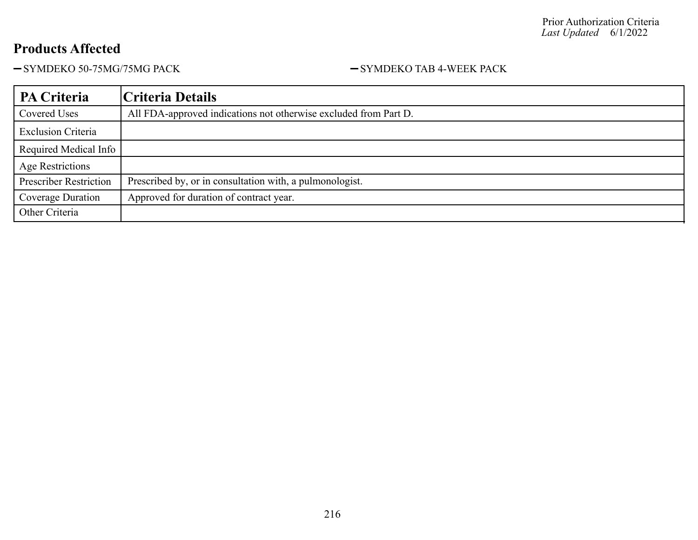-SYMDEKO 50-75MG/75MG PACK - SYMDEKO TAB 4-WEEK PACK

| PA Criteria                   | Criteria Details                                                 |
|-------------------------------|------------------------------------------------------------------|
| Covered Uses                  | All FDA-approved indications not otherwise excluded from Part D. |
| <b>Exclusion Criteria</b>     |                                                                  |
| Required Medical Info         |                                                                  |
| Age Restrictions              |                                                                  |
| <b>Prescriber Restriction</b> | Prescribed by, or in consultation with, a pulmonologist.         |
| Coverage Duration             | Approved for duration of contract year.                          |
| Other Criteria                |                                                                  |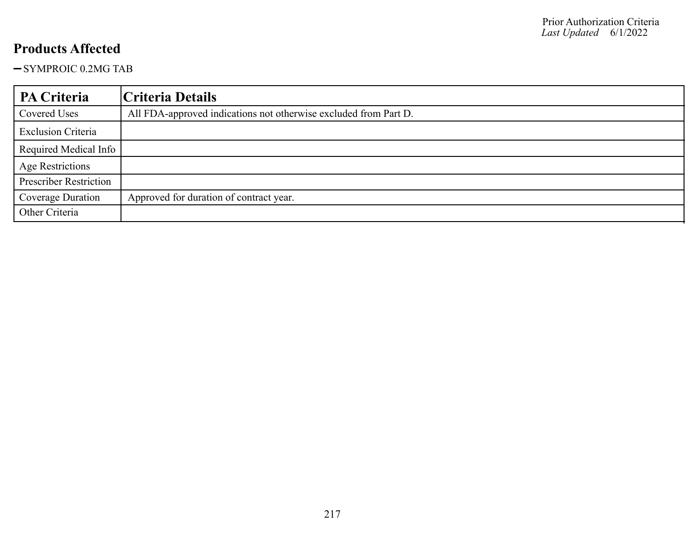-SYMPROIC 0.2MG TAB

| PA Criteria                   | Criteria Details                                                 |
|-------------------------------|------------------------------------------------------------------|
| Covered Uses                  | All FDA-approved indications not otherwise excluded from Part D. |
| <b>Exclusion Criteria</b>     |                                                                  |
| Required Medical Info         |                                                                  |
| <b>Age Restrictions</b>       |                                                                  |
| <b>Prescriber Restriction</b> |                                                                  |
| Coverage Duration             | Approved for duration of contract year.                          |
| Other Criteria                |                                                                  |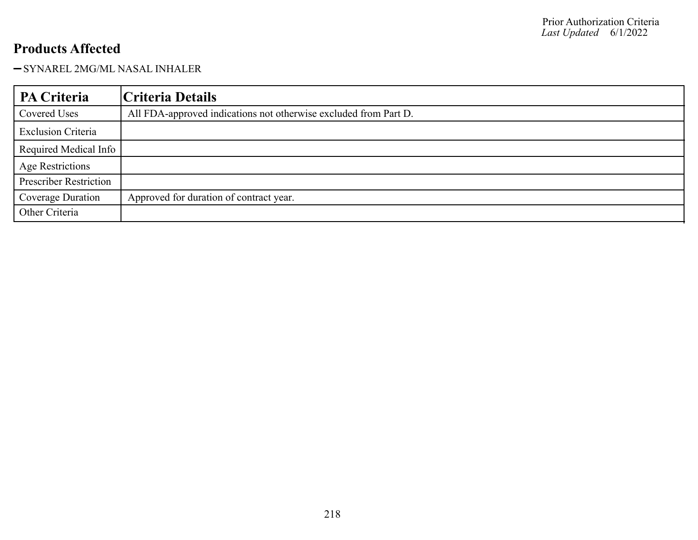#### -SYNAREL 2MG/ML NASAL INHALER

| PA Criteria                   | Criteria Details                                                 |
|-------------------------------|------------------------------------------------------------------|
| Covered Uses                  | All FDA-approved indications not otherwise excluded from Part D. |
| <b>Exclusion Criteria</b>     |                                                                  |
| Required Medical Info         |                                                                  |
| <b>Age Restrictions</b>       |                                                                  |
| <b>Prescriber Restriction</b> |                                                                  |
| Coverage Duration             | Approved for duration of contract year.                          |
| Other Criteria                |                                                                  |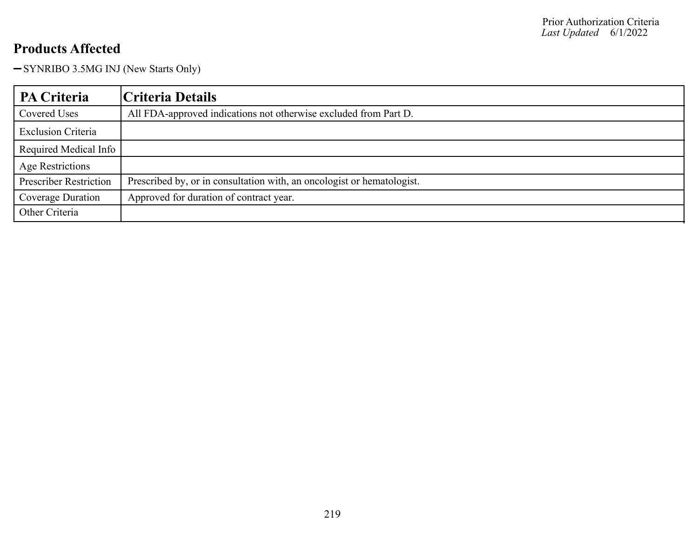- SYNRIBO 3.5MG INJ (New Starts Only)

| <b>PA Criteria</b>            | Criteria Details                                                       |
|-------------------------------|------------------------------------------------------------------------|
| Covered Uses                  | All FDA-approved indications not otherwise excluded from Part D.       |
| <b>Exclusion Criteria</b>     |                                                                        |
| Required Medical Info         |                                                                        |
| Age Restrictions              |                                                                        |
| <b>Prescriber Restriction</b> | Prescribed by, or in consultation with, an oncologist or hematologist. |
| Coverage Duration             | Approved for duration of contract year.                                |
| Other Criteria                |                                                                        |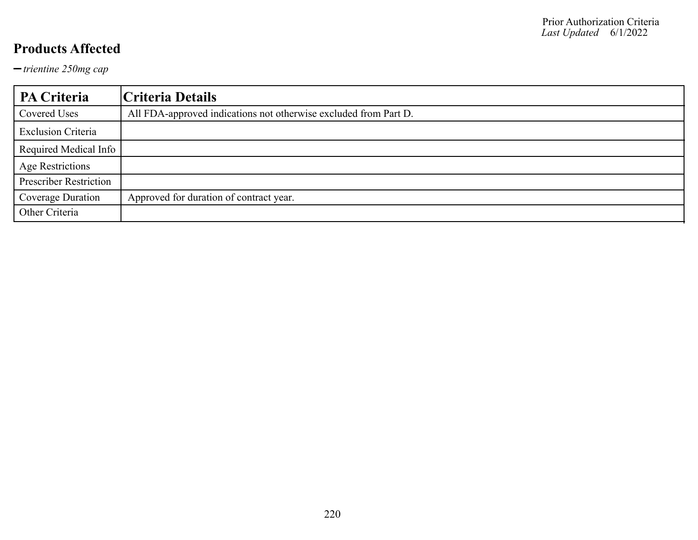*trientine 250mg cap*

| PA Criteria                   | Criteria Details                                                 |
|-------------------------------|------------------------------------------------------------------|
| Covered Uses                  | All FDA-approved indications not otherwise excluded from Part D. |
| <b>Exclusion Criteria</b>     |                                                                  |
| Required Medical Info         |                                                                  |
| <b>Age Restrictions</b>       |                                                                  |
| <b>Prescriber Restriction</b> |                                                                  |
| Coverage Duration             | Approved for duration of contract year.                          |
| Other Criteria                |                                                                  |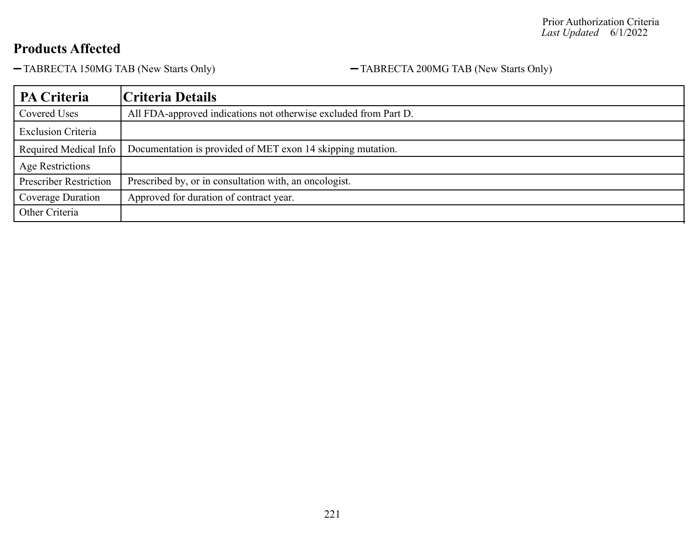TABRECTA 150MG TAB (New Starts Only) TABRECTA 200MG TAB (New Starts Only)

| <b>PA Criteria</b>            | Criteria Details                                                 |
|-------------------------------|------------------------------------------------------------------|
| Covered Uses                  | All FDA-approved indications not otherwise excluded from Part D. |
| <b>Exclusion Criteria</b>     |                                                                  |
| Required Medical Info         | Documentation is provided of MET exon 14 skipping mutation.      |
| <b>Age Restrictions</b>       |                                                                  |
| <b>Prescriber Restriction</b> | Prescribed by, or in consultation with, an oncologist.           |
| Coverage Duration             | Approved for duration of contract year.                          |
| Other Criteria                |                                                                  |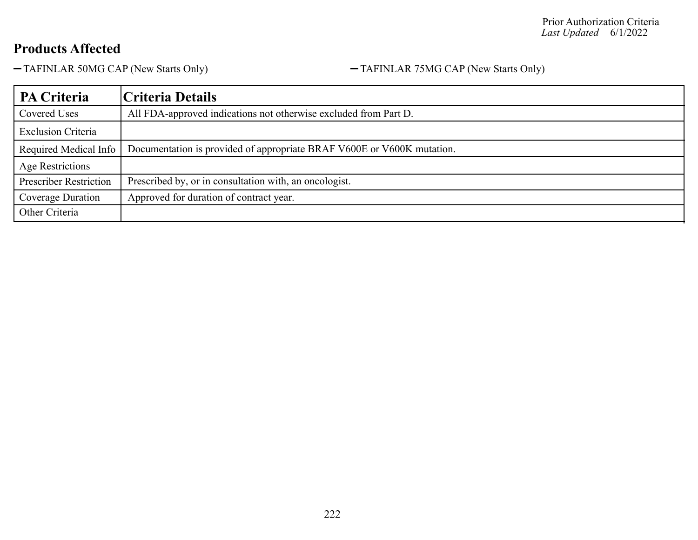TAFINLAR 50MG CAP (New Starts Only) TAFINLAR 75MG CAP (New Starts Only)

| PA Criteria                   | Criteria Details                                                       |
|-------------------------------|------------------------------------------------------------------------|
| Covered Uses                  | All FDA-approved indications not otherwise excluded from Part D.       |
| <b>Exclusion Criteria</b>     |                                                                        |
| Required Medical Info         | Documentation is provided of appropriate BRAF V600E or V600K mutation. |
| Age Restrictions              |                                                                        |
| <b>Prescriber Restriction</b> | Prescribed by, or in consultation with, an oncologist.                 |
| Coverage Duration             | Approved for duration of contract year.                                |
| Other Criteria                |                                                                        |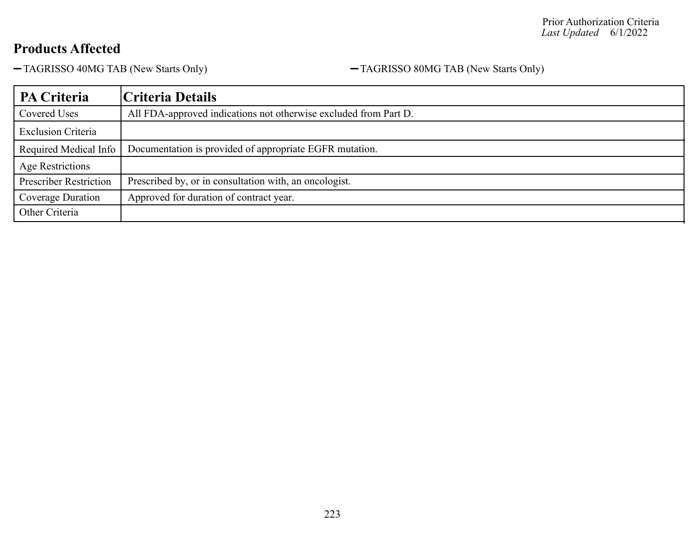TAGRISSO 40MG TAB (New Starts Only) TAGRISSO 80MG TAB (New Starts Only)

| PA Criteria                   | Criteria Details                                                 |
|-------------------------------|------------------------------------------------------------------|
| Covered Uses                  | All FDA-approved indications not otherwise excluded from Part D. |
| <b>Exclusion Criteria</b>     |                                                                  |
| Required Medical Info         | Documentation is provided of appropriate EGFR mutation.          |
| Age Restrictions              |                                                                  |
| <b>Prescriber Restriction</b> | Prescribed by, or in consultation with, an oncologist.           |
| Coverage Duration             | Approved for duration of contract year.                          |
| Other Criteria                |                                                                  |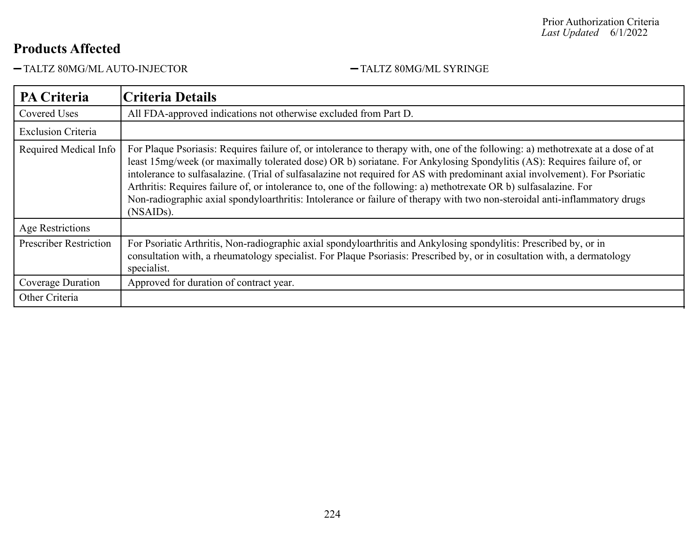-TALTZ 80MG/ML AUTO-INJECTOR - TALTZ 80MG/ML SYRINGE

| <b>PA Criteria</b>            | <b>Criteria Details</b>                                                                                                                                                                                                                                                                                                                                                                                                                                                                                                                                                                                                                                                  |
|-------------------------------|--------------------------------------------------------------------------------------------------------------------------------------------------------------------------------------------------------------------------------------------------------------------------------------------------------------------------------------------------------------------------------------------------------------------------------------------------------------------------------------------------------------------------------------------------------------------------------------------------------------------------------------------------------------------------|
| <b>Covered Uses</b>           | All FDA-approved indications not otherwise excluded from Part D.                                                                                                                                                                                                                                                                                                                                                                                                                                                                                                                                                                                                         |
| <b>Exclusion Criteria</b>     |                                                                                                                                                                                                                                                                                                                                                                                                                                                                                                                                                                                                                                                                          |
| Required Medical Info         | For Plaque Psoriasis: Requires failure of, or intolerance to therapy with, one of the following: a) methotrexate at a dose of at<br>least 15mg/week (or maximally tolerated dose) OR b) soriatane. For Ankylosing Spondylitis (AS): Requires failure of, or<br>intolerance to sulfasalazine. (Trial of sulfasalazine not required for AS with predominant axial involvement). For Psoriatic<br>Arthritis: Requires failure of, or intolerance to, one of the following: a) methotrexate OR b) sulfasalazine. For<br>Non-radiographic axial spondyloarthritis: Intolerance or failure of therapy with two non-steroidal anti-inflammatory drugs<br>(NSAID <sub>s</sub> ). |
| Age Restrictions              |                                                                                                                                                                                                                                                                                                                                                                                                                                                                                                                                                                                                                                                                          |
| <b>Prescriber Restriction</b> | For Psoriatic Arthritis, Non-radiographic axial spondyloarthritis and Ankylosing spondylitis: Prescribed by, or in<br>consultation with, a rheumatology specialist. For Plaque Psoriasis: Prescribed by, or in cosultation with, a dermatology<br>specialist.                                                                                                                                                                                                                                                                                                                                                                                                            |
| Coverage Duration             | Approved for duration of contract year.                                                                                                                                                                                                                                                                                                                                                                                                                                                                                                                                                                                                                                  |
| Other Criteria                |                                                                                                                                                                                                                                                                                                                                                                                                                                                                                                                                                                                                                                                                          |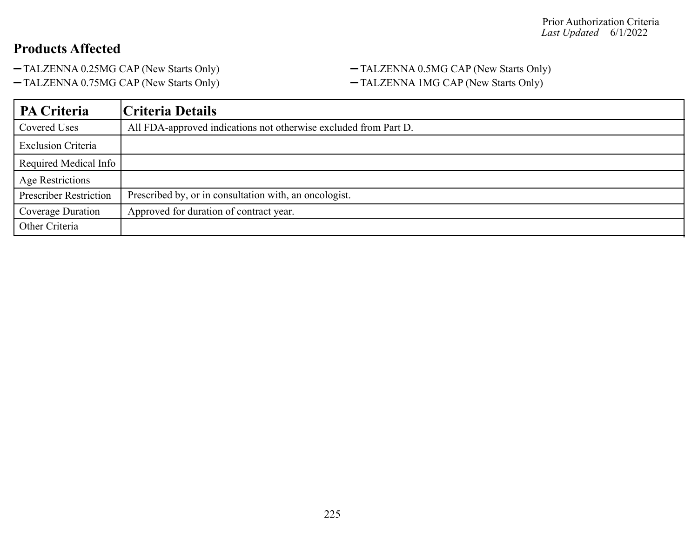TALZENNA 0.25MG CAP (New Starts Only) TALZENNA 0.5MG CAP (New Starts Only)

TALZENNA 0.75MG CAP (New Starts Only) TALZENNA 1MG CAP (New Starts Only)

| PA Criteria                   | Criteria Details                                                 |
|-------------------------------|------------------------------------------------------------------|
| Covered Uses                  | All FDA-approved indications not otherwise excluded from Part D. |
| <b>Exclusion Criteria</b>     |                                                                  |
| Required Medical Info         |                                                                  |
| <b>Age Restrictions</b>       |                                                                  |
| <b>Prescriber Restriction</b> | Prescribed by, or in consultation with, an oncologist.           |
| Coverage Duration             | Approved for duration of contract year.                          |
| Other Criteria                |                                                                  |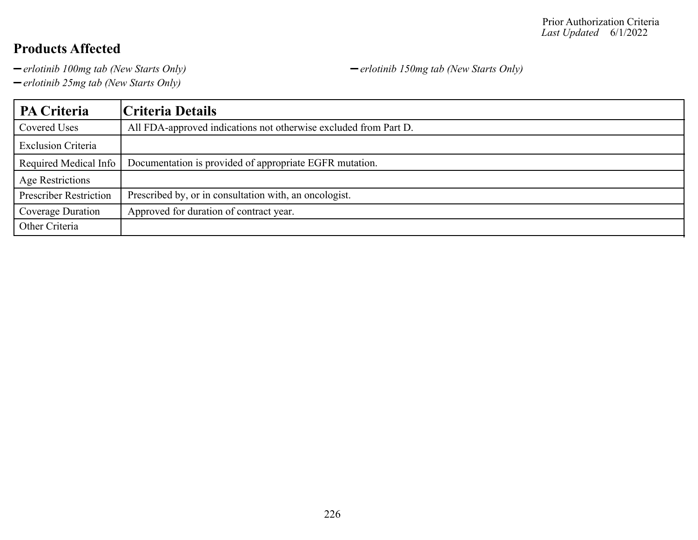*erlotinib 100mg tab (New Starts Only) erlotinib 150mg tab (New Starts Only)*

*erlotinib 25mg tab (New Starts Only)*

**PA Criteria Criteria Details** Covered Uses All FDA-approved indications not otherwise excluded from Part D. Exclusion Criteria Required Medical Info | Documentation is provided of appropriate EGFR mutation. Age Restrictions Prescriber Restriction | Prescribed by, or in consultation with, an oncologist. Coverage Duration | Approved for duration of contract year. Other Criteria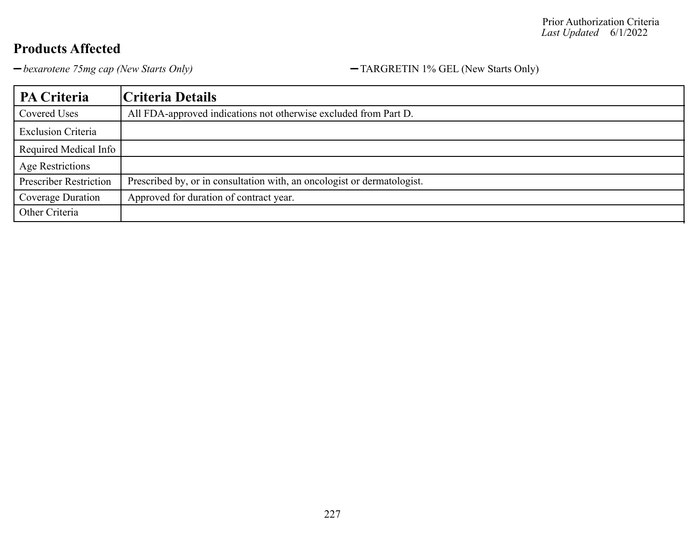*bexarotene 75mg cap (New Starts Only)* TARGRETIN 1% GEL (New Starts Only)

| PA Criteria                   | Criteria Details                                                        |
|-------------------------------|-------------------------------------------------------------------------|
| Covered Uses                  | All FDA-approved indications not otherwise excluded from Part D.        |
| <b>Exclusion Criteria</b>     |                                                                         |
| Required Medical Info         |                                                                         |
| Age Restrictions              |                                                                         |
| <b>Prescriber Restriction</b> | Prescribed by, or in consultation with, an oncologist or dermatologist. |
| Coverage Duration             | Approved for duration of contract year.                                 |
| Other Criteria                |                                                                         |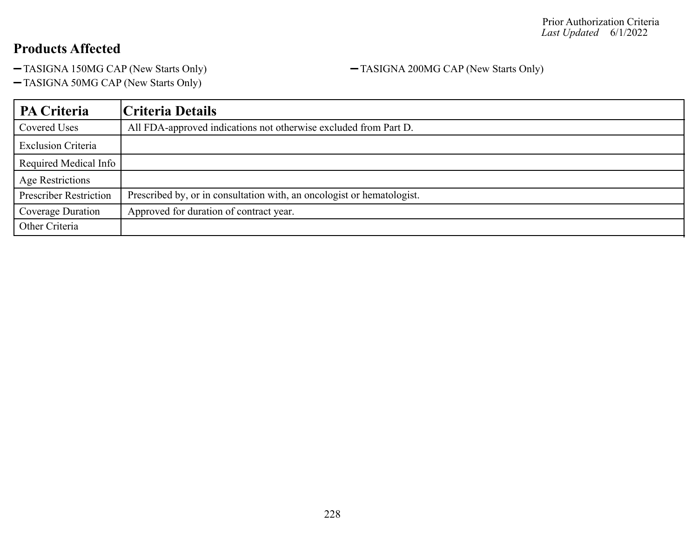TASIGNA 150MG CAP (New Starts Only) TASIGNA 200MG CAP (New Starts Only)

TASIGNA 50MG CAP (New Starts Only)

| <b>PA Criteria</b>            | Criteria Details                                                       |
|-------------------------------|------------------------------------------------------------------------|
| Covered Uses                  | All FDA-approved indications not otherwise excluded from Part D.       |
| <b>Exclusion Criteria</b>     |                                                                        |
| Required Medical Info         |                                                                        |
| <b>Age Restrictions</b>       |                                                                        |
| <b>Prescriber Restriction</b> | Prescribed by, or in consultation with, an oncologist or hematologist. |
| Coverage Duration             | Approved for duration of contract year.                                |
| Other Criteria                |                                                                        |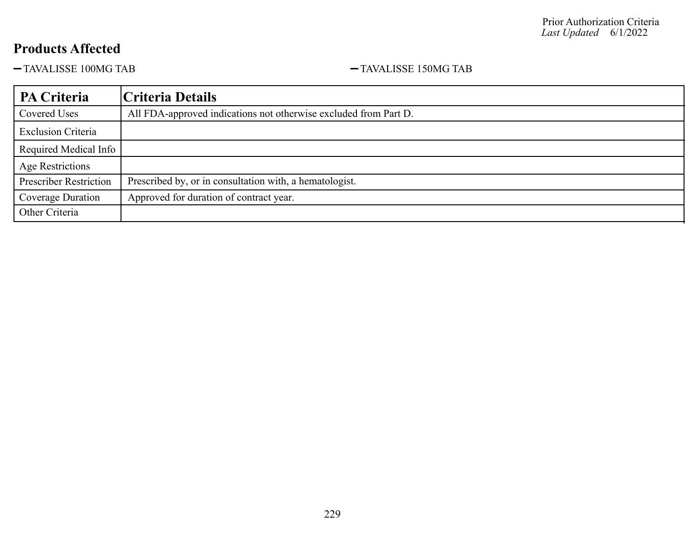$-$ TAVALISSE 100MG TAB  $-$ TAVALISSE 150MG TAB

| PA Criteria                   | Criteria Details                                                 |
|-------------------------------|------------------------------------------------------------------|
| Covered Uses                  | All FDA-approved indications not otherwise excluded from Part D. |
| <b>Exclusion Criteria</b>     |                                                                  |
| Required Medical Info         |                                                                  |
| <b>Age Restrictions</b>       |                                                                  |
| <b>Prescriber Restriction</b> | Prescribed by, or in consultation with, a hematologist.          |
| Coverage Duration             | Approved for duration of contract year.                          |
| Other Criteria                |                                                                  |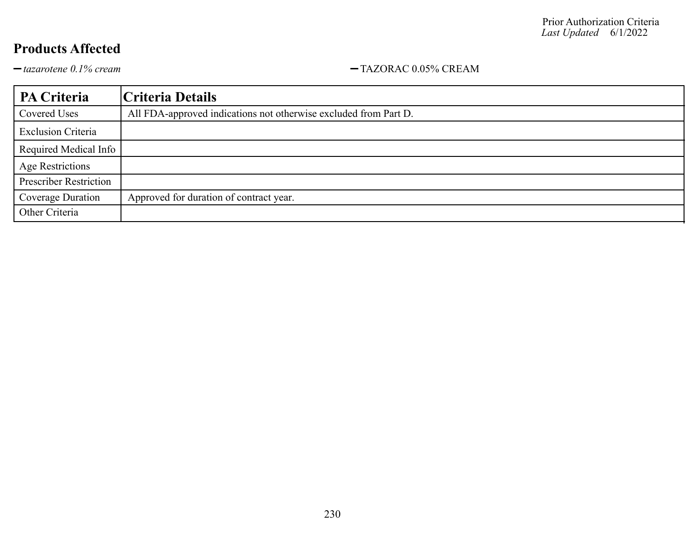$-tazarotene$  0.1% cream<br>  $-tazarotene$  0.1% cream

| PA Criteria                   | Criteria Details                                                 |
|-------------------------------|------------------------------------------------------------------|
| Covered Uses                  | All FDA-approved indications not otherwise excluded from Part D. |
| <b>Exclusion Criteria</b>     |                                                                  |
| Required Medical Info         |                                                                  |
| Age Restrictions              |                                                                  |
| <b>Prescriber Restriction</b> |                                                                  |
| Coverage Duration             | Approved for duration of contract year.                          |
| Other Criteria                |                                                                  |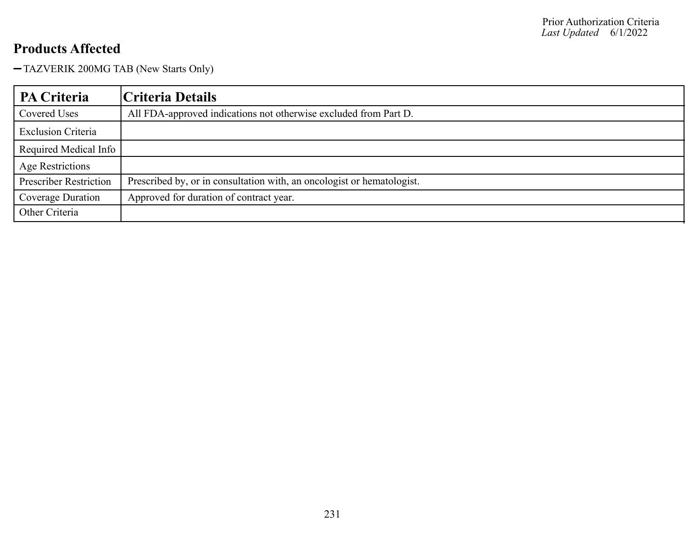TAZVERIK 200MG TAB (New Starts Only)

| <b>PA Criteria</b>            | Criteria Details                                                       |
|-------------------------------|------------------------------------------------------------------------|
| Covered Uses                  | All FDA-approved indications not otherwise excluded from Part D.       |
| <b>Exclusion Criteria</b>     |                                                                        |
| Required Medical Info         |                                                                        |
| Age Restrictions              |                                                                        |
| <b>Prescriber Restriction</b> | Prescribed by, or in consultation with, an oncologist or hematologist. |
| Coverage Duration             | Approved for duration of contract year.                                |
| Other Criteria                |                                                                        |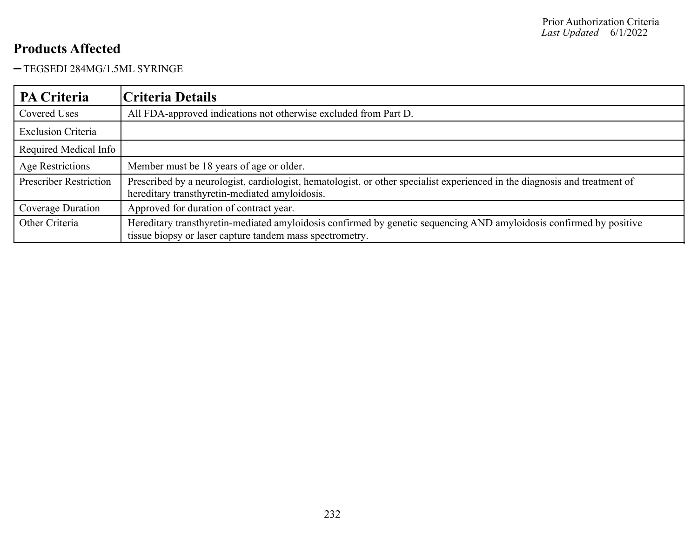TEGSEDI 284MG/1.5ML SYRINGE

| <b>PA Criteria</b>            | Criteria Details                                                                                                                                                                |
|-------------------------------|---------------------------------------------------------------------------------------------------------------------------------------------------------------------------------|
| Covered Uses                  | All FDA-approved indications not otherwise excluded from Part D.                                                                                                                |
| <b>Exclusion Criteria</b>     |                                                                                                                                                                                 |
| Required Medical Info         |                                                                                                                                                                                 |
| Age Restrictions              | Member must be 18 years of age or older.                                                                                                                                        |
| <b>Prescriber Restriction</b> | Prescribed by a neurologist, cardiologist, hematologist, or other specialist experienced in the diagnosis and treatment of<br>hereditary transthyretin-mediated amyloidosis.    |
| Coverage Duration             | Approved for duration of contract year.                                                                                                                                         |
| Other Criteria                | Hereditary transthyretin-mediated amyloidosis confirmed by genetic sequencing AND amyloidosis confirmed by positive<br>tissue biopsy or laser capture tandem mass spectrometry. |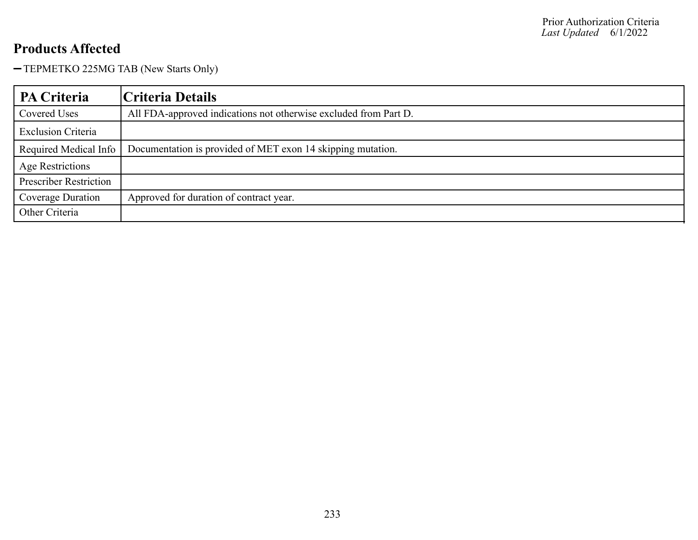-TEPMETKO 225MG TAB (New Starts Only)

| <b>PA Criteria</b>            | Criteria Details                                                 |
|-------------------------------|------------------------------------------------------------------|
| Covered Uses                  | All FDA-approved indications not otherwise excluded from Part D. |
| <b>Exclusion Criteria</b>     |                                                                  |
| Required Medical Info         | Documentation is provided of MET exon 14 skipping mutation.      |
| Age Restrictions              |                                                                  |
| <b>Prescriber Restriction</b> |                                                                  |
| Coverage Duration             | Approved for duration of contract year.                          |
| Other Criteria                |                                                                  |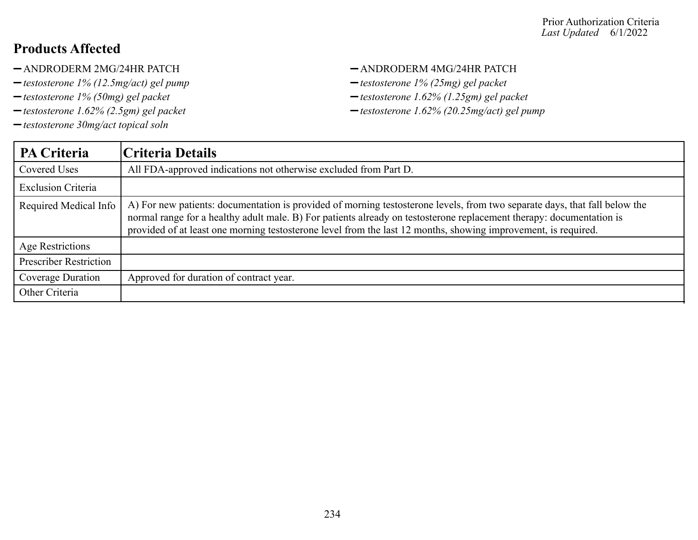- -ANDRODERM 2MG/24HR PATCH ANDRODERM 4MG/24HR PATCH
- *testosterone 1% (12.5mg/act) gel pump testosterone 1% (25mg) gel packet*
- 
- 
- *testosterone 30mg/act topical soln*

- 
- *testosterone 1% (50mg) gel packet testosterone 1.62% (1.25gm) gel packet*
- *testosterone 1.62% (2.5gm) gel packet testosterone 1.62% (20.25mg/act) gel pump*

| <b>PA Criteria</b>            | Criteria Details                                                                                                                                                                                                                                                                                                                                                     |
|-------------------------------|----------------------------------------------------------------------------------------------------------------------------------------------------------------------------------------------------------------------------------------------------------------------------------------------------------------------------------------------------------------------|
| <b>Covered Uses</b>           | All FDA-approved indications not otherwise excluded from Part D.                                                                                                                                                                                                                                                                                                     |
| <b>Exclusion Criteria</b>     |                                                                                                                                                                                                                                                                                                                                                                      |
| Required Medical Info         | A) For new patients: documentation is provided of morning testosterone levels, from two separate days, that fall below the<br>normal range for a healthy adult male. B) For patients already on testosterone replacement therapy: documentation is<br>provided of at least one morning testosterone level from the last 12 months, showing improvement, is required. |
| Age Restrictions              |                                                                                                                                                                                                                                                                                                                                                                      |
| <b>Prescriber Restriction</b> |                                                                                                                                                                                                                                                                                                                                                                      |
| Coverage Duration             | Approved for duration of contract year.                                                                                                                                                                                                                                                                                                                              |
| Other Criteria                |                                                                                                                                                                                                                                                                                                                                                                      |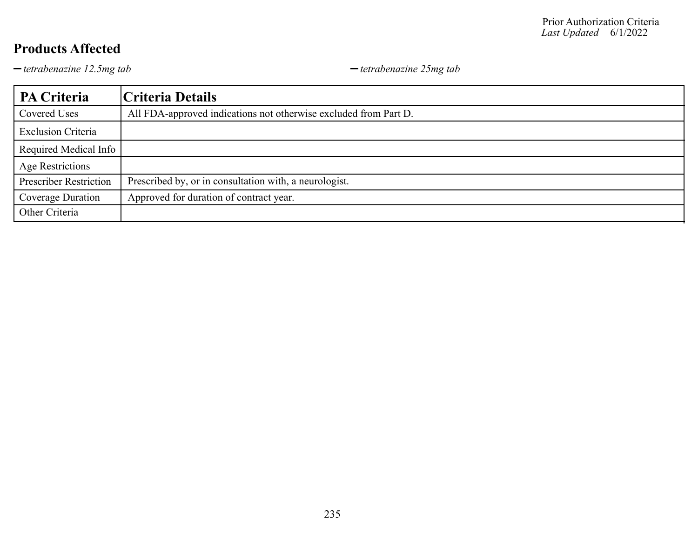*tetrabenazine 12.5mg tab tetrabenazine 25mg tab*

| PA Criteria                   | Criteria Details                                                 |
|-------------------------------|------------------------------------------------------------------|
| Covered Uses                  | All FDA-approved indications not otherwise excluded from Part D. |
| <b>Exclusion Criteria</b>     |                                                                  |
| Required Medical Info         |                                                                  |
| Age Restrictions              |                                                                  |
| <b>Prescriber Restriction</b> | Prescribed by, or in consultation with, a neurologist.           |
| Coverage Duration             | Approved for duration of contract year.                          |
| Other Criteria                |                                                                  |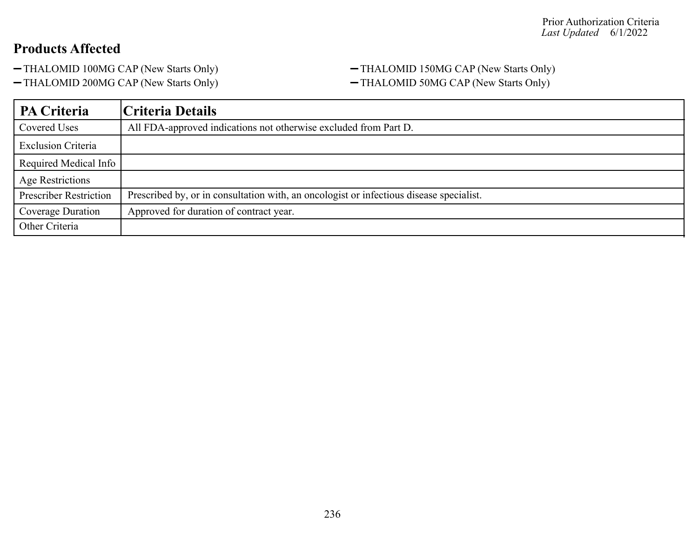-THALOMID 200MG CAP (New Starts Only) -THALOMID 50MG CAP (New Starts Only)

# -THALOMID 100MG CAP (New Starts Only) -THALOMID 150MG CAP (New Starts Only)

| <b>PA Criteria</b>            | Criteria Details                                                                        |
|-------------------------------|-----------------------------------------------------------------------------------------|
| Covered Uses                  | All FDA-approved indications not otherwise excluded from Part D.                        |
| <b>Exclusion Criteria</b>     |                                                                                         |
| Required Medical Info         |                                                                                         |
| Age Restrictions              |                                                                                         |
| <b>Prescriber Restriction</b> | Prescribed by, or in consultation with, an oncologist or infectious disease specialist. |
| Coverage Duration             | Approved for duration of contract year.                                                 |
| Other Criteria                |                                                                                         |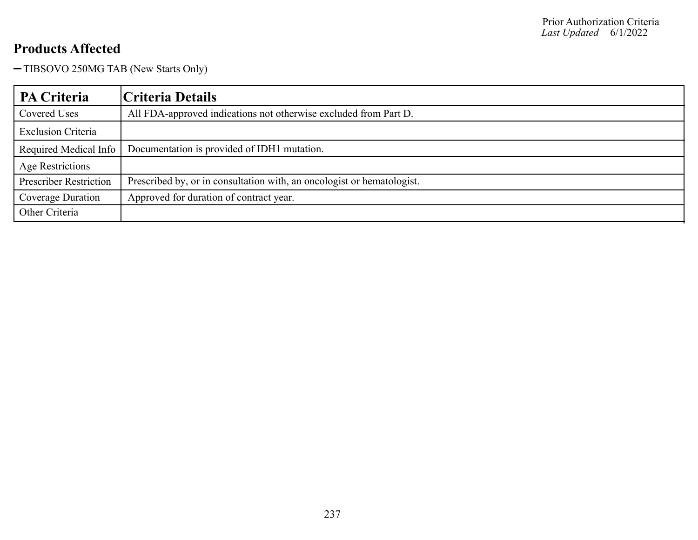-TIBSOVO 250MG TAB (New Starts Only)

| PA Criteria                   | Criteria Details                                                       |
|-------------------------------|------------------------------------------------------------------------|
| Covered Uses                  | All FDA-approved indications not otherwise excluded from Part D.       |
| <b>Exclusion Criteria</b>     |                                                                        |
| Required Medical Info         | Documentation is provided of IDH1 mutation.                            |
| <b>Age Restrictions</b>       |                                                                        |
| <b>Prescriber Restriction</b> | Prescribed by, or in consultation with, an oncologist or hematologist. |
| Coverage Duration             | Approved for duration of contract year.                                |
| Other Criteria                |                                                                        |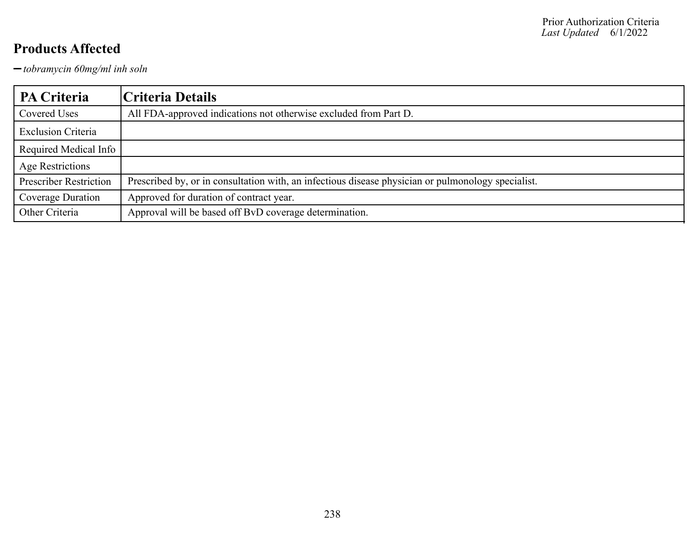*tobramycin 60mg/ml inh soln*

| PA Criteria                   | Criteria Details                                                                                   |
|-------------------------------|----------------------------------------------------------------------------------------------------|
| Covered Uses                  | All FDA-approved indications not otherwise excluded from Part D.                                   |
| <b>Exclusion Criteria</b>     |                                                                                                    |
| Required Medical Info         |                                                                                                    |
| Age Restrictions              |                                                                                                    |
| <b>Prescriber Restriction</b> | Prescribed by, or in consultation with, an infectious disease physician or pulmonology specialist. |
| Coverage Duration             | Approved for duration of contract year.                                                            |
| Other Criteria                | Approval will be based off BvD coverage determination.                                             |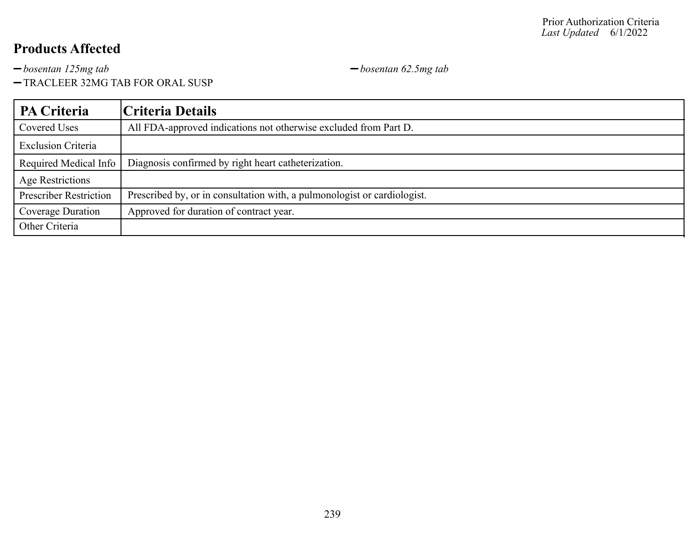*bosentan 125mg tab bosentan 62.5mg tab*

TRACLEER 32MG TAB FOR ORAL SUSP

| PA Criteria                   | Criteria Details                                                         |
|-------------------------------|--------------------------------------------------------------------------|
| Covered Uses                  | All FDA-approved indications not otherwise excluded from Part D.         |
| <b>Exclusion Criteria</b>     |                                                                          |
| Required Medical Info         | Diagnosis confirmed by right heart catheterization.                      |
| Age Restrictions              |                                                                          |
| <b>Prescriber Restriction</b> | Prescribed by, or in consultation with, a pulmonologist or cardiologist. |
| Coverage Duration             | Approved for duration of contract year.                                  |
| Other Criteria                |                                                                          |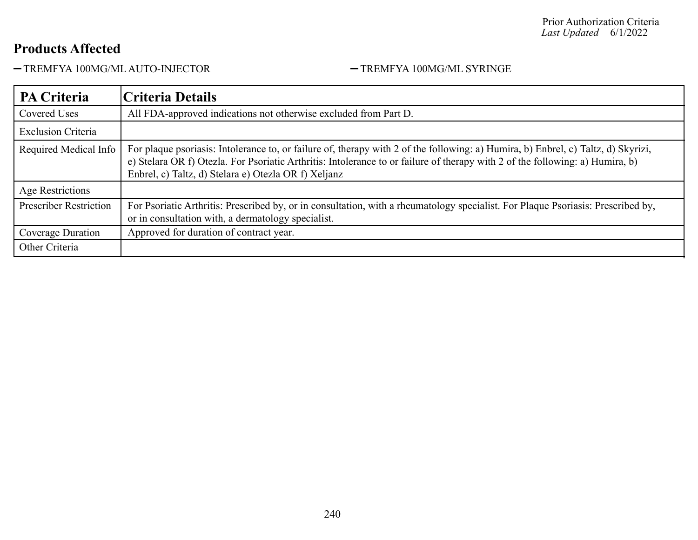-TREMFYA 100MG/ML AUTO-INJECTOR - TREMFYA 100MG/ML SYRINGE

| <b>PA Criteria</b>            | Criteria Details                                                                                                                                                                                                                                                                                                           |
|-------------------------------|----------------------------------------------------------------------------------------------------------------------------------------------------------------------------------------------------------------------------------------------------------------------------------------------------------------------------|
| <b>Covered Uses</b>           | All FDA-approved indications not otherwise excluded from Part D.                                                                                                                                                                                                                                                           |
| <b>Exclusion Criteria</b>     |                                                                                                                                                                                                                                                                                                                            |
| Required Medical Info         | For plaque psoriasis: Intolerance to, or failure of, therapy with 2 of the following: a) Humira, b) Enbrel, c) Taltz, d) Skyrizi,<br>e) Stelara OR f) Otezla. For Psoriatic Arthritis: Intolerance to or failure of therapy with 2 of the following: a) Humira, b)<br>Enbrel, c) Taltz, d) Stelara e) Otezla OR f) Xeljanz |
| Age Restrictions              |                                                                                                                                                                                                                                                                                                                            |
| <b>Prescriber Restriction</b> | For Psoriatic Arthritis: Prescribed by, or in consultation, with a rheumatology specialist. For Plaque Psoriasis: Prescribed by,<br>or in consultation with, a dermatology specialist.                                                                                                                                     |
| Coverage Duration             | Approved for duration of contract year.                                                                                                                                                                                                                                                                                    |
| Other Criteria                |                                                                                                                                                                                                                                                                                                                            |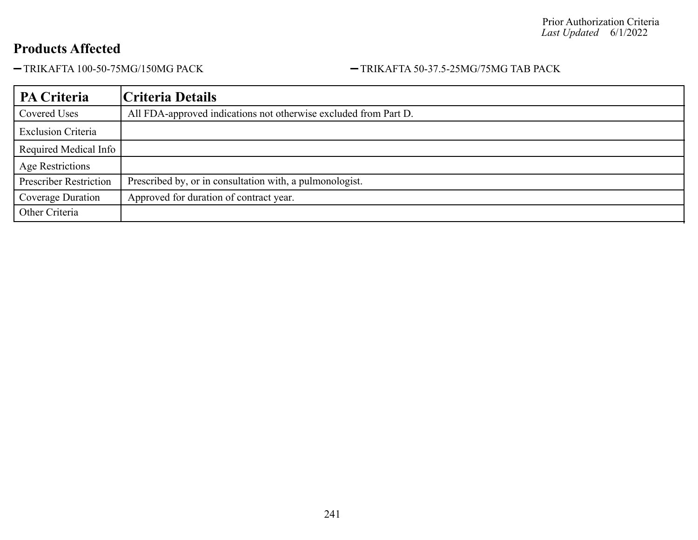#### -TRIKAFTA 100-50-75MG/150MG PACK - TRIKAFTA 50-37.5-25MG/75MG TAB PACK

| PA Criteria                   | Criteria Details                                                 |
|-------------------------------|------------------------------------------------------------------|
| Covered Uses                  | All FDA-approved indications not otherwise excluded from Part D. |
| <b>Exclusion Criteria</b>     |                                                                  |
| Required Medical Info         |                                                                  |
| Age Restrictions              |                                                                  |
| <b>Prescriber Restriction</b> | Prescribed by, or in consultation with, a pulmonologist.         |
| Coverage Duration             | Approved for duration of contract year.                          |
| Other Criteria                |                                                                  |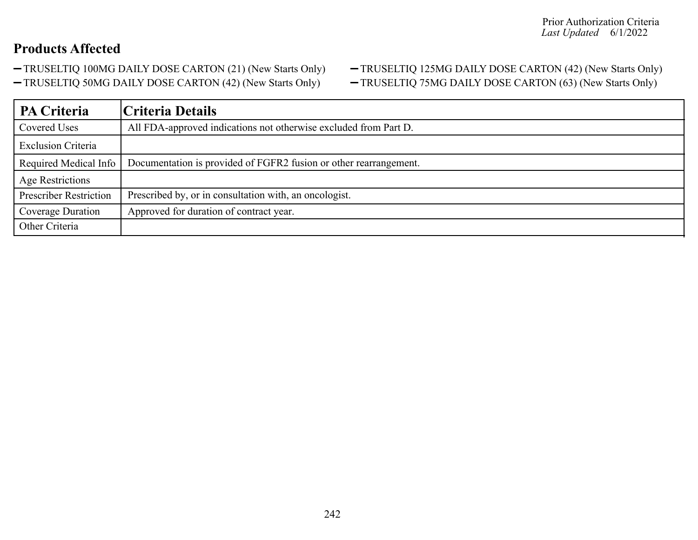- 
- -TRUSELTIQ 50MG DAILY DOSE CARTON (42) (New Starts Only) TRUSELTIQ 75MG DAILY DOSE CARTON (63) (New Starts Only)

# -TRUSELTIQ 100MG DAILY DOSE CARTON (21) (New Starts Only) - TRUSELTIQ 125MG DAILY DOSE CARTON (42) (New Starts Only)

| <b>PA Criteria</b>            | Criteria Details                                                  |
|-------------------------------|-------------------------------------------------------------------|
| Covered Uses                  | All FDA-approved indications not otherwise excluded from Part D.  |
| <b>Exclusion Criteria</b>     |                                                                   |
| Required Medical Info         | Documentation is provided of FGFR2 fusion or other rearrangement. |
| <b>Age Restrictions</b>       |                                                                   |
| <b>Prescriber Restriction</b> | Prescribed by, or in consultation with, an oncologist.            |
| Coverage Duration             | Approved for duration of contract year.                           |
| Other Criteria                |                                                                   |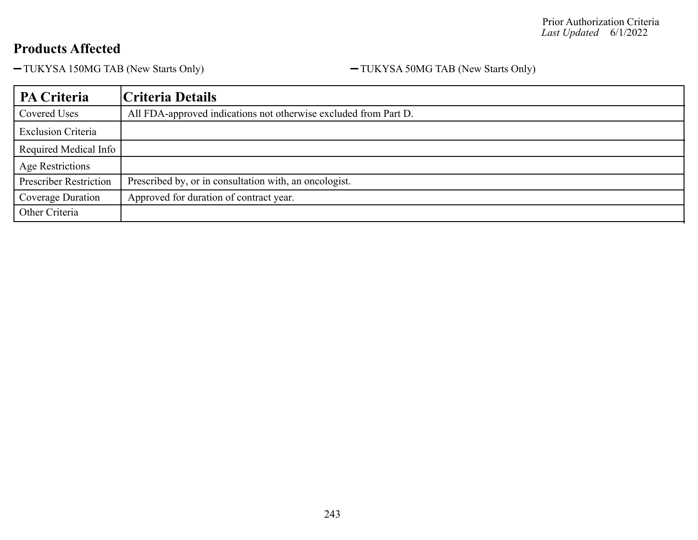-TUKYSA 150MG TAB (New Starts Only) - TUKYSA 50MG TAB (New Starts Only)

| PA Criteria                   | Criteria Details                                                 |
|-------------------------------|------------------------------------------------------------------|
| Covered Uses                  | All FDA-approved indications not otherwise excluded from Part D. |
| <b>Exclusion Criteria</b>     |                                                                  |
| Required Medical Info         |                                                                  |
| <b>Age Restrictions</b>       |                                                                  |
| <b>Prescriber Restriction</b> | Prescribed by, or in consultation with, an oncologist.           |
| Coverage Duration             | Approved for duration of contract year.                          |
| Other Criteria                |                                                                  |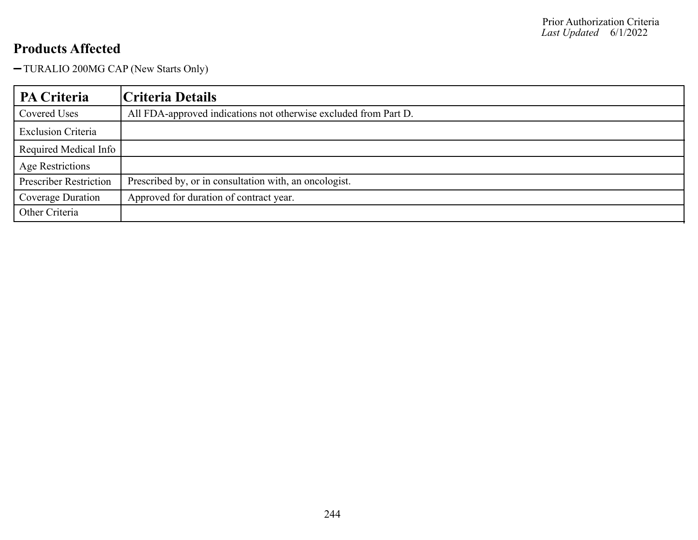TURALIO 200MG CAP (New Starts Only)

| <b>PA Criteria</b>            | Criteria Details                                                 |
|-------------------------------|------------------------------------------------------------------|
| Covered Uses                  | All FDA-approved indications not otherwise excluded from Part D. |
| <b>Exclusion Criteria</b>     |                                                                  |
| Required Medical Info         |                                                                  |
| <b>Age Restrictions</b>       |                                                                  |
| <b>Prescriber Restriction</b> | Prescribed by, or in consultation with, an oncologist.           |
| Coverage Duration             | Approved for duration of contract year.                          |
| Other Criteria                |                                                                  |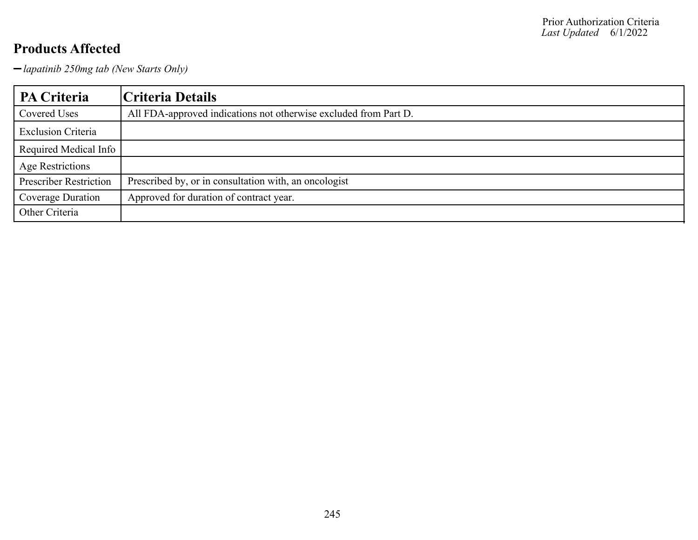*lapatinib 250mg tab (New Starts Only)*

| PA Criteria                   | Criteria Details                                                 |
|-------------------------------|------------------------------------------------------------------|
| Covered Uses                  | All FDA-approved indications not otherwise excluded from Part D. |
| <b>Exclusion Criteria</b>     |                                                                  |
| Required Medical Info         |                                                                  |
| <b>Age Restrictions</b>       |                                                                  |
| <b>Prescriber Restriction</b> | Prescribed by, or in consultation with, an oncologist            |
| Coverage Duration             | Approved for duration of contract year.                          |
| Other Criteria                |                                                                  |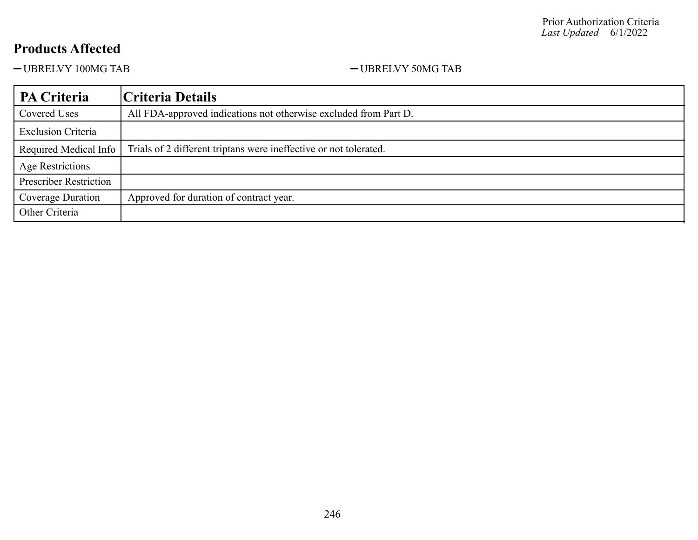-UBRELVY 100MG TAB -UBRELVY 50MG TAB

| <b>PA Criteria</b>            | Criteria Details                                                  |
|-------------------------------|-------------------------------------------------------------------|
| <b>Covered Uses</b>           | All FDA-approved indications not otherwise excluded from Part D.  |
| <b>Exclusion Criteria</b>     |                                                                   |
| Required Medical Info         | Trials of 2 different triptans were ineffective or not tolerated. |
| Age Restrictions              |                                                                   |
| <b>Prescriber Restriction</b> |                                                                   |
| Coverage Duration             | Approved for duration of contract year.                           |
| Other Criteria                |                                                                   |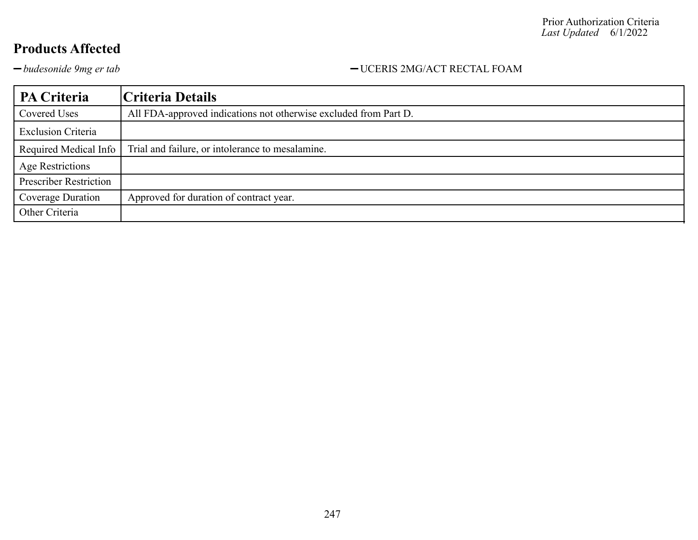#### *budesonide 9mg er tab* UCERIS 2MG/ACT RECTAL FOAM

| PA Criteria                   | Criteria Details                                                 |
|-------------------------------|------------------------------------------------------------------|
| Covered Uses                  | All FDA-approved indications not otherwise excluded from Part D. |
| <b>Exclusion Criteria</b>     |                                                                  |
| Required Medical Info         | Trial and failure, or intolerance to mesalamine.                 |
| <b>Age Restrictions</b>       |                                                                  |
| <b>Prescriber Restriction</b> |                                                                  |
| Coverage Duration             | Approved for duration of contract year.                          |
| Other Criteria                |                                                                  |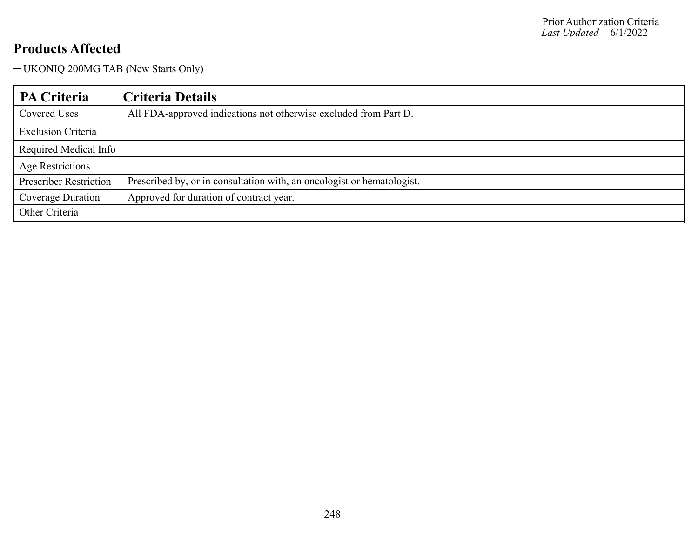UKONIQ 200MG TAB (New Starts Only)

| PA Criteria                   | Criteria Details                                                       |
|-------------------------------|------------------------------------------------------------------------|
| Covered Uses                  | All FDA-approved indications not otherwise excluded from Part D.       |
| <b>Exclusion Criteria</b>     |                                                                        |
| Required Medical Info         |                                                                        |
| Age Restrictions              |                                                                        |
| <b>Prescriber Restriction</b> | Prescribed by, or in consultation with, an oncologist or hematologist. |
| Coverage Duration             | Approved for duration of contract year.                                |
| Other Criteria                |                                                                        |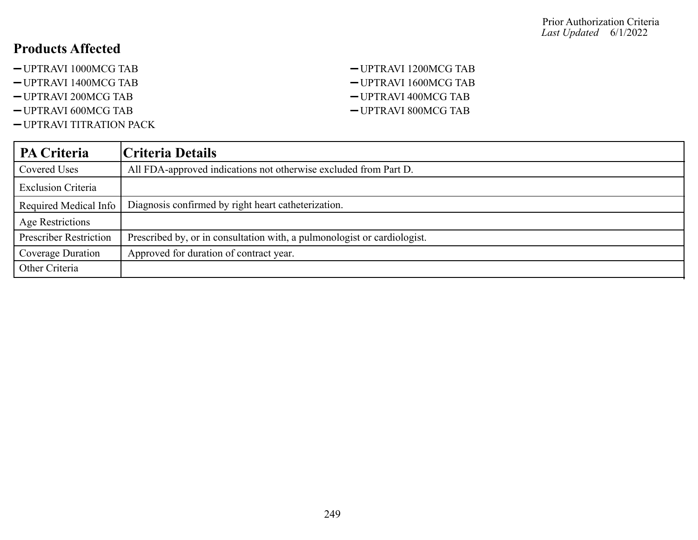- -UPTRAVI 1000MCG TAB -UPTRAVI 1200MCG TAB
- -UPTRAVI 1400MCG TAB UPTRAVI 1600MCG TAB
- 
- -UPTRAVI 600MCG TAB -UPTRAVI 800MCG TAB
- UPTRAVI TITRATION PACK
- -UPTRAVI 200MCG TAB CUPTRAVI 400MCG TAB

| <b>PA Criteria</b>            | Criteria Details                                                         |
|-------------------------------|--------------------------------------------------------------------------|
| Covered Uses                  | All FDA-approved indications not otherwise excluded from Part D.         |
| <b>Exclusion Criteria</b>     |                                                                          |
| Required Medical Info         | Diagnosis confirmed by right heart catheterization.                      |
| Age Restrictions              |                                                                          |
| <b>Prescriber Restriction</b> | Prescribed by, or in consultation with, a pulmonologist or cardiologist. |
| Coverage Duration             | Approved for duration of contract year.                                  |
| Other Criteria                |                                                                          |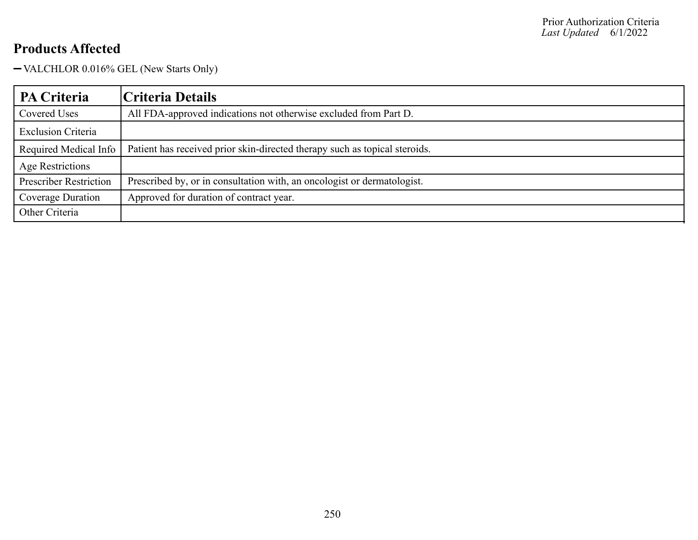VALCHLOR 0.016% GEL (New Starts Only)

| PA Criteria                   | Criteria Details                                                           |
|-------------------------------|----------------------------------------------------------------------------|
| Covered Uses                  | All FDA-approved indications not otherwise excluded from Part D.           |
| <b>Exclusion Criteria</b>     |                                                                            |
| Required Medical Info         | Patient has received prior skin-directed therapy such as topical steroids. |
| Age Restrictions              |                                                                            |
| <b>Prescriber Restriction</b> | Prescribed by, or in consultation with, an oncologist or dermatologist.    |
| Coverage Duration             | Approved for duration of contract year.                                    |
| Other Criteria                |                                                                            |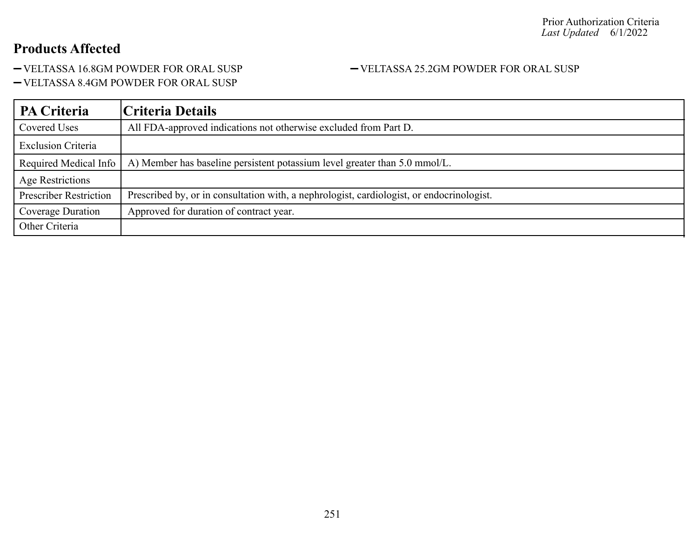-VELTASSA 16.8GM POWDER FOR ORAL SUSP -VELTASSA 25.2GM POWDER FOR ORAL SUSP

VELTASSA 8.4GM POWDER FOR ORAL SUSP

| PA Criteria                   | Criteria Details                                                                          |
|-------------------------------|-------------------------------------------------------------------------------------------|
| Covered Uses                  | All FDA-approved indications not otherwise excluded from Part D.                          |
| <b>Exclusion Criteria</b>     |                                                                                           |
| Required Medical Info         | A) Member has baseline persistent potassium level greater than 5.0 mmol/L.                |
| Age Restrictions              |                                                                                           |
| <b>Prescriber Restriction</b> | Prescribed by, or in consultation with, a nephrologist, cardiologist, or endocrinologist. |
| Coverage Duration             | Approved for duration of contract year.                                                   |
| Other Criteria                |                                                                                           |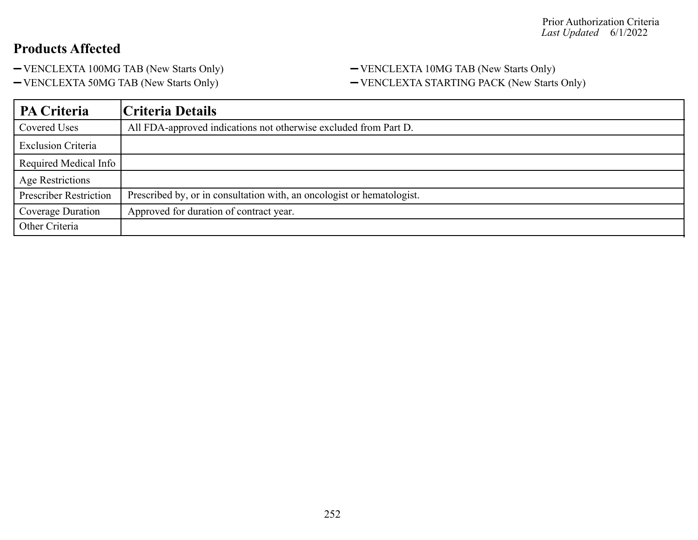- 
- 

#### - VENCLEXTA 100MG TAB (New Starts Only) - VENCLEXTA 10MG TAB (New Starts Only) -VENCLEXTA 50MG TAB (New Starts Only) - VENCLEXTA STARTING PACK (New Starts Only)

| PA Criteria                   | Criteria Details                                                       |
|-------------------------------|------------------------------------------------------------------------|
| Covered Uses                  | All FDA-approved indications not otherwise excluded from Part D.       |
| <b>Exclusion Criteria</b>     |                                                                        |
| Required Medical Info         |                                                                        |
| <b>Age Restrictions</b>       |                                                                        |
| <b>Prescriber Restriction</b> | Prescribed by, or in consultation with, an oncologist or hematologist. |
| Coverage Duration             | Approved for duration of contract year.                                |
| Other Criteria                |                                                                        |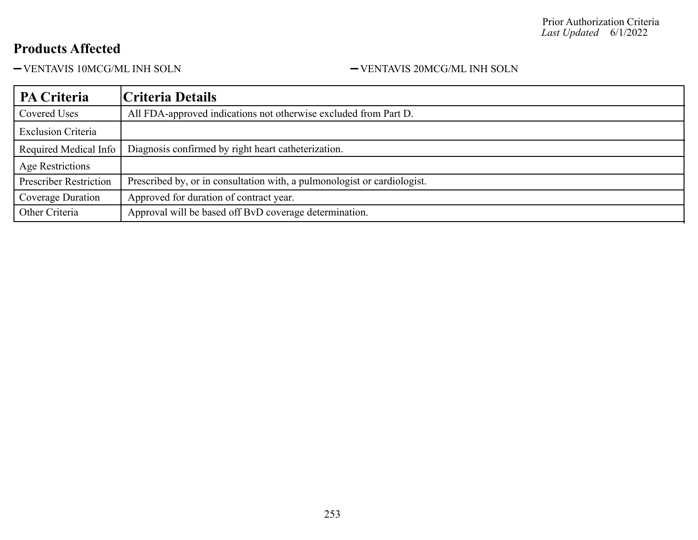$-$  VENTAVIS 10MCG/ML INH SOLN  $\hfill -$  VENTAVIS 20MCG/ML INH SOLN

| PA Criteria                   | Criteria Details                                                         |
|-------------------------------|--------------------------------------------------------------------------|
| Covered Uses                  | All FDA-approved indications not otherwise excluded from Part D.         |
| <b>Exclusion Criteria</b>     |                                                                          |
| Required Medical Info         | Diagnosis confirmed by right heart catheterization.                      |
| Age Restrictions              |                                                                          |
| <b>Prescriber Restriction</b> | Prescribed by, or in consultation with, a pulmonologist or cardiologist. |
| Coverage Duration             | Approved for duration of contract year.                                  |
| Other Criteria                | Approval will be based off BvD coverage determination.                   |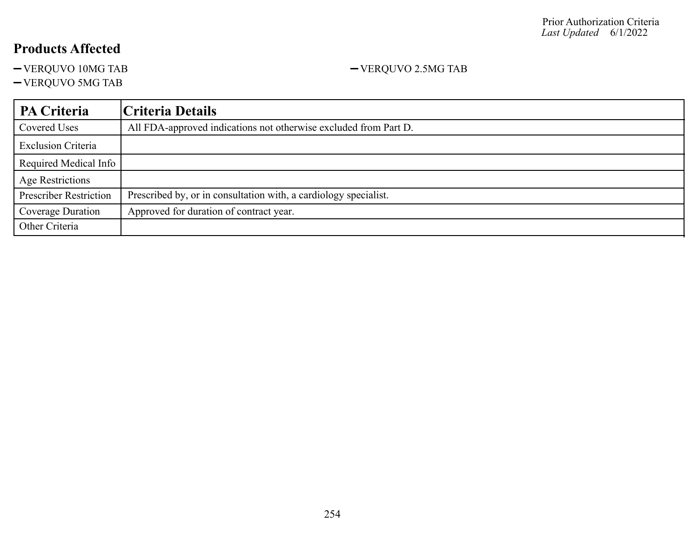- VERQUVO 10MG TAB  $-$  VERQUVO 2.5MG TAB

VERQUVO 5MG TAB

### **PA Criteria Criteria Details** Covered Uses All FDA-approved indications not otherwise excluded from Part D. Exclusion Criteria Required Medical Info Age Restrictions Prescriber Restriction | Prescribed by, or in consultation with, a cardiology specialist. Coverage Duration | Approved for duration of contract year. Other Criteria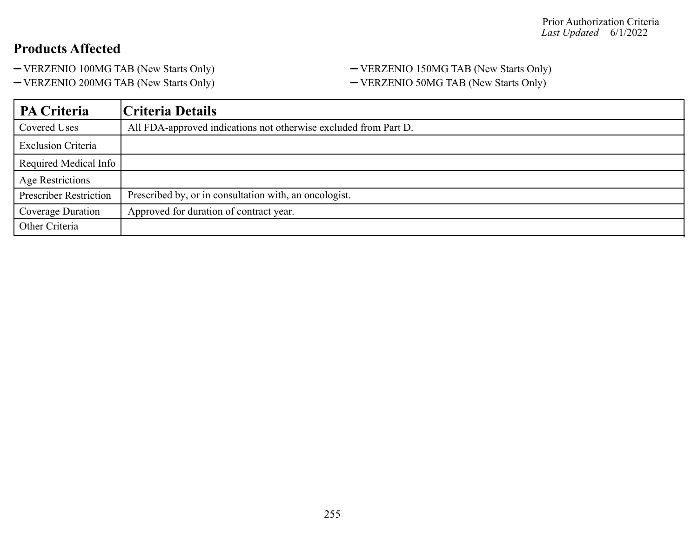#### - VERZENIO 100MG TAB (New Starts Only) - VERZENIO 150MG TAB (New Starts Only) - VERZENIO 200MG TAB (New Starts Only) - VERZENIO 50MG TAB (New Starts Only)

| PA Criteria                   | Criteria Details                                                 |
|-------------------------------|------------------------------------------------------------------|
| Covered Uses                  | All FDA-approved indications not otherwise excluded from Part D. |
| <b>Exclusion Criteria</b>     |                                                                  |
| Required Medical Info         |                                                                  |
| Age Restrictions              |                                                                  |
| <b>Prescriber Restriction</b> | Prescribed by, or in consultation with, an oncologist.           |
| Coverage Duration             | Approved for duration of contract year.                          |
| Other Criteria                |                                                                  |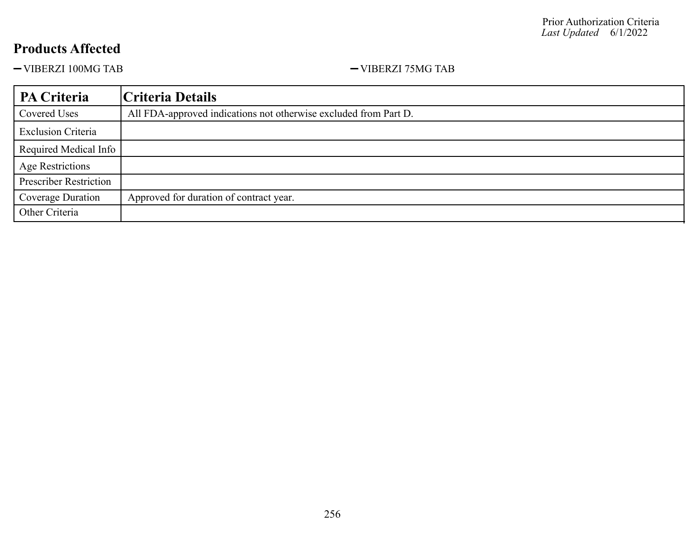-VIBERZI 100MG TAB <br/>-VIBERZI 75MG TAB <br/>-

| PA Criteria                   | Criteria Details                                                 |
|-------------------------------|------------------------------------------------------------------|
| Covered Uses                  | All FDA-approved indications not otherwise excluded from Part D. |
| <b>Exclusion Criteria</b>     |                                                                  |
| Required Medical Info         |                                                                  |
| <b>Age Restrictions</b>       |                                                                  |
| <b>Prescriber Restriction</b> |                                                                  |
| Coverage Duration             | Approved for duration of contract year.                          |
| Other Criteria                |                                                                  |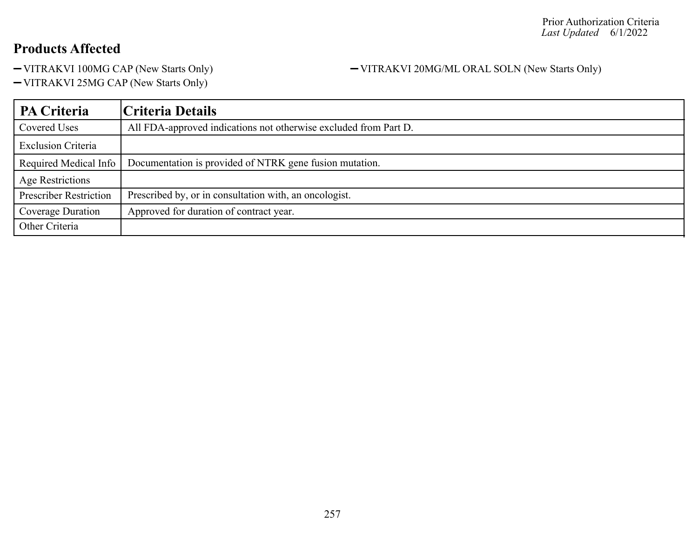- VITRAKVI 100MG CAP (New Starts Only) - VITRAKVI 20MG/ML ORAL SOLN (New Starts Only)

VITRAKVI 25MG CAP (New Starts Only)

| <b>PA Criteria</b>            | Criteria Details                                                 |
|-------------------------------|------------------------------------------------------------------|
| Covered Uses                  | All FDA-approved indications not otherwise excluded from Part D. |
| <b>Exclusion Criteria</b>     |                                                                  |
| Required Medical Info         | Documentation is provided of NTRK gene fusion mutation.          |
| Age Restrictions              |                                                                  |
| <b>Prescriber Restriction</b> | Prescribed by, or in consultation with, an oncologist.           |
| Coverage Duration             | Approved for duration of contract year.                          |
| Other Criteria                |                                                                  |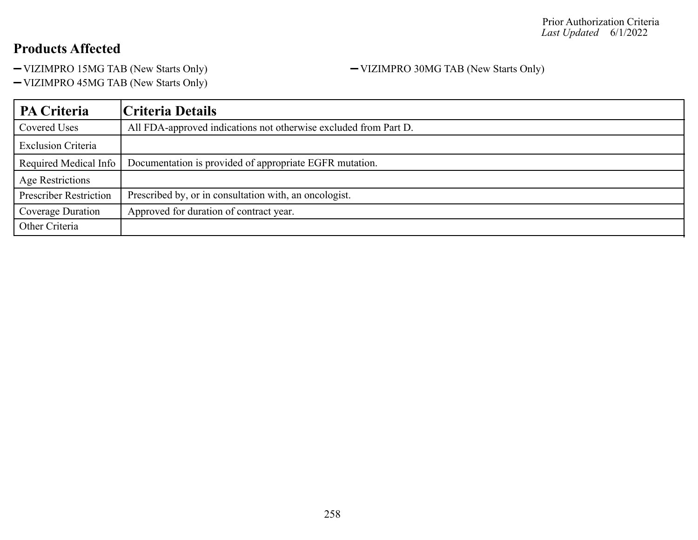-VIZIMPRO 15MG TAB (New Starts Only) - VIZIMPRO 30MG TAB (New Starts Only)

VIZIMPRO 45MG TAB (New Starts Only)

| PA Criteria                   | Criteria Details                                                 |
|-------------------------------|------------------------------------------------------------------|
| Covered Uses                  | All FDA-approved indications not otherwise excluded from Part D. |
| <b>Exclusion Criteria</b>     |                                                                  |
| Required Medical Info         | Documentation is provided of appropriate EGFR mutation.          |
| Age Restrictions              |                                                                  |
| <b>Prescriber Restriction</b> | Prescribed by, or in consultation with, an oncologist.           |
| Coverage Duration             | Approved for duration of contract year.                          |
| Other Criteria                |                                                                  |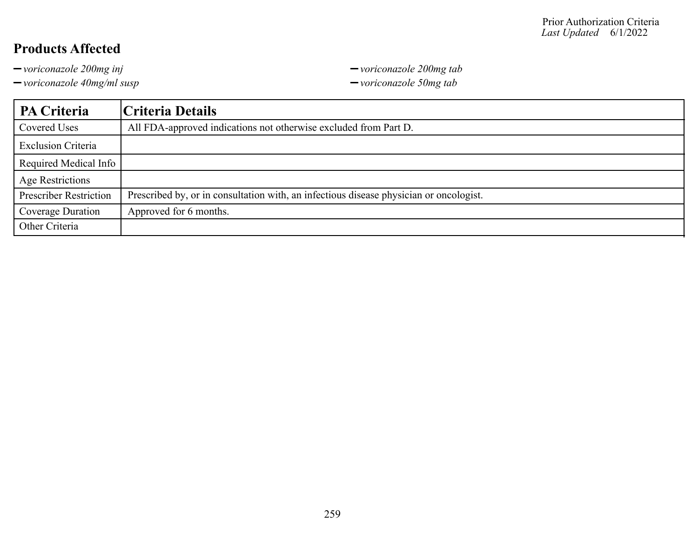*voriconazole 200mg inj voriconazole 200mg tab*

*voriconazole 40mg/ml susp voriconazole 50mg tab*

| PA Criteria                   | Criteria Details                                                                       |
|-------------------------------|----------------------------------------------------------------------------------------|
| Covered Uses                  | All FDA-approved indications not otherwise excluded from Part D.                       |
| <b>Exclusion Criteria</b>     |                                                                                        |
| Required Medical Info         |                                                                                        |
| Age Restrictions              |                                                                                        |
| <b>Prescriber Restriction</b> | Prescribed by, or in consultation with, an infectious disease physician or oncologist. |
| Coverage Duration             | Approved for 6 months.                                                                 |
| Other Criteria                |                                                                                        |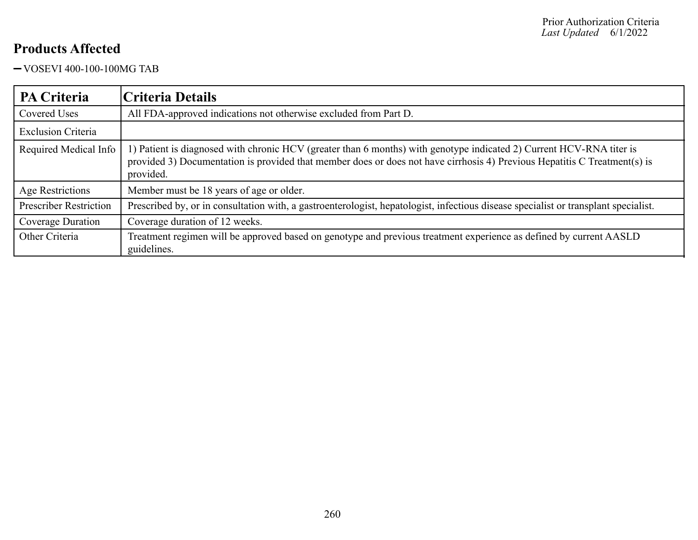VOSEVI 400-100-100MG TAB

| <b>PA Criteria</b>            | Criteria Details                                                                                                                                                                                                                                               |
|-------------------------------|----------------------------------------------------------------------------------------------------------------------------------------------------------------------------------------------------------------------------------------------------------------|
| Covered Uses                  | All FDA-approved indications not otherwise excluded from Part D.                                                                                                                                                                                               |
| <b>Exclusion Criteria</b>     |                                                                                                                                                                                                                                                                |
| Required Medical Info         | 1) Patient is diagnosed with chronic HCV (greater than 6 months) with genotype indicated 2) Current HCV-RNA titer is<br>provided 3) Documentation is provided that member does or does not have cirrhosis 4) Previous Hepatitis C Treatment(s) is<br>provided. |
| Age Restrictions              | Member must be 18 years of age or older.                                                                                                                                                                                                                       |
| <b>Prescriber Restriction</b> | Prescribed by, or in consultation with, a gastroenterologist, hepatologist, infectious disease specialist or transplant specialist.                                                                                                                            |
| Coverage Duration             | Coverage duration of 12 weeks.                                                                                                                                                                                                                                 |
| Other Criteria                | Treatment regimen will be approved based on genotype and previous treatment experience as defined by current AASLD<br>guidelines.                                                                                                                              |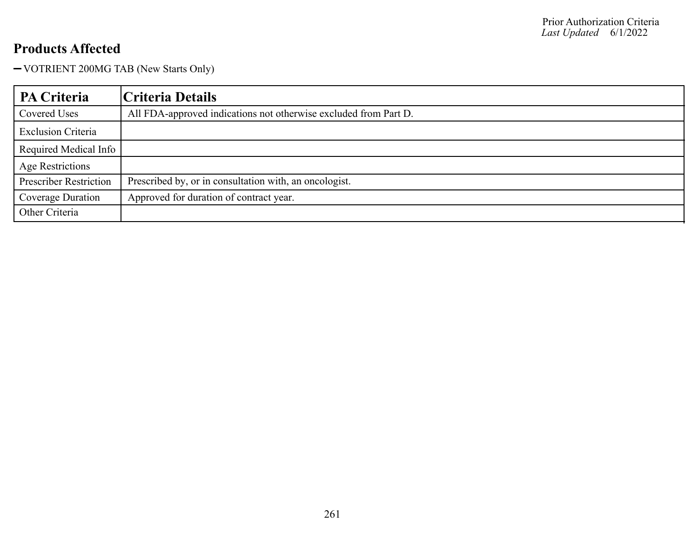VOTRIENT 200MG TAB (New Starts Only)

| PA Criteria                   | Criteria Details                                                 |
|-------------------------------|------------------------------------------------------------------|
| Covered Uses                  | All FDA-approved indications not otherwise excluded from Part D. |
| <b>Exclusion Criteria</b>     |                                                                  |
| Required Medical Info         |                                                                  |
| <b>Age Restrictions</b>       |                                                                  |
| <b>Prescriber Restriction</b> | Prescribed by, or in consultation with, an oncologist.           |
| <b>Coverage Duration</b>      | Approved for duration of contract year.                          |
| Other Criteria                |                                                                  |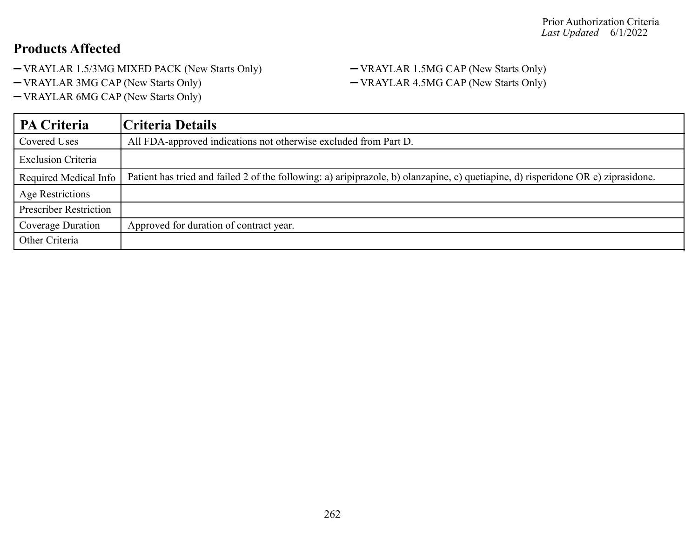- VRAYLAR 1.5/3MG MIXED PACK (New Starts Only) VRAYLAR 1.5MG CAP (New Starts Only)
- 
- VRAYLAR 6MG CAP (New Starts Only)

# - VRAYLAR 3MG CAP (New Starts Only) - VRAYLAR 4.5MG CAP (New Starts Only)

| <b>PA Criteria</b>            | Criteria Details                                                                                                                  |
|-------------------------------|-----------------------------------------------------------------------------------------------------------------------------------|
| Covered Uses                  | All FDA-approved indications not otherwise excluded from Part D.                                                                  |
| <b>Exclusion Criteria</b>     |                                                                                                                                   |
| Required Medical Info         | Patient has tried and failed 2 of the following: a) aripiprazole, b) olanzapine, c) quetiapine, d) risperidone OR e) ziprasidone. |
| <b>Age Restrictions</b>       |                                                                                                                                   |
| <b>Prescriber Restriction</b> |                                                                                                                                   |
| Coverage Duration             | Approved for duration of contract year.                                                                                           |
| Other Criteria                |                                                                                                                                   |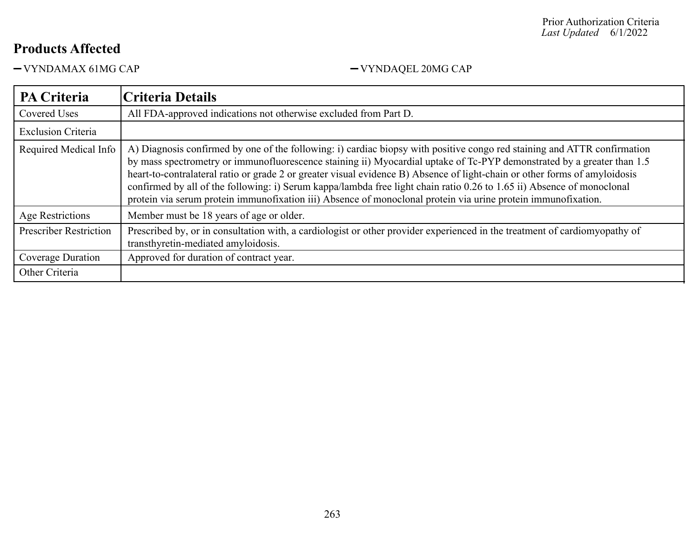VYNDAMAX 61MG CAP VYNDAQEL 20MG CAP

| <b>PA Criteria</b>            | <b>Criteria Details</b>                                                                                                                                                                                                                                                                                                                                                                                                                                                                                                                                                                                                     |
|-------------------------------|-----------------------------------------------------------------------------------------------------------------------------------------------------------------------------------------------------------------------------------------------------------------------------------------------------------------------------------------------------------------------------------------------------------------------------------------------------------------------------------------------------------------------------------------------------------------------------------------------------------------------------|
| Covered Uses                  | All FDA-approved indications not otherwise excluded from Part D.                                                                                                                                                                                                                                                                                                                                                                                                                                                                                                                                                            |
| <b>Exclusion Criteria</b>     |                                                                                                                                                                                                                                                                                                                                                                                                                                                                                                                                                                                                                             |
| Required Medical Info         | A) Diagnosis confirmed by one of the following: i) cardiac biopsy with positive congo red staining and ATTR confirmation<br>by mass spectrometry or immunofluorescence staining ii) Myocardial uptake of Tc-PYP demonstrated by a greater than 1.5<br>heart-to-contralateral ratio or grade 2 or greater visual evidence B) Absence of light-chain or other forms of amyloidosis<br>confirmed by all of the following: i) Serum kappa/lambda free light chain ratio 0.26 to 1.65 ii) Absence of monoclonal<br>protein via serum protein immunofixation iii) Absence of monoclonal protein via urine protein immunofixation. |
| Age Restrictions              | Member must be 18 years of age or older.                                                                                                                                                                                                                                                                                                                                                                                                                                                                                                                                                                                    |
| <b>Prescriber Restriction</b> | Prescribed by, or in consultation with, a cardiologist or other provider experienced in the treatment of cardiomyopathy of<br>transthyretin-mediated amyloidosis.                                                                                                                                                                                                                                                                                                                                                                                                                                                           |
| <b>Coverage Duration</b>      | Approved for duration of contract year.                                                                                                                                                                                                                                                                                                                                                                                                                                                                                                                                                                                     |
| Other Criteria                |                                                                                                                                                                                                                                                                                                                                                                                                                                                                                                                                                                                                                             |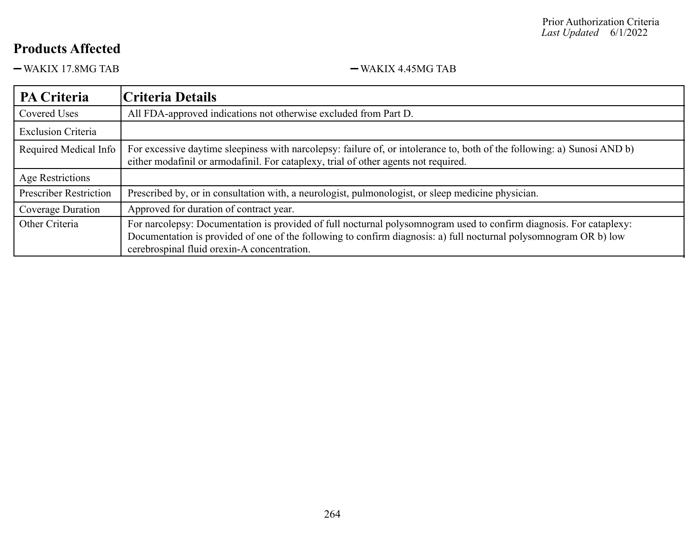-WAKIX 17.8MG TAB - WAKIX 4.45MG TAB

| <b>PA Criteria</b>            | Criteria Details                                                                                                                                                                                                |
|-------------------------------|-----------------------------------------------------------------------------------------------------------------------------------------------------------------------------------------------------------------|
| <b>Covered Uses</b>           | All FDA-approved indications not otherwise excluded from Part D.                                                                                                                                                |
| <b>Exclusion Criteria</b>     |                                                                                                                                                                                                                 |
| Required Medical Info         | For excessive daytime sleepiness with narcolepsy: failure of, or intolerance to, both of the following: a) Sunosi AND b)<br>either modafinil or armodafinil. For cataplexy, trial of other agents not required. |
| Age Restrictions              |                                                                                                                                                                                                                 |
| <b>Prescriber Restriction</b> | Prescribed by, or in consultation with, a neurologist, pulmonologist, or sleep medicine physician.                                                                                                              |
| Coverage Duration             | Approved for duration of contract year.                                                                                                                                                                         |
| Other Criteria                | For narcolepsy: Documentation is provided of full nocturnal polysomnogram used to confirm diagnosis. For cataplexy:                                                                                             |
|                               | Documentation is provided of one of the following to confirm diagnosis: a) full nocturnal polysomnogram OR b) low                                                                                               |
|                               | cerebrospinal fluid orexin-A concentration.                                                                                                                                                                     |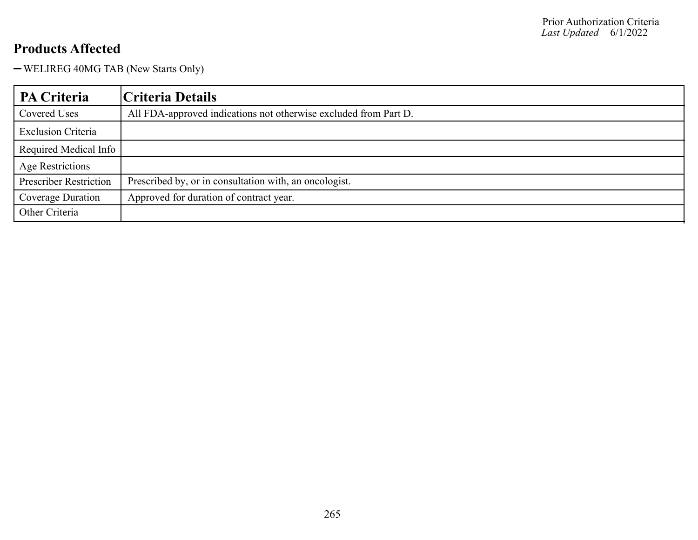WELIREG 40MG TAB (New Starts Only)

| <b>PA Criteria</b>            | Criteria Details                                                 |
|-------------------------------|------------------------------------------------------------------|
| Covered Uses                  | All FDA-approved indications not otherwise excluded from Part D. |
| <b>Exclusion Criteria</b>     |                                                                  |
| Required Medical Info         |                                                                  |
| <b>Age Restrictions</b>       |                                                                  |
| <b>Prescriber Restriction</b> | Prescribed by, or in consultation with, an oncologist.           |
| Coverage Duration             | Approved for duration of contract year.                          |
| Other Criteria                |                                                                  |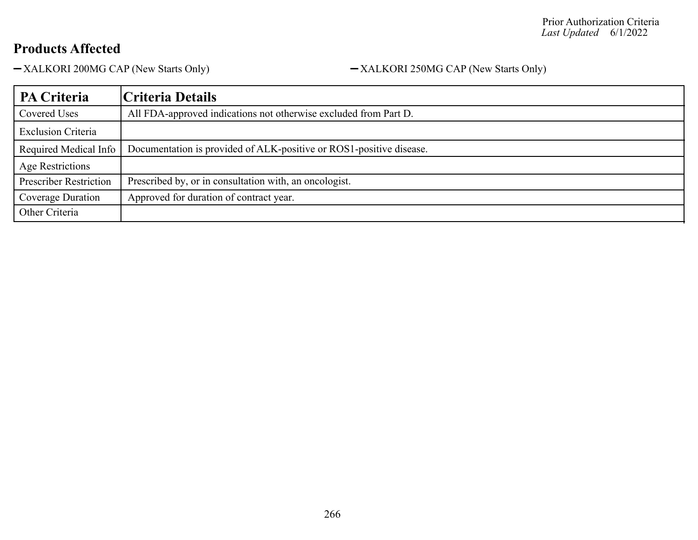-XALKORI 200MG CAP (New Starts Only) -XALKORI 250MG CAP (New Starts Only)

| PA Criteria                   | Criteria Details                                                    |
|-------------------------------|---------------------------------------------------------------------|
| Covered Uses                  | All FDA-approved indications not otherwise excluded from Part D.    |
| <b>Exclusion Criteria</b>     |                                                                     |
| Required Medical Info         | Documentation is provided of ALK-positive or ROS1-positive disease. |
| Age Restrictions              |                                                                     |
| <b>Prescriber Restriction</b> | Prescribed by, or in consultation with, an oncologist.              |
| Coverage Duration             | Approved for duration of contract year.                             |
| Other Criteria                |                                                                     |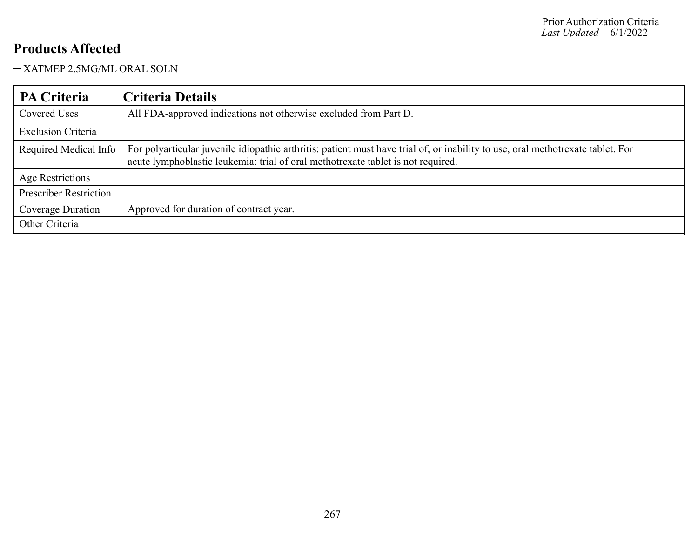-XATMEP 2.5MG/ML ORAL SOLN

| <b>PA Criteria</b>            | Criteria Details                                                                                                                                                                                                    |
|-------------------------------|---------------------------------------------------------------------------------------------------------------------------------------------------------------------------------------------------------------------|
| Covered Uses                  | All FDA-approved indications not otherwise excluded from Part D.                                                                                                                                                    |
| <b>Exclusion Criteria</b>     |                                                                                                                                                                                                                     |
| Required Medical Info         | For polyarticular juvenile idiopathic arthritis: patient must have trial of, or inability to use, oral methotrexate tablet. For<br>acute lymphoblastic leukemia: trial of oral methotrexate tablet is not required. |
| Age Restrictions              |                                                                                                                                                                                                                     |
| <b>Prescriber Restriction</b> |                                                                                                                                                                                                                     |
| Coverage Duration             | Approved for duration of contract year.                                                                                                                                                                             |
| Other Criteria                |                                                                                                                                                                                                                     |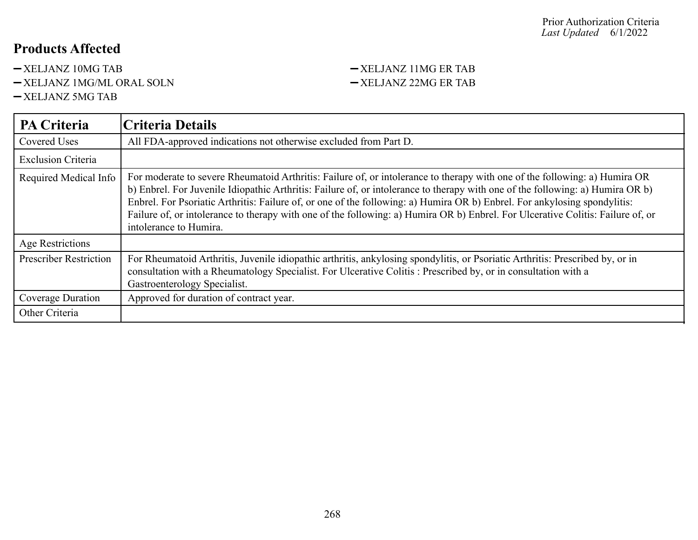- 
- -XELJANZ 1MG/ML ORAL SOLN -XELJANZ 22MG ER TAB
- XELJANZ 5MG TAB

# -XELJANZ 10MG TAB -XELJANZ 11MG ER TAB

| PA Criteria                   | <b>Criteria Details</b>                                                                                                                                                                                                                                                                                                                                                                                                                                                                                                                                |
|-------------------------------|--------------------------------------------------------------------------------------------------------------------------------------------------------------------------------------------------------------------------------------------------------------------------------------------------------------------------------------------------------------------------------------------------------------------------------------------------------------------------------------------------------------------------------------------------------|
| Covered Uses                  | All FDA-approved indications not otherwise excluded from Part D.                                                                                                                                                                                                                                                                                                                                                                                                                                                                                       |
| <b>Exclusion Criteria</b>     |                                                                                                                                                                                                                                                                                                                                                                                                                                                                                                                                                        |
| Required Medical Info         | For moderate to severe Rheumatoid Arthritis: Failure of, or intolerance to therapy with one of the following: a) Humira OR<br>b) Enbrel. For Juvenile Idiopathic Arthritis: Failure of, or intolerance to therapy with one of the following: a) Humira OR b)<br>Enbrel. For Psoriatic Arthritis: Failure of, or one of the following: a) Humira OR b) Enbrel. For ankylosing spondylitis:<br>Failure of, or intolerance to therapy with one of the following: a) Humira OR b) Enbrel. For Ulcerative Colitis: Failure of, or<br>intolerance to Humira. |
| Age Restrictions              |                                                                                                                                                                                                                                                                                                                                                                                                                                                                                                                                                        |
| <b>Prescriber Restriction</b> | For Rheumatoid Arthritis, Juvenile idiopathic arthritis, ankylosing spondylitis, or Psoriatic Arthritis: Prescribed by, or in<br>consultation with a Rheumatology Specialist. For Ulcerative Colitis: Prescribed by, or in consultation with a<br>Gastroenterology Specialist.                                                                                                                                                                                                                                                                         |
| Coverage Duration             | Approved for duration of contract year.                                                                                                                                                                                                                                                                                                                                                                                                                                                                                                                |
| Other Criteria                |                                                                                                                                                                                                                                                                                                                                                                                                                                                                                                                                                        |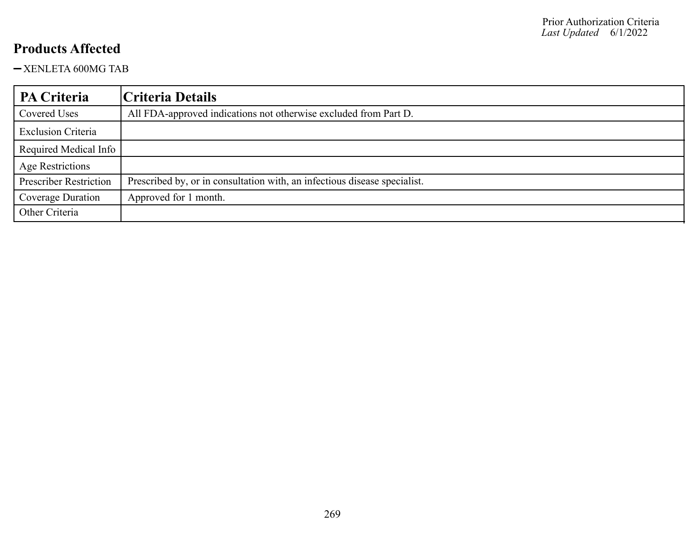XENLETA 600MG TAB

| PA Criteria                   | Criteria Details                                                          |
|-------------------------------|---------------------------------------------------------------------------|
| Covered Uses                  | All FDA-approved indications not otherwise excluded from Part D.          |
| <b>Exclusion Criteria</b>     |                                                                           |
| Required Medical Info         |                                                                           |
| <b>Age Restrictions</b>       |                                                                           |
| <b>Prescriber Restriction</b> | Prescribed by, or in consultation with, an infectious disease specialist. |
| Coverage Duration             | Approved for 1 month.                                                     |
| Other Criteria                |                                                                           |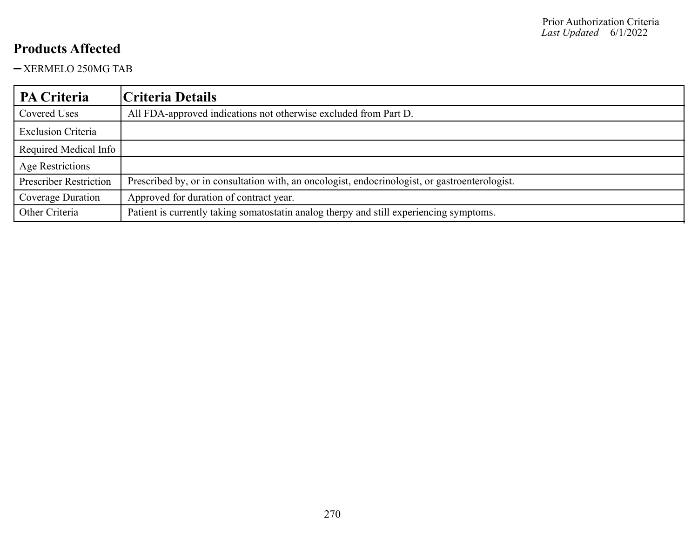-XERMELO 250MG TAB

| PA Criteria                   | Criteria Details                                                                               |
|-------------------------------|------------------------------------------------------------------------------------------------|
| Covered Uses                  | All FDA-approved indications not otherwise excluded from Part D.                               |
| <b>Exclusion Criteria</b>     |                                                                                                |
| Required Medical Info         |                                                                                                |
| Age Restrictions              |                                                                                                |
| <b>Prescriber Restriction</b> | Prescribed by, or in consultation with, an oncologist, endocrinologist, or gastroenterologist. |
| Coverage Duration             | Approved for duration of contract year.                                                        |
| Other Criteria                | Patient is currently taking somatostatin analog therpy and still experiencing symptoms.        |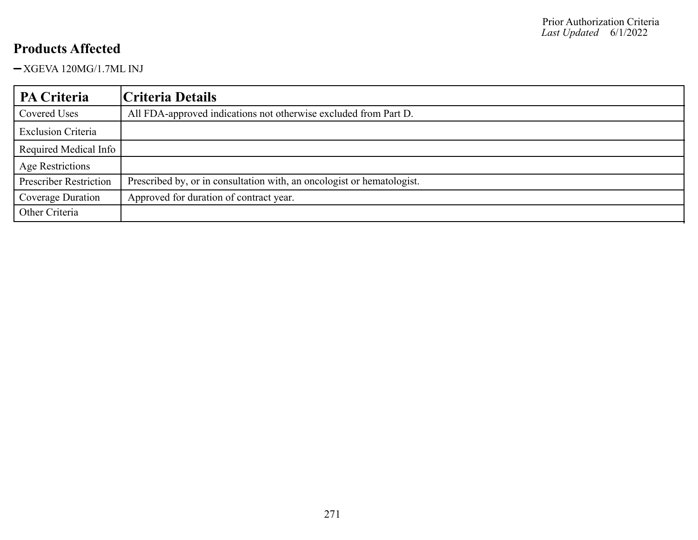XGEVA 120MG/1.7ML INJ

| <b>PA Criteria</b>            | Criteria Details                                                       |
|-------------------------------|------------------------------------------------------------------------|
| Covered Uses                  | All FDA-approved indications not otherwise excluded from Part D.       |
| <b>Exclusion Criteria</b>     |                                                                        |
| Required Medical Info         |                                                                        |
| Age Restrictions              |                                                                        |
| <b>Prescriber Restriction</b> | Prescribed by, or in consultation with, an oncologist or hematologist. |
| Coverage Duration             | Approved for duration of contract year.                                |
| Other Criteria                |                                                                        |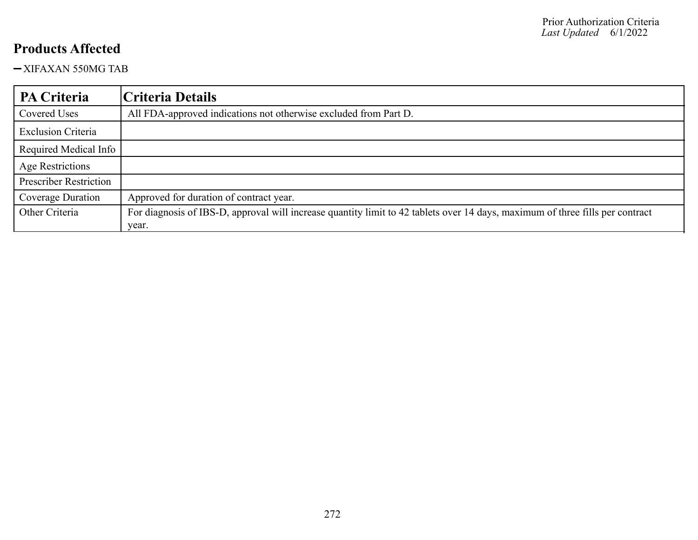XIFAXAN 550MG TAB

| <b>PA Criteria</b>            | Criteria Details                                                                                                              |
|-------------------------------|-------------------------------------------------------------------------------------------------------------------------------|
| Covered Uses                  | All FDA-approved indications not otherwise excluded from Part D.                                                              |
| <b>Exclusion Criteria</b>     |                                                                                                                               |
| Required Medical Info         |                                                                                                                               |
| Age Restrictions              |                                                                                                                               |
| <b>Prescriber Restriction</b> |                                                                                                                               |
| Coverage Duration             | Approved for duration of contract year.                                                                                       |
| Other Criteria                | For diagnosis of IBS-D, approval will increase quantity limit to 42 tablets over 14 days, maximum of three fills per contract |
|                               | year.                                                                                                                         |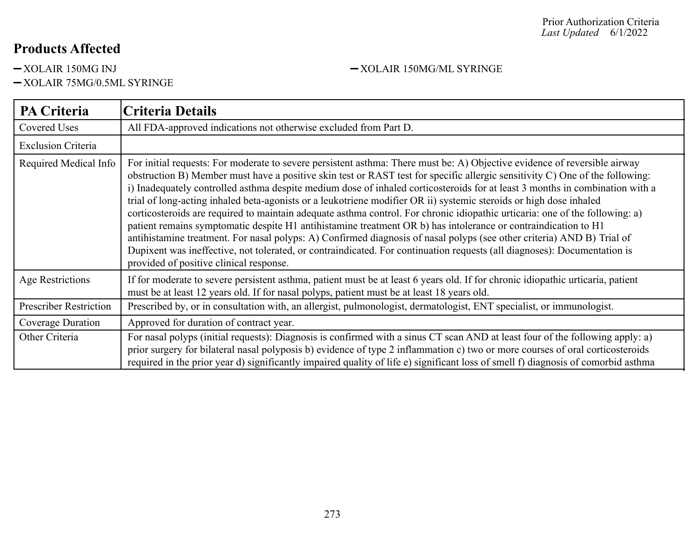-XOLAIR 75MG/0.5ML SYRINGE

-XOLAIR 150MG INJ -XOLAIR 150MG/ML SYRINGE

| PA Criteria                   | Criteria Details                                                                                                                                                                                                                                                                                                                                                                                                                                                                                                                                                                                                                                                                                                                                                                                                                                                                                                                                                                                                                                                   |
|-------------------------------|--------------------------------------------------------------------------------------------------------------------------------------------------------------------------------------------------------------------------------------------------------------------------------------------------------------------------------------------------------------------------------------------------------------------------------------------------------------------------------------------------------------------------------------------------------------------------------------------------------------------------------------------------------------------------------------------------------------------------------------------------------------------------------------------------------------------------------------------------------------------------------------------------------------------------------------------------------------------------------------------------------------------------------------------------------------------|
| Covered Uses                  | All FDA-approved indications not otherwise excluded from Part D.                                                                                                                                                                                                                                                                                                                                                                                                                                                                                                                                                                                                                                                                                                                                                                                                                                                                                                                                                                                                   |
| <b>Exclusion Criteria</b>     |                                                                                                                                                                                                                                                                                                                                                                                                                                                                                                                                                                                                                                                                                                                                                                                                                                                                                                                                                                                                                                                                    |
| Required Medical Info         | For initial requests: For moderate to severe persistent asthma: There must be: A) Objective evidence of reversible airway<br>obstruction B) Member must have a positive skin test or RAST test for specific allergic sensitivity C) One of the following:<br>i) Inadequately controlled asthma despite medium dose of inhaled corticosteroids for at least 3 months in combination with a<br>trial of long-acting inhaled beta-agonists or a leukotriene modifier OR ii) systemic steroids or high dose inhaled<br>corticosteroids are required to maintain adequate asthma control. For chronic idiopathic urticaria: one of the following: a)<br>patient remains symptomatic despite H1 antihistamine treatment OR b) has intolerance or contraindication to H1<br>antihistamine treatment. For nasal polyps: A) Confirmed diagnosis of nasal polyps (see other criteria) AND B) Trial of<br>Dupixent was ineffective, not tolerated, or contraindicated. For continuation requests (all diagnoses): Documentation is<br>provided of positive clinical response. |
| Age Restrictions              | If for moderate to severe persistent asthma, patient must be at least 6 years old. If for chronic idiopathic urticaria, patient<br>must be at least 12 years old. If for nasal polyps, patient must be at least 18 years old.                                                                                                                                                                                                                                                                                                                                                                                                                                                                                                                                                                                                                                                                                                                                                                                                                                      |
| <b>Prescriber Restriction</b> | Prescribed by, or in consultation with, an allergist, pulmonologist, dermatologist, ENT specialist, or immunologist.                                                                                                                                                                                                                                                                                                                                                                                                                                                                                                                                                                                                                                                                                                                                                                                                                                                                                                                                               |
| Coverage Duration             | Approved for duration of contract year.                                                                                                                                                                                                                                                                                                                                                                                                                                                                                                                                                                                                                                                                                                                                                                                                                                                                                                                                                                                                                            |
| Other Criteria                | For nasal polyps (initial requests): Diagnosis is confirmed with a sinus CT scan AND at least four of the following apply: a)<br>prior surgery for bilateral nasal polyposis b) evidence of type 2 inflammation c) two or more courses of oral corticosteroids<br>required in the prior year d) significantly impaired quality of life e) significant loss of smell f) diagnosis of comorbid asthma                                                                                                                                                                                                                                                                                                                                                                                                                                                                                                                                                                                                                                                                |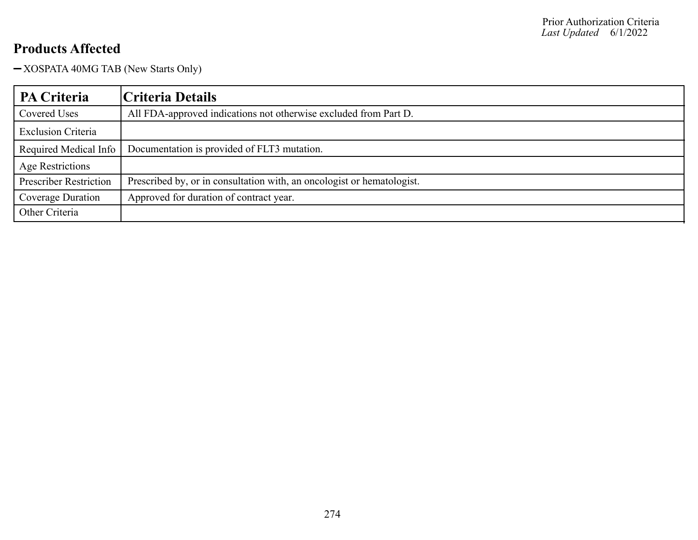XOSPATA 40MG TAB (New Starts Only)

| PA Criteria                   | Criteria Details                                                       |
|-------------------------------|------------------------------------------------------------------------|
| Covered Uses                  | All FDA-approved indications not otherwise excluded from Part D.       |
| <b>Exclusion Criteria</b>     |                                                                        |
| Required Medical Info         | Documentation is provided of FLT3 mutation.                            |
| Age Restrictions              |                                                                        |
| <b>Prescriber Restriction</b> | Prescribed by, or in consultation with, an oncologist or hematologist. |
| <b>Coverage Duration</b>      | Approved for duration of contract year.                                |
| Other Criteria                |                                                                        |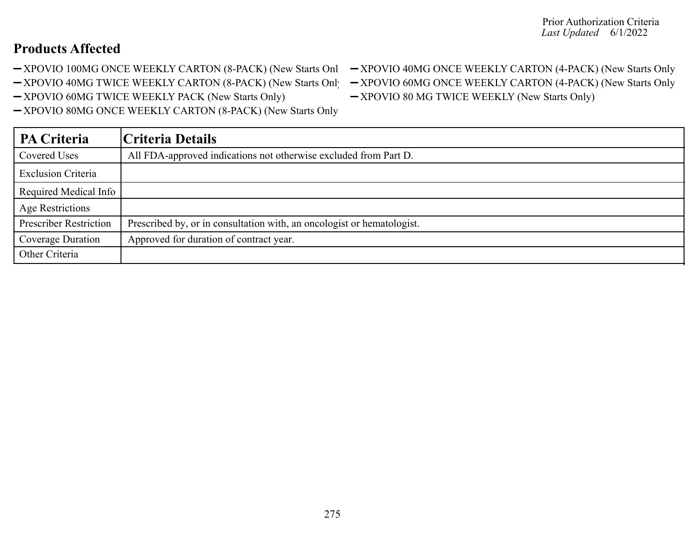- 
- -XPOVIO 40MG TWICE WEEKLY CARTON (8-PACK) (New Starts Only) XPOVIO 60MG ONCE WEEKLY CARTON (4-PACK) (New Starts Only
- -XPOVIO 60MG TWICE WEEKLY PACK (New Starts Only) XPOVIO 80 MG TWICE WEEKLY (New Starts Only)

XPOVIO 80MG ONCE WEEKLY CARTON (8-PACK) (New Starts Only)

**PA Criteria Criteria Details** Covered Uses All FDA-approved indications not otherwise excluded from Part D. Exclusion Criteria Required Medical Info Age Restrictions Prescriber Restriction | Prescribed by, or in consultation with, an oncologist or hematologist. Coverage Duration | Approved for duration of contract year. Other Criteria

#### -XPOVIO 100MG ONCE WEEKLY CARTON (8-PACK) (New Starts Only) - XPOVIO 40MG ONCE WEEKLY CARTON (4-PACK) (New Starts Only)

- 
-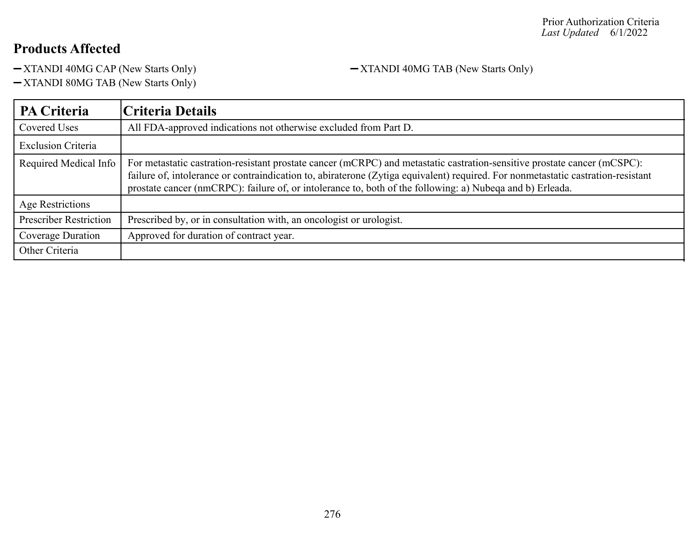-XTANDI 40MG CAP (New Starts Only) -XTANDI 40MG TAB (New Starts Only)

XTANDI 80MG TAB (New Starts Only)

**PA Criteria Criteria Details** Covered Uses All FDA-approved indications not otherwise excluded from Part D. Exclusion Criteria Required Medical Info  $\vert$  For metastatic castration-resistant prostate cancer (mCRPC) and metastatic castration-sensitive prostate cancer (mCSPC): failure of, intolerance or contraindication to, abiraterone (Zytiga equivalent) required. For nonmetastatic castration-resistant prostate cancer (nmCRPC): failure of, or intolerance to, both of the following: a) Nubeqa and b) Erleada. Age Restrictions Prescriber Restriction | Prescribed by, or in consultation with, an oncologist or urologist. Coverage Duration | Approved for duration of contract year. Other Criteria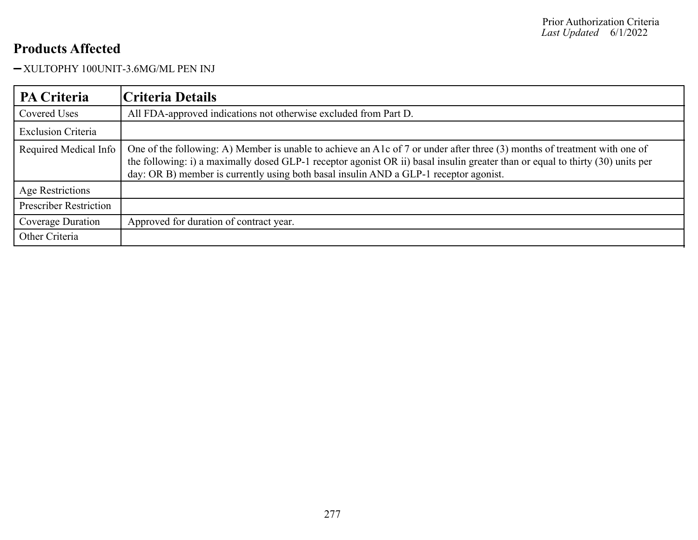#### XULTOPHY 100UNIT-3.6MG/ML PEN INJ

| PA Criteria                   | Criteria Details                                                                                                                                                                                                                                                                                                                                     |
|-------------------------------|------------------------------------------------------------------------------------------------------------------------------------------------------------------------------------------------------------------------------------------------------------------------------------------------------------------------------------------------------|
| Covered Uses                  | All FDA-approved indications not otherwise excluded from Part D.                                                                                                                                                                                                                                                                                     |
| <b>Exclusion Criteria</b>     |                                                                                                                                                                                                                                                                                                                                                      |
| Required Medical Info         | One of the following: A) Member is unable to achieve an A1c of 7 or under after three (3) months of treatment with one of<br>the following: i) a maximally dosed GLP-1 receptor agonist OR ii) basal insulin greater than or equal to thirty (30) units per<br>day: OR B) member is currently using both basal insulin AND a GLP-1 receptor agonist. |
| Age Restrictions              |                                                                                                                                                                                                                                                                                                                                                      |
| <b>Prescriber Restriction</b> |                                                                                                                                                                                                                                                                                                                                                      |
| Coverage Duration             | Approved for duration of contract year.                                                                                                                                                                                                                                                                                                              |
| Other Criteria                |                                                                                                                                                                                                                                                                                                                                                      |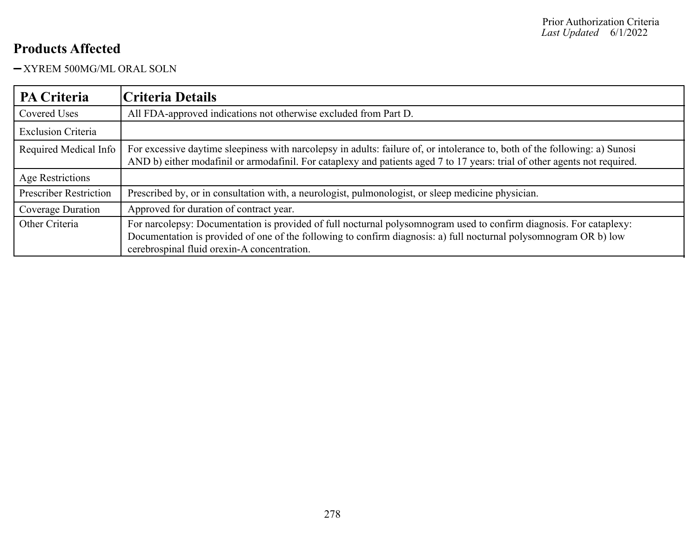-XYREM 500MG/ML ORAL SOLN

| <b>PA Criteria</b>            | Criteria Details                                                                                                                                                                                                                                                                        |
|-------------------------------|-----------------------------------------------------------------------------------------------------------------------------------------------------------------------------------------------------------------------------------------------------------------------------------------|
| Covered Uses                  | All FDA-approved indications not otherwise excluded from Part D.                                                                                                                                                                                                                        |
| <b>Exclusion Criteria</b>     |                                                                                                                                                                                                                                                                                         |
| Required Medical Info         | For excessive daytime sleepiness with narcolepsy in adults: failure of, or intolerance to, both of the following: a) Sunosi<br>AND b) either modafinil or armodafinil. For cataplexy and patients aged 7 to 17 years: trial of other agents not required.                               |
| Age Restrictions              |                                                                                                                                                                                                                                                                                         |
| <b>Prescriber Restriction</b> | Prescribed by, or in consultation with, a neurologist, pulmonologist, or sleep medicine physician.                                                                                                                                                                                      |
| Coverage Duration             | Approved for duration of contract year.                                                                                                                                                                                                                                                 |
| Other Criteria                | For narcolepsy: Documentation is provided of full nocturnal polysomnogram used to confirm diagnosis. For cataplexy:<br>Documentation is provided of one of the following to confirm diagnosis: a) full nocturnal polysomnogram OR b) low<br>cerebrospinal fluid orexin-A concentration. |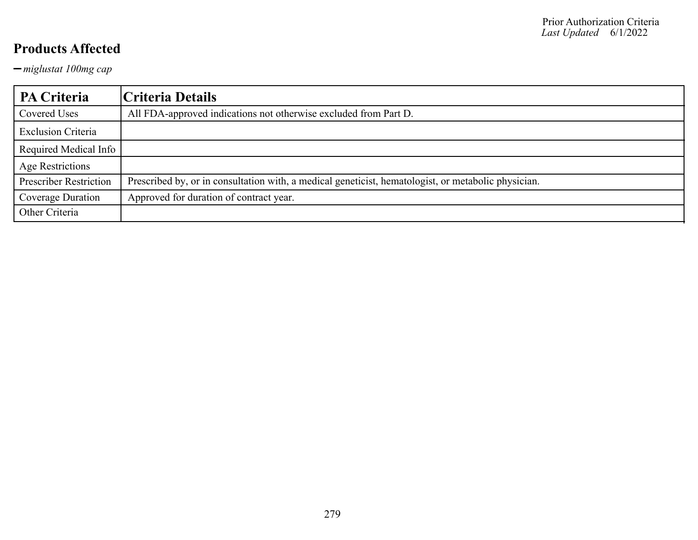*miglustat 100mg cap*

| <b>PA Criteria</b>            | Criteria Details                                                                                    |
|-------------------------------|-----------------------------------------------------------------------------------------------------|
| Covered Uses                  | All FDA-approved indications not otherwise excluded from Part D.                                    |
| <b>Exclusion Criteria</b>     |                                                                                                     |
| Required Medical Info         |                                                                                                     |
| Age Restrictions              |                                                                                                     |
| <b>Prescriber Restriction</b> | Prescribed by, or in consultation with, a medical geneticist, hematologist, or metabolic physician. |
| Coverage Duration             | Approved for duration of contract year.                                                             |
| Other Criteria                |                                                                                                     |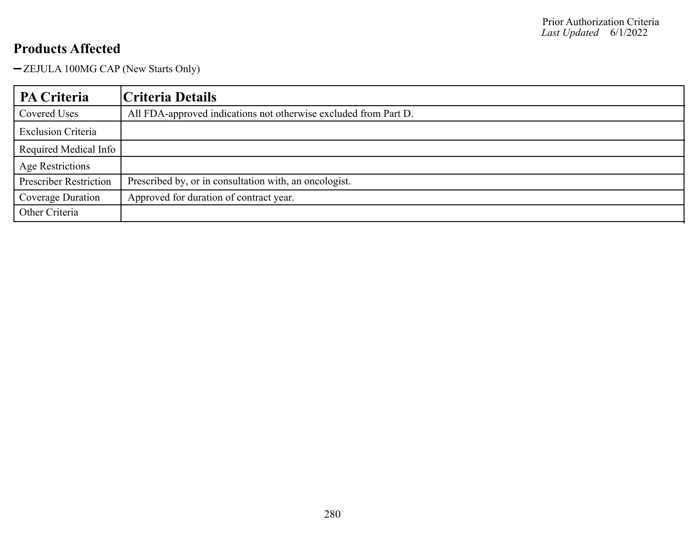ZEJULA 100MG CAP (New Starts Only)

| PA Criteria                   | Criteria Details                                                 |
|-------------------------------|------------------------------------------------------------------|
| Covered Uses                  | All FDA-approved indications not otherwise excluded from Part D. |
| <b>Exclusion Criteria</b>     |                                                                  |
| Required Medical Info         |                                                                  |
| Age Restrictions              |                                                                  |
| <b>Prescriber Restriction</b> | Prescribed by, or in consultation with, an oncologist.           |
| Coverage Duration             | Approved for duration of contract year.                          |
| Other Criteria                |                                                                  |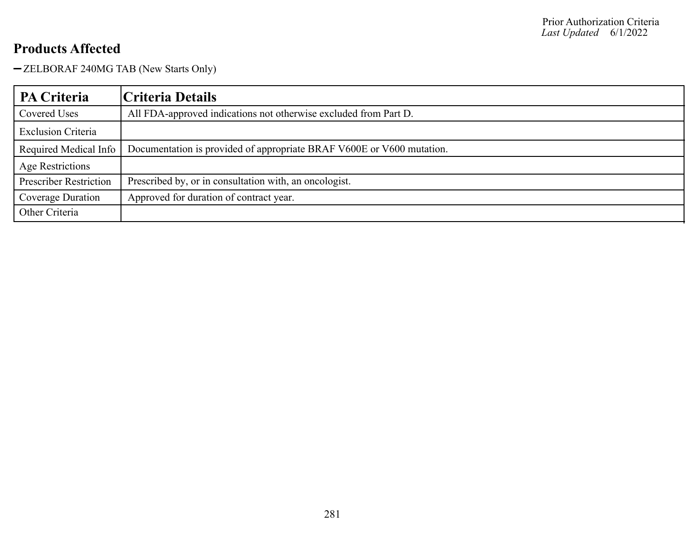- ZELBORAF 240MG TAB (New Starts Only)

| <b>PA Criteria</b>            | Criteria Details                                                      |
|-------------------------------|-----------------------------------------------------------------------|
| Covered Uses                  | All FDA-approved indications not otherwise excluded from Part D.      |
| <b>Exclusion Criteria</b>     |                                                                       |
| Required Medical Info         | Documentation is provided of appropriate BRAF V600E or V600 mutation. |
| Age Restrictions              |                                                                       |
| <b>Prescriber Restriction</b> | Prescribed by, or in consultation with, an oncologist.                |
| Coverage Duration             | Approved for duration of contract year.                               |
| Other Criteria                |                                                                       |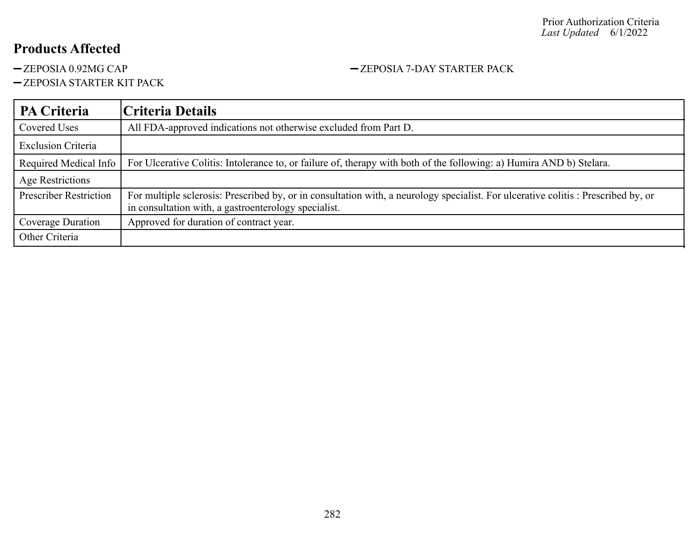-ZEPOSIA STARTER KIT PACK

#### **PA Criteria Criteria Details** Covered Uses All FDA-approved indications not otherwise excluded from Part D. Exclusion Criteria Required Medical Info For Ulcerative Colitis: Intolerance to, or failure of, therapy with both of the following: a) Humira AND b) Stelara. Age Restrictions Prescriber Restriction For multiple sclerosis: Prescribed by, or in consultation with, a neurology specialist. For ulcerative colitis : Prescribed by, or in consultation with, a gastroenterology specialist. Coverage Duration | Approved for duration of contract year. Other Criteria

-ZEPOSIA 0.92MG CAP - 2EPOSIA 7-DAY STARTER PACK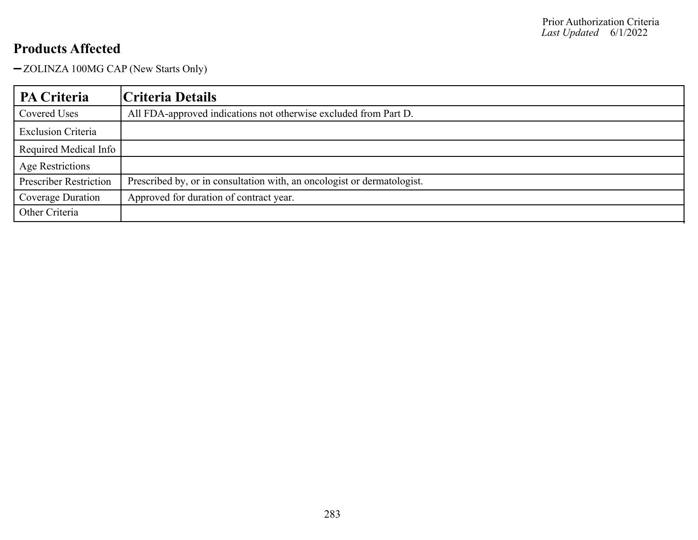-ZOLINZA 100MG CAP (New Starts Only)

| PA Criteria                   | Criteria Details                                                        |
|-------------------------------|-------------------------------------------------------------------------|
| Covered Uses                  | All FDA-approved indications not otherwise excluded from Part D.        |
| <b>Exclusion Criteria</b>     |                                                                         |
| Required Medical Info         |                                                                         |
| Age Restrictions              |                                                                         |
| <b>Prescriber Restriction</b> | Prescribed by, or in consultation with, an oncologist or dermatologist. |
| <b>Coverage Duration</b>      | Approved for duration of contract year.                                 |
| Other Criteria                |                                                                         |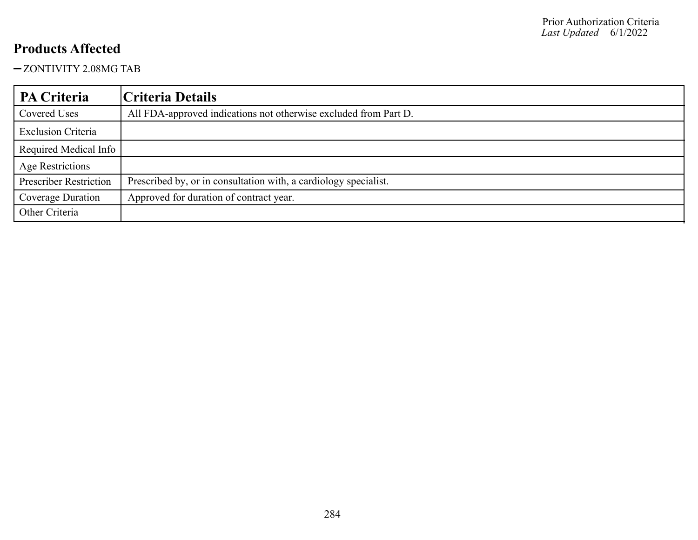#### ZONTIVITY 2.08MG TAB

| PA Criteria                   | Criteria Details                                                 |
|-------------------------------|------------------------------------------------------------------|
| Covered Uses                  | All FDA-approved indications not otherwise excluded from Part D. |
| <b>Exclusion Criteria</b>     |                                                                  |
| Required Medical Info         |                                                                  |
| Age Restrictions              |                                                                  |
| <b>Prescriber Restriction</b> | Prescribed by, or in consultation with, a cardiology specialist. |
| Coverage Duration             | Approved for duration of contract year.                          |
| Other Criteria                |                                                                  |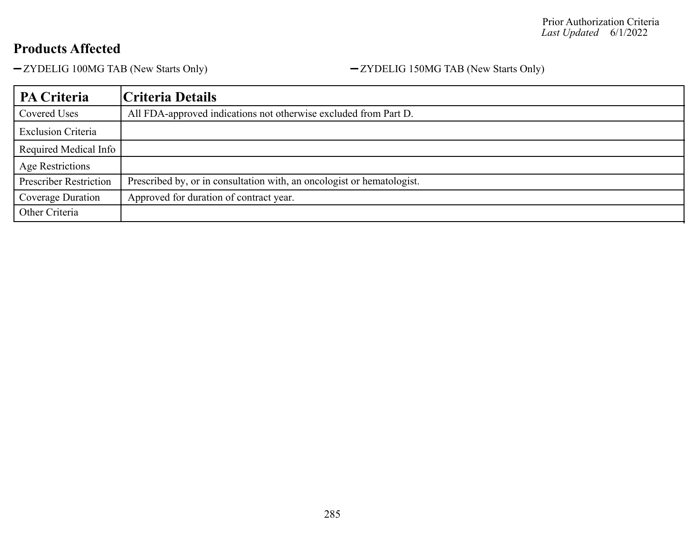-ZYDELIG 100MG TAB (New Starts Only) - ZYDELIG 150MG TAB (New Starts Only)

| PA Criteria                   | Criteria Details                                                       |
|-------------------------------|------------------------------------------------------------------------|
| Covered Uses                  | All FDA-approved indications not otherwise excluded from Part D.       |
| <b>Exclusion Criteria</b>     |                                                                        |
| Required Medical Info         |                                                                        |
| <b>Age Restrictions</b>       |                                                                        |
| <b>Prescriber Restriction</b> | Prescribed by, or in consultation with, an oncologist or hematologist. |
| Coverage Duration             | Approved for duration of contract year.                                |
| Other Criteria                |                                                                        |